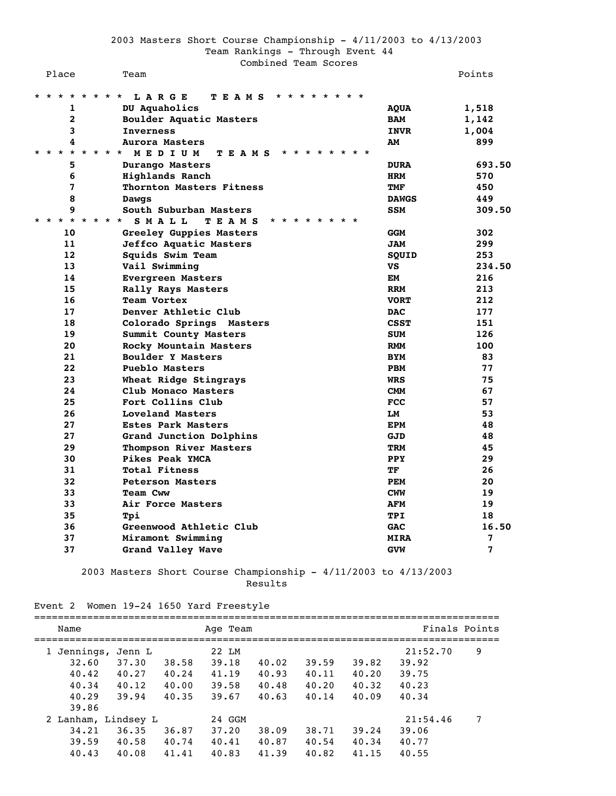|         | Place                         | Team                                                                                                         |              | Points         |
|---------|-------------------------------|--------------------------------------------------------------------------------------------------------------|--------------|----------------|
| $\star$ | $* *$<br>$\star$              | * * * *<br>LARGE<br><b>TEAMS</b><br>$\star$ $\star$<br>$\star$<br>* * * * *                                  |              |                |
|         | 1                             | DU Aquaholics                                                                                                | AQUA         | 1,518          |
|         | $\overline{2}$                | Boulder Aquatic Masters                                                                                      | <b>BAM</b>   | 1,142          |
|         | 3                             | <b>Inverness</b>                                                                                             | <b>INVR</b>  | 1,004          |
|         | 4                             | Aurora Masters                                                                                               | AМ           | 899            |
| *       | $\star$<br>$\star$<br>$\star$ | $\star$ $\star$<br>$\star$ $\star$<br>MEDIUM<br>TEAMS<br>$\star$<br>$\star$<br>$\star$<br>$\star$<br>* * * * |              |                |
|         | 5                             | Durango Masters                                                                                              | <b>DURA</b>  | 693.50         |
|         | 6                             | Highlands Ranch                                                                                              | <b>HRM</b>   | 570            |
|         | 7                             | Thornton Masters Fitness                                                                                     | TMF          | 450            |
|         | 8                             | Dawgs                                                                                                        | <b>DAWGS</b> | 449            |
|         | 9                             | South Suburban Masters                                                                                       | <b>SSM</b>   | 309.50         |
| $\star$ | $\star$<br>$\star$ $\star$    | * * * *<br>SMALL<br><b>TEAMS</b><br>*<br>$\star$<br>$\star$ $\star$<br>$\star$<br>$\star$                    |              |                |
|         | 10                            | Greeley Guppies Masters                                                                                      | <b>GGM</b>   | 302            |
|         | 11                            | Jeffco Aquatic Masters                                                                                       | <b>JAM</b>   | 299            |
|         | 12                            | Squids Swim Team                                                                                             | SOUID        | 253            |
|         | 13                            | Vail Swimming                                                                                                | VS           | 234.50         |
|         | 14                            | <b>Evergreen Masters</b>                                                                                     | EM           | 216            |
|         | 15                            | Rally Rays Masters                                                                                           | <b>RRM</b>   | 213            |
|         | 16                            | Team Vortex                                                                                                  | <b>VORT</b>  | 212            |
|         | 17                            | Denver Athletic Club                                                                                         | <b>DAC</b>   | 177            |
|         | 18                            | Colorado Springs Masters                                                                                     | <b>CSST</b>  | 151            |
|         | 19                            | Summit County Masters                                                                                        | <b>SUM</b>   | 126            |
|         | 20                            | Rocky Mountain Masters                                                                                       | <b>RMM</b>   | 100            |
|         | 21                            | Boulder Y Masters                                                                                            | <b>BYM</b>   | 83             |
|         | 22                            | Pueblo Masters                                                                                               | <b>PBM</b>   | 77             |
|         | 23                            | Wheat Ridge Stingrays                                                                                        | <b>WRS</b>   | 75             |
|         | 24                            | Club Monaco Masters                                                                                          | <b>CMM</b>   | 67             |
|         | 25                            | Fort Collins Club                                                                                            | <b>FCC</b>   | 57             |
|         | 26                            | Loveland Masters                                                                                             | LM           | 53             |
|         | 27                            | <b>Estes Park Masters</b>                                                                                    | <b>EPM</b>   | 48             |
|         | 27                            | Grand Junction Dolphins                                                                                      | GJD          | 48             |
|         | 29                            | Thompson River Masters                                                                                       | <b>TRM</b>   | 45             |
|         | 30                            | Pikes Peak YMCA                                                                                              | PPY          | 29             |
|         | 31                            | <b>Total Fitness</b>                                                                                         | TF           | 26             |
|         | 32                            | <b>Peterson Masters</b>                                                                                      | <b>PEM</b>   | 20             |
|         | 33                            | Team Cww                                                                                                     | <b>CWM</b>   | 19             |
|         | 33                            | Air Force Masters                                                                                            | <b>AFM</b>   | 19             |
|         | 35                            | Tpi                                                                                                          | <b>TPI</b>   | 18             |
|         | 36                            | Greenwood Athletic Club                                                                                      | <b>GAC</b>   | 16.50          |
|         | 37                            | Miramont Swimming                                                                                            | <b>MIRA</b>  | 7              |
|         | 37                            | Grand Valley Wave                                                                                            | <b>GVW</b>   | $\overline{7}$ |
|         |                               |                                                                                                              |              |                |

 2003 Masters Short Course Championship - 4/11/2003 to 4/13/2003 Results

### Event 2 Women 19-24 1650 Yard Freestyle

| Name                 |                              |                | Age Team        |                |                |                | Finals Points     |   |
|----------------------|------------------------------|----------------|-----------------|----------------|----------------|----------------|-------------------|---|
| 1 Jennings,<br>32.60 | Jenn L<br>37.30              | 38.58          | 22 LM<br>39.18  | 40.02          | 39.59          | 39.82          | 21:52.70<br>39.92 | 9 |
| 40.42                | 40.27                        | 40.24          | 41.19           | 40.93          | 40.11          | 40.20          | 39.75             |   |
| 40.34<br>40.29       | 40.12<br>39.94               | 40.00<br>40.35 | 39.58<br>39.67  | 40.48<br>40.63 | 40.20<br>40.14 | 40.32<br>40.09 | 40.23<br>40.34    |   |
| 39.86                |                              |                |                 |                |                |                |                   |   |
| 34.21                | 2 Lanham, Lindsey L<br>36.35 | 36.87          | 24 GGM<br>37.20 | 38.09          | 38.71          | 39.24          | 21:54.46<br>39.06 | 7 |
| 39.59<br>40.43       | 40.58<br>40.08               | 40.74<br>41.41 | 40.41<br>40.83  | 40.87<br>41.39 | 40.54<br>40.82 | 40.34<br>41.15 | 40.77<br>40.55    |   |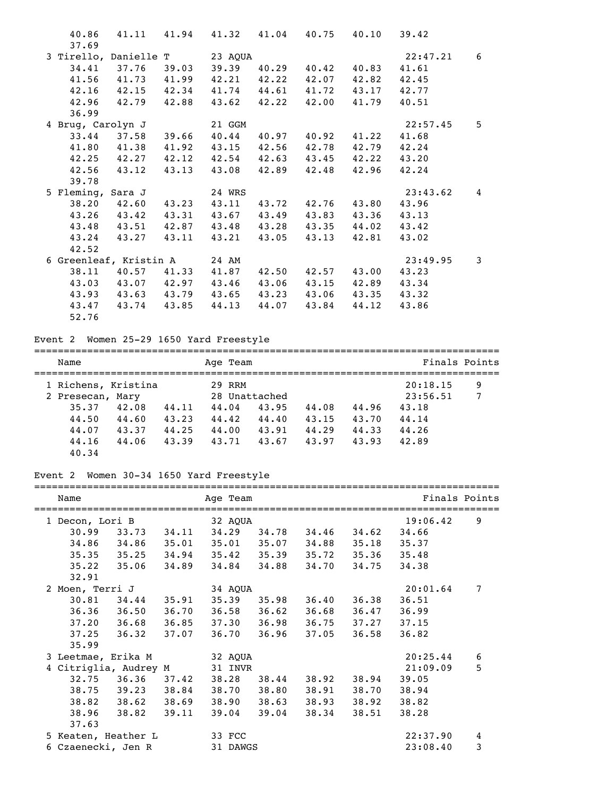| 40.86                         | 41.11 41.94 41.32 41.04 40.75 40.10 39.42 |             |             |             |             |       |          |   |
|-------------------------------|-------------------------------------------|-------------|-------------|-------------|-------------|-------|----------|---|
| 37.69                         |                                           |             |             |             |             |       |          |   |
| 3 Tirello, Danielle T 23 AQUA |                                           |             |             |             |             |       | 22:47.21 | 6 |
| 34.41                         | 37.76                                     | 39.03 39.39 |             | 40.29       | 40.42       | 40.83 | 41.61    |   |
|                               | 41.56 41.73 41.99                         |             | 42.21 42.22 |             | 42.07       | 42.82 | 42.45    |   |
|                               | 42.16 42.15 42.34                         |             | 41.74 44.61 |             | 41.72       | 43.17 | 42.77    |   |
| 42.96                         | 42.79                                     | 42.88       | 43.62       | 42.22 42.00 |             | 41.79 | 40.51    |   |
| 36.99                         |                                           |             |             |             |             |       |          |   |
| 4 Brug, Carolyn J             |                                           |             | 21 GGM      |             |             |       | 22:57.45 | 5 |
| 33.44                         | 37.58 39.66 40.44                         |             |             | 40.97       | 40.92       | 41.22 | 41.68    |   |
|                               | 41.80 41.38                               | 41.92       | 43.15       | 42.56       | 42.78       | 42.79 | 42.24    |   |
|                               | 42.25 42.27                               | 42.12       | 42.54       | 42.63       | 43.45       | 42.22 | 43.20    |   |
| 42.56                         | 43.12                                     | 43.13       | 43.08       | 42.89       | 42.48       | 42.96 | 42.24    |   |
| 39.78                         |                                           |             |             |             |             |       |          |   |
| 5 Fleming, Sara J             |                                           |             | 24 WRS      |             |             |       | 23:43.62 | 4 |
|                               | $38.20$ $42.60$                           | 43.23 43.11 |             | 43.72       | 42.76       | 43.80 | 43.96    |   |
|                               | 43.26 43.42 43.31 43.67 43.49             |             |             |             | 43.83 43.36 |       | 43.13    |   |
|                               | 43.48 43.51 42.87 43.48                   |             |             | 43.28       | 43.35       | 44.02 | 43.42    |   |
| 43.24                         | 43.27                                     | 43.11       | 43.21       | 43.05       | 43.13       | 42.81 | 43.02    |   |
| 42.52                         |                                           |             |             |             |             |       |          |   |
| 6 Greenleaf, Kristin A 24 AM  |                                           |             |             |             |             |       | 23:49.95 | 3 |
|                               | 38.11 40.57 41.33                         |             | 41.87       | 42.50       | 42.57       | 43.00 | 43.23    |   |
|                               | 43.03 43.07 42.97                         |             | 43.46       | 43.06       | 43.15       | 42.89 | 43.34    |   |
| 43.93                         | 43.63 43.79                               |             | 43.65       | 43.23       | 43.06       | 43.35 | 43.32    |   |
| 43.47                         | 43.74                                     | 43.85       | 44.13       | 44.07       | 43.84       | 44.12 | 43.86    |   |
| 52.76                         |                                           |             |             |             |             |       |          |   |

## Event 2 Women 25-29 1650 Yard Freestyle

| Name                |       | Age Team |               |       |       | Finals Points |   |
|---------------------|-------|----------|---------------|-------|-------|---------------|---|
| 1 Richens, Kristina |       | 29 RRM   |               |       |       | 20:18.15      | 9 |
| 2 Presecan, Mary    |       |          | 28 Unattached |       |       | 23:56.51      | 7 |
| 42.08<br>35.37      | 44.11 | 44.04    | 43.95         | 44.08 | 44.96 | 43.18         |   |
| 44.50<br>44.60      | 43.23 | 44.42    | 44.40         | 43.15 | 43.70 | 44.14         |   |
| 44.07<br>43.37      | 44.25 | 44.00    | 43.91         | 44.29 | 44.33 | 44.26         |   |
| 44.16<br>44.06      | 43.39 | 43.71    | 43.67         | 43.97 | 43.93 | 42.89         |   |
| 40.34               |       |          |               |       |       |               |   |

# Event 2 Women 30-34 1650 Yard Freestyle

| Name                  |                   |       | Age Team<br>======================== |                 |                         |       | Finals Points |   |
|-----------------------|-------------------|-------|--------------------------------------|-----------------|-------------------------|-------|---------------|---|
| 1 Decon, Lori B       |                   |       | 32 AQUA                              |                 |                         |       | 19:06.42      | 9 |
| 30.99                 |                   |       | 33.73 34.11 34.29 34.78 34.46        |                 |                         | 34.62 | 34.66         |   |
| 34.86 34.86           |                   |       | 35.01 35.01 35.07 34.88              |                 |                         | 35.18 | 35.37         |   |
| $35.35$ $35.25$       |                   | 34.94 |                                      |                 | $35.42$ $35.39$ $35.72$ | 35.36 | 35.48         |   |
| 35.22                 | 35.06             |       | 34.89 34.84 34.88                    |                 | 34.70                   | 34.75 | 34.38         |   |
| 32.91                 |                   |       |                                      |                 |                         |       |               |   |
| 2 Moen, Terri J       |                   |       | 34 AQUA                              |                 |                         |       | 20:01.64      | 7 |
|                       | $30.81$ $34.44$   | 35.91 |                                      | $35.39$ $35.98$ | 36.40                   | 36.38 | 36.51         |   |
| $36.36$ $36.50$       |                   | 36.70 |                                      | $36.58$ $36.62$ | 36.68                   | 36.47 | 36.99         |   |
| $37.20$ $36.68$       |                   | 36.85 |                                      | 37.30 36.98     | 36.75                   | 37.27 | 37.15         |   |
| 37.25                 | 36.32             | 37.07 | 36.70                                | 36.96           | 37.05                   | 36.58 | 36.82         |   |
| 35.99                 |                   |       |                                      |                 |                         |       |               |   |
| 3 Leetmae, Erika M    |                   |       | 32 AQUA                              |                 |                         |       | 20:25.44      | 6 |
| 4 Citriglia, Audrey M |                   |       | 31 INVR                              |                 |                         |       | 21:09.09      | 5 |
|                       | 32.75 36.36       | 37.42 |                                      | 38.28 38.44     | 38.92                   | 38.94 | 39.05         |   |
|                       | 38.75 39.23 38.84 |       |                                      | 38.70 38.80     | 38.91                   | 38.70 | 38.94         |   |
|                       | 38.82 38.62 38.69 |       | 38.90                                | 38.63           | 38.93                   | 38.92 | 38.82         |   |
| 38.96                 | 38.82             | 39.11 | 39.04                                | 39.04           | 38.34                   | 38.51 | 38.28         |   |
| 37.63                 |                   |       |                                      |                 |                         |       |               |   |
| 5 Keaten, Heather L   |                   |       | 33 FCC                               |                 |                         |       | 22:37.90      | 4 |
| 6 Czaenecki, Jen R    |                   |       | 31 DAWGS                             |                 |                         |       | 23:08.40      | 3 |
|                       |                   |       |                                      |                 |                         |       |               |   |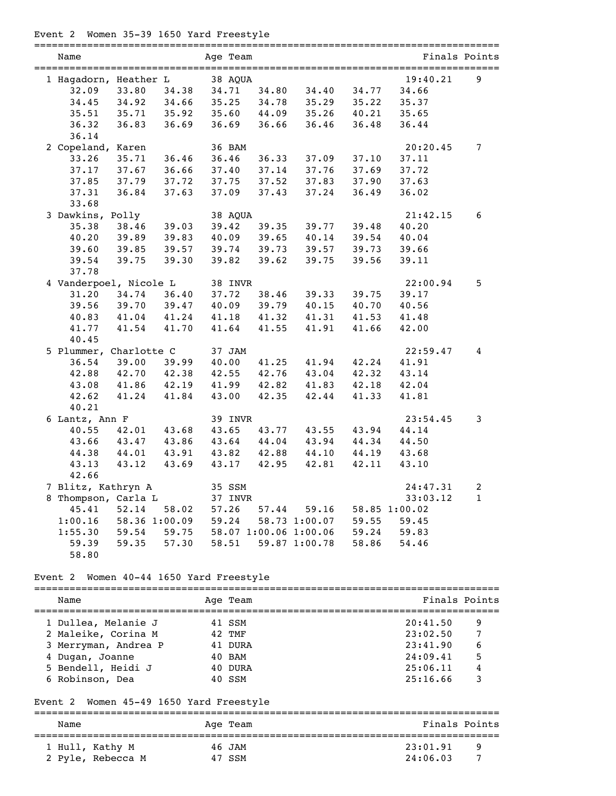# Event 2 Women 35-39 1650 Yard Freestyle

| Name                   |               |       | Age Team |       |                       |       |               | Finals Points  |
|------------------------|---------------|-------|----------|-------|-----------------------|-------|---------------|----------------|
| 1 Hagadorn, Heather L  |               |       | 38 AQUA  |       |                       |       | 19:40.21      | 9              |
| 32.09                  | 33.80         | 34.38 | 34.71    | 34.80 | 34.40                 | 34.77 | 34.66         |                |
| 34.45                  | 34.92         | 34.66 | 35.25    | 34.78 | 35.29                 | 35.22 | 35.37         |                |
| 35.51                  | 35.71         | 35.92 | 35.60    | 44.09 | 35.26                 | 40.21 | 35.65         |                |
| 36.32                  | 36.83         | 36.69 | 36.69    | 36.66 | 36.46                 | 36.48 | 36.44         |                |
| 36.14                  |               |       |          |       |                       |       |               |                |
| 2 Copeland, Karen      |               |       | 36 BAM   |       |                       |       | 20:20.45      | $\overline{7}$ |
| 33.26                  | 35.71         | 36.46 | 36.46    | 36.33 | 37.09                 | 37.10 | 37.11         |                |
| 37.17                  | 37.67         | 36.66 | 37.40    | 37.14 | 37.76                 | 37.69 | 37.72         |                |
| 37.85                  | 37.79         | 37.72 | 37.75    | 37.52 | 37.83                 | 37.90 | 37.63         |                |
| 37.31                  | 36.84         | 37.63 | 37.09    | 37.43 | 37.24                 | 36.49 | 36.02         |                |
| 33.68                  |               |       |          |       |                       |       |               |                |
| 3 Dawkins, Polly       |               |       | 38 AQUA  |       |                       |       | 21:42.15      | 6              |
| 35.38                  | 38.46         | 39.03 | 39.42    | 39.35 | 39.77                 | 39.48 | 40.20         |                |
| 40.20                  | 39.89         | 39.83 | 40.09    | 39.65 | 40.14                 | 39.54 | 40.04         |                |
| 39.60                  | 39.85         | 39.57 | 39.74    | 39.73 | 39.57                 | 39.73 | 39.66         |                |
| 39.54                  | 39.75         | 39.30 | 39.82    | 39.62 | 39.75                 | 39.56 | 39.11         |                |
| 37.78                  |               |       |          |       |                       |       |               |                |
| 4 Vanderpoel, Nicole L |               |       | 38 INVR  |       |                       |       | 22:00.94      | 5              |
| 31.20                  | 34.74         | 36.40 | 37.72    | 38.46 | 39.33                 | 39.75 | 39.17         |                |
| 39.56                  | 39.70         | 39.47 | 40.09    | 39.79 | 40.15                 | 40.70 | 40.56         |                |
| 40.83                  | 41.04         | 41.24 | 41.18    | 41.32 | 41.31                 | 41.53 | 41.48         |                |
| 41.77                  | 41.54         | 41.70 | 41.64    | 41.55 | 41.91                 | 41.66 | 42.00         |                |
| 40.45                  |               |       |          |       |                       |       |               |                |
| 5 Plummer, Charlotte C |               |       | 37 JAM   |       |                       |       | 22:59.47      | 4              |
| 36.54                  | 39.00         | 39.99 | 40.00    | 41.25 | 41.94                 | 42.24 | 41.91         |                |
| 42.88                  | 42.70         | 42.38 | 42.55    | 42.76 | 43.04                 | 42.32 | 43.14         |                |
| 43.08                  | 41.86         | 42.19 | 41.99    | 42.82 | 41.83                 | 42.18 | 42.04         |                |
| 42.62                  | 41.24         | 41.84 | 43.00    | 42.35 | 42.44                 | 41.33 | 41.81         |                |
| 40.21                  |               |       |          |       |                       |       |               |                |
| 6 Lantz, Ann F         |               |       | 39 INVR  |       |                       |       | 23:54.45      | 3              |
| 40.55                  | 42.01         | 43.68 | 43.65    | 43.77 | 43.55                 | 43.94 | 44.14         |                |
| 43.66                  | 43.47         | 43.86 | 43.64    | 44.04 | 43.94                 | 44.34 | 44.50         |                |
| 44.38                  | 44.01         | 43.91 | 43.82    | 42.88 | 44.10                 | 44.19 | 43.68         |                |
| 43.13                  | 43.12         | 43.69 | 43.17    | 42.95 | 42.81                 | 42.11 | 43.10         |                |
| 42.66                  |               |       |          |       |                       |       |               |                |
| 7 Blitz, Kathryn A     |               |       | 35 SSM   |       |                       |       | 24:47.31      | 2              |
| 8 Thompson, Carla L    |               |       | 37 INVR  |       |                       |       | 33:03.12      | $\mathbf{1}$   |
| 45.41                  | 52.14         | 58.02 | 57.26    | 57.44 | 59.16                 |       | 58.85 1:00.02 |                |
| 1:00.16                | 58.36 1:00.09 |       | 59.24    |       | 58.73 1:00.07         | 59.55 | 59.45         |                |
| 1:55.30                | 59.54         | 59.75 |          |       | 58.07 1:00.06 1:00.06 | 59.24 | 59.83         |                |
| 59.39                  | 59.35         | 57.30 | 58.51    |       | 59.87 1:00.78         | 58.86 | 54.46         |                |
| 58.80                  |               |       |          |       |                       |       |               |                |

## Event 2 Women 40-44 1650 Yard Freestyle

| Name                 | Age Team | Finals Points |
|----------------------|----------|---------------|
| 1 Dullea, Melanie J  | 41 SSM   | 20:41.50<br>9 |
| 2 Maleike, Corina M  | 42 TMF   | 7<br>23:02.50 |
| 3 Merryman, Andrea P | 41 DURA  | 6<br>23:41.90 |
| 4 Dugan, Joanne      | 40 BAM   | 5<br>24:09.41 |
| 5 Bendell, Heidi J   | 40 DURA  | 4<br>25:06.11 |
| 6 Robinson, Dea      | 40 SSM   | 3<br>25:16.66 |

## Event 2 Women 45-49 1650 Yard Freestyle

| Name              | Age Team | Finals Points |
|-------------------|----------|---------------|
| 1 Hull, Kathy M   | 46 JAM   | 23:01.91<br>Q |
| 2 Pyle, Rebecca M | 47 SSM   | 24:06.03<br>- |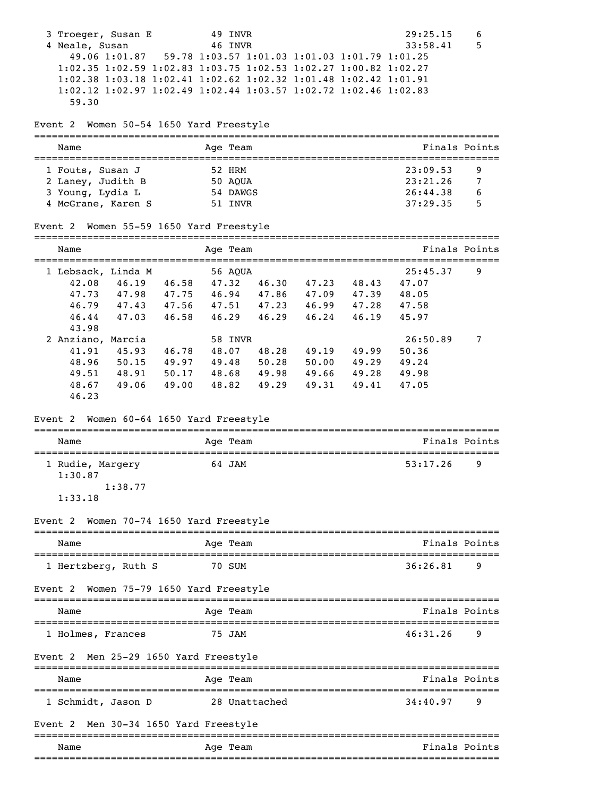|         | 3 Troeger, Susan E<br>4 Neale, Susan<br>1:02.35 1:02.59 1:02.83 1:03.75 1:02.53 1:02.27 1:00.82 1:02.27<br>1:02.38 1:03.18 1:02.41 1:02.62 1:02.32 1:01.48 1:02.42 1:01.91<br>1:02.12 1:02.97 1:02.49 1:02.44 1:03.57 1:02.72 1:02.46 1:02.83<br>59.30<br>Event 2 Women 50-54 1650 Yard Freestyle<br>Name<br>1 Fouts, Susan J<br>2 Laney, Judith B<br>3 Young, Lydia L |                                                   |                                                                                            |                                           | 49 INVR<br>46 INVR<br>Age Team<br>52 HRM<br>50 AQUA<br>54 DAWGS |                                  |                                              | 49.06 1:01.87 59.78 1:03.57 1:01.03 1:01.03 1:01.79 1:01.25                                                                                          | 29:25.15<br>33:58.41<br>23:09.53<br>23:21.26<br>26:44.38                                                                                       | 6<br>5<br>Finals Points<br>9<br>7<br>6 |
|---------|------------------------------------------------------------------------------------------------------------------------------------------------------------------------------------------------------------------------------------------------------------------------------------------------------------------------------------------------------------------------|---------------------------------------------------|--------------------------------------------------------------------------------------------|-------------------------------------------|-----------------------------------------------------------------|----------------------------------|----------------------------------------------|------------------------------------------------------------------------------------------------------------------------------------------------------|------------------------------------------------------------------------------------------------------------------------------------------------|----------------------------------------|
|         | 4 McGrane, Karen S                                                                                                                                                                                                                                                                                                                                                     |                                                   |                                                                                            |                                           | 51 INVR                                                         |                                  |                                              |                                                                                                                                                      | 37:29.35                                                                                                                                       | 5                                      |
|         | Event 2 Women 55-59 1650 Yard Freestyle                                                                                                                                                                                                                                                                                                                                |                                                   |                                                                                            |                                           |                                                                 |                                  |                                              |                                                                                                                                                      |                                                                                                                                                |                                        |
|         | Name<br>=====================================                                                                                                                                                                                                                                                                                                                          |                                                   |                                                                                            |                                           | Age Team                                                        |                                  |                                              |                                                                                                                                                      | ====================================                                                                                                           | Finals Points                          |
|         | 1 Lebsack, Linda M<br>42.08<br>47.73<br>46.79<br>46.44<br>43.98<br>2 Anziano, Marcia<br>41.91<br>48.96<br>49.51<br>48.67<br>46.23<br>Event 2 Women 60-64 1650 Yard Freestyle<br>Name<br>====================================<br>1 Rudie, Margery<br>1:30.87<br>1:33.18<br>Event 2                                                                                      | 46.19<br>47.03<br>45.93 46.78<br>49.06<br>1:38.77 | 46.58<br>46.58<br>$50.15$ 49.97<br>48.91 50.17<br>49.00<br>Women 70-74 1650 Yard Freestyle | 47.32<br>46.29<br>48.07<br>49.48<br>48.82 | 56 AQUA<br>58 INVR<br>Age Team<br>64 JAM                        | 46.29<br>48.28<br>50.28<br>49.29 | 46.24<br>49.19<br>48.68 49.98 49.66<br>49.31 | 46.30 47.23 48.43<br>47.98 47.75 46.94 47.86 47.09 47.39<br>47.43 47.56 47.51 47.23 46.99 47.28<br>46.19<br>49.99<br>$50.00$ 49.29<br>49.28<br>49.41 | 25:45.37<br>47.07<br>48.05<br>47.58<br>45.97<br>26:50.89<br>50.36<br>49.24<br>49.98<br>47.05<br>==================================<br>53:17.26 | 9<br>7<br>Finals Points<br>9           |
|         | Name                                                                                                                                                                                                                                                                                                                                                                   |                                                   |                                                                                            |                                           | Age Team                                                        |                                  |                                              |                                                                                                                                                      |                                                                                                                                                | Finals Points                          |
| Event 2 | 1 Hertzberg, Ruth S                                                                                                                                                                                                                                                                                                                                                    |                                                   | Women 75-79 1650 Yard Freestyle                                                            |                                           | 70 SUM                                                          |                                  |                                              |                                                                                                                                                      | 36:26.81                                                                                                                                       | 9                                      |
|         | Name                                                                                                                                                                                                                                                                                                                                                                   |                                                   |                                                                                            |                                           | Age Team                                                        |                                  |                                              |                                                                                                                                                      |                                                                                                                                                | Finals Points                          |
|         | 1 Holmes, Frances                                                                                                                                                                                                                                                                                                                                                      |                                                   |                                                                                            |                                           | 75 JAM                                                          |                                  |                                              |                                                                                                                                                      | 46:31.26                                                                                                                                       | 9                                      |
|         | Event 2                                                                                                                                                                                                                                                                                                                                                                |                                                   | Men 25-29 1650 Yard Freestyle                                                              |                                           |                                                                 |                                  |                                              |                                                                                                                                                      |                                                                                                                                                |                                        |
|         | Name                                                                                                                                                                                                                                                                                                                                                                   |                                                   |                                                                                            |                                           | Age Team                                                        |                                  |                                              |                                                                                                                                                      |                                                                                                                                                | Finals Points                          |
|         | 1 Schmidt, Jason D<br>Event 2                                                                                                                                                                                                                                                                                                                                          |                                                   | Men 30-34 1650 Yard Freestyle                                                              |                                           |                                                                 | 28 Unattached                    |                                              |                                                                                                                                                      | 34:40.97                                                                                                                                       | 9                                      |
|         | Name                                                                                                                                                                                                                                                                                                                                                                   |                                                   |                                                                                            |                                           | Age Team                                                        |                                  |                                              |                                                                                                                                                      |                                                                                                                                                | Finals Points                          |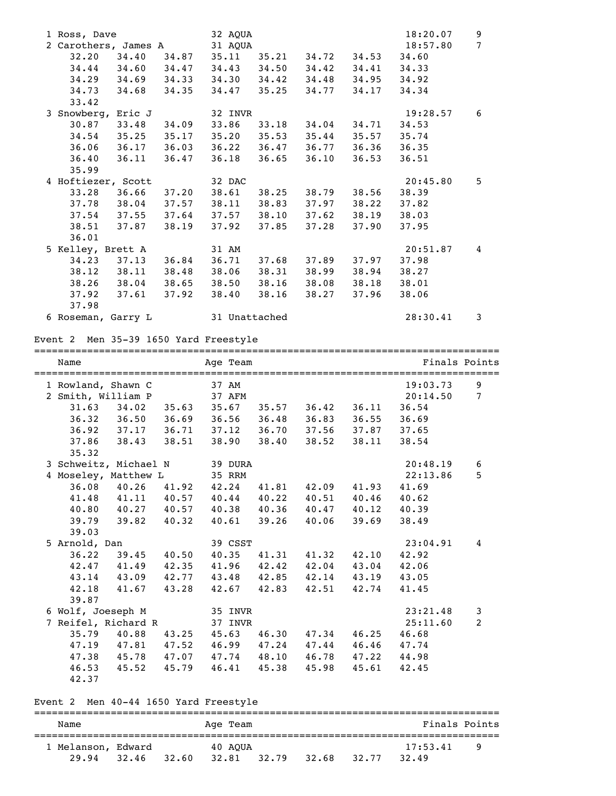| 1 Ross, Dave<br>2 Carothers, James A<br>32.20<br>$34.29$ $34.69$<br>34.73 34.68<br>33.42 | 34.40                                                             | 34.87<br>34.33<br>34.35 | 32 AQUA<br>31 AQUA<br>35.11<br>34.44 34.60 34.47 34.43 34.50 34.42<br>34.47 35.25 | 35.21           | 34.72<br>$34.30$ $34.42$ $34.48$<br>34.77                            | 34.53<br>34.41<br>34.95<br>34.17 | 18:20.07<br>18:57.80<br>34.60<br>34.33<br>34.92<br>34.34 | 9<br>7          |
|------------------------------------------------------------------------------------------|-------------------------------------------------------------------|-------------------------|-----------------------------------------------------------------------------------|-----------------|----------------------------------------------------------------------|----------------------------------|----------------------------------------------------------|-----------------|
| 3 Snowberg, Eric J<br>$30.87$ $33.48$<br>36.06 36.17<br>36.40<br>35.99                   | $34.54$ $35.25$ $35.17$<br>36.11                                  | 34.09<br>36.03<br>36.47 | 32 INVR<br>36.22 36.47<br>36.18                                                   | 36.65           | 33.86 33.18 34.04<br>$35.20$ $35.53$ $35.44$<br>36.77<br>36.10       | 34.71<br>35.57<br>36.36<br>36.53 | 19:28.57<br>34.53<br>35.74<br>36.35<br>36.51             | 6               |
| 4 Hoftiezer, Scott<br>38.51 37.87<br>36.01                                               | 33.28 36.66 37.20<br>37.78 38.04 37.57<br>$37.54$ $37.55$ $37.64$ | 38.19                   | 32 DAC<br>37.57<br>37.92                                                          | 37.85           | 38.61 38.25 38.79 38.56<br>38.11 38.83 37.97<br>38.10 37.62<br>37.28 | 38.22<br>38.19<br>37.90          | 20:45.80<br>38.39<br>37.82<br>38.03<br>37.95             | 5               |
| 5 Kelley, Brett A<br>34.23 37.13<br>38.12 38.11<br>37.92 37.61<br>37.98                  | 38.26 38.04 38.65                                                 | 36.84<br>37.92          | 31 AM<br>36.71<br>38.48 38.06<br>38.40 38.16                                      | 37.68           | 37.89<br>38.31 38.99<br>38.50 38.16 38.08<br>38.27                   | 37.97<br>38.94<br>38.18<br>37.96 | 20:51.87<br>37.98<br>38.27<br>38.01<br>38.06             | 4               |
| 6 Roseman, Garry L<br>Event 2 Men 35-39 1650 Yard Freestyle                              |                                                                   |                         | 31 Unattached                                                                     |                 |                                                                      |                                  | 28:30.41                                                 | 3               |
|                                                                                          |                                                                   |                         |                                                                                   |                 |                                                                      |                                  |                                                          |                 |
| Name                                                                                     |                                                                   |                         | Age Team                                                                          |                 |                                                                      |                                  | Finals Points                                            |                 |
| 1 Rowland, Shawn C                                                                       |                                                                   |                         | 37 AM                                                                             |                 |                                                                      |                                  | 19:03.73                                                 | 9               |
| 2 Smith, William P                                                                       |                                                                   |                         | 37 AFM                                                                            |                 |                                                                      |                                  | 20:14.50                                                 | $7\phantom{.0}$ |
|                                                                                          | $31.63$ $34.02$                                                   |                         | 35.63 35.67 35.57 36.42 36.11                                                     |                 |                                                                      |                                  | 36.54                                                    |                 |
| 36.32 36.50                                                                              |                                                                   | 36.69                   | 36.56                                                                             |                 | 36.48 36.83                                                          | 36.55                            | 36.69                                                    |                 |
| $36.92$ $37.17$<br>37.86                                                                 | 38.43                                                             | 36.71<br>38.51          | 37.12<br>38.90                                                                    | 36.70<br>38.40  | 37.56<br>38.52                                                       | 37.87<br>38.11                   | 37.65<br>38.54                                           |                 |
| 35.32                                                                                    |                                                                   |                         |                                                                                   |                 |                                                                      |                                  |                                                          |                 |
| 3 Schweitz, Michael N                                                                    |                                                                   |                         | 39 DURA                                                                           |                 |                                                                      |                                  | 20:48.19<br>22:13.86                                     | 6<br>5          |
| 4 Moseley, Matthew L<br>36.08                                                            | 40.26                                                             | 41.92                   | 35 RRM<br>42.24                                                                   |                 | 41.81 42.09                                                          | 41.93                            | 41.69                                                    |                 |
|                                                                                          | 41.48 41.11 40.57                                                 |                         | 40.44                                                                             | 40.22           | 40.51                                                                | 40.46                            | 40.62                                                    |                 |
| 40.80                                                                                    | 40.27                                                             | 40.57                   | 40.38                                                                             | 40.36           | 40.47                                                                | 40.12                            | 40.39                                                    |                 |
| 39.79                                                                                    | 39.82                                                             | 40.32                   | 40.61                                                                             | 39.26           | 40.06                                                                | 39.69                            | 38.49                                                    |                 |
| 39.03                                                                                    |                                                                   |                         |                                                                                   |                 |                                                                      |                                  |                                                          |                 |
| 5 Arnold, Dan                                                                            |                                                                   |                         | 39 CSST                                                                           |                 |                                                                      |                                  | 23:04.91                                                 | 4               |
| 36.22                                                                                    | 39.45                                                             | 40.50                   | 40.35                                                                             | 41.31           | 41.32                                                                | 42.10                            | 42.92                                                    |                 |
| 42.47 41.49<br>43.14 43.09                                                               |                                                                   | 42.35                   |                                                                                   | $41.96$ $42.42$ | 42.04                                                                | 43.04<br>43.19                   | 42.06<br>43.05                                           |                 |
| 42.18                                                                                    | 41.67                                                             | 42.77<br>43.28          | 42.67                                                                             | 42.83           | 43.48 42.85 42.14<br>42.51                                           | 42.74                            | 41.45                                                    |                 |
| 39.87                                                                                    |                                                                   |                         |                                                                                   |                 |                                                                      |                                  |                                                          |                 |
| 6 Wolf, Joeseph M                                                                        |                                                                   |                         | 35 INVR                                                                           |                 |                                                                      |                                  | 23:21.48                                                 | 3               |
| 7 Reifel, Richard R                                                                      |                                                                   |                         | 37 INVR                                                                           |                 |                                                                      |                                  | 25:11.60                                                 | 2               |
| 35.79                                                                                    | 40.88                                                             | 43.25                   |                                                                                   |                 | 45.63 46.30 47.34                                                    | 46.25                            | 46.68                                                    |                 |
| 47.19 47.81                                                                              |                                                                   | 47.52                   |                                                                                   |                 | 46.99 47.24 47.44                                                    | 46.46                            | 47.74                                                    |                 |
| 46.53                                                                                    | 47.38 45.78 47.07<br>45.52                                        | 45.79                   | 46.41                                                                             | 45.38           | 47.74 48.10 46.78<br>45.98                                           | 47.22<br>45.61                   | 44.98<br>42.45                                           |                 |

Event 2 Men 40-44 1650 Yard Freestyle

## =============================================================================== Name Age Team Age Team Finals Points =============================================================================== 1 Melanson, Edward 40 AQUA 17:53.41 9 29.94 32.46 32.60 32.81 32.79 32.68 32.77 32.49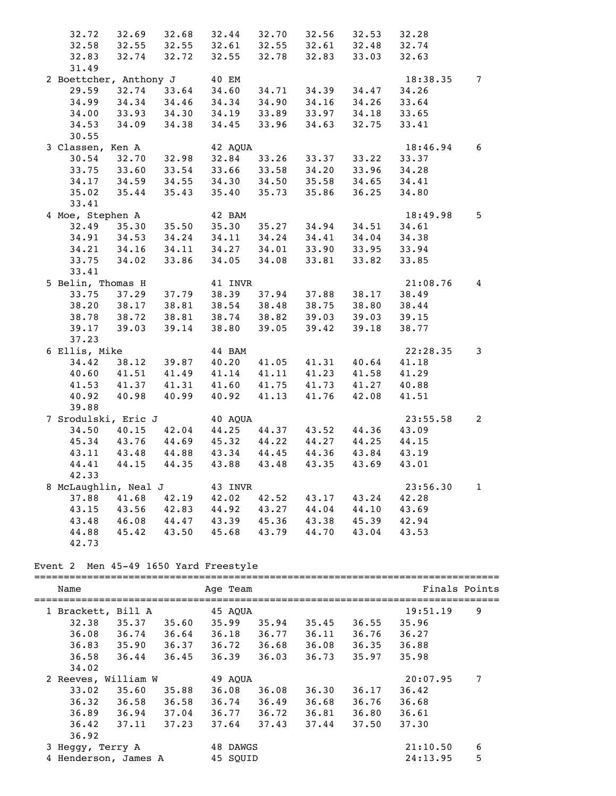| 32.72                        |                   |                   | 32.69 32.68 32.44 32.70                            |             | 32.56       | 32.53 | 32.28    |                 |
|------------------------------|-------------------|-------------------|----------------------------------------------------|-------------|-------------|-------|----------|-----------------|
| 32.58                        |                   |                   | 32.55 32.55 32.61 32.55 32.61 32.48                |             |             |       | 32.74    |                 |
| 32.83                        |                   | $32.74$ $32.72$   | 32.55                                              | 32.78       | 32.83       | 33.03 | 32.63    |                 |
| 31.49                        |                   |                   |                                                    |             |             |       |          |                 |
| 2 Boettcher, Anthony J 40 EM |                   |                   |                                                    |             |             |       | 18:38.35 | $7\overline{ }$ |
| 29.59                        |                   |                   |                                                    | 34.71       | 34.39       | 34.47 | 34.26    |                 |
| 34.99                        |                   |                   | 32.74 33.64 34.60 34.71<br>34.34 34.46 34.34 34.90 |             | 34.16       | 34.26 | 33.64    |                 |
| 34.00                        |                   |                   | 33.93 34.30 34.19 33.89 33.97                      |             |             | 34.18 | 33.65    |                 |
| 34.53                        | $34.09$ $34.38$   |                   | 34.45                                              | 33.96       | 34.63       | 32.75 | 33.41    |                 |
| 30.55                        |                   |                   |                                                    |             |             |       |          |                 |
| 3 Classen, Ken A             |                   |                   | 42 AOUA                                            |             |             |       | 18:46.94 | 6               |
| 30.54                        | $32.70$ $32.98$   |                   | 32.84                                              | 33.26       | 33.37       | 33.22 | 33.37    |                 |
| 33.75                        |                   |                   | 33.60 33.54 33.66 33.58 34.20                      |             |             | 33.96 | 34.28    |                 |
| 34.17                        | 34.59             |                   |                                                    | 34.50       | 35.58       | 34.65 | 34.41    |                 |
| 35.02                        | 35.44             |                   | 34.55 34.30<br>35.43 35.40                         | 35.73       | 35.86       | 36.25 | 34.80    |                 |
| 33.41                        |                   |                   |                                                    |             |             |       |          |                 |
| 4 Moe, Stephen A             |                   |                   | 42 BAM                                             |             |             |       | 18:49.98 | 5               |
|                              |                   |                   | 32.49 35.30 35.50 35.30 35.27                      |             | 34.94       | 34.51 | 34.61    |                 |
|                              | 34.91 34.53       | 34.24             | 34.11                                              | 34.24       | 34.41       | 34.04 | 34.38    |                 |
|                              | 34.21 34.16       | 34.11             | 34.27                                              | 34.01       | 33.90       | 33.95 | 33.94    |                 |
| 33.75                        | 34.02             | 33.86             |                                                    | 34.05 34.08 | 33.81       | 33.82 | 33.85    |                 |
| 33.41                        |                   |                   |                                                    |             |             |       |          |                 |
| 5 Belin, Thomas H            |                   |                   | 41 INVR                                            |             |             |       | 21:08.76 | $\overline{4}$  |
| 33.75                        | 37.29             |                   | 37.79 38.39 37.94                                  |             | 37.88       | 38.17 | 38.49    |                 |
| 38.20                        | 38.17             | 38.81             | 38.54                                              | 38.48       | 38.75       | 38.80 | 38.44    |                 |
| 38.78                        | 38.72             |                   | 38.81 38.74 38.82                                  |             | 39.03       | 39.03 | 39.15    |                 |
| 39.17                        |                   |                   | 39.03 39.14 38.80                                  | 39.05       | 39.42       | 39.18 | 38.77    |                 |
| 37.23                        |                   |                   |                                                    |             |             |       |          |                 |
| 6 Ellis, Mike                |                   |                   | 44 BAM                                             |             |             |       | 22:28.35 | 3               |
| 34.42                        | 38.12             | 39.87             | 40.20 41.05                                        |             | 41.31       | 40.64 | 41.18    |                 |
| 40.60                        | 41.51             | 41.49             | 41.14                                              | 41.11       | 41.23       | 41.58 | 41.29    |                 |
| 41.53                        |                   |                   | 41.37 41.31 41.60 41.75                            |             | 41.73 41.27 |       | 40.88    |                 |
| 40.92                        | 40.98             | 40.99             | 40.92 41.13                                        |             | 41.76       | 42.08 | 41.51    |                 |
| 39.88                        |                   |                   |                                                    |             |             |       |          |                 |
| 7 Srodulski, Eric J          |                   |                   | 40 AQUA                                            |             |             |       | 23:55.58 | $\overline{a}$  |
|                              | 34.50 40.15 42.04 |                   |                                                    | 44.25 44.37 | 43.52       | 44.36 | 43.09    |                 |
| 45.34                        |                   |                   | 43.76 44.69 45.32 44.22 44.27                      |             |             | 44.25 | 44.15    |                 |
| 43.11                        |                   | 43.48 44.88       | 43.34 44.45                                        |             | 44.36       | 43.84 | 43.19    |                 |
| 44.41                        | 44.15             | 44.35             | 43.88 43.48                                        |             | 43.35       | 43.69 | 43.01    |                 |
| 42.33                        |                   |                   |                                                    |             |             |       |          |                 |
| 8 McLaughlin, Neal J 43 INVR |                   |                   |                                                    |             |             |       | 23:56.30 | $\mathbf{1}$    |
|                              |                   | 37.88 41.68 42.19 | 42.02 42.52                                        |             | 43.17       | 43.24 | 42.28    |                 |
| 43.15                        |                   |                   | 43.56 42.83 44.92 43.27 44.04                      |             |             | 44.10 | 43.69    |                 |
| 43.48                        | 46.08             | 44.47             | 43.39                                              | 45.36       | 43.38       | 45.39 | 42.94    |                 |
| 44.88                        | 45.42             | 43.50             | 45.68                                              | 43.79       | 44.70       | 43.04 | 43.53    |                 |
| 42.73                        |                   |                   |                                                    |             |             |       |          |                 |
|                              |                   |                   |                                                    |             |             |       |          |                 |

# Event 2 Men 45-49 1650 Yard Freestyle

| Name             |                      |       | Age Team |       |       |       | Finals Points |   |
|------------------|----------------------|-------|----------|-------|-------|-------|---------------|---|
|                  | 1 Brackett, Bill A   |       | 45 AOUA  |       |       |       | 19:51.19      | 9 |
| 32.38            | 35.37                | 35.60 | 35.99    | 35.94 | 35.45 | 36.55 | 35.96         |   |
| 36.08            | 36.74                | 36.64 | 36.18    | 36.77 | 36.11 | 36.76 | 36.27         |   |
| 36.83            | 35.90                | 36.37 | 36.72    | 36.68 | 36.08 | 36.35 | 36.88         |   |
| 36.58            | 36.44                | 36.45 | 36.39    | 36.03 | 36.73 | 35.97 | 35.98         |   |
| 34.02            |                      |       |          |       |       |       |               |   |
|                  | 2 Reeves, William W  |       | 49 AOUA  |       |       |       | 20:07.95      | 7 |
| 33.02            | 35.60                | 35.88 | 36.08    | 36.08 | 36.30 | 36.17 | 36.42         |   |
| 36.32            | 36.58                | 36.58 | 36.74    | 36.49 | 36.68 | 36.76 | 36.68         |   |
| 36.89            | 36.94                | 37.04 | 36.77    | 36.72 | 36.81 | 36.80 | 36.61         |   |
| 36.42            | 37.11                | 37.23 | 37.64    | 37.43 | 37.44 | 37.50 | 37.30         |   |
| 36.92            |                      |       |          |       |       |       |               |   |
| 3 Heggy, Terry A |                      |       | 48 DAWGS |       |       |       | 21:10.50      | 6 |
|                  | 4 Henderson, James A |       | 45 SOUID |       |       |       | 24:13.95      | 5 |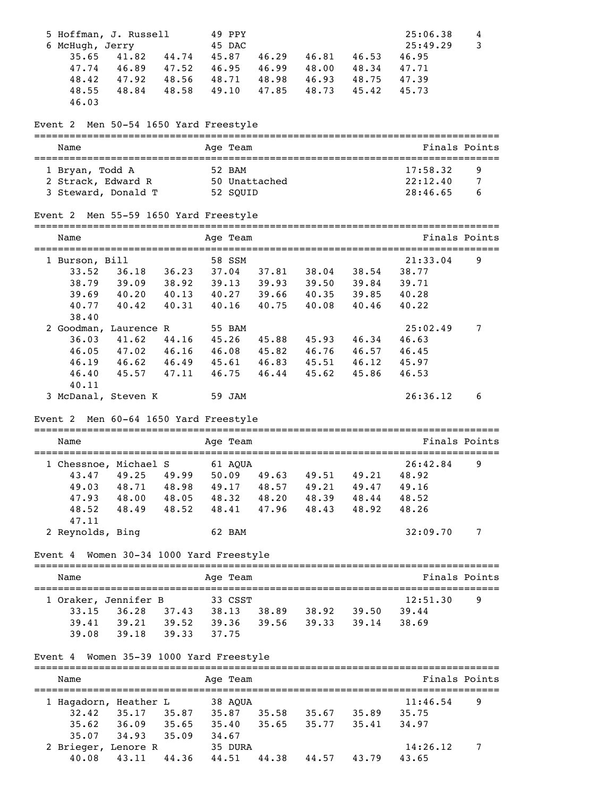| 5 Hoffman, J. Russell                                                                                                      |       | 49 PPY        |             |                         |       | 25:06.38       | 4             |
|----------------------------------------------------------------------------------------------------------------------------|-------|---------------|-------------|-------------------------|-------|----------------|---------------|
| 6 McHugh, Jerry                                                                                                            |       | 45 DAC        |             |                         |       | 25:49.29       | 3             |
| 35.65<br>41.82 44.74                                                                                                       |       | 45.87         | 46.29       | 46.81                   | 46.53 | 46.95          |               |
| 47.74 46.89 47.52                                                                                                          |       |               |             | 46.95 46.99 48.00 48.34 |       | 47.71          |               |
| 47.92 48.56<br>48.42                                                                                                       |       |               |             | 48.71 48.98 46.93 48.75 |       | 47.39          |               |
| 48.84 48.58<br>48.55                                                                                                       |       | 49.10         | 47.85 48.73 |                         | 45.42 | 45.73          |               |
| 46.03                                                                                                                      |       |               |             |                         |       |                |               |
| Event 2 Men 50-54 1650 Yard Freestyle                                                                                      |       |               |             |                         |       |                |               |
| Name                                                                                                                       |       | Age Team      |             |                         |       |                | Finals Points |
|                                                                                                                            |       |               |             |                         |       |                |               |
| 1 Bryan, Todd A                                                                                                            |       | 52 BAM        |             |                         |       | 17:58.32       | 9             |
| 2 Strack, Edward R                                                                                                         |       | 50 Unattached |             |                         |       | 22:12.40       | 7             |
| 3 Steward, Donald T                                                                                                        |       | 52 SQUID      |             |                         |       | 28:46.65       | 6             |
| Event 2 Men 55-59 1650 Yard Freestyle                                                                                      |       |               |             |                         |       |                |               |
| Name                                                                                                                       |       | Age Team      |             |                         |       |                | Finals Points |
|                                                                                                                            |       |               |             |                         |       |                |               |
| 1 Burson, Bill                                                                                                             |       | 58 SSM        |             |                         |       | 21:33.04       | 9             |
| $36.18$ $36.23$<br>33.52                                                                                                   |       |               |             | 37.04 37.81 38.04 38.54 |       | 38.77          |               |
| 38.79 39.09 38.92 39.13 39.93 39.50 39.84<br>39.69 40.20 40.13 40.27 39.66 40.35 39.85                                     |       |               |             |                         |       | 39.71<br>40.28 |               |
| 40.42 40.31<br>40.77                                                                                                       |       |               | 40.16 40.75 | 40.08                   | 40.46 | 40.22          |               |
| 38.40                                                                                                                      |       |               |             |                         |       |                |               |
| 2 Goodman, Laurence R                                                                                                      |       | 55 BAM        |             |                         |       | 25:02.49       | 7             |
| 36.03<br>$41.62$ $44.16$                                                                                                   |       |               |             | 45.26 45.88 45.93 46.34 |       | 46.63          |               |
| 47.02 46.16<br>46.05                                                                                                       |       |               |             | 46.08 45.82 46.76 46.57 |       | 46.45          |               |
| 46.19 46.62 46.49 45.61 46.83 45.51 46.12                                                                                  |       |               |             |                         |       | 45.97          |               |
| 45.57 47.11<br>46.40                                                                                                       |       |               |             | $46.75$ $46.44$ $45.62$ | 45.86 | 46.53          |               |
| 40.11                                                                                                                      |       |               |             |                         |       |                |               |
| 3 McDanal, Steven K                                                                                                        |       | 59 JAM        |             |                         |       | 26:36.12       | 6             |
| Event 2 Men 60-64 1650 Yard Freestyle                                                                                      |       |               |             |                         |       |                |               |
| Name                                                                                                                       |       |               |             |                         |       |                | Finals Points |
|                                                                                                                            |       | Age Team      |             |                         |       |                |               |
| 1 Chessnoe, Michael S 61 AQUA                                                                                              |       |               |             |                         |       | 26:42.84       | q             |
| 43.47 49.25 49.99 50.09 49.63 49.51 49.21 48.92                                                                            |       |               |             |                         |       |                |               |
| 49.03 48.71 48.98 49.17 48.57 49.21 49.47 49.16                                                                            |       |               |             |                         |       |                |               |
| 47.93 48.00 48.05 48.32 48.20 48.39 48.44 48.52                                                                            |       |               |             |                         |       |                |               |
| 48.52<br>48.49 48.52 48.41 47.96 48.43 48.92 48.26                                                                         |       |               |             |                         |       |                |               |
| 47.11<br>2 Reynolds, Bing                                                                                                  |       | 62 BAM        |             |                         |       | 32:09.70       | 7             |
|                                                                                                                            |       |               |             |                         |       |                |               |
| Event 4 Women 30-34 1000 Yard Freestyle                                                                                    |       |               |             |                         |       |                |               |
| Name                                                                                                                       |       | Age Team      |             |                         |       |                | Finals Points |
|                                                                                                                            |       |               |             |                         |       | 12:51.30       | 9             |
| 1 Oraker, Jennifer B<br>33.15 36.28 37.43 38.13 38.89 38.92 39.50 39.44<br>39.41 39.21 39.52 39.36 39.56 39.33 39.14 38.69 |       |               |             |                         |       |                |               |
|                                                                                                                            |       |               |             |                         |       |                |               |
| 39.08 39.18 39.33 37.75                                                                                                    |       |               |             |                         |       |                |               |
| Event 4 Women 35-39 1000 Yard Freestyle                                                                                    |       |               |             |                         |       |                |               |
|                                                                                                                            |       |               |             |                         |       |                |               |
| Name                                                                                                                       |       | Age Team      |             |                         |       |                | Finals Points |
| 1 Hagadorn, Heather L 38 AQUA                                                                                              |       |               |             |                         |       | 11:46.54       | 9             |
| 32.42 35.17 35.87 35.87 35.58 35.67 35.89 35.75                                                                            |       |               |             |                         |       |                |               |
| 35.62 36.09 35.65 35.40 35.65 35.77 35.41                                                                                  |       |               |             |                         |       | 34.97          |               |
| 35.07 34.93 35.09 34.67                                                                                                    |       |               |             |                         |       |                |               |
| 2 Brieger, Lenore R                                                                                                        |       | 35 DURA       |             |                         |       | 14:26.12       | 7             |
| 40.08<br>43.11                                                                                                             | 44.36 | 44.51         |             | 44.38 44.57 43.79       |       | 43.65          |               |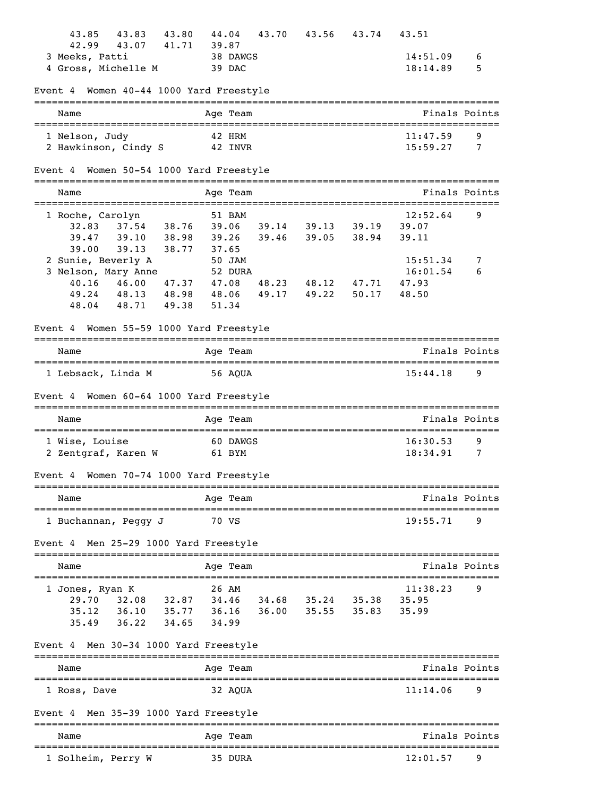| 43.83<br>43.85<br>43.80                                 | 44.04<br>43.70        | 43.56                           | 43.74 | 43.51                        |               |
|---------------------------------------------------------|-----------------------|---------------------------------|-------|------------------------------|---------------|
| 42.99<br>43.07<br>41.71                                 | 39.87                 |                                 |       |                              |               |
| 3 Meeks, Patti                                          | 38 DAWGS              |                                 |       | 14:51.09                     | 6             |
| 4 Gross, Michelle M                                     | 39 DAC                |                                 |       | 18:14.89                     | 5             |
| Women 40-44 1000 Yard Freestyle<br>Event 4              |                       |                                 |       |                              |               |
| Name                                                    | Age Team              |                                 |       |                              | Finals Points |
| 1 Nelson, Judy                                          | 42 HRM                |                                 |       | 11:47.59                     | 9             |
| 2 Hawkinson, Cindy S                                    | 42 INVR               |                                 |       | 15:59.27                     | 7             |
| Event 4 Women 50-54 1000 Yard Freestyle                 |                       |                                 |       |                              |               |
| Name                                                    | Age Team              |                                 |       |                              | Finals Points |
| 1 Roche, Carolyn                                        | 51 BAM                |                                 |       | 12:52.64                     | 9             |
| 37.54 38.76<br>32.83                                    |                       | 39.06 39.14 39.13 39.19         |       | 39.07                        |               |
| 39.10 38.98<br>39.47                                    |                       | 39.26 39.46 39.05 38.94         |       | 39.11                        |               |
| 39.13<br>39.00                                          | 38.77 37.65           |                                 |       |                              |               |
| 2 Sunie, Beverly A                                      | 50 JAM                |                                 |       | 15:51.34                     | 7             |
| 3 Nelson, Mary Anne                                     | 52 DURA               |                                 |       | 16:01.54                     | 6             |
| 46.00 47.37 47.08<br>40.16                              |                       | 48.23 48.12                     | 47.71 | 47.93                        |               |
| 49.24 48.13 48.98 48.06                                 |                       | 49.17<br>49.22                  | 50.17 | 48.50                        |               |
| 48.71 49.38<br>48.04                                    | 51.34                 |                                 |       |                              |               |
| Women 55-59 1000 Yard Freestyle<br>Event 4              |                       |                                 |       |                              |               |
| Name                                                    | Age Team              |                                 |       |                              | Finals Points |
|                                                         |                       |                                 |       |                              |               |
| 1 Lebsack, Linda M                                      | 56 AQUA               |                                 |       | 15:44.18                     | 9             |
| Event 4 Women 60-64 1000 Yard Freestyle                 |                       |                                 |       |                              |               |
| Name                                                    | Age Team              |                                 |       |                              | Finals Points |
| 1 Wise, Louise                                          | 60 DAWGS              |                                 |       | 16:30.53                     | 9             |
| 2 Zentgraf, Karen W                                     | 61 BYM                |                                 |       | 18:34.91                     | 7             |
| Women 70-74 1000 Yard Freestyle<br>Event 4              |                       |                                 |       |                              |               |
| Name                                                    | Age Team              |                                 |       |                              | Finals Points |
| _______________________________<br>1 Buchannan, Peggy J | 70 VS                 | =============================== |       | 19:55.71                     | 9             |
| Men 25-29 1000 Yard Freestyle<br>Event 4                |                       |                                 |       |                              |               |
| Name                                                    | Age Team              |                                 |       |                              | Finals Points |
|                                                         |                       |                                 |       |                              |               |
| 1 Jones, Ryan K                                         | 26 AM                 |                                 |       | 11:38.23                     | 9             |
| 29.70 32.08 32.87 34.46                                 |                       | 34.68 35.24 35.38               |       | 35.95                        |               |
| 36.10 35.77 36.16<br>35.12                              |                       | 36.00 35.55 35.83               |       | 35.99                        |               |
| 35.49 36.22 34.65                                       | 34.99                 |                                 |       |                              |               |
| Men 30-34 1000 Yard Freestyle<br>Event 4                |                       |                                 |       |                              |               |
| Name                                                    | Age Team              |                                 |       |                              | Finals Points |
| 1 Ross, Dave                                            | 32 AQUA               |                                 |       | 11:14.06                     | 9             |
| Men 35-39 1000 Yard Freestyle<br>Event 4                |                       |                                 |       |                              |               |
| ==================================<br>Name              | Age Team              |                                 |       |                              | Finals Points |
| 1 Solheim, Perry W                                      | ----------<br>35 DURA |                                 |       | ----------------<br>12:01.57 | 9             |
|                                                         |                       |                                 |       |                              |               |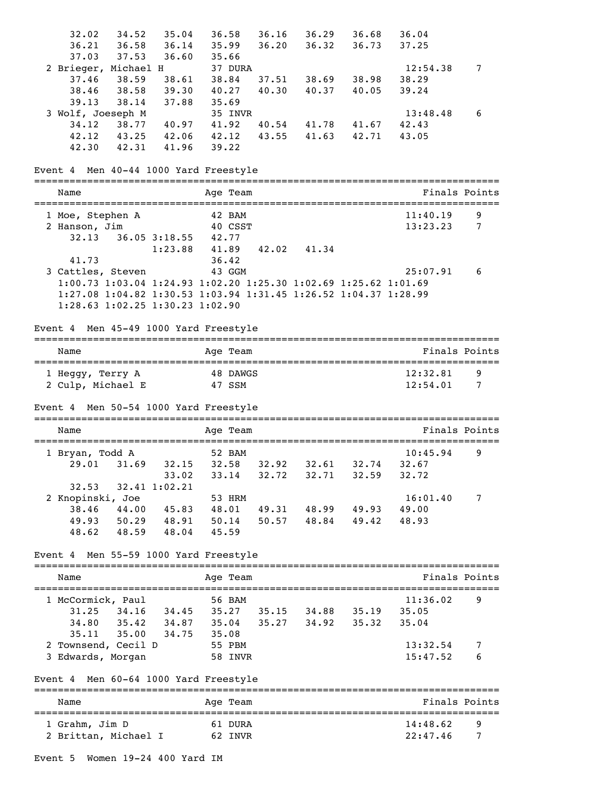| 32.02                                                           | 34.52       | 35.04                         | 36.58    | 36.16                                                           | 36.29                   | 36.68 | 36.04    |               |
|-----------------------------------------------------------------|-------------|-------------------------------|----------|-----------------------------------------------------------------|-------------------------|-------|----------|---------------|
| 36.21                                                           | 36.58 36.14 |                               | 35.99    | 36.20                                                           | 36.32                   | 36.73 | 37.25    |               |
| 37.03                                                           | 37.53 36.60 |                               | 35.66    |                                                                 |                         |       |          |               |
| 2 Brieger, Michael H                                            |             |                               | 37 DURA  |                                                                 |                         |       | 12:54.38 | 7             |
| 37.46                                                           | 38.59       | 38.61                         | 38.84    |                                                                 | 37.51 38.69 38.98       |       | 38.29    |               |
| 38.46                                                           |             | 38.58 39.30                   | 40.27    | 40.30                                                           | 40.37                   | 40.05 | 39.24    |               |
| 39.13                                                           | 38.14 37.88 |                               | 35.69    |                                                                 |                         |       |          |               |
| 3 Wolf, Joeseph M                                               |             |                               | 35 INVR  |                                                                 |                         |       | 13:48.48 | 6             |
| 34.12                                                           | 38.77 40.97 |                               | 41.92    |                                                                 | 40.54 41.78 41.67       |       | 42.43    |               |
| 42.12                                                           |             | 43.25 42.06                   | 42.12    |                                                                 | 43.55 41.63 42.71       |       | 43.05    |               |
| 42.30                                                           | 42.31 41.96 |                               | 39.22    |                                                                 |                         |       |          |               |
| Event 4 Men 40-44 1000 Yard Freestyle                           |             |                               |          |                                                                 |                         |       |          |               |
| Name                                                            |             |                               | Age Team |                                                                 |                         |       |          | Finals Points |
|                                                                 |             |                               |          |                                                                 |                         |       |          |               |
| 1 Moe, Stephen A                                                |             |                               | 42 BAM   |                                                                 |                         |       | 11:40.19 | 9             |
| 2 Hanson, Jim<br>32.13                                          |             | 36.05 3:18.55 42.77           | 40 CSST  |                                                                 |                         |       | 13:23.23 | 7             |
|                                                                 |             |                               |          |                                                                 |                         |       |          |               |
| 41.73                                                           |             | 1:23.88                       | 36.42    | 41.89  42.02  41.34                                             |                         |       |          |               |
| 3 Cattles, Steven                                               |             |                               | 43 GGM   |                                                                 |                         |       | 25:07.91 | 6             |
|                                                                 |             |                               |          | 1:00.73 1:03.04 1:24.93 1:02.20 1:25.30 1:02.69 1:25.62 1:01.69 |                         |       |          |               |
| 1:27.08 1:04.82 1:30.53 1:03.94 1:31.45 1:26.52 1:04.37 1:28.99 |             |                               |          |                                                                 |                         |       |          |               |
| 1:28.63 1:02.25 1:30.23 1:02.90                                 |             |                               |          |                                                                 |                         |       |          |               |
|                                                                 |             |                               |          |                                                                 |                         |       |          |               |
| Event 4 Men 45-49 1000 Yard Freestyle                           |             |                               |          |                                                                 |                         |       |          |               |
| Name                                                            |             |                               | Age Team |                                                                 |                         |       |          | Finals Points |
|                                                                 |             |                               | 48 DAWGS |                                                                 |                         |       | 12:32.81 | 9             |
| 1 Heggy, Terry A<br>2 Culp, Michael E                           |             |                               | 47 SSM   |                                                                 |                         |       | 12:54.01 | 7             |
|                                                                 |             |                               |          |                                                                 |                         |       |          |               |
| Event 4 Men 50-54 1000 Yard Freestyle                           |             |                               |          |                                                                 |                         |       |          |               |
|                                                                 |             |                               |          |                                                                 |                         |       |          |               |
|                                                                 |             |                               |          |                                                                 |                         |       |          |               |
| Name                                                            |             |                               | Age Team |                                                                 |                         |       |          | Finals Points |
| 1 Bryan, Todd A                                                 |             |                               | 52 BAM   |                                                                 |                         |       | 10:45.94 | 9             |
| 29.01                                                           |             |                               |          | 31.69 32.15 32.58 32.92 32.61 32.74                             |                         |       | 32.67    |               |
|                                                                 |             | 33.02                         | 33.14    | 32.72                                                           | 32.71                   | 32.59 | 32.72    |               |
| 32.53                                                           |             | 32.41 1:02.21                 |          |                                                                 |                         |       |          |               |
| 2 Knopinski, Joe                                                |             |                               | 53 HRM   |                                                                 |                         |       | 16:01.40 | 7             |
| 38.46                                                           |             | 44.00 45.83 48.01             |          |                                                                 | 49.31 48.99 49.93       |       | 49.00    |               |
|                                                                 |             | 49.93 50.29 48.91 50.14       |          |                                                                 | $50.57$ $48.84$ $49.42$ |       | 48.93    |               |
| 48.62                                                           | 48.59 48.04 |                               | 45.59    |                                                                 |                         |       |          |               |
| Event 4                                                         |             | Men 55-59 1000 Yard Freestyle |          |                                                                 |                         |       |          |               |
| Name                                                            |             |                               | Age Team |                                                                 |                         |       |          | Finals Points |
|                                                                 |             |                               |          |                                                                 |                         |       |          |               |
| 1 McCormick, Paul                                               |             |                               | 56 BAM   |                                                                 |                         |       | 11:36.02 | 9             |
|                                                                 |             |                               |          | 31.25 34.16 34.45 35.27 35.15 34.88 35.19                       |                         |       | 35.05    |               |
|                                                                 |             |                               |          | 34.80 35.42 34.87 35.04 35.27 34.92 35.32                       |                         |       | 35.04    |               |
| 35.11                                                           |             | 35.00 34.75 35.08             |          |                                                                 |                         |       |          |               |
| 2 Townsend, Cecil D                                             |             |                               | 55 PBM   |                                                                 |                         |       | 13:32.54 | 7             |
| 3 Edwards, Morgan                                               |             |                               | 58 INVR  |                                                                 |                         |       | 15:47.52 | 6             |
| Event 4 Men 60-64 1000 Yard Freestyle                           |             |                               |          |                                                                 |                         |       |          |               |
| Name                                                            |             |                               | Age Team |                                                                 |                         |       |          | Finals Points |
|                                                                 |             |                               |          |                                                                 |                         |       |          |               |
| 1 Grahm, Jim D                                                  |             |                               | 61 DURA  |                                                                 |                         |       | 14:48.62 | 9             |
| 2 Brittan, Michael I                                            |             |                               | 62 INVR  |                                                                 |                         |       | 22:47.46 | 7             |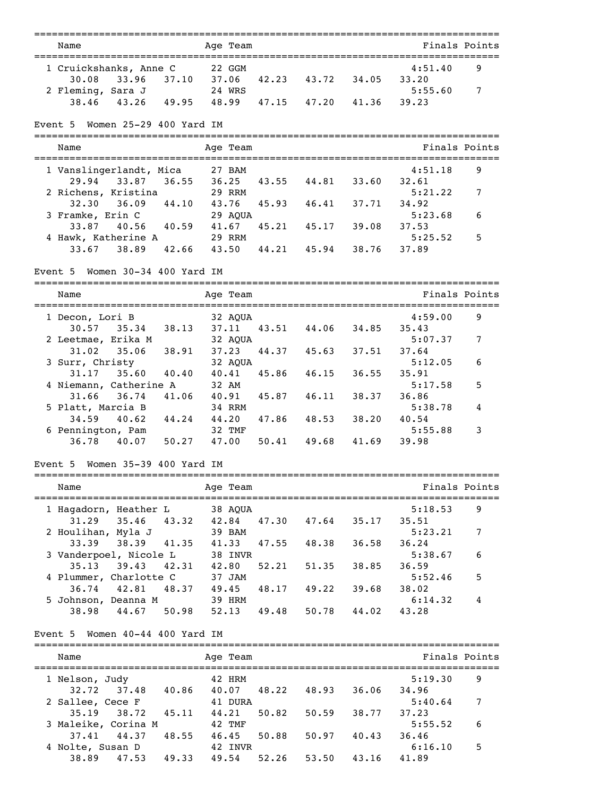| Name                                            | Age Team    |       |                                  |                 |         | Finals Points |
|-------------------------------------------------|-------------|-------|----------------------------------|-----------------|---------|---------------|
| 1 Cruickshanks, Anne C                          | 22 GGM      |       |                                  |                 | 4:51.40 | 9             |
| 33.96 37.10 37.06 42.23 43.72 34.05<br>30.08    |             |       |                                  |                 | 33.20   |               |
| 2 Fleming, Sara J                               | 24 WRS      |       |                                  |                 | 5:55.60 | 7             |
| 43.26 49.95 48.99 47.15 47.20 41.36<br>38.46    |             |       |                                  |                 | 39.23   |               |
|                                                 |             |       |                                  |                 |         |               |
| Event 5 Women 25-29 400 Yard IM                 |             |       |                                  |                 |         |               |
| Name                                            | Age Team    |       |                                  |                 |         | Finals Points |
| 1 Vanslingerlandt, Mica                         | 27 BAM      |       |                                  |                 | 4:51.18 | 9             |
| 29.94 33.87 36.55 36.25                         |             |       | 43.55 44.81 33.60 32.61          |                 |         |               |
| 2 Richens, Kristina                             | 29 RRM      |       |                                  |                 | 5:21.22 | 7             |
| 32.30<br>$36.09$ $44.10$                        | 43.76       | 45.93 | 46.41 37.71                      |                 | 34.92   |               |
| 3 Framke, Erin C                                | 29 AQUA     |       |                                  |                 | 5:23.68 | 6             |
| 40.56 40.59 41.67<br>33.87                      |             | 45.21 | 45.17                            | 39.08           | 37.53   |               |
| 4 Hawk, Katherine A                             | 29 RRM      |       |                                  |                 | 5:25.52 | 5             |
| 42.66<br>33.67<br>38.89                         | 43.50       |       | 44.21 45.94                      | 38.76           | 37.89   |               |
| Event 5 Women 30-34 400 Yard IM                 |             |       |                                  |                 |         |               |
| Name                                            | Age Team    |       |                                  |                 |         | Finals Points |
|                                                 |             |       |                                  |                 |         |               |
| 1 Decon, Lori B                                 | 32 AQUA     |       |                                  |                 | 4:59.00 | 9             |
| 30.57 35.34 38.13 37.11 43.51 44.06 34.85 35.43 |             |       |                                  |                 |         |               |
| 2 Leetmae, Erika M                              | 32 AQUA     |       |                                  |                 | 5:07.37 | 7             |
| 35.06 38.91<br>31.02                            | 37.23       |       | 44.37 45.63 37.51                |                 | 37.64   |               |
| 3 Surr, Christy                                 | 32 AQUA     |       |                                  |                 | 5:12.05 | 6             |
| 31.17<br>35.60 40.40                            | 40.41       | 45.86 | 46.15                            | 36.55           | 35.91   |               |
| 4 Niemann, Catherine A                          | 32 AM       |       |                                  |                 | 5:17.58 | 5             |
| 31.66<br>36.74 41.06                            | 40.91       | 45.87 | 46.11                            | 38.37           | 36.86   |               |
| 5 Platt, Marcia B                               | 34 RRM      |       |                                  |                 | 5:38.78 | 4             |
| 40.62<br>44.24<br>34.59                         | 44.20       | 47.86 | 48.53                            | 38.20           | 40.54   |               |
| 6 Pennington, Pam                               | 32 TMF      |       |                                  |                 | 5:55.88 | 3             |
| 50.27<br>36.78<br>40.07                         | 47.00       | 50.41 | 49.68                            | 41.69           | 39.98   |               |
| Event 5 Women 35-39 400 Yard IM                 |             |       |                                  |                 |         |               |
| Name                                            | Age Team    |       |                                  |                 |         | Finals Points |
| ===============================                 |             |       | ================================ |                 |         |               |
| 1 Hagadorn, Heather L                           | 38 AQUA     |       |                                  |                 | 5:18.53 | 9             |
| 35.46<br>43.32<br>31.29                         | 42.84       | 47.30 | 47.64                            | 35.17           | 35.51   |               |
| 2 Houlihan, Myla J                              | 39 BAM      |       |                                  |                 | 5:23.21 | 7             |
| 38.39<br>41.35<br>33.39                         | 41.33       | 47.55 | 48.38                            | 36.58           | 36.24   |               |
| 3 Vanderpoel, Nicole L                          | 38 INVR     |       |                                  |                 | 5:38.67 | 6             |
| 42.31<br>35.13<br>39.43                         | 42.80       | 52.21 | 51.35                            | 38.85           | 36.59   |               |
| 4 Plummer, Charlotte C                          | 37 JAM      |       |                                  |                 | 5:52.46 | 5             |
| 42.81<br>48.37<br>36.74                         | 49.45       |       | 48.17 49.22                      | 39.68           | 38.02   |               |
| 5 Johnson, Deanna M                             | 39 HRM      |       |                                  |                 | 6:14.32 | 4             |
| 44.67 50.98<br>38.98                            | 52.13 49.48 |       |                                  | $50.78$ $44.02$ | 43.28   |               |
| Event 5 Women 40-44 400 Yard IM                 |             |       |                                  |                 |         |               |
| Name                                            | Age Team    |       |                                  |                 |         | Finals Points |
|                                                 |             |       |                                  |                 |         |               |
| 1 Nelson, Judy                                  | 42 HRM      |       |                                  |                 | 5:19.30 | 9             |
| 40.86<br>37.48<br>32.72                         | 40.07       | 48.22 | 48.93                            | 36.06           | 34.96   |               |
| 2 Sallee, Cece F                                | 41 DURA     |       |                                  |                 | 5:40.64 | 7             |
| 35.19<br>38.72 45.11                            | 44.21       | 50.82 | 50.59                            | 38.77           | 37.23   |               |
| 3 Maleike, Corina M                             | 42 TMF      |       |                                  |                 | 5:55.52 | 6             |
| 48.55<br>37.41<br>44.37                         | 46.45       | 50.88 | 50.97                            | 40.43           | 36.46   |               |
| 4 Nolte, Susan D                                | 42 INVR     |       |                                  |                 | 6:16.10 | 5             |
| 38.89<br>47.53<br>49.33                         | 49.54       | 52.26 | 53.50                            | 43.16           | 41.89   |               |
|                                                 |             |       |                                  |                 |         |               |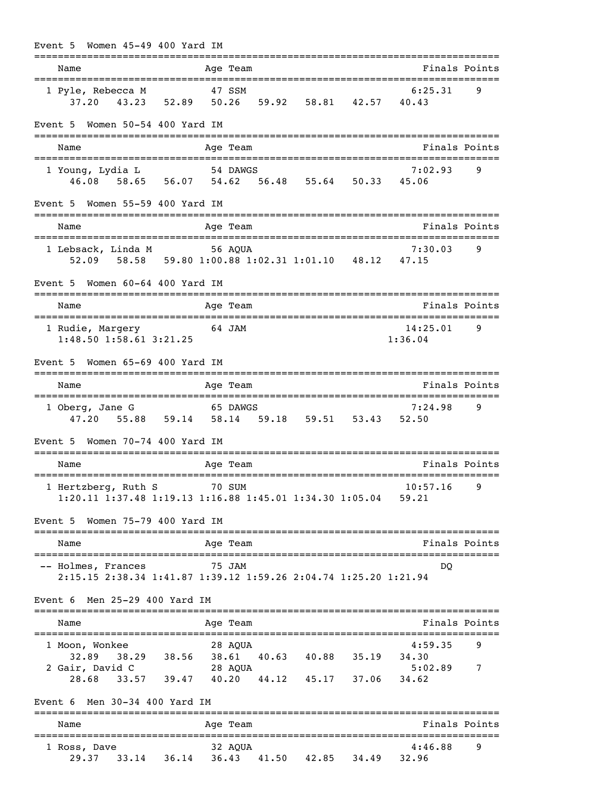|         |      |                                                     | Event 5 Women 45-49 400 Yard IM                    |        |       |                    |                                                                 |                                                   |        |
|---------|------|-----------------------------------------------------|----------------------------------------------------|--------|-------|--------------------|-----------------------------------------------------------------|---------------------------------------------------|--------|
|         | Name |                                                     |                                                    |        |       | Age Team           |                                                                 | Finals Points                                     |        |
|         |      | 1 Pyle, Rebecca M                                   |                                                    |        |       | 47 SSM             | 37.20 43.23 52.89 50.26 59.92 58.81 42.57 40.43                 | 6:25.31                                           | 9      |
|         |      |                                                     | Event 5 Women 50-54 400 Yard IM                    |        |       |                    |                                                                 |                                                   |        |
|         | Name |                                                     |                                                    |        |       | Age Team           |                                                                 | Finals Points                                     |        |
|         |      |                                                     | 1 Young, Lydia L                                   |        |       | 54 DAWGS           | 46.08 58.65 56.07 54.62 56.48 55.64 50.33 45.06                 | 7:02.93                                           | 9      |
|         |      |                                                     | Event 5 Women 55-59 400 Yard IM                    |        |       |                    |                                                                 |                                                   |        |
|         | Name |                                                     |                                                    |        |       | Age Team           |                                                                 | Finals Points<br>:==================              |        |
|         |      |                                                     | 1 Lebsack, Linda M 56 AQUA                         |        |       |                    | 52.09 58.58 59.80 1:00.88 1:02.31 1:01.10 48.12 47.15           | 7:30.03                                           | 9      |
| Event 5 |      |                                                     | Women 60-64 400 Yard IM                            |        |       |                    |                                                                 |                                                   |        |
|         | Name |                                                     |                                                    |        |       | Age Team           |                                                                 | Finals Points                                     |        |
|         |      |                                                     | 1 Rudie, Margery 64 JAM<br>1:48.50 1:58.61 3:21.25 |        |       |                    |                                                                 | 14:25.01<br>1:36.04                               | 9      |
| Event 5 |      |                                                     | Women 65-69 400 Yard IM                            |        |       |                    |                                                                 |                                                   |        |
|         | Name |                                                     |                                                    |        |       | Age Team           |                                                                 | Finals Points                                     |        |
|         |      | 1 Oberg, Jane G<br>47.20                            |                                                    |        |       | 65 DAWGS           | 55.88 59.14 58.14 59.18 59.51 53.43 52.50                       | 7:24.98                                           | 9      |
| Event 5 |      |                                                     | Women 70-74 400 Yard IM                            |        |       |                    |                                                                 |                                                   |        |
|         | Name |                                                     |                                                    |        |       | Age Team           |                                                                 | Finals Points<br>================================ |        |
|         |      |                                                     | 1 Hertzberg, Ruth S                                | 70 SUM |       |                    | 1:20.11 1:37.48 1:19.13 1:16.88 1:45.01 1:34.30 1:05.04         | 10:57.16<br>59.21                                 | 9      |
| Event 5 |      |                                                     | Women 75-79 400 Yard IM                            |        |       |                    |                                                                 |                                                   |        |
|         | Name |                                                     |                                                    |        |       | Age Team           |                                                                 | Finals Points                                     |        |
|         |      | -- Holmes, Frances                                  |                                                    |        |       | 75 JAM             | 2:15.15 2:38.34 1:41.87 1:39.12 1:59.26 2:04.74 1:25.20 1:21.94 | DQ                                                |        |
| Event 6 |      |                                                     | Men 25-29 400 Yard IM                              |        |       |                    |                                                                 |                                                   |        |
|         | Name |                                                     |                                                    |        |       | Age Team           |                                                                 | Finals Points                                     |        |
|         |      | 1 Moon, Wonkee<br>32.89<br>2 Gair, David C<br>28.68 | 38.29 38.56<br>33.57 39.47 40.20                   |        | 38.61 | 28 AQUA<br>28 AQUA | 40.63 40.88 35.19<br>44.12 45.17 37.06                          | 4:59.35<br>34.30<br>5:02.89<br>34.62              | 9<br>7 |
|         |      |                                                     | Event $6$ Men $30-34$ 400 Yard IM                  |        |       |                    |                                                                 |                                                   |        |
|         | Name |                                                     |                                                    |        |       | Age Team           |                                                                 | Finals Points                                     |        |
|         |      | 1 Ross, Dave<br>29.37                               | $33.14$ $36.14$                                    |        |       | 32 AQUA            | =================================<br>36.43 41.50 42.85 34.49    | :===================<br>4:46.88<br>32.96          | 9      |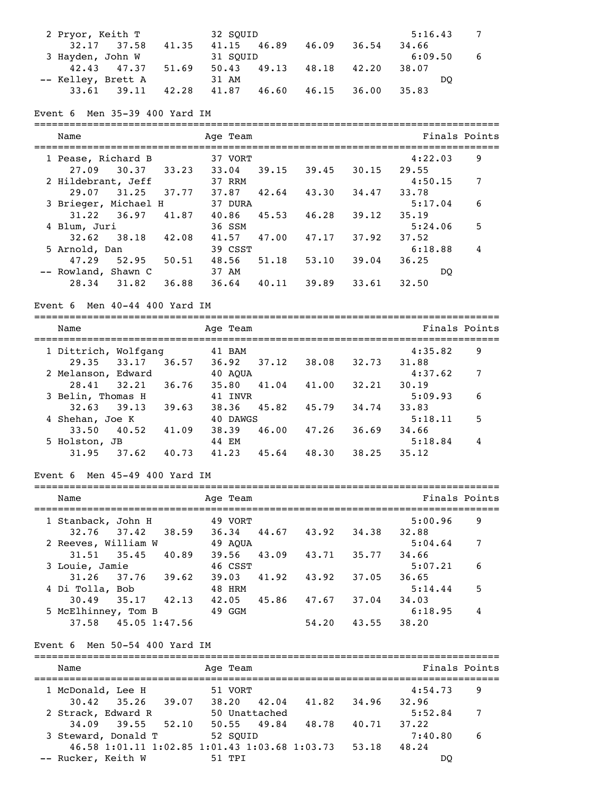| 2 Pryor, Keith T   |                 |       | 32 SOUID |                   |       | 5:16.43 |    |
|--------------------|-----------------|-------|----------|-------------------|-------|---------|----|
|                    | $32.17$ $37.58$ | 41.35 |          | 41.15 46.89 46.09 | 36.54 | 34.66   |    |
| 3 Hayden, John W   |                 |       | 31 SOUID |                   |       | 6:09.50 | -6 |
|                    | 42.43 47.37     | 51.69 | 50.43    | 49.13 48.18 42.20 |       | 38.07   |    |
| -- Kelley, Brett A |                 |       | 31 AM    |                   |       | DO      |    |
|                    | $33.61$ $39.11$ | 42.28 | 41.87    | 46.60 46.15       | 36.00 | 35.83   |    |

#### Event 6 Men 35-39 400 Yard IM

=============================================================================== Name **Age Team** Age Team **Finals Points** =============================================================================== 1 Pease, Richard B 37 VORT 4:22.03 9 27.09 30.37 33.23 33.04 39.15 39.45 30.15 29.55 2 Hildebrant, Jeff 37 RRM 4:50.15 7 29.07 31.25 37.77 37.87 42.64 43.30 34.47 33.78 3 Brieger, Michael H 37 DURA 5:17.04 6 31.22 36.97 41.87 40.86 45.53 46.28 39.12 35.19 4 Blum, Juri 36 SSM 5:24.06 5 32.62 38.18 42.08 41.57 47.00 47.17 37.92 37.52 5 Arnold, Dan 39 CSST 6:18.88 4 47.29 52.95 50.51 48.56 51.18 53.10 39.04 36.25 -- Rowland, Shawn C 37 AM DQ 28.34 31.82 36.88 36.64 40.11 39.89 33.61 32.50

#### Event 6 Men 40-44 400 Yard IM

| Name                 |       | Age Team |       |       |       | Finals Points |   |
|----------------------|-------|----------|-------|-------|-------|---------------|---|
| 1 Dittrich, Wolfgang |       | 41 BAM   |       |       |       | 4:35.82       | 9 |
| 29.35<br>33.17       | 36.57 | 36.92    | 37.12 | 38.08 | 32.73 | 31.88         |   |
| 2 Melanson, Edward   |       | 40 AOUA  |       |       |       | 4:37.62       | 7 |
| 28.41<br>32.21       | 36.76 | 35.80    | 41.04 | 41.00 | 32.21 | 30.19         |   |
| 3 Belin, Thomas H    |       | 41 INVR  |       |       |       | 5:09.93       | 6 |
| 39.13<br>32.63       | 39.63 | 38.36    | 45.82 | 45.79 | 34,74 | 33.83         |   |
| 4 Shehan, Joe K      |       | 40 DAWGS |       |       |       | 5:18.11       | 5 |
| 40.52<br>33.50       | 41.09 | 38.39    | 46.00 | 47.26 | 36.69 | 34.66         |   |
| 5 Holston, JB        |       | 44 EM    |       |       |       | 5:18.84       | 4 |
| 31.95<br>37.62       | 40.73 | 41.23    | 45.64 | 48.30 | 38.25 | 35.12         |   |

#### Event 6 Men 45-49 400 Yard IM

| Name                                 |               | Age Team         |       |       |       | Finals Points    |   |
|--------------------------------------|---------------|------------------|-------|-------|-------|------------------|---|
| 1 Stanback, John H<br>37.42<br>32.76 | 38.59         | 49 VORT<br>36.34 | 44.67 | 43.92 | 34.38 | 5:00.96<br>32.88 | 9 |
| 2 Reeves, William W                  |               | 49 AOUA          |       |       |       | 5:04.64          | 7 |
| $31.51$ $35.45$<br>3 Louie, Jamie    | 40.89         | 39.56<br>46 CSST | 43.09 | 43.71 | 35.77 | 34.66<br>5:07.21 | 6 |
| 37.76<br>31.26<br>4 Di Tolla, Bob    | 39.62         | 39.03<br>48 HRM  | 41.92 | 43.92 | 37.05 | 36.65<br>5:14.44 | 5 |
| 30.49<br>35.17                       | 42.13         | 42.05            | 45.86 | 47.67 | 37.04 | 34.03            |   |
| 5 McElhinney, Tom B<br>37.58         | 45.05 1:47.56 | 49 GGM           |       | 54.20 | 43.55 | 6:18.95<br>38.20 | 4 |

#### Event 6 Men 50-54 400 Yard IM

| Name               |                                               |       | Age Team |               |       |       | Finals Points |   |
|--------------------|-----------------------------------------------|-------|----------|---------------|-------|-------|---------------|---|
| 1 McDonald, Lee H  |                                               |       | 51 VORT  |               |       |       | 4:54.73       | 9 |
|                    | $30.42$ $35.26$ $39.07$                       |       | 38.20    | 42.04         | 41.82 | 34.96 | 32.96         |   |
|                    | 2 Strack, Edward R                            |       |          | 50 Unattached |       |       | 5:52.84       | 7 |
|                    | $34.09$ 39.55                                 | 52.10 |          | 50.55 49.84   | 48.78 | 40.71 | 37.22         |   |
|                    | 3 Steward, Donald T                           |       | 52 SOUID |               |       |       | 7:40.80       | 6 |
|                    | 46.58 1:01.11 1:02.85 1:01.43 1:03.68 1:03.73 |       |          |               |       | 53.18 | 48.24         |   |
| -- Rucker, Keith W |                                               |       | 51 TPT   |               |       |       | DO            |   |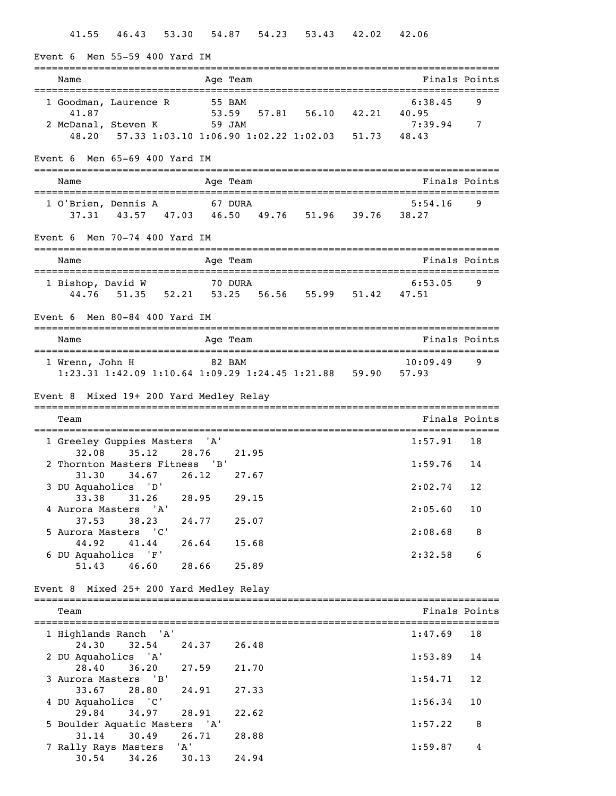| Event 6 Men 55-59 400 Yard IM                                                                                                                                                                                                                                                                                                                                                                                                                                                                                                                                                                                                                                                                                     |                                                         |               |
|-------------------------------------------------------------------------------------------------------------------------------------------------------------------------------------------------------------------------------------------------------------------------------------------------------------------------------------------------------------------------------------------------------------------------------------------------------------------------------------------------------------------------------------------------------------------------------------------------------------------------------------------------------------------------------------------------------------------|---------------------------------------------------------|---------------|
| Name                                                                                                                                                                                                                                                                                                                                                                                                                                                                                                                                                                                                                                                                                                              | Age Team                                                | Finals Points |
| 1 Goodman, Laurence R                                                                                                                                                                                                                                                                                                                                                                                                                                                                                                                                                                                                                                                                                             | 55 BAM                                                  | 6:38.45<br>9  |
| 41.87                                                                                                                                                                                                                                                                                                                                                                                                                                                                                                                                                                                                                                                                                                             | 53.59 57.81 56.10 42.21 40.95                           |               |
| 2 McDanal, Steven K 59 JAM                                                                                                                                                                                                                                                                                                                                                                                                                                                                                                                                                                                                                                                                                        |                                                         | 7:39.94<br>7  |
|                                                                                                                                                                                                                                                                                                                                                                                                                                                                                                                                                                                                                                                                                                                   | 48.20 57.33 1:03.10 1:06.90 1:02.22 1:02.03 51.73 48.43 |               |
| Event $6$ Men $65-69$ 400 Yard IM                                                                                                                                                                                                                                                                                                                                                                                                                                                                                                                                                                                                                                                                                 |                                                         |               |
| Name                                                                                                                                                                                                                                                                                                                                                                                                                                                                                                                                                                                                                                                                                                              | Age Team                                                | Finals Points |
|                                                                                                                                                                                                                                                                                                                                                                                                                                                                                                                                                                                                                                                                                                                   |                                                         | 9             |
|                                                                                                                                                                                                                                                                                                                                                                                                                                                                                                                                                                                                                                                                                                                   |                                                         |               |
|                                                                                                                                                                                                                                                                                                                                                                                                                                                                                                                                                                                                                                                                                                                   |                                                         |               |
| Name                                                                                                                                                                                                                                                                                                                                                                                                                                                                                                                                                                                                                                                                                                              | Age Team                                                |               |
|                                                                                                                                                                                                                                                                                                                                                                                                                                                                                                                                                                                                                                                                                                                   |                                                         |               |
|                                                                                                                                                                                                                                                                                                                                                                                                                                                                                                                                                                                                                                                                                                                   |                                                         |               |
|                                                                                                                                                                                                                                                                                                                                                                                                                                                                                                                                                                                                                                                                                                                   |                                                         |               |
|                                                                                                                                                                                                                                                                                                                                                                                                                                                                                                                                                                                                                                                                                                                   |                                                         |               |
| Name                                                                                                                                                                                                                                                                                                                                                                                                                                                                                                                                                                                                                                                                                                              | Age Team                                                |               |
|                                                                                                                                                                                                                                                                                                                                                                                                                                                                                                                                                                                                                                                                                                                   |                                                         |               |
|                                                                                                                                                                                                                                                                                                                                                                                                                                                                                                                                                                                                                                                                                                                   |                                                         |               |
|                                                                                                                                                                                                                                                                                                                                                                                                                                                                                                                                                                                                                                                                                                                   |                                                         |               |
|                                                                                                                                                                                                                                                                                                                                                                                                                                                                                                                                                                                                                                                                                                                   |                                                         |               |
| Team                                                                                                                                                                                                                                                                                                                                                                                                                                                                                                                                                                                                                                                                                                              |                                                         |               |
|                                                                                                                                                                                                                                                                                                                                                                                                                                                                                                                                                                                                                                                                                                                   |                                                         |               |
|                                                                                                                                                                                                                                                                                                                                                                                                                                                                                                                                                                                                                                                                                                                   |                                                         |               |
|                                                                                                                                                                                                                                                                                                                                                                                                                                                                                                                                                                                                                                                                                                                   |                                                         |               |
|                                                                                                                                                                                                                                                                                                                                                                                                                                                                                                                                                                                                                                                                                                                   |                                                         |               |
|                                                                                                                                                                                                                                                                                                                                                                                                                                                                                                                                                                                                                                                                                                                   |                                                         | 2:02.74<br>12 |
|                                                                                                                                                                                                                                                                                                                                                                                                                                                                                                                                                                                                                                                                                                                   | 29.15                                                   |               |
| 4 Aurora Masters 'A'                                                                                                                                                                                                                                                                                                                                                                                                                                                                                                                                                                                                                                                                                              |                                                         | 2:05.60<br>10 |
| 37.53<br>38.23                                                                                                                                                                                                                                                                                                                                                                                                                                                                                                                                                                                                                                                                                                    |                                                         |               |
| 5 Aurora Masters 'C'                                                                                                                                                                                                                                                                                                                                                                                                                                                                                                                                                                                                                                                                                              |                                                         | 2:08.68<br>8  |
| 44.92<br>41.44                                                                                                                                                                                                                                                                                                                                                                                                                                                                                                                                                                                                                                                                                                    | 15.68                                                   |               |
|                                                                                                                                                                                                                                                                                                                                                                                                                                                                                                                                                                                                                                                                                                                   |                                                         |               |
|                                                                                                                                                                                                                                                                                                                                                                                                                                                                                                                                                                                                                                                                                                                   |                                                         |               |
|                                                                                                                                                                                                                                                                                                                                                                                                                                                                                                                                                                                                                                                                                                                   |                                                         |               |
| Team                                                                                                                                                                                                                                                                                                                                                                                                                                                                                                                                                                                                                                                                                                              |                                                         |               |
|                                                                                                                                                                                                                                                                                                                                                                                                                                                                                                                                                                                                                                                                                                                   |                                                         |               |
|                                                                                                                                                                                                                                                                                                                                                                                                                                                                                                                                                                                                                                                                                                                   |                                                         |               |
|                                                                                                                                                                                                                                                                                                                                                                                                                                                                                                                                                                                                                                                                                                                   |                                                         |               |
| 28.40                                                                                                                                                                                                                                                                                                                                                                                                                                                                                                                                                                                                                                                                                                             |                                                         |               |
| 3 Aurora Masters 'B'                                                                                                                                                                                                                                                                                                                                                                                                                                                                                                                                                                                                                                                                                              |                                                         | 1:54.71<br>12 |
| 33.67<br>28.80                                                                                                                                                                                                                                                                                                                                                                                                                                                                                                                                                                                                                                                                                                    | 27.33                                                   |               |
| 4 DU Aquaholics 'C'                                                                                                                                                                                                                                                                                                                                                                                                                                                                                                                                                                                                                                                                                               |                                                         | 1:56.34<br>10 |
| 47.51<br>Finals Points<br>10:09.49<br>9<br>Example 182 BAM<br>Finals Points<br>1:57.91<br>18<br>35.12<br>32.08<br>28.76<br>21.95<br>$1:59.76$ 14<br>31.30<br>34.67<br>26.12<br>27.67<br>33.38 31.26 28.95<br>24.77 25.07<br>26.64<br>6<br>2:32.58<br>51.43<br>46.60 28.66<br>25.89<br>Finals Points<br>1:47.69<br>18<br>24.30<br>32.54<br>26.48<br>24.37<br>1:53.89<br>14<br>27.59<br>21.70<br>36.20<br>24.91<br>29.84<br>34.97<br>28.91<br>22.62<br>1:57.22<br>8<br>31.14<br>30.49<br>26.71<br>28.88<br>'A'<br>1:59.87<br>4                                                                                                                                                                                      |                                                         |               |
| 1 O'Brien, Dennis A 67 DURA<br>5:54.16<br>د: 5: Brien, Dennis A 67 DURA<br>37.31 43.57 47.03 46.50 49.76 51.96 39.76 38.27<br>Event $6$ Men $70-74$ 400 Yard IM<br>Finals Points<br>1 Bishop, David W 70 DURA<br>44.76 51.35 52.21 53.25 56.56 55.99 51.42<br>6:53.05<br>9<br>Event $6$ Men $80-84$ 400 Yard IM<br>1 Wrenn, John H<br>1:23.31 1:42.09 1:10.64 1:09.29 1:24.45 1:21.88 59.90 57.93<br>Event 8 Mixed 19+ 200 Yard Medley Relay<br>1 Greeley Guppies Masters 'A'<br>2 Thornton Masters Fitness 'B'<br>3 DU Aquaholics 'D'<br>6 DU Aquaholics 'F'<br>Event 8 Mixed 25+ 200 Yard Medley Relay<br>1 Highlands Ranch 'A'<br>2 DU Aquaholics 'A'<br>5 Boulder Aquatic Masters 'A'<br>7 Rally Rays Masters |                                                         |               |
|                                                                                                                                                                                                                                                                                                                                                                                                                                                                                                                                                                                                                                                                                                                   |                                                         |               |
|                                                                                                                                                                                                                                                                                                                                                                                                                                                                                                                                                                                                                                                                                                                   |                                                         |               |

30.54 34.26 30.13 24.94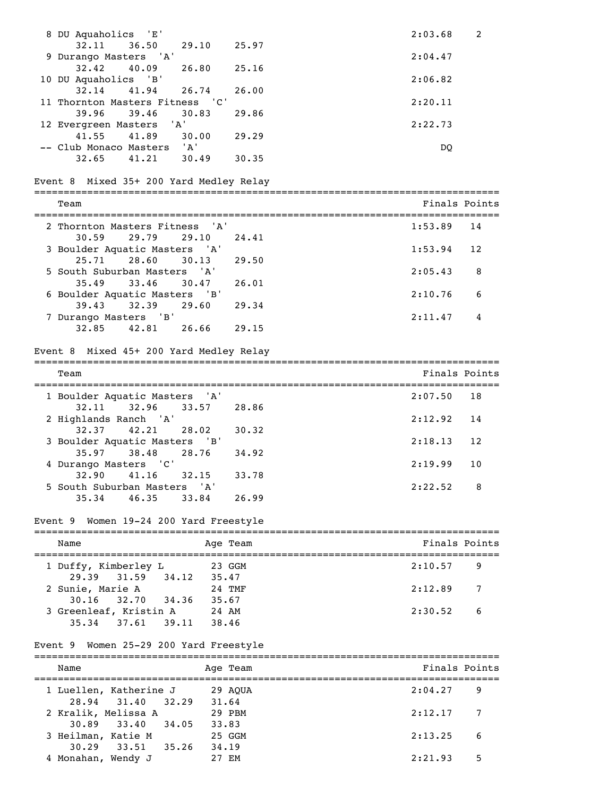| 8 DU Aquaholics 'E'                                                     |          | 2:03.68 | 2             |
|-------------------------------------------------------------------------|----------|---------|---------------|
| 32.11<br>36.50<br>29.10<br>9 Durango Masters 'A'                        | 25.97    | 2:04.47 |               |
| 32.42<br>40.09<br>26.80<br>10 DU Aquaholics 'B'                         | 25.16    | 2:06.82 |               |
| 32.14<br>41.94<br>26.74<br>11 Thornton Masters Fitness 'C'              | 26.00    | 2:20.11 |               |
| 39.96<br>39.46<br>30.83<br>12 Evergreen Masters 'A'                     | 29.86    | 2:22.73 |               |
| 41.55<br>41.89<br>30.00<br>-- Club Monaco Masters 'A'                   | 29.29    | DQ      |               |
| $32.65$ $41.21$<br>30.49                                                | 30.35    |         |               |
| Event 8 Mixed 35+ 200 Yard Medley Relay                                 |          |         |               |
| Team                                                                    |          |         | Finals Points |
| 2 Thornton Masters Fitness 'A'                                          |          | 1:53.89 | 14            |
| 30.59<br>29.79<br>29.10<br>3 Boulder Aquatic Masters 'A'                | 24.41    | 1:53.94 | 12            |
| 25.71 28.60<br>30.13                                                    | 29.50    |         |               |
| 5 South Suburban Masters 'A'<br>$35.49$ $33.46$<br>30.47                |          | 2:05.43 | 8             |
| 6 Boulder Aquatic Masters 'B'                                           | 26.01    | 2:10.76 | 6             |
| 39.43<br>32.39<br>29.60                                                 | 29.34    |         |               |
| 7 Durango Masters 'B'<br>32.85<br>26.66<br>42.81                        | 29.15    | 2:11.47 | 4             |
| Event 8 Mixed 45+ 200 Yard Medley Relay                                 |          |         |               |
| Team                                                                    |          |         | Finals Points |
|                                                                         |          |         |               |
| 1 Boulder Aquatic Masters 'A'<br>32.11<br>32.96<br>33.57                | 28.86    | 2:07.50 | 18            |
| 2 Highlands Ranch 'A'                                                   |          | 2:12.92 | 14            |
| 32.37 42.21<br>28.02<br>3 Boulder Aquatic Masters 'B'                   | 30.32    | 2:18.13 | 12            |
| 35.97 38.48<br>28.76<br>4 Durango Masters 'C'                           | 34.92    | 2:19.99 | 10            |
| $32.90$ $41.16$ $32.15$                                                 | 33.78    |         |               |
| 5 South Suburban Masters 'A'<br>$46.35$ $33.84$<br>35.34                | 26.99    | 2:22.52 | 8             |
|                                                                         |          |         |               |
| Event 9 Women 19-24 200 Yard Freestyle                                  |          |         |               |
| Name                                                                    | Age Team |         | Finals Points |
| 1 Duffy, Kimberley L<br>23 GGM                                          |          | 2:10.57 | 9             |
| 31.59 34.12 35.47<br>29.39<br>2 Sunie, Marie A 24 TMF                   |          | 2:12.89 | 7             |
| 30.16 32.70 34.36 35.67<br>3 Greenleaf, Kristin A 24 AM                 |          | 2:30.52 | 6             |
| 35.34 37.61 39.11 38.46                                                 |          |         |               |
| Event 9 Women 25-29 200 Yard Freestyle                                  |          |         |               |
| Name                                                                    | Age Team |         | Finals Points |
| 29 AQUA<br>1 Luellen, Katherine J                                       |          | 2:04.27 | 9             |
| 28.94 31.40 32.29 31.64<br>2 Kralik, Melissa A                          |          | 2:12.17 | 7             |
| alik, Melissa A 29 PBM<br>30.89 33.40 34.05 33.83<br>3 Heilman, Katie M | 25 GGM   | 2:13.25 | 6             |
| 33.51 35.26 34.19<br>30.29                                              |          |         |               |
| 4 Monahan, Wendy J                                                      | 27 EM    | 2:21.93 | 5             |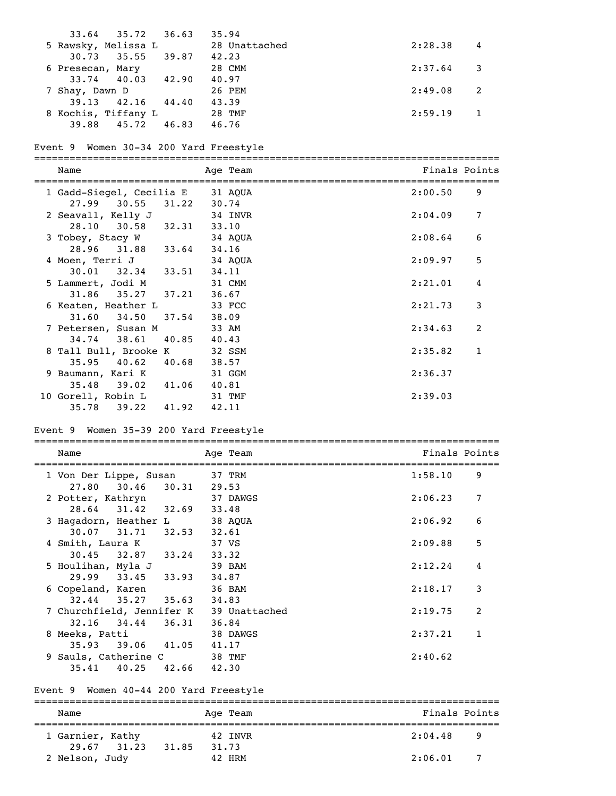|                  | $33.64$ $35.72$ $36.63$ |       | 35.94         |         |   |
|------------------|-------------------------|-------|---------------|---------|---|
|                  | 5 Rawsky, Melissa L     |       | 28 Unattached | 2:28.38 | 4 |
| 30.73            | 35.55 39.87             |       | 42.23         |         |   |
| 6 Presecan, Mary |                         |       | 28 CMM        | 2:37.64 |   |
|                  | $33.74$ $40.03$ $42.90$ |       | 40.97         |         |   |
| 7 Shay, Dawn D   |                         |       | 26 PEM        | 2:49.08 |   |
| 39.13            | $42.16$ $44.40$         |       | 43.39         |         |   |
|                  | 8 Kochis, Tiffany L     |       | 28 TMF        | 2:59.19 |   |
| 39.88            | 45.72                   | 46.83 | 46.76         |         |   |
|                  |                         |       |               |         |   |

### Event 9 Women 30-34 200 Yard Freestyle

===============================================================================

| Name                                                        | Age Team | Finals Points |              |
|-------------------------------------------------------------|----------|---------------|--------------|
| 1 Gadd-Siegel, Cecilia E 31 AQUA<br>27.99 30.55 31.22 30.74 |          | 2:00.50       | 9            |
| 2 Seavall, Kelly J                                          | 34 INVR  | 2:04.09       | 7            |
| 28.10 30.58 32.31 33.10                                     |          |               |              |
| 3 Tobey, Stacy W                                            | 34 AQUA  | 2:08.64       | 6            |
| 28.96 31.88 33.64                                           | 34.16    |               |              |
| 4 Moen, Terri J                                             | 34 AOUA  | 2:09.97       | 5            |
| $30.01$ $32.34$ $33.51$                                     | 34.11    |               |              |
| 5 Lammert, Jodi M                                           | 31 CMM   | 2:21.01       | 4            |
| $31.86$ $35.27$ $37.21$ $36.67$                             |          |               |              |
| 6 Keaten, Heather L                                         | 33 FCC   | 2:21.73       | 3            |
| $31.60$ $34.50$ $37.54$                                     | 38.09    |               |              |
| 7 Petersen, Susan M 33 AM                                   |          | 2:34.63       | 2            |
| 34.74 38.61 40.85 40.43                                     |          |               |              |
| 8 Tall Bull, Brooke K                                       | 32 SSM   | 2:35.82       | $\mathbf{1}$ |
| $35.95 \quad 40.62 \quad 40.68$                             | 38.57    |               |              |
| 9 Baumann, Kari K                                           | 31 GGM   | 2:36.37       |              |
| 35.48 39.02 41.06 40.81                                     |          |               |              |
| 10 Gorell, Robin L                                          | 31 TMF   | 2:39.03       |              |
| 35.78 39.22 41.92 42.11                                     |          |               |              |

## Event 9 Women 35-39 200 Yard Freestyle

| Name                                       | Age Team         | Finals Points |                |
|--------------------------------------------|------------------|---------------|----------------|
| 1 Von Der Lippe, Susan 37 TRM              |                  | 1:58.10       | 9              |
| 30.46 30.31 29.53<br>27.80                 |                  |               |                |
| 2 Potter, Kathryn                          | 37 DAWGS         | 2:06.23       | 7              |
| 28.64 31.42 32.69<br>3 Hagadorn, Heather L | 33.48<br>38 AQUA | 2:06.92       | 6              |
| $30.07$ $31.71$ $32.53$ $32.61$            |                  |               |                |
| 4 Smith, Laura K                           | 37 VS            | 2:09.88       | 5              |
| $30.45$ $32.87$ $33.24$                    | 33.32            |               |                |
| 5 Houlihan, Myla J                         | 39 BAM           | 2:12.24       | 4              |
| 29.99 33.45 33.93                          | 34.87            |               |                |
| 6 Copeland, Karen                          | 36 BAM           | 2:18.17       | 3              |
| $32.44$ $35.27$ $35.63$                    | 34.83            |               |                |
| 7 Churchfield, Jennifer K 39 Unattached    |                  | 2:19.75       | $\overline{2}$ |
| 32.16 34.44 36.31                          | 36.84            |               |                |
| 8 Meeks, Patti                             | 38 DAWGS         | 2:37.21       | 1              |
| 35.93 39.06 41.05                          | 41.17            |               |                |
| 9 Sauls, Catherine C                       | 38 TMF           | 2:40.62       |                |
| 35.41 40.25 42.66 42.30                    |                  |               |                |

## Event 9 Women 40-44 200 Yard Freestyle

| Name                            | Age Team                 | Finals Points |
|---------------------------------|--------------------------|---------------|
| 1 Garnier, Kathy<br>29.67 31.23 | 42 INVR                  | 2:04.48<br>-9 |
| 2 Nelson, Judy                  | 31.85<br>31.73<br>42 HRM | 2:06.01       |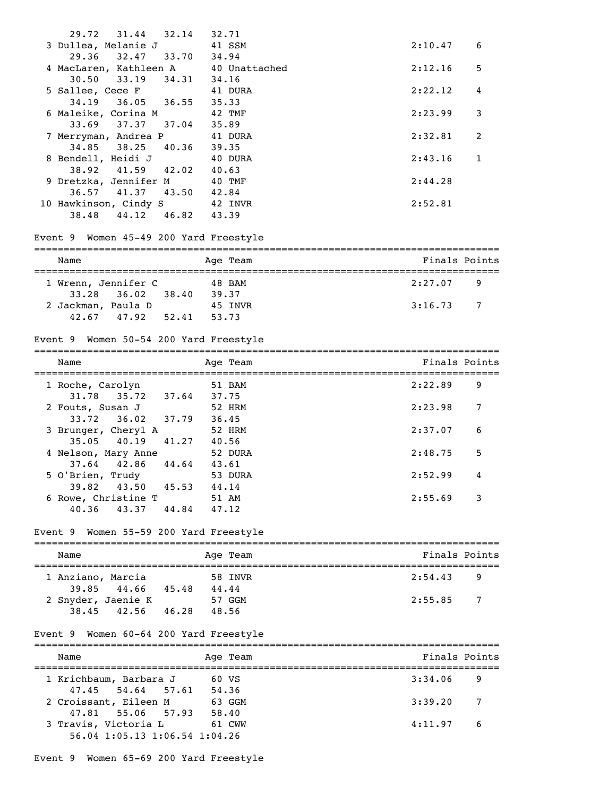| $31.44$ $32.14$<br>29.72                                                      | 32.71    |         |               |
|-------------------------------------------------------------------------------|----------|---------|---------------|
| 3 Dullea, Melanie J                                                           | 41 SSM   | 2:10.47 | 6             |
| 29.36<br>32.47 33.70                                                          | 34.94    |         |               |
| 4 MacLaren, Kathleen A 40 Unattached<br>30.50 33.19 34.31 34.16               |          | 2:12.16 | 5             |
|                                                                               |          |         |               |
| 5 Sallee, Cece F 41 DURA                                                      |          | 2:22.12 | 4             |
| 34.19 36.05 36.55 35.33                                                       |          |         |               |
| 6 Maleike, Corina M                                                           | 42 TMF   | 2:23.99 | 3             |
| 33.69 37.37<br>$37.04$ $35.89$                                                |          |         |               |
| 7 Merryman, Andrea P                                                          | 41 DURA  | 2:32.81 | 2             |
| 34.85 38.25 40.36 39.35                                                       |          |         |               |
| 8 Bendell, Heidi J                                                            | 40 DURA  | 2:43.16 | $\mathbf{1}$  |
| 38.92 41.59 42.02 40.63                                                       |          |         |               |
| 9 Dretzka, Jennifer M                                                         | 40 TMF   | 2:44.28 |               |
| 36.57 41.37 43.50 42.84                                                       |          |         |               |
| 10 Hawkinson, Cindy S 42 INVR                                                 |          | 2:52.81 |               |
| 38.48 44.12 46.82 43.39                                                       |          |         |               |
|                                                                               |          |         |               |
| Event 9 Women 45-49 200 Yard Freestyle                                        |          |         |               |
|                                                                               |          |         |               |
| Name                                                                          | Age Team |         | Finals Points |
|                                                                               |          |         |               |
| 1 Wrenn, Jennifer C 48 BAM                                                    |          | 2:27.07 | 9             |
| 36.02 38.40 39.37<br>33.28                                                    |          |         |               |
| 2 Jackman, Paula D 45 INVR                                                    |          | 3:16.73 | 7             |
| 42.67 47.92 52.41 53.73                                                       |          |         |               |
|                                                                               |          |         |               |
| Event 9 Women 50-54 200 Yard Freestyle                                        |          |         |               |
| Name                                                                          | Age Team |         | Finals Points |
|                                                                               |          |         |               |
| 1 Roche, Carolyn                                                              | 51 BAM   | 2:22.89 | 9             |
| 35.72 37.64 37.75<br>31.78                                                    |          |         |               |
|                                                                               |          |         |               |
|                                                                               |          |         |               |
| 2 Fouts, Susan J                                                              | 52 HRM   | 2:23.98 | 7             |
| $33.72$ $36.02$ $37.79$ $36.45$                                               |          |         |               |
| 3 Brunger, Cheryl A                                                           | 52 HRM   | 2:37.07 | 6             |
| 41.27 40.56<br>$35.05$ 40.19                                                  |          |         |               |
| 4 Nelson, Mary Anne                                                           | 52 DURA  | 2:48.75 | 5             |
| 37.64 42.86 44.64 43.61                                                       |          |         |               |
| 5 O'Brien, Trudy                                                              | 53 DURA  | 2:52.99 | 4             |
| 39.82 43.50 45.53 44.14                                                       |          |         |               |
| 6 Rowe, Christine T 51 AM                                                     |          | 2:55.69 | 3             |
| 44.84 47.12<br>43.37<br>40.36                                                 |          |         |               |
|                                                                               |          |         |               |
| Event 9 Women 55-59 200 Yard Freestyle                                        |          |         |               |
| Name                                                                          | Age Team |         | Finals Points |
|                                                                               |          |         |               |
| 1 Anziano, Marcia                                                             | 58 INVR  | 2:54.43 | 9             |
|                                                                               |          |         |               |
| 39.85 44.66 45.48 44.44                                                       |          | 2:55.85 | 7             |
| 2 Snyder, Jaenie K 57 GGM<br>38.45 42.56 46.28 48.56                          |          |         |               |
|                                                                               |          |         |               |
| Event 9 Women 60-64 200 Yard Freestyle                                        |          |         |               |
|                                                                               |          |         |               |
| Name                                                                          | Age Team |         | Finals Points |
|                                                                               |          |         |               |
| 1 Krichbaum, Barbara J                                                        | 60 VS    | 3:34.06 | 9             |
|                                                                               |          |         |               |
| 47.45 54.64 57.61 54.36<br>coissant, Eileen M 63 GGM<br>2 Croissant, Eileen M |          | 3:39.20 | 7             |
| 47.81 55.06 57.93 58.40                                                       |          |         |               |
| 3 Travis, Victoria L<br>56.04 1:05.13 1:06.54 1:04.26                         | 61 CWW   | 4:11.97 | 6             |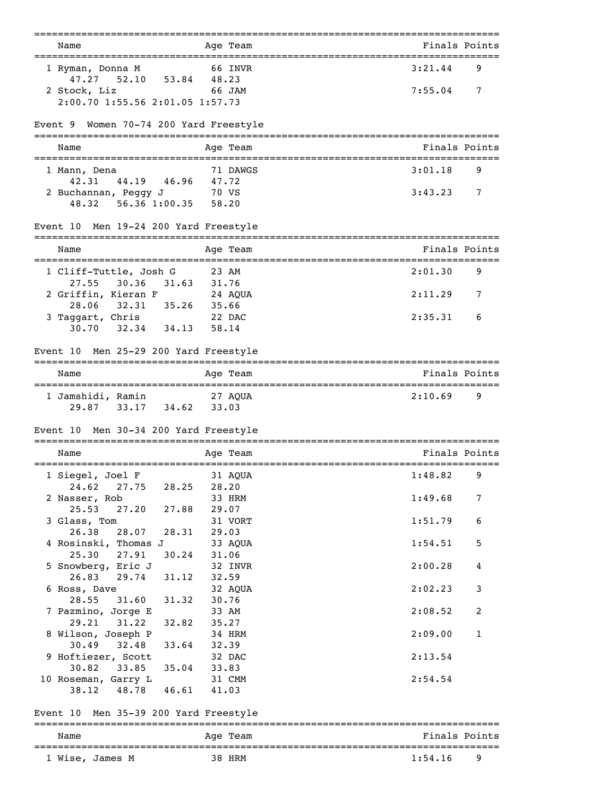| Name<br>-------------------------------------                                     | Age Team                  | Finals Points<br>------------------------------------- |
|-----------------------------------------------------------------------------------|---------------------------|--------------------------------------------------------|
| 1 Ryman, Donna M                                                                  | 66 INVR                   | 3:21.44<br>9                                           |
| 52.10 53.84 48.23<br>47.27                                                        |                           |                                                        |
| 2 Stock, Liz                                                                      | <b>66 JAM</b>             | 7:55.04<br>7                                           |
| 2:00.70 1:55.56 2:01.05 1:57.73                                                   |                           |                                                        |
| Event 9 Women 70-74 200 Yard Freestyle                                            |                           |                                                        |
| Name                                                                              | Age Team                  | Finals Points                                          |
| 1 Mann, Dena                                                                      | 71 DAWGS                  | 3:01.18<br>9                                           |
| 44.19 46.96 47.72<br>42.31                                                        |                           | 3:43.23<br>7                                           |
| 2 Buchannan, Peggy J 70 VS<br>48.32 56.36 1:00.35 58.20                           |                           |                                                        |
| Event 10 Men 19-24 200 Yard Freestyle                                             |                           |                                                        |
| Name                                                                              | Age Team                  | Finals Points                                          |
| 1 Cliff-Tuttle, Josh G                                                            | 23 AM                     | 2:01.30<br>9                                           |
| 27.55<br>30.36                                                                    | 31.63 31.76               |                                                        |
|                                                                                   |                           | 2:11.29<br>7                                           |
| 2 Griffin, Kieran F 24 AQUA<br>28.06 32.31 35.26 35.66<br>3 Taggart, Chris 22 DAC |                           |                                                        |
|                                                                                   |                           | 2:35.31<br>6                                           |
| $30.70$ $32.34$ $34.13$ $58.14$                                                   |                           |                                                        |
| Men 25-29 200 Yard Freestyle<br>Event 10                                          |                           |                                                        |
| Name                                                                              | Age Team                  | Finals Points                                          |
| 1 Jamshidi, Ramin 27 AQUA                                                         |                           | 2:10.69<br>9                                           |
| $29.87$ $33.17$ $34.62$                                                           | 33.03                     |                                                        |
| Men 30-34 200 Yard Freestyle<br>Event 10                                          |                           |                                                        |
| Name                                                                              | Age Team                  | Finals Points                                          |
| 1 Siegel, Joel F                                                                  | 31 AOUA                   | 1:48.82<br>9                                           |
| 27.75<br>24.62                                                                    | 28.25<br>28.20            |                                                        |
| 2 Nasser, Rob<br>27.20<br>25.53                                                   | 33 HRM<br>27.88           | 1:49.68<br>7                                           |
| 3 Glass, Tom                                                                      | 29.07<br>31 VORT          | 1:51.79<br>6                                           |
| 28.07<br>26.38                                                                    | 28.31<br>29.03            |                                                        |
| 4 Rosinski, Thomas J                                                              | 33 AQUA                   | 1:54.51<br>5                                           |
| 25.30<br>27.91                                                                    | 30.24<br>31.06            |                                                        |
| 5 Snowberg, Eric J                                                                | 32 INVR                   | 2:00.28<br>4                                           |
| 26.83<br>29.74<br>6 Ross, Dave                                                    | 31.12<br>32.59<br>32 AQUA | 2:02.23<br>3                                           |
| 28.55<br>31.60                                                                    | 31.32<br>30.76            |                                                        |
| 7 Pazmino, Jorge E                                                                | 33 AM                     | 2:08.52<br>2                                           |
| 29.21<br>31.22                                                                    | 32.82<br>35.27            |                                                        |
| 8 Wilson, Joseph P<br>32.48<br>30.49                                              | 34 HRM<br>33.64<br>32.39  | $\mathbf{1}$<br>2:09.00                                |
| 9 Hoftiezer, Scott                                                                | 32 DAC                    | 2:13.54                                                |
| 30.82<br>33.85<br>35.04                                                           | 33.83                     |                                                        |
| 10 Roseman, Garry L                                                               | 31 CMM                    | 2:54.54                                                |
| 48.78 46.61<br>38.12                                                              | 41.03                     |                                                        |
| Men 35-39 200 Yard Freestyle<br>Event 10                                          |                           |                                                        |
| Name                                                                              | Age Team                  | Finals Points                                          |
| 1 Wise, James M                                                                   | 38 HRM                    | 1:54.16<br>9                                           |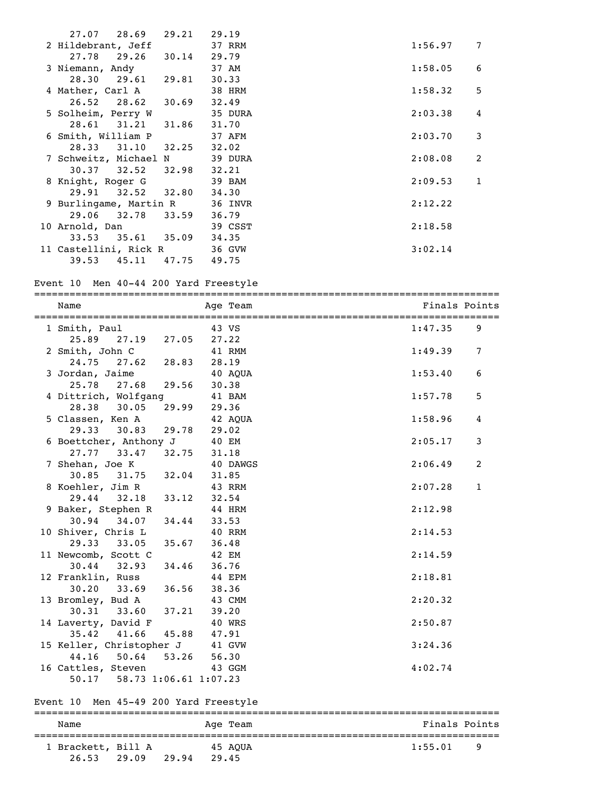| $27.07$ $28.69$ $29.21$ $29.19$ |               |         |         |                |
|---------------------------------|---------------|---------|---------|----------------|
| 2 Hildebrant, Jeff              | 37 RRM        |         | 1:56.97 | $\overline{7}$ |
| $27.78$ 29.26 30.14 29.79       |               |         |         |                |
| 3 Niemann, Andy                 |               | 37 AM   | 1:58.05 | 6              |
| 28.30 29.61 29.81 30.33         |               |         |         |                |
| 4 Mather, Carl A 38 HRM         |               |         | 1:58.32 | 5              |
| 26.52 28.62 30.69 32.49         |               |         |         |                |
| 5 Solheim, Perry W              |               | 35 DURA | 2:03.38 | 4              |
| 28.61 31.21 31.86 31.70         |               |         |         |                |
| 6 Smith, William P              | <b>37 AFM</b> |         | 2:03.70 | 3              |
| 28.33 31.10 32.25 32.02         |               |         |         |                |
| 7 Schweitz, Michael N 39 DURA   |               |         | 2:08.08 | 2              |
| $30.37$ $32.52$ $32.98$ $32.21$ |               |         |         |                |
| 8 Knight, Roger G               |               | 39 BAM  | 2:09.53 | 1              |
| 29.91 32.52 32.80 34.30         |               |         |         |                |
| 9 Burlingame, Martin R 36 INVR  |               |         | 2:12.22 |                |
| 29.06 32.78 33.59 36.79         |               |         |         |                |
| 10 Arnold, Dan                  |               | 39 CSST | 2:18.58 |                |
| 33.53 35.61 35.09 34.35         |               |         |         |                |
| 11 Castellini, Rick R 36 GVW    |               |         | 3:02.14 |                |
| 39.53 45.11 47.75 49.75         |               |         |         |                |

#### Event 10 Men 40-44 200 Yard Freestyle

=============================================================================== Name Age Team Age Team Finals Points

| =====================                               |        |         |                 |
|-----------------------------------------------------|--------|---------|-----------------|
| 1 Smith, Paul 43 VS                                 |        | 1:47.35 | 9               |
| 25.89 27.19 27.05 27.22                             |        |         |                 |
|                                                     |        | 1:49.39 | $7\phantom{.0}$ |
| 2 Smith, John C 41 RMM<br>24.75 27.62 28.83 28.19   |        |         |                 |
|                                                     |        | 1:53.40 | 6               |
| 3 Jordan, Jaime 40 AQUA<br>25.78 27.68 29.56 30.38  |        |         |                 |
| 4 Dittrich, Wolfgang 41 BAM                         |        | 1:57.78 | 5               |
| 28.38 30.05 29.99 29.36                             |        |         |                 |
|                                                     |        | 1:58.96 | 4               |
| 5 Classen, Ken A 42 AQUA<br>29.33 30.83 29.78 29.02 |        |         |                 |
| 6 Boettcher, Anthony J                              | 40 EM  | 2:05.17 | 3               |
| 27.77 33.47 32.75 31.18                             |        |         |                 |
| 7 Shehan, Joe K 40 DAWGS<br>30.85 31.75 32.04 31.85 |        | 2:06.49 | 2               |
|                                                     |        |         |                 |
| 8 Koehler, Jim R 43 RRM                             |        | 2:07.28 | $\mathbf{1}$    |
| 29.44 32.18 33.12 32.54                             |        |         |                 |
| 9 Baker, Stephen R 44 HRM                           |        | 2:12.98 |                 |
| 30.94 34.07 34.44 33.53                             |        |         |                 |
| 10 Shiver, Chris L 40 RRM                           |        | 2:14.53 |                 |
| 29.33 33.05 35.67 36.48                             |        |         |                 |
| 11 Newcomb, Scott C 42 EM                           |        | 2:14.59 |                 |
| 30.44 32.93 34.46 36.76                             |        |         |                 |
| 12 Franklin, Russ 44 EPM<br>30.20 33.69 36.56 38.36 |        | 2:18.81 |                 |
|                                                     |        |         |                 |
| 13 Bromley, Bud A 43 CMM                            |        | 2:20.32 |                 |
| 30.31 33.60 37.21 39.20                             |        |         |                 |
| 14 Laverty, David F                                 | 40 WRS | 2:50.87 |                 |
| 35.42 41.66 45.88 47.91                             |        |         |                 |
| 15 Keller, Christopher J 41 GVW                     |        | 3:24.36 |                 |
| 44.16 50.64 53.26 56.30                             |        |         |                 |
| 16 Cattles, Steven 43 GGM                           |        | 4:02.74 |                 |
| 50.17 58.73 1:06.61 1:07.23                         |        |         |                 |
|                                                     |        |         |                 |

## Event 10 Men 45-49 200 Yard Freestyle

26.53 29.09 29.94 29.45

## =============================================================================== Name Age Team Age Team Finals Points =============================================================================== 1 Brackett, Bill A 45 AQUA 1:55.01 9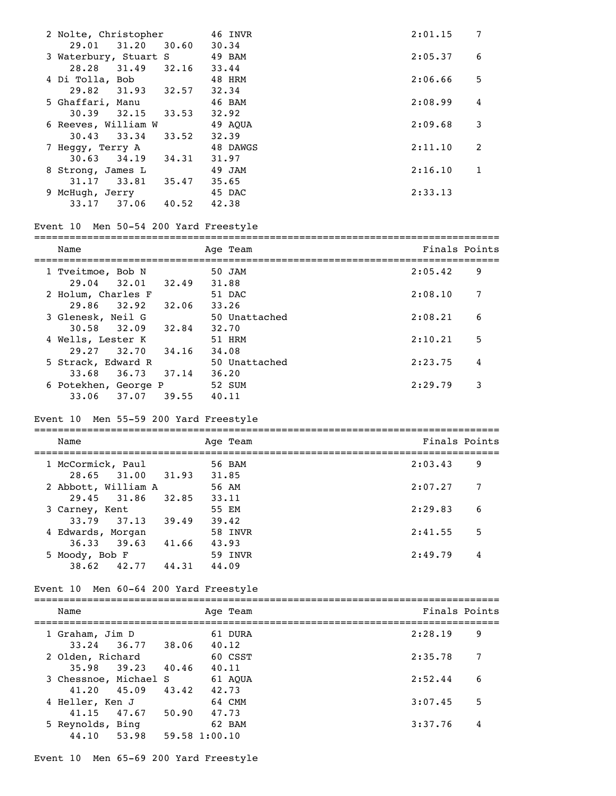| 2 Nolte, Christopher     | 46 INVR  | 2:01.15 | 7 |
|--------------------------|----------|---------|---|
| 31.20<br>29.01<br>30.60  | 30.34    |         |   |
| 3 Waterbury, Stuart S    | 49 BAM   | 2:05.37 | 6 |
| 28.28 31.49 32.16        | 33.44    |         |   |
| 4 Di Tolla, Bob          | 48 HRM   | 2:06.66 | 5 |
| 29.82 31.93 32.57        | 32.34    |         |   |
| 5 Ghaffari, Manu         | 46 BAM   | 2:08.99 | 4 |
| 30.39<br>32.15<br>33.53  | 32.92    |         |   |
| 6 Reeves, William W      | 49 AOUA  | 2:09.68 | 3 |
| $30.43$ $33.34$<br>33.52 | 32.39    |         |   |
| 7 Heggy, Terry A         | 48 DAWGS | 2:11.10 | 2 |
| $30.63$ $34.19$<br>34.31 | 31.97    |         |   |
| 8 Strong, James L        | 49 JAM   | 2:16.10 | 1 |
| 31.17 33.81<br>35.47     | 35.65    |         |   |
| 9 McHugh, Jerry          | 45 DAC   | 2:33.13 |   |
| 33.17<br>37.06<br>40.52  | 42.38    |         |   |
|                          |          |         |   |

### Event 10 Men 50-54 200 Yard Freestyle

| Name                 |       | Age Team      | Finals Points |   |
|----------------------|-------|---------------|---------------|---|
| 1 Tveitmoe, Bob N    |       | 50 JAM        | 2:05.42       | 9 |
| $29.04$ $32.01$      | 32.49 | 31.88         |               |   |
| 2 Holum, Charles F   |       | 51 DAC        | 2:08.10       | 7 |
| 32.92<br>29.86       | 32.06 | 33.26         |               |   |
| 3 Glenesk, Neil G    |       | 50 Unattached | 2:08.21       | 6 |
| 32.09<br>30.58       | 32.84 | 32.70         |               |   |
| 4 Wells, Lester K    |       | 51 HRM        | 2:10.21       | 5 |
| 29.27 32.70          | 34.16 | 34.08         |               |   |
| 5 Strack, Edward R   |       | 50 Unattached | 2:23.75       | 4 |
| 36.73<br>33.68       | 37.14 | 36.20         |               |   |
| 6 Potekhen, George P |       | 52 SUM        | 2:29.79       | 3 |
| 33.06<br>37.07       | 39.55 | 40.11         |               |   |

#### Event 10 Men 55-59 200 Yard Freestyle

=============================================================================== Name Age Team Age Age Team Finals Points =============================================================================== 1 McCormick, Paul 56 BAM 2:03.43 9 28.65 31.00 31.93 31.85<br>bbott, William A 56 AM 2 Abbott, William A 56 AM 2:07.27 7 29.45 31.86 32.85 33.11<br>arney, Kent 55 EM 3 Carney, Kent 55 EM 2:29.83 6 33.79 37.13 39.49 39.42 4 Edwards, Morgan 58 INVR 2:41.55 5 36.33 39.63 41.66 43.93 5 Moody, Bob F 59 INVR 2:49.79 4 38.62 42.77 44.31 44.09

#### Event 10 Men 60-64 200 Yard Freestyle

| Name                                     |       | Age Team         | Finals Points |
|------------------------------------------|-------|------------------|---------------|
| 1 Graham, Jim D<br>33.24 36.77 38.06     |       | 61 DURA<br>40.12 | 2:28.19<br>9  |
| 2 Olden, Richard                         |       | 60 CSST          | 7<br>2:35.78  |
| $35.98$ $39.23$<br>3 Chessnoe, Michael S | 40.46 | 40.11<br>61 AOUA | 6<br>2:52.44  |
| $41,20$ $45.09$<br>4 Heller, Ken J       | 43.42 | 42.73<br>64 CMM  | 5<br>3:07.45  |
| 47.67<br>41.15<br>5 Reynolds, Bing       | 50.90 | 47.73<br>62 BAM  | 3:37.76<br>4  |
| 53.98<br>44,10                           |       | 59.58 1:00.10    |               |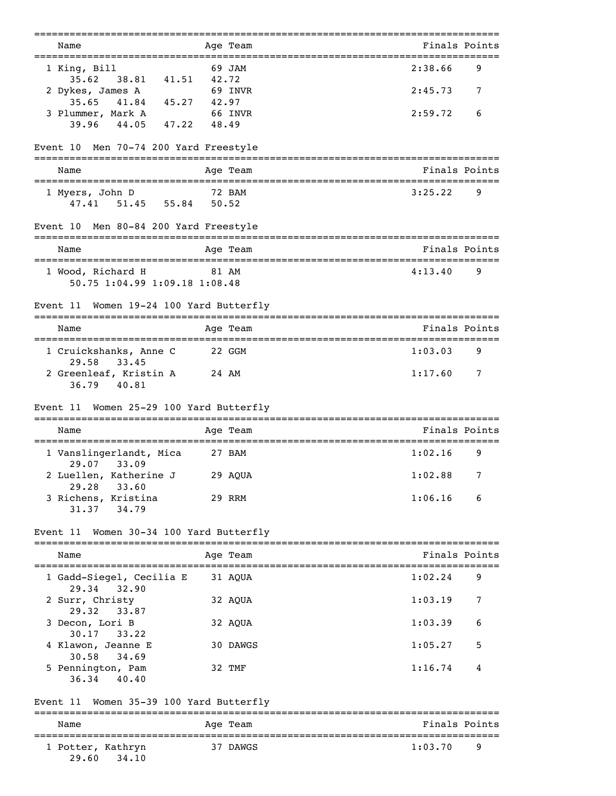| Name<br>================================                |             | Age Team              | Finals Points<br>========================== |   |
|---------------------------------------------------------|-------------|-----------------------|---------------------------------------------|---|
| 1 King, Bill                                            |             | 69 JAM                | 2:38.66                                     | 9 |
| 38.81 41.51 42.72<br>35.62<br>2 Dykes, James A          |             | 69 INVR               | 2:45.73                                     | 7 |
| 35.65<br>41.84 45.27 42.97<br>3 Plummer, Mark A 66 INVR |             |                       | 2:59.72                                     | 6 |
| $39.96$ $44.05$                                         | 47.22 48.49 |                       |                                             |   |
| Men 70-74 200 Yard Freestyle<br>Event 10                |             |                       |                                             |   |
| Name                                                    |             | Age Team              | Finals Points                               |   |
| 1 Myers, John D<br>47.41 51.45 55.84 50.52              | 72 BAM      |                       | 3:25.22                                     | 9 |
| Men 80-84 200 Yard Freestyle<br>Event 10                |             |                       |                                             |   |
| Name                                                    |             | Age Team              | Finals Points                               |   |
| 1 Wood, Richard H<br>50.75 1:04.99 1:09.18 1:08.48      | 81 AM       |                       | 4:13.40                                     | 9 |
| Women 19-24 100 Yard Butterfly<br>Event 11              |             |                       |                                             |   |
| Name                                                    |             | Age Team              | Finals Points                               |   |
| 1 Cruickshanks, Anne C<br>29.58<br>33.45                | 22 GGM      |                       | 1:03.03                                     | 9 |
| 2 Greenleaf, Kristin A<br>36.79<br>40.81                | 24 AM       |                       | 1:17.60                                     | 7 |
| Event 11 Women 25-29 100 Yard Butterfly                 |             |                       |                                             |   |
| Name                                                    |             | Age Team              | Finals Points                               |   |
| 1 Vanslingerlandt, Mica<br>29.07<br>33.09               | 27 BAM      |                       | 1:02.16                                     | 9 |
| 2 Luellen, Katherine J<br>29.28<br>33.60                | 29 AQUA     |                       | 1:02.88                                     | 7 |
| 3 Richens, Kristina<br>34.79<br>31.37                   |             | 29 RRM                | 1:06.16                                     | 6 |
| Women 30-34 100 Yard Butterfly<br>Event 11              |             |                       |                                             |   |
| Name                                                    |             | Age Team              | Finals Points                               |   |
| 1 Gadd-Siegel, Cecilia E<br>29.34<br>32.90              |             | 31 AQUA               | 1:02.24                                     | 9 |
| 2 Surr, Christy                                         |             | 32 AQUA               | 1:03.19                                     | 7 |
| 29.32<br>33.87<br>3 Decon, Lori B                       |             | 32 AQUA               | 1:03.39                                     | 6 |
| 30.17<br>33.22<br>4 Klawon, Jeanne E                    |             | 30 DAWGS              | 1:05.27                                     | 5 |
| 30.58<br>34.69<br>5 Pennington, Pam<br>36.34<br>40.40   |             | 32 TMF                | 1:16.74                                     | 4 |
| Women 35-39 100 Yard Butterfly<br>Event 11              |             |                       |                                             |   |
| Name                                                    |             | ---------<br>Age Team | Finals Points                               |   |
| 1 Potter, Kathryn<br>34.10<br>29.60                     |             | 37 DAWGS              | 1:03.70                                     | 9 |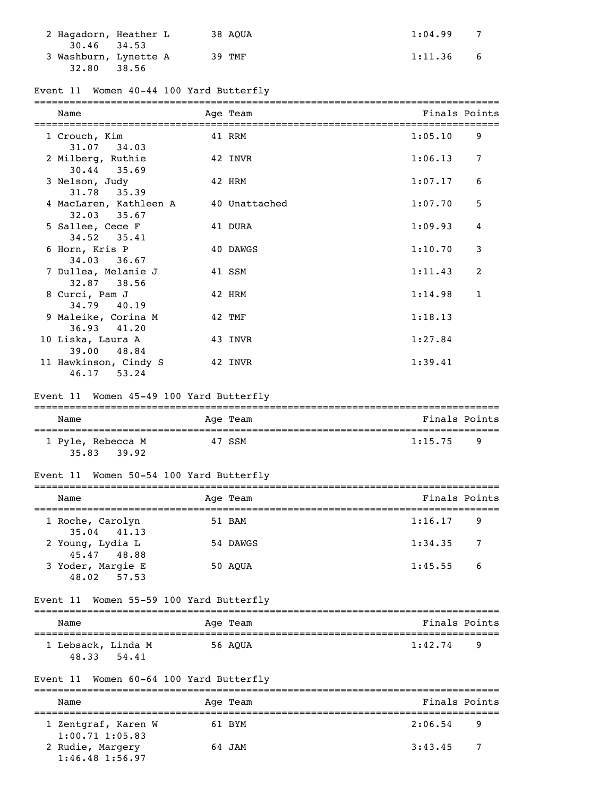| 2 Haqadorn, Heather L |       | 38 AOUA | 1:04.99 |   |
|-----------------------|-------|---------|---------|---|
| $30.46$ $34.53$       |       |         |         |   |
| 3 Washburn, Lynette A |       | 39 TMF  | 1:11.36 | 6 |
| 32.80                 | 38.56 |         |         |   |

## Event 11 Women 40-44 100 Yard Butterfly

| Name                                      | Age Team      | Finals Points |              |
|-------------------------------------------|---------------|---------------|--------------|
| 1 Crouch, Kim<br>31.07 34.03              | 41 RRM        | 1:05.10       | 9            |
| 2 Milberg, Ruthie<br>$30.44$ $35.69$      | 42 INVR       | 1:06.13       | 7            |
| 3 Nelson, Judy<br>31.78 35.39             | 42 HRM        | 1:07.17       | 6            |
| 4 MacLaren, Kathleen A<br>$32.03$ $35.67$ | 40 Unattached | 1:07.70       | 5            |
| 5 Sallee, Cece F<br>$34.52$ $35.41$       | 41 DURA       | 1:09.93       | 4            |
| 6 Horn, Kris P<br>$34.03$ 36.67           | 40 DAWGS      | 1:10.70       | 3            |
| 7 Dullea, Melanie J<br>32.87 38.56        | 41 SSM        | 1:11.43       | 2            |
| 8 Curci, Pam J<br>34.79 40.19             | 42 HRM        | 1:14.98       | $\mathbf{1}$ |
| 9 Maleike, Corina M<br>$36.93$ $41.20$    | 42 TMF        | 1:18.13       |              |
| 10 Liska, Laura A<br>39.00 48.84          | 43 INVR       | 1:27.84       |              |
| 11 Hawkinson, Cindy S<br>46.17 53.24      | 42 INVR       | 1:39.41       |              |

### Event 11 Women 45-49 100 Yard Butterfly

| Name                                | Age Team | Finals Points  |
|-------------------------------------|----------|----------------|
| 1 Pyle, Rebecca M<br>35.83<br>39.92 | 47 SSM   | 1:15.75<br>- q |

## Event 11 Women 50-54 100 Yard Butterfly

| Name                                | Age Team | Finals Points             |    |
|-------------------------------------|----------|---------------------------|----|
| 1 Roche, Carolyn<br>$35.04$ $41.13$ | 51 BAM   | 1:16.17                   | -9 |
| 2 Young, Lydia L<br>45.47 48.88     | 54 DAWGS | 1:34.35<br>$\overline{7}$ |    |
| 3 Yoder, Margie E<br>48.02 57.53    | 50 AOUA  | 1:45.55<br>- 6            |    |

### Event 11 Women 55-59 100 Yard Butterfly

| Name                        |       |  | Age Team | Finals Points |  |  |
|-----------------------------|-------|--|----------|---------------|--|--|
| 1 Lebsack, Linda M<br>48.33 | 54.41 |  | 56 AOUA  | 1:42.74<br>q  |  |  |

## Event 11 Women 60-64 100 Yard Butterfly

| Name                                       | Age Team | Finals Points |  |  |  |  |
|--------------------------------------------|----------|---------------|--|--|--|--|
| 1 Zentgraf, Karen W<br>$1:00.71$ $1:05.83$ | 61 BYM   | 2:06.54<br>-9 |  |  |  |  |
| 2 Rudie, Margery<br>$1:46.48$ $1:56.97$    | 64 JAM   | 3:43.45<br>-7 |  |  |  |  |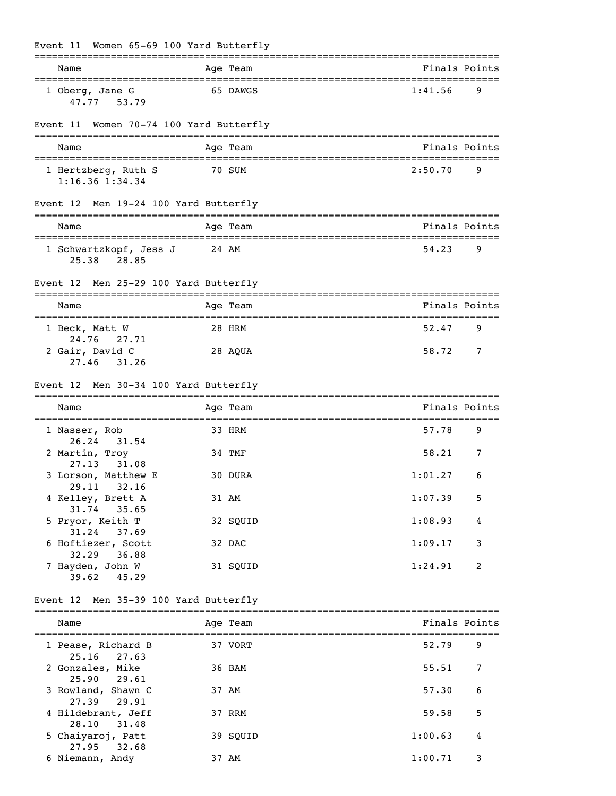| Name |                                                    |       | Age Team |         | Finals Points |
|------|----------------------------------------------------|-------|----------|---------|---------------|
|      | 1 Oberg, Jane G<br>47.77 53.79                     |       | 65 DAWGS | 1:41.56 | 9             |
|      | Event 11 Women 70-74 100 Yard Butterfly            |       |          |         |               |
| Name |                                                    |       | Age Team |         | Finals Points |
|      | 1 Hertzberg, Ruth S<br>$1:16.36$ $1:34.34$         |       | 70 SUM   | 2:50.70 | 9             |
|      | Event 12 Men 19-24 100 Yard Butterfly              |       |          |         |               |
| Name |                                                    |       | Age Team |         | Finals Points |
|      | 1 Schwartzkopf, Jess J<br>28.85<br>25.38           | 24 AM |          | 54.23   | 9             |
|      | Event 12 Men 25-29 100 Yard Butterfly              |       |          |         |               |
| Name |                                                    |       | Age Team |         | Finals Points |
|      | 1 Beck, Matt W                                     |       | 28 HRM   | 52.47   | 9             |
|      | 24.76<br>27.71<br>2 Gair, David C<br>27.46 31.26   |       | 28 AQUA  | 58.72   | 7             |
|      | Event 12 Men 30-34 100 Yard Butterfly              |       |          |         |               |
| Name |                                                    |       | Age Team |         | Finals Points |
|      | 1 Nasser, Rob<br>26.24<br>31.54                    |       | 33 HRM   | 57.78   | 9             |
|      | 2 Martin, Troy                                     |       | 34 TMF   | 58.21   | 7             |
|      | 27.13<br>31.08<br>3 Lorson, Matthew E              |       | 30 DURA  | 1:01.27 | 6             |
|      | 29.11 32.16<br>4 Kelley, Brett A                   |       | 31 AM    | 1:07.39 | 5             |
|      | 31.74 35.65<br>5 Pryor, Keith T                    |       | 32 SQUID | 1:08.93 | 4             |
|      | 31.24 37.69<br>6 Hoftiezer, Scott                  |       | 32 DAC   | 1:09.17 | 3             |
|      | 32.29 36.88<br>7 Hayden, John W<br>$39.62$ $45.29$ |       | 31 SQUID | 1:24.91 | 2             |
|      | Event 12 Men 35-39 100 Yard Butterfly              |       |          |         |               |
| Name |                                                    |       | Age Team |         | Finals Points |
|      | 1 Pease, Richard B                                 |       | 37 VORT  | 52.79   | 9             |
|      | $25.16$ 27.63<br>2 Gonzales, Mike                  |       | 36 BAM   | 55.51   | 7             |
|      | 25.90 29.61<br>3 Rowland, Shawn C                  |       | 37 AM    | 57.30   | 6             |
|      | 27.39 29.91<br>4 Hildebrant, Jeff                  |       | 37 RRM   | 59.58   | 5             |
|      | 28.10<br>31.48<br>5 Chaiyaroj, Patt<br>27.95 32.68 |       | 39 SQUID | 1:00.63 | 4             |

6 Niemann, Andy 37 AM 1:00.71 3

# Event 11 Women 65-69 100 Yard Butterfly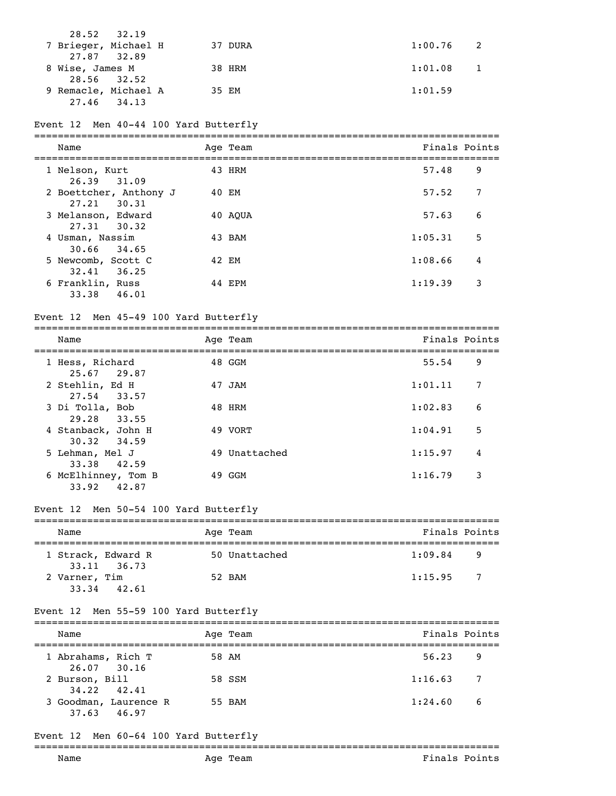| 28.52 32.19          |         |             |
|----------------------|---------|-------------|
| 7 Brieger, Michael H | 37 DURA | $1:00.76$ 2 |
| 27.87 32.89          |         |             |
| 8 Wise, James M      | 38 HRM  | 1:01.08     |
| 28.56 32.52          |         |             |
| 9 Remacle, Michael A | 35 EM   | 1:01.59     |
| 27.46 34.13          |         |             |

## Event 12 Men 40-44 100 Yard Butterfly

| Name                                      | Age Team | Finals Points |   |
|-------------------------------------------|----------|---------------|---|
| 1 Nelson, Kurt<br>26.39 31.09             | 43 HRM   | 57.48         | 9 |
| 2 Boettcher, Anthony J<br>$27.21$ $30.31$ | 40 EM    | 57.52         | 7 |
| 3 Melanson, Edward<br>$27.31$ $30.32$     | 40 AOUA  | 57.63         | 6 |
| 4 Usman, Nassim<br>$30.66$ $34.65$        | 43 BAM   | 1:05.31       | 5 |
| 5 Newcomb, Scott C<br>32.41<br>36.25      | 42 EM    | 1:08.66       | 4 |
| 6 Franklin, Russ<br>33.38<br>46.01        | 44 EPM   | 1:19.39       | 3 |

## Event 12 Men 45-49 100 Yard Butterfly

| Name                 | Aqe<br>Team      | Finals<br>Points              |
|----------------------|------------------|-------------------------------|
| -------------------- | ---------------- | ----------------------------- |

| 1 Hess, Richard<br>25.67 29.87     | 48 GGM        | 55.54   | 9 |
|------------------------------------|---------------|---------|---|
| 2 Stehlin, Ed H                    | 47 JAM        | 1:01.11 |   |
| 27.54 33.57<br>3 Di Tolla, Bob     | 48 HRM        | 1:02.83 | 6 |
| 29.28 33.55<br>4 Stanback, John H  | 49 VORT       | 1:04.91 | 5 |
| 30.32 34.59<br>5 Lehman, Mel J     | 49 Unattached | 1:15.97 | 4 |
| 33.38 42.59<br>6 McElhinney, Tom B | 49 GGM        | 1:16.79 | 3 |
| 33.92<br>42.87                     |               |         |   |

## Event 12 Men 50-54 100 Yard Butterfly

| Name          |                                   |  | Age Team      | Finals Points |                |  |  |
|---------------|-----------------------------------|--|---------------|---------------|----------------|--|--|
|               | 1 Strack, Edward R<br>33.11 36.73 |  | 50 Unattached | 1:09.84       | -9             |  |  |
| 2 Varner, Tim | $33.34$ $42.61$                   |  | 52 BAM        | 1:15.95       | $\overline{7}$ |  |  |

### Event 12 Men 55-59 100 Yard Butterfly

| Name                                 | Age Team | Finals Points |                |
|--------------------------------------|----------|---------------|----------------|
|                                      |          |               |                |
| 1 Abrahams, Rich T<br>26.07 30.16    | 58 AM    | 56.23<br>- 9  |                |
| 2 Burson, Bill<br>$34.22$ $42.41$    | 58 SSM   | 1:16.63       | $\overline{7}$ |
| 3 Goodman, Laurence R<br>37.63 46.97 | 55 BAM   | 1:24.60       | -6             |

## Event 12 Men 60-64 100 Yard Butterfly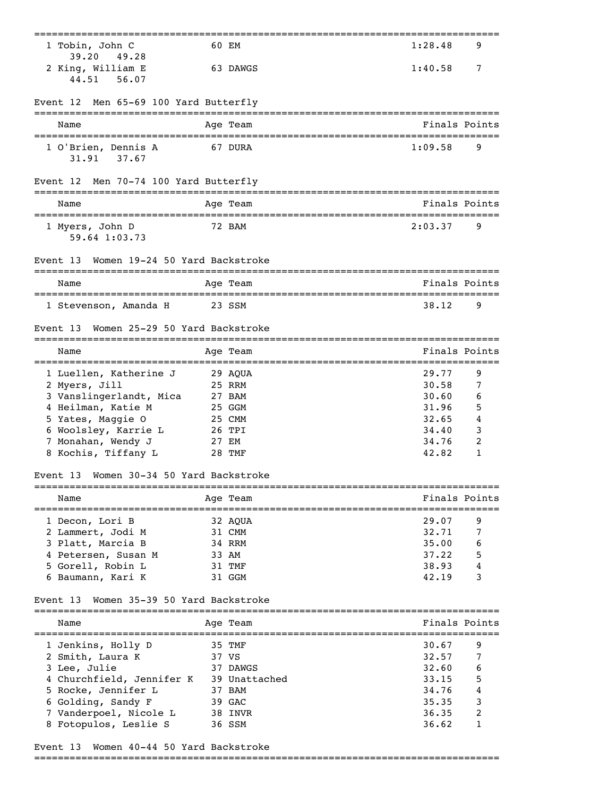| 1 Tobin, John C<br>39.20<br>49.28          | 60 EM                                              | 1:28.48                            | 9             |
|--------------------------------------------|----------------------------------------------------|------------------------------------|---------------|
| 2 King, William E<br>44.51<br>56.07        | 63 DAWGS                                           | 1:40.58                            | 7             |
| Men 65-69 100 Yard Butterfly<br>Event 12   |                                                    |                                    |               |
| Name                                       | Age Team                                           |                                    | Finals Points |
| 1 O'Brien, Dennis A<br>37.67<br>31.91      | 67 DURA                                            | 1:09.58                            | 9             |
| Men 70-74 100 Yard Butterfly<br>Event 12   |                                                    |                                    |               |
| Name                                       | Age Team                                           |                                    | Finals Points |
| 1 Myers, John D<br>59.64 1:03.73           | 72 BAM                                             | 2:03.37                            | 9             |
| Women 19-24 50 Yard Backstroke<br>Event 13 |                                                    |                                    |               |
| Name                                       | Age Team                                           |                                    | Finals Points |
| 1 Stevenson, Amanda H                      | 23 SSM                                             | 38.12                              | 9             |
| Women 25-29 50 Yard Backstroke<br>Event 13 |                                                    |                                    |               |
| Name                                       | Age Team                                           | ================================== | Finals Points |
| 1 Luellen, Katherine J                     | 29 AQUA                                            | 29.77                              | 9             |
| 2 Myers, Jill                              | 25 RRM                                             | 30.58                              | 7             |
| 3 Vanslingerlandt, Mica                    | 27 BAM                                             | 30.60                              | 6             |
| 4 Heilman, Katie M                         | 25 GGM                                             | 31.96                              | 5             |
| 5 Yates, Maggie O                          | 25 CMM                                             | 32.65                              | 4             |
| 6 Woolsley, Karrie L                       | 26 TPI                                             | 34.40                              | 3             |
| 7 Monahan, Wendy J                         | 27 EM                                              | 34.76                              | 2             |
| 8 Kochis, Tiffany L                        | 28 TMF                                             | 42.82                              | 1             |
| Women 30-34 50 Yard Backstroke<br>Event 13 |                                                    |                                    |               |
| Name<br>---------------------------------- | Age Team<br>-------------------------------------- |                                    | Finals Points |
| 1 Decon, Lori B                            | 32 AQUA                                            | 29.07                              | 9             |
| 2 Lammert, Jodi M                          | 31 CMM                                             | 32.71                              | 7             |
| 3 Platt, Marcia B                          | 34 RRM                                             | 35.00                              | 6             |
| 4 Petersen, Susan M                        | 33 AM                                              | 37.22                              | 5             |
| 5 Gorell, Robin L                          | 31 TMF                                             | 38.93                              | 4             |
| 6 Baumann, Kari K                          | 31 GGM                                             | 42.19                              | 3             |
| Women 35-39 50 Yard Backstroke<br>Event 13 |                                                    |                                    |               |
| Name                                       | Age Team                                           |                                    | Finals Points |
| 1 Jenkins, Holly D                         | 35 TMF                                             | 30.67                              | 9             |
| 2 Smith, Laura K                           | 37 VS                                              | 32.57                              | 7             |
| 3 Lee, Julie                               | 37 DAWGS                                           | 32.60                              | 6             |
| 4 Churchfield, Jennifer K                  | 39 Unattached                                      | 33.15                              | 5             |
| 5 Rocke, Jennifer L                        | 37 BAM                                             | 34.76                              | 4             |
| 6 Golding, Sandy F                         | 39 GAC                                             | 35.35                              | 3             |
| 7 Vanderpoel, Nicole L                     | 38 INVR                                            | 36.35                              | 2             |
| 8 Fotopulos, Leslie S                      | 36 SSM                                             | 36.62                              | 1             |
|                                            |                                                    |                                    |               |

## Event 13 Women 40-44 50 Yard Backstroke

===============================================================================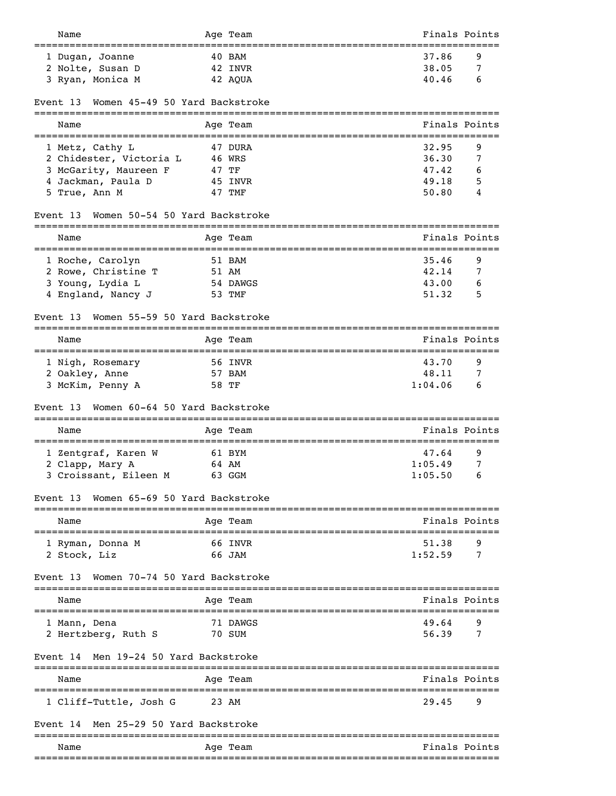| Name                                                                                 |       | Age Team | Finals Points               |   |
|--------------------------------------------------------------------------------------|-------|----------|-----------------------------|---|
| 1 Dugan, Joanne                                                                      |       | 40 BAM   | 37.86                       | 9 |
| 2 Nolte, Susan D                                                                     |       | 42 INVR  | 38.05                       | 7 |
| 3 Ryan, Monica M                                                                     |       | 42 AQUA  | 40.46                       | 6 |
| Women 45-49 50 Yard Backstroke<br>Event 13                                           |       |          |                             |   |
| Name                                                                                 |       | Age Team | Finals Points               |   |
| 1 Metz, Cathy L                                                                      |       | 47 DURA  | 32.95                       | 9 |
| 2 Chidester, Victoria L                                                              |       | 46 WRS   | 36.30                       | 7 |
| 3 McGarity, Maureen F                                                                | 47 TF |          | 47.42                       | 6 |
| 4 Jackman, Paula D                                                                   |       | 45 INVR  | 49.18                       | 5 |
| 5 True, Ann M                                                                        |       | 47 TMF   | 50.80                       | 4 |
| Women 50-54 50 Yard Backstroke<br>Event 13                                           |       |          |                             |   |
| Name<br>-------------------------------                                              |       | Age Team | Finals Points               |   |
| 1 Roche, Carolyn                                                                     |       | 51 BAM   | :=================<br>35.46 | 9 |
| 2 Rowe, Christine T                                                                  | 51 AM |          | 42.14                       | 7 |
| 3 Young, Lydia L                                                                     |       | 54 DAWGS | 43.00                       | 6 |
| 4 England, Nancy J                                                                   |       | 53 TMF   | 51.32                       | 5 |
| Women 55-59 50 Yard Backstroke<br>Event 13                                           |       |          |                             |   |
| Name                                                                                 |       | Age Team | Finals Points               |   |
| 1 Nigh, Rosemary                                                                     |       | 56 INVR  | 43.70                       | 9 |
| 2 Oakley, Anne                                                                       |       | 57 BAM   | 48.11                       | 7 |
| 3 McKim, Penny A                                                                     | 58 TF |          | 1:04.06                     | 6 |
| Women 60-64 50 Yard Backstroke<br>Event 13                                           |       |          |                             |   |
| Name<br>:==========================                                                  |       | Age Team | Finals Points               |   |
| 1 Zentgraf, Karen W                                                                  |       | 61 BYM   | 47.64                       | 9 |
| 2 Clapp, Mary A                                                                      | 64 AM |          | 1:05.49                     | 7 |
| 3 Croissant, Eileen M                                                                |       | 63 GGM   | 1:05.50                     | 6 |
| Women 65-69 50 Yard Backstroke<br>Event 13                                           |       |          |                             |   |
| Name<br>----------------                                                             |       | Age Team | Finals Points               |   |
| 1 Ryman, Donna M                                                                     |       | 66 INVR  | 51.38                       | 9 |
| 2 Stock, Liz                                                                         |       | 66 JAM   | 1:52.59                     | 7 |
| Women 70-74 50 Yard Backstroke<br>Event 13<br>====================================== |       |          |                             |   |
| Name                                                                                 |       | Age Team | Finals Points               |   |
| 1 Mann, Dena                                                                         |       | 71 DAWGS | 49.64                       | 9 |
| 2 Hertzberg, Ruth S                                                                  |       | 70 SUM   | 56.39                       | 7 |
|                                                                                      |       |          |                             |   |
| Men 19-24 50 Yard Backstroke<br>Event 14                                             |       |          |                             |   |
| Name                                                                                 |       | Age Team | Finals Points               |   |
| 1 Cliff-Tuttle, Josh G                                                               | 23 AM |          | 29.45                       | 9 |
| Men 25-29 50 Yard Backstroke<br>Event 14                                             |       |          |                             |   |
| Name                                                                                 |       | Age Team | Finals Points               |   |
|                                                                                      |       |          | ----------------            |   |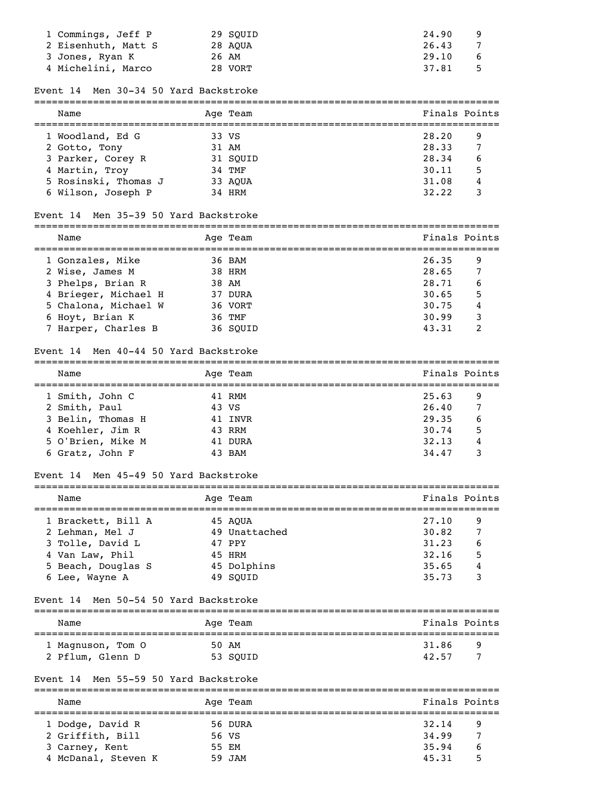| 1 Commings, Jeff P  | 29 SOUID | 24.90        |
|---------------------|----------|--------------|
| 2 Eisenhuth, Matt S | 28 AOUA  | 26.43        |
| 3 Jones, Ryan K     | 26 AM    | 29.10<br>6   |
| 4 Michelini, Marco  | 28 VORT  | 37.81<br>- 5 |

#### Event 14 Men 30-34 50 Yard Backstroke

| Name                 | Age Team | Finals Points |  |
|----------------------|----------|---------------|--|
| 1 Woodland, Ed G     | 33 VS    | 28.20<br>9    |  |
| 2 Gotto, Tony        | 31 AM    | 28.33<br>7    |  |
| 3 Parker, Corey R    | 31 SOUID | 28.34<br>6    |  |
| 4 Martin, Troy       | 34 TMF   | 5<br>30.11    |  |
| 5 Rosinski, Thomas J | 33 AOUA  | 31.08<br>4    |  |
| 6 Wilson, Joseph P   | 34 HRM   | 32.22         |  |

#### Event 14 Men 35-39 50 Yard Backstroke

| Name                 |  | Age Team | Finals Points |  |
|----------------------|--|----------|---------------|--|
|                      |  |          |               |  |
| 1 Gonzales, Mike     |  | 36 BAM   | 26.35<br>9    |  |
| 2 Wise, James M      |  | 38 HRM   | 7<br>28.65    |  |
| 3 Phelps, Brian R    |  | 38 AM    | 28.71<br>6    |  |
| 4 Brieger, Michael H |  | 37 DURA  | 5<br>30.65    |  |
| 5 Chalona, Michael W |  | 36 VORT  | 30.75<br>4    |  |
| 6 Hoyt, Brian K      |  | 36 TMF   | 30.99<br>3    |  |

7 Harper, Charles B 36 SQUID 43.31 2

===============================================================================

#### Event 14 Men 40-44 50 Yard Backstroke

| Name |                   |       | Age Team | Finals Points |    |
|------|-------------------|-------|----------|---------------|----|
|      | 1 Smith, John C   |       | 41 RMM   | 25.63         | 9  |
|      | 2 Smith, Paul     | 43 VS |          | 26.40         | 7  |
|      | 3 Belin, Thomas H |       | 41 INVR  | 29.35         | 6  |
|      | 4 Koehler, Jim R  |       | 43 RRM   | 30.74         | .5 |
|      | 5 O'Brien, Mike M |       | 41 DURA  | 32.13         | 4  |
|      | 6 Gratz, John F   |       | 43 BAM   | 34.47         |    |

#### Event 14 Men 45-49 50 Yard Backstroke

| Name               |  | Age Team      | Finals Points |   |  |  |  |
|--------------------|--|---------------|---------------|---|--|--|--|
| 1 Brackett, Bill A |  | 45 AOUA       | 27.10         | 9 |  |  |  |
| 2 Lehman, Mel J    |  | 49 Unattached | 30.82         | 7 |  |  |  |
| 3 Tolle, David L   |  | 47 PPY        | 31.23         | 6 |  |  |  |
| 4 Van Law, Phil    |  | 45 HRM        | 32.16         | 5 |  |  |  |
| 5 Beach, Douglas S |  | 45 Dolphins   | 35.65         | 4 |  |  |  |
| 6 Lee, Wayne A     |  | 49 SOUID      | 35.73         | 3 |  |  |  |

#### Event 14 Men 50-54 50 Yard Backstroke

| Name              | Age Team | Finals Points |  |  |  |  |
|-------------------|----------|---------------|--|--|--|--|
| 1 Magnuson, Tom O | 50 AM    | 31.86<br>q    |  |  |  |  |
| 2 Pflum, Glenn D  | 53 SOUID | ∍<br>42.57    |  |  |  |  |

# Event 14 Men 55-59 50 Yard Backstroke

| Name                |       | Age Team | Finals Points |   |
|---------------------|-------|----------|---------------|---|
| 1 Dodge, David R    |       | 56 DURA  | 32.14         | 9 |
| 2 Griffith, Bill    | 56 VS |          | 34.99         |   |
| 3 Carney, Kent      | 55 EM |          | 35.94         | 6 |
| 4 McDanal, Steven K |       | 59 JAM   | 45.31         | 5 |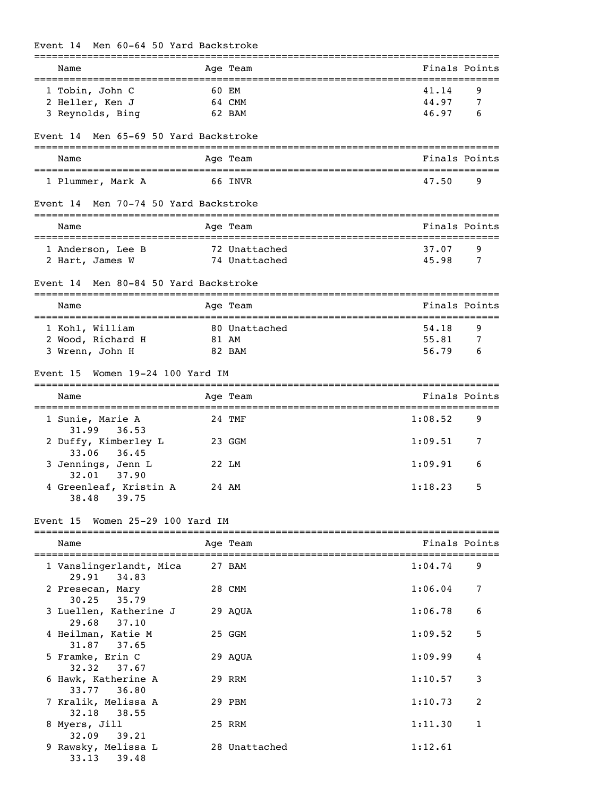## Event 14 Men 60-64 50 Yard Backstroke

| Name                                         |       | Age Team                                        |                | Finals Points |
|----------------------------------------------|-------|-------------------------------------------------|----------------|---------------|
| 1 Tobin, John C                              |       | 60 EM                                           | 41.14          | 9             |
| 2 Heller, Ken J                              |       | 64 CMM                                          | 44.97          | 7             |
| 3 Reynolds, Bing                             |       | 62 BAM                                          | 46.97          | 6             |
| Event 14 Men 65-69 50 Yard Backstroke        |       |                                                 |                |               |
| Name                                         |       | Age Team                                        |                | Finals Points |
|                                              |       |                                                 |                |               |
| 1 Plummer, Mark A                            |       | 66 INVR                                         | 47.50          | 9             |
| Event 14 Men 70-74 50 Yard Backstroke        |       |                                                 |                |               |
| Name<br>==================================== |       | Age Team<br>=================================== |                | Finals Points |
| 1 Anderson, Lee B                            |       | 72 Unattached                                   | 37.07          | 9             |
| 2 Hart, James W                              |       | 74 Unattached                                   | 45.98          | 7             |
| Men 80-84 50 Yard Backstroke<br>Event 14     |       |                                                 |                |               |
| Name                                         |       | Age Team                                        |                | Finals Points |
|                                              |       |                                                 |                |               |
| 1 Kohl, William<br>2 Wood, Richard H         |       | 80 Unattached                                   | 54.18<br>55.81 | 9             |
| 3 Wrenn, John H                              | 81 AM | 82 BAM                                          | 56.79          | 7<br>6        |
|                                              |       |                                                 |                |               |
| Women 19-24 100 Yard IM<br>Event 15          |       |                                                 |                |               |
| Name                                         |       | Age Team                                        |                | Finals Points |
| 1 Sunie, Marie A<br>36.53<br>31.99           |       | 24 TMF                                          | 1:08.52        | 9             |
| 2 Duffy, Kimberley L<br>33.06<br>36.45       |       | 23 GGM                                          | 1:09.51        | 7             |
| 3 Jennings, Jenn L<br>32.01 37.90            |       | 22 LM                                           | 1:09.91        | 6             |
| 4 Greenleaf, Kristin A<br>38.48<br>39.75     |       | 24 AM                                           | 1:18.23        | 5             |
| Women 25-29 100 Yard IM<br>Event 15          |       |                                                 |                |               |
|                                              |       |                                                 |                | Finals Points |
| Name                                         |       | Age Team                                        |                |               |
| 1 Vanslingerlandt, Mica<br>29.91<br>34.83    |       | 27 BAM                                          | 1:04.74        | 9             |
| 2 Presecan, Mary<br>30.25<br>35.79           |       | 28 CMM                                          | 1:06.04        | 7             |
| 3 Luellen, Katherine J<br>37.10<br>29.68     |       | 29 AQUA                                         | 1:06.78        | 6             |
| 4 Heilman, Katie M<br>31.87<br>37.65         |       | 25 GGM                                          | 1:09.52        | 5             |
| 5 Framke, Erin C                             |       | 29 AQUA                                         | 1:09.99        | 4             |
| 32.32<br>37.67<br>6 Hawk, Katherine A        |       | 29 RRM                                          | 1:10.57        | 3             |
| 33.77<br>36.80<br>7 Kralik, Melissa A        |       | 29 PBM                                          | 1:10.73        | 2             |
| 32.18<br>38.55<br>8 Myers, Jill              |       | 25 RRM                                          | 1:11.30        | 1             |
| 32.09<br>39.21                               |       |                                                 |                |               |
| 9 Rawsky, Melissa L<br>33.13<br>39.48        |       | 28 Unattached                                   | 1:12.61        |               |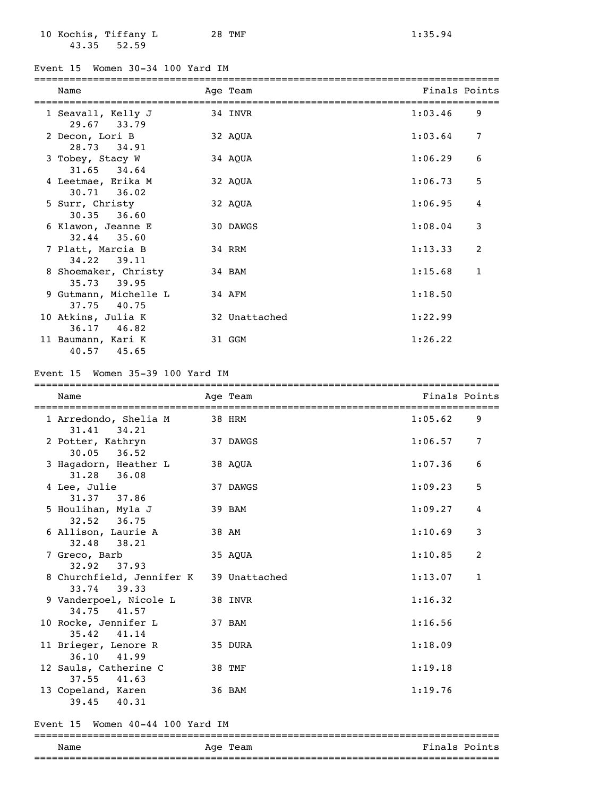10 Kochis, Tiffany L 28 TMF 1:35.94 43.35 52.59

Event 15 Women 30-34 100 Yard IM

| Name                                  | Age Team      | Finals Points |              |
|---------------------------------------|---------------|---------------|--------------|
| 1 Seavall, Kelly J<br>29.67 33.79     | 34 INVR       | 1:03.46       | 9            |
| 2 Decon, Lori B<br>28.73 34.91        | 32 AOUA       | 1:03.64       | 7            |
| 3 Tobey, Stacy W<br>31.65 34.64       | 34 AOUA       | 1:06.29       | 6            |
| 4 Leetmae, Erika M<br>$30.71$ $36.02$ | 32 AQUA       | 1:06.73       | 5            |
| 5 Surr, Christy<br>$30.35$ $36.60$    | 32 AOUA       | 1:06.95       | 4            |
| 6 Klawon, Jeanne E<br>$32.44$ $35.60$ | 30 DAWGS      | 1:08.04       | 3            |
| 7 Platt, Marcia B<br>34.22 39.11      | 34 RRM        | 1:13.33       | 2            |
| 8 Shoemaker, Christy<br>35.73 39.95   | 34 BAM        | 1:15.68       | $\mathbf{1}$ |
| 9 Gutmann, Michelle L<br>37.75 40.75  | 34 AFM        | 1:18.50       |              |
| 10 Atkins, Julia K<br>36.17 46.82     | 32 Unattached | 1:22.99       |              |
| 11 Baumann, Kari K<br>40.57 45.65     | 31 GGM        | 1:26.22       |              |

#### Event 15 Women 35-39 100 Yard IM

===============================================================================

| Name                                     | Age Team<br>====================================== | Finals Points |              |
|------------------------------------------|----------------------------------------------------|---------------|--------------|
| 1 Arredondo, Shelia M<br>31.41 34.21     | 38 HRM                                             | 1:05.62       | 9            |
| 2 Potter, Kathryn<br>$30.05$ $36.52$     | 37 DAWGS                                           | 1:06.57       | 7            |
| 3 Hagadorn, Heather L<br>31.28 36.08     | 38 AOUA                                            | 1:07.36       | 6            |
| 4 Lee, Julie<br>31.37 37.86              | 37 DAWGS                                           | 1:09.23       | 5            |
| 5 Houlihan, Myla J<br>32.52 36.75        | 39 BAM                                             | 1:09.27       | 4            |
| 6 Allison, Laurie A<br>32.48 38.21       | 38 AM                                              | 1:10.69       | 3            |
| 7 Greco, Barb<br>32.92 37.93             | 35 AQUA                                            | 1:10.85       | 2            |
| 8 Churchfield, Jennifer K<br>33.74 39.33 | 39 Unattached                                      | 1:13.07       | $\mathbf{1}$ |
| 9 Vanderpoel, Nicole L<br>34.75 41.57    | 38 INVR                                            | 1:16.32       |              |
| 10 Rocke, Jennifer L<br>35.42 41.14      | 37 BAM                                             | 1:16.56       |              |
| 11 Brieger, Lenore R<br>36.10 41.99      | 35 DURA                                            | 1:18.09       |              |
| 12 Sauls, Catherine C<br>$37.55$ $41.63$ | 38 TMF                                             | 1:19.18       |              |
| 13 Copeland, Karen<br>39.45<br>40.31     | 36 BAM                                             | 1:19.76       |              |

#### Event 15 Women 40-44 100 Yard IM

=============================================================================== Finals Points

===============================================================================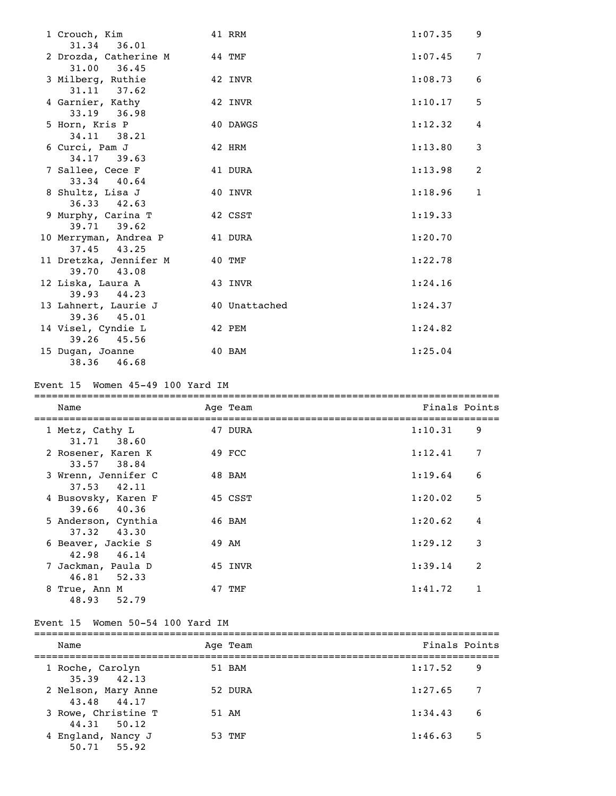| 1 Crouch, Kim<br>36.01<br>31.34                 | 41 RRM        | 1:07.35 | 9              |
|-------------------------------------------------|---------------|---------|----------------|
| 2 Drozda, Catherine M<br>$44$ TMF               |               | 1:07.45 | $\overline{7}$ |
| 31.00 36.45<br>3 Milberg, Ruthie                | 42 INVR       | 1:08.73 | 6              |
| $31.11$ $37.62$<br>4 Garnier, Kathy             | 42 INVR       | 1:10.17 | 5              |
| $33.19$ $36.98$<br>5 Horn, Kris P               | 40 DAWGS      | 1:12.32 | 4              |
| 34.11 38.21<br>6 Curci, Pam J                   | 42 HRM        | 1:13.80 | 3              |
| 34.17 39.63<br>7 Sallee, Cece F                 | 41 DURA       | 1:13.98 | 2              |
| 33.34 40.64<br>8 Shultz, Lisa J                 | 40 INVR       | 1:18.96 | $\mathbf{1}$   |
| $36.33$ $42.63$<br>9 Murphy, Carina T           | 42 CSST       | 1:19.33 |                |
| 39.71 39.62<br>10 Merryman, Andrea P            | 41 DURA       | 1:20.70 |                |
| 37.45 43.25<br>11 Dretzka, Jennifer M<br>40 TMF |               | 1:22.78 |                |
| 39.70 43.08<br>12 Liska, Laura A                | 43 INVR       | 1:24.16 |                |
| 39.93 44.23<br>13 Lahnert, Laurie J             | 40 Unattached | 1:24.37 |                |
| 39.36 45.01<br>14 Visel, Cyndie L               | 42 PEM        | 1:24.82 |                |
| 39.26 45.56<br>15 Dugan, Joanne<br>38.36 46.68  | 40 BAM        | 1:25.04 |                |

### Event 15 Women 45-49 100 Yard IM

| Name                                   | Age Team | Finals Points |   |
|----------------------------------------|----------|---------------|---|
| 1 Metz, Cathy L<br>31.71 38.60         | 47 DURA  | 1:10.31       | 9 |
| 2 Rosener, Karen K<br>33.57 38.84      | 49 FCC   | 1:12.41       | 7 |
| 3 Wrenn, Jennifer C<br>37.53 42.11     | 48 BAM   | 1:19.64       | 6 |
| 4 Busovsky, Karen F<br>39.66 40.36     | 45 CSST  | 1:20.02       | 5 |
| 5 Anderson, Cynthia<br>$37.32$ $43.30$ | 46 BAM   | 1:20.62       | 4 |
| 6 Beaver, Jackie S<br>46.14<br>42.98   | 49 AM    | 1:29.12       | 3 |
| 7 Jackman, Paula D<br>46.81 52.33      | 45 INVR  | 1:39.14       | 2 |
| 8 True, Ann M<br>48.93 52.79           | 47 TMF   | 1:41.72       | 1 |

## Event 15 Women 50-54 100 Yard IM

| Name                                | Age Team | Finals Points  |     |
|-------------------------------------|----------|----------------|-----|
| 1 Roche, Carolyn<br>$35.39$ $42.13$ | 51 BAM   | 1:17.52<br>- 9 |     |
| 2 Nelson, Mary Anne<br>43.48 44.17  | 52 DURA  | 1:27.65        | -7  |
| 3 Rowe, Christine T<br>44.31 50.12  | 51 AM    | 1:34.43        | - 6 |
| 4 England, Nancy J<br>50.71 55.92   | 53 TMF   | 1:46.63        | 5   |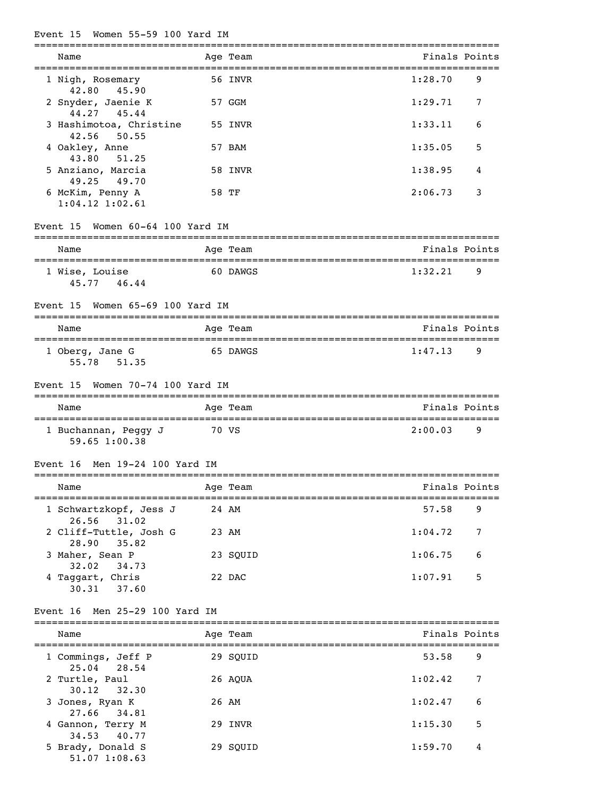## Event 15 Women 55-59 100 Yard IM

| Name                                      | Age Team |               | Finals Points |
|-------------------------------------------|----------|---------------|---------------|
| 1 Nigh, Rosemary<br>42.80<br>45.90        | 56 INVR  | 1:28.70       | 9             |
| 2 Snyder, Jaenie K<br>44.27<br>45.44      | 57 GGM   | 1:29.71       | 7             |
| 3 Hashimotoa, Christine<br>42.56<br>50.55 | 55 INVR  | 1:33.11       | 6             |
| 4 Oakley, Anne<br>43.80<br>51.25          | 57 BAM   | 1:35.05       | 5             |
| 5 Anziano, Marcia<br>49.25<br>49.70       | 58 INVR  | 1:38.95       | 4             |
| 6 McKim, Penny A<br>$1:04.12$ $1:02.61$   | 58 TF    | 2:06.73       | 3             |
| Women 60-64 100 Yard IM<br>Event 15       |          |               |               |
| Name                                      | Age Team |               | Finals Points |
| 1 Wise, Louise<br>45,77 46,44             | 60 DAWGS | 1:32.21       | 9             |
| Women 65-69 100 Yard IM<br>Event 15       |          |               |               |
| Name                                      | Age Team | Finals Points |               |
| 1 Oberg, Jane G<br>55.78 51.35            | 65 DAWGS | 1:47.13       | 9             |
| Women 70-74 100 Yard IM<br>Event 15       |          |               |               |
| Name                                      | Age Team |               | Finals Points |
| 1 Buchannan, Peggy J<br>59.65 1:00.38     | 70 VS    | 2:00.03       | 9             |
| Event 16 Men 19-24 100 Yard IM            |          |               |               |
| <b>Example 2</b> Age Team<br>Name         |          | Finals Points |               |
| 1 Schwartzkopf, Jess J<br>26.56 31.02     | 24 AM    | 57.58         | 9             |
| 2 Cliff-Tuttle, Josh G<br>28.90<br>35.82  | 23 AM    | 1:04.72       | 7             |
| 3 Maher, Sean P<br>32.02<br>34.73         | 23 SQUID | 1:06.75       | 6             |

### Event 16 Men 25-29 100 Yard IM

30.31 37.60

| Name                               | Age Team | Finals Points |   |
|------------------------------------|----------|---------------|---|
| 1 Commings, Jeff P<br>25.04 28.54  | 29 SOUID | 53.58         | 9 |
| 2 Turtle, Paul<br>$30.12$ $32.30$  | 26 AOUA  | 1:02.42       | 7 |
| 3 Jones, Ryan K<br>27.66 34.81     | 26 AM    | 1:02.47       | 6 |
| 4 Gannon, Terry M<br>34.53 40.77   | 29 INVR  | 1:15.30       | 5 |
| 5 Brady, Donald S<br>51.07 1:08.63 | 29 SOUID | 1:59.70       | 4 |

4 Taggart, Chris 22 DAC 1:07.91 5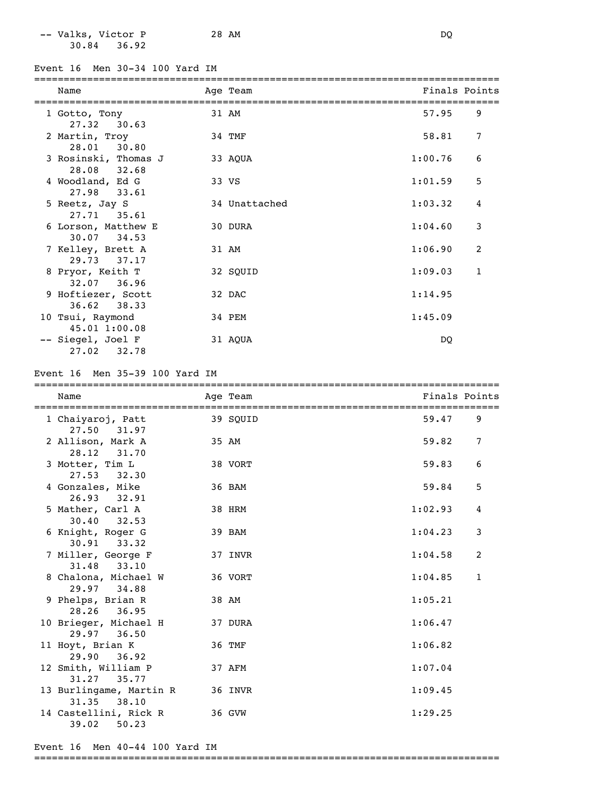-- Valks, Victor P 28 AM DQ 30.84 36.92

Event 16 Men 30-34 100 Yard IM

| Name                                   | Age Team      | Finals Points |                |
|----------------------------------------|---------------|---------------|----------------|
| 1 Gotto, Tony<br>27.32 30.63           | 31 AM         | 57.95         | 9              |
| 2 Martin, Troy<br>28.01 30.80          | 34 TMF        | 58.81         | 7              |
| 3 Rosinski, Thomas J<br>28.08 32.68    | 33 AQUA       | 1:00.76       | 6              |
| 4 Woodland, Ed G<br>27.98 33.61        | 33 VS         | 1:01.59       | 5              |
| 5 Reetz, Jay S<br>27.71 35.61          | 34 Unattached | 1:03.32       | $\overline{4}$ |
| 6 Lorson, Matthew E<br>$30.07$ $34.53$ | 30 DURA       | 1:04.60       | 3              |
| 7 Kelley, Brett A<br>29.73 37.17       | 31 AM         | 1:06.90       | 2              |
| 8 Pryor, Keith T<br>32.07 36.96        | 32 SQUID      | 1:09.03       | $\mathbf{1}$   |
| 9 Hoftiezer, Scott<br>$36.62$ $38.33$  | 32 DAC        | 1:14.95       |                |
| 10 Tsui, Raymond<br>45.01 1:00.08      | 34 PEM        | 1:45.09       |                |
| -- Siegel, Joel F<br>27.02 32.78       | 31 AQUA       | DQ            |                |

#### Event 16 Men 35-39 100 Yard IM

| Name                                    | ===================================<br>Age Team |         | Finals Points  |
|-----------------------------------------|-------------------------------------------------|---------|----------------|
| 1 Chaiyaroj, Patt<br>27.50 31.97        | 39 SOUID                                        | 59.47   | 9              |
| 2 Allison, Mark A<br>28.12 31.70        | 35 AM                                           | 59.82   | $\overline{7}$ |
| 3 Motter, Tim L<br>27.53 32.30          | 38 VORT                                         | 59.83   | 6              |
| 4 Gonzales, Mike<br>26.93 32.91         | 36 BAM                                          | 59.84   | 5              |
| 5 Mather, Carl A<br>30.40<br>32.53      | 38 HRM                                          | 1:02.93 | 4              |
| 6 Knight, Roger G<br>$30.91$ $33.32$    | 39 BAM                                          | 1:04.23 | 3              |
| 7 Miller, George F<br>31.48 33.10       | 37 INVR                                         | 1:04.58 | 2              |
| 8 Chalona, Michael W<br>29.97 34.88     | 36 VORT                                         | 1:04.85 | $\mathbf{1}$   |
| 9 Phelps, Brian R<br>28.26<br>36.95     | 38 AM                                           | 1:05.21 |                |
| 10 Brieger, Michael H<br>29.97 36.50    | 37 DURA                                         | 1:06.47 |                |
| 11 Hoyt, Brian K<br>29.90 36.92         | 36 TMF                                          | 1:06.82 |                |
| 12 Smith, William P<br>31.27 35.77      | 37 AFM                                          | 1:07.04 |                |
| 13 Burlingame, Martin R<br>31.35 38.10  | 36 INVR                                         | 1:09.45 |                |
| 14 Castellini, Rick R<br>39.02<br>50.23 | 36 GVW                                          | 1:29.25 |                |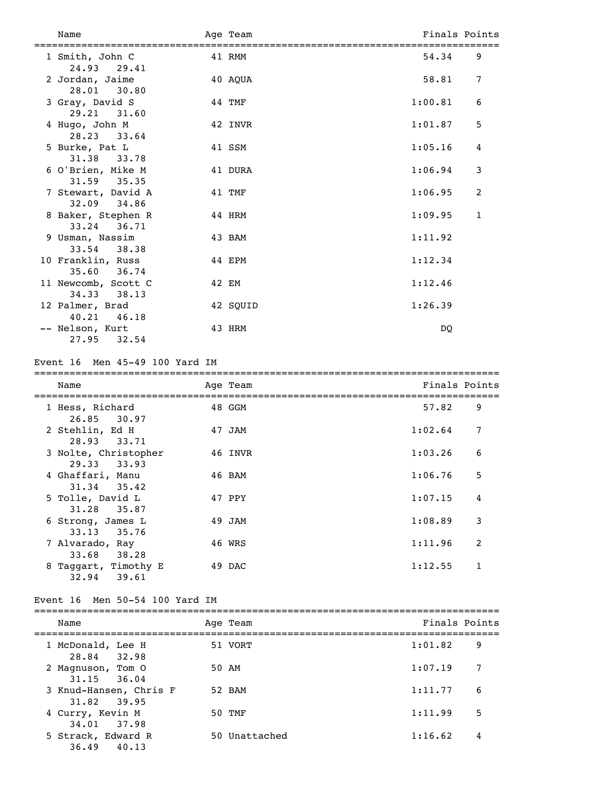| Name                               | Age Team |         | Finals Points |
|------------------------------------|----------|---------|---------------|
| 1 Smith, John C<br>24.93 29.41     | 41 RMM   | 54.34   | 9             |
| 2 Jordan, Jaime<br>28.01 30.80     | 40 AQUA  | 58.81   | 7             |
| 3 Gray, David S<br>29.21 31.60     | 44 TMF   | 1:00.81 | 6             |
| 4 Hugo, John M<br>28.23 33.64      | 42 INVR  | 1:01.87 | 5             |
| 5 Burke, Pat L<br>31.38 33.78      | 41 SSM   | 1:05.16 | 4             |
| 6 O'Brien, Mike M<br>31.59 35.35   | 41 DURA  | 1:06.94 | 3             |
| 7 Stewart, David A<br>32.09 34.86  | 41 TMF   | 1:06.95 | 2             |
| 8 Baker, Stephen R<br>33.24 36.71  | 44 HRM   | 1:09.95 | $\mathbf{1}$  |
| 9 Usman, Nassim<br>33.54 38.38     | 43 BAM   | 1:11.92 |               |
| 10 Franklin, Russ<br>35.60 36.74   | 44 EPM   | 1:12.34 |               |
| 11 Newcomb, Scott C<br>34.33 38.13 | 42 EM    | 1:12.46 |               |
| 12 Palmer, Brad<br>40.21 46.18     | 42 SQUID | 1:26.39 |               |
| -- Nelson, Kurt<br>27.95<br>32.54  | 43 HRM   | DQ      |               |

Event 16 Men 45-49 100 Yard IM

===============================================================================

| Name                                   | Age Team | Finals Points |                |
|----------------------------------------|----------|---------------|----------------|
| 1 Hess, Richard<br>26.85<br>30.97      | 48 GGM   | 57.82         | 9              |
| 2 Stehlin, Ed H<br>28.93<br>33.71      | 47 JAM   | 1:02.64       | 7              |
| 3 Nolte, Christopher<br>29.33 33.93    | 46 INVR  | 1:03.26       | 6              |
| 4 Ghaffari, Manu<br>$31.34$ $35.42$    | 46 BAM   | 1:06.76       | 5              |
| 5 Tolle, David L<br>31.28 35.87        | 47 PPY   | 1:07.15       | 4              |
| 6 Strong, James L<br>33.13<br>35.76    | 49 JAM   | 1:08.89       | 3              |
| 7 Alvarado, Ray<br>33.68<br>38.28      | 46 WRS   | 1:11.96       | $\overline{2}$ |
| 8 Taggart, Timothy E<br>32.94<br>39.61 | 49 DAC   | 1:12.55       |                |

Event 16 Men 50-54 100 Yard IM

| Name                                      | Age Team      | Finals Points |   |
|-------------------------------------------|---------------|---------------|---|
| 1 McDonald, Lee H<br>28.84 32.98          | 51 VORT       | 1:01.82       | 9 |
| 2 Magnuson, Tom 0                         | 50 AM         | 1:07.19       | 7 |
| $31.15$ $36.04$<br>3 Knud-Hansen, Chris F | 52 BAM        | 1:11.77       | 6 |
| 31.82 39.95<br>4 Curry, Kevin M           | 50 TMF        | 1:11.99       | 5 |
| 34.01 37.98<br>5 Strack, Edward R         | 50 Unattached | 1:16.62       | 4 |
| 36.49<br>40.13                            |               |               |   |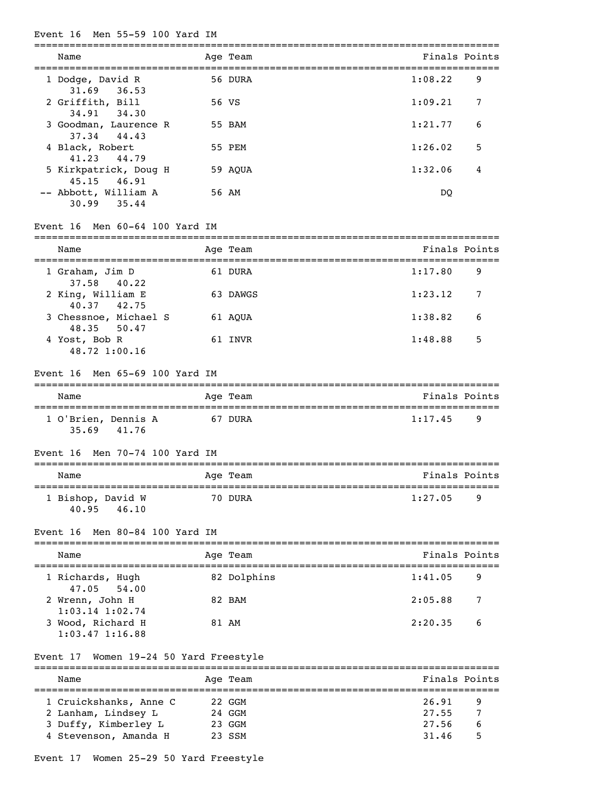#### Event 16 Men 55-59 100 Yard IM

| Name                                   | Age Team | Finals Points |   |
|----------------------------------------|----------|---------------|---|
| 1 Dodge, David R<br>$31.69$ $36.53$    | 56 DURA  | 1:08.22       | 9 |
| 2 Griffith, Bill<br>34.91 34.30        | 56 VS    | 1:09.21       | 7 |
| 3 Goodman, Laurence R<br>37.34 44.43   | 55 BAM   | 1:21.77       | 6 |
| 4 Black, Robert<br>41, 23 44, 79       | 55 PEM   | 1:26.02       | 5 |
| 5 Kirkpatrick, Doug H<br>45.15 46.91   | 59 AOUA  | 1:32.06       | 4 |
| -- Abbott, William A<br>35.44<br>30.99 | 56 AM    | DO            |   |

#### Event 16 Men 60-64 100 Yard IM

=============================================================================== Name Age Team Age Age Team Finals Points =============================================================================== 1 Graham, Jim D 61 DURA 1:17.80 9 37.58 40.22 2 King, William E 63 DAWGS 1:23.12 7 40.37 42.75 3 Chessnoe, Michael S 61 AQUA 1:38.82 6 48.35 50.47 4 Yost, Bob R 61 INVR 1:48.88 5 48.72 1:00.16

#### Event 16 Men 65-69 100 Yard IM

| Name                         |       | Age Team | Finals Points |     |
|------------------------------|-------|----------|---------------|-----|
| 1 O'Brien, Dennis A<br>35.69 | 41.76 | 67 DURA  | 1:17.45       | - Q |

#### Event 16 Men 70-74 100 Yard IM

| Name                                | Age Team | Finals Points       |  |  |  |  |  |
|-------------------------------------|----------|---------------------|--|--|--|--|--|
| 1 Bishop, David W<br>40.95<br>46.10 | 70 DURA  | 1:27.05<br><b>q</b> |  |  |  |  |  |

#### Event 16 Men 80-84 100 Yard IM

| Name                                     | Age Team    | Finals Points |    |
|------------------------------------------|-------------|---------------|----|
| 1 Richards, Hugh<br>47.05 54.00          | 82 Dolphins | 1:41.05       | 9  |
| 2 Wrenn, John H<br>$1:03.14$ $1:02.74$   | 82 BAM      | 2:05.88       | 7  |
| 3 Wood, Richard H<br>$1:03.47$ $1:16.88$ | 81 AM       | 2:20.35       | -6 |

#### Event 17 Women 19-24 50 Yard Freestyle

=============================================================================== Name Age Team Age Team Finals Points =============================================================================== 1 Cruickshanks, Anne C 22 GGM 26.91 9 2 Lanham, Lindsey L 24 GGM 27.55 7 3 Duffy, Kimberley L 23 GGM 27.56 6 4 Stevenson, Amanda H 23 SSM 31.46 5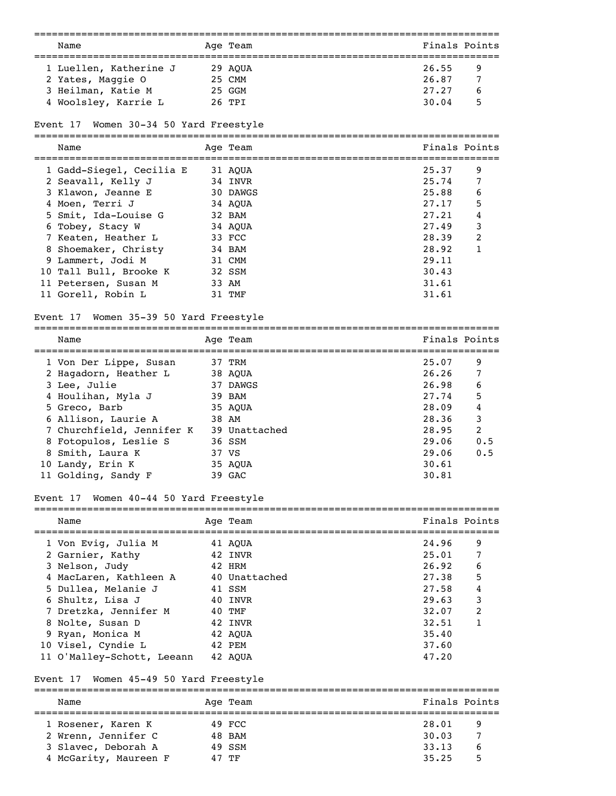|                                                  | ==========<br>============================== |       |               |
|--------------------------------------------------|----------------------------------------------|-------|---------------|
| Name                                             | Age Team                                     |       | Finals Points |
| 1 Luellen, Katherine J                           | 29 AQUA                                      | 26.55 | 9             |
| 2 Yates, Maggie O                                | 25 CMM                                       | 26.87 | 7             |
| 3 Heilman, Katie M                               | 25 GGM                                       | 27.27 | 6             |
| 4 Woolsley, Karrie L                             | 26 TPI                                       | 30.04 | 5             |
|                                                  |                                              |       |               |
| Women 30-34 50 Yard Freestyle<br>Event 17        |                                              |       |               |
| Name                                             | Aqe Team                                     |       | Finals Points |
| 1 Gadd-Siegel, Cecilia E                         | 31 AQUA                                      | 25.37 | 9             |
| 2 Seavall, Kelly J                               | 34 INVR                                      | 25.74 | 7             |
| 3 Klawon, Jeanne E                               | 30 DAWGS                                     | 25.88 | 6             |
|                                                  |                                              | 27.17 |               |
| 4 Moen, Terri J                                  | 34 AQUA                                      |       | 5             |
| 5 Smit, Ida-Louise G                             | 32 BAM                                       | 27.21 | 4             |
| 6 Tobey, Stacy W                                 | 34 AQUA                                      | 27.49 | 3             |
| 7 Keaten, Heather L                              | 33 FCC                                       | 28.39 | 2             |
| 8 Shoemaker, Christy                             | 34 BAM                                       | 28.92 | 1             |
| 9 Lammert, Jodi M                                | 31 CMM                                       | 29.11 |               |
| 10 Tall Bull, Brooke K                           | 32 SSM                                       | 30.43 |               |
| 11 Petersen, Susan M                             | 33 AM                                        | 31.61 |               |
| 11 Gorell, Robin L                               | 31 TMF                                       | 31.61 |               |
| Women 35-39 50 Yard Freestyle<br>Event 17        |                                              |       |               |
| Name                                             | Age Team                                     |       | Finals Points |
|                                                  | 37 TRM                                       | 25.07 | 9             |
| 1 Von Der Lippe, Susan                           |                                              | 26.26 | 7             |
| 2 Hagadorn, Heather L                            | 38 AQUA                                      |       |               |
| 3 Lee, Julie                                     | 37 DAWGS                                     | 26.98 | 6             |
| 4 Houlihan, Myla J                               | 39 BAM                                       | 27.74 | 5             |
| 5 Greco, Barb                                    | 35 AQUA                                      | 28.09 | 4             |
| 6 Allison, Laurie A                              | 38 AM                                        | 28.36 | 3             |
| 7 Churchfield, Jennifer K 39 Unattached          |                                              | 28.95 | 2             |
| 8 Fotopulos, Leslie S                            | 36 SSM                                       | 29.06 | 0.5           |
| 8 Smith, Laura K                                 | 37 VS                                        | 29.06 | 0.5           |
| 10 Landy, Erin K                                 | 35 AOUA                                      | 30.61 |               |
| 11 Golding, Sandy F                              | 39 GAC                                       | 30.81 |               |
| Women 40-44 50 Yard Freestyle<br>Event 17        |                                              |       |               |
| Name                                             | Aqe Team                                     |       | Finals Points |
| 1 Von Evig, Julia M                              | 41 AQUA                                      | 24.96 | 9             |
| 2 Garnier, Kathy                                 | 42 INVR                                      | 25.01 | 7             |
| 3 Nelson, Judy                                   | 42 HRM                                       | 26.92 | 6             |
| 4 MacLaren, Kathleen A                           | 40 Unattached                                | 27.38 | 5             |
| 5 Dullea, Melanie J                              | 41 SSM                                       | 27.58 | 4             |
| 6 Shultz, Lisa J                                 | 40 INVR                                      | 29.63 | 3             |
| 7 Dretzka, Jennifer M                            | 40 TMF                                       | 32.07 | 2             |
| 8 Nolte, Susan D                                 | 42 INVR                                      | 32.51 | 1             |
| 9 Ryan, Monica M                                 | 42 AQUA                                      | 35.40 |               |
|                                                  |                                              | 37.60 |               |
| 10 Visel, Cyndie L<br>11 O'Malley-Schott, Leeann | 42 PEM<br>42 AQUA                            | 47.20 |               |
|                                                  |                                              |       |               |
| Women 45-49 50 Yard Freestyle<br>Event 17        |                                              |       |               |
|                                                  |                                              |       |               |

### Name Age Team Age Team Finals Points =============================================================================== 1 Rosener, Karen K 49 FCC 28.01 9 2 Wrenn, Jennifer C  $48$  BAM 30.03 7 3 Slavec, Deborah A 49 SSM 33.13 6 4 McGarity, Maureen F 47 TF 35.25 5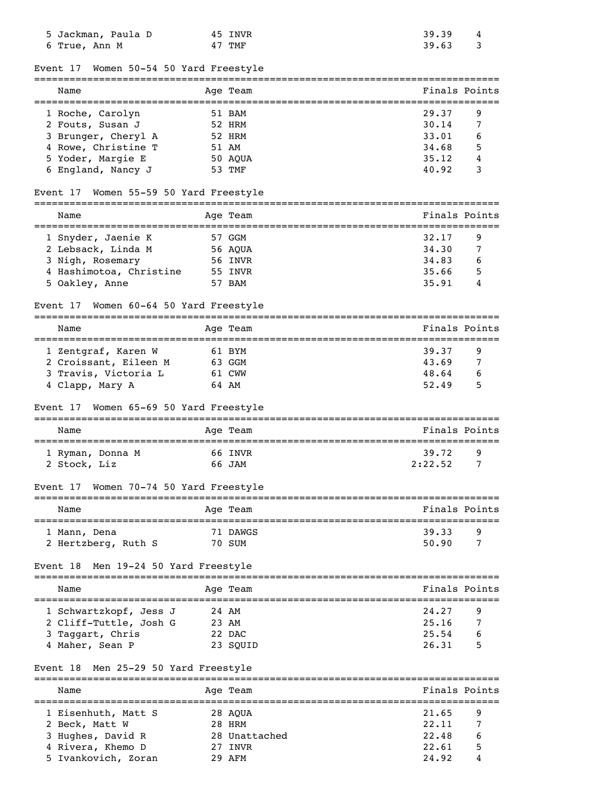| 5 Jackman, Paula D<br>6 True, Ann M       |              | 45 INVR<br>47 TMF | 39.39<br>39.63  | 4<br>3 |
|-------------------------------------------|--------------|-------------------|-----------------|--------|
| Women 50-54 50 Yard Freestyle<br>Event 17 |              |                   | =============== |        |
| Name                                      |              | Age Team          | Finals Points   |        |
| 1 Roche, Carolyn                          |              | 51 BAM            | 29.37           | 9      |
| 2 Fouts, Susan J                          |              | 52 HRM            | 30.14           | 7      |
| 3 Brunger, Cheryl A                       |              | 52 HRM            | 33.01           | 6      |
| 4 Rowe, Christine T                       |              | 51 AM             | 34.68           | 5      |
| 5 Yoder, Margie E                         |              | 50 AQUA           | 35.12           | 4      |
| 6 England, Nancy J                        |              | 53 TMF            | 40.92           | 3      |
| Women 55-59 50 Yard Freestyle<br>Event 17 |              |                   |                 |        |
| Name                                      |              | Age Team          | Finals Points   |        |
| 1 Snyder, Jaenie K                        |              | 57 GGM            | 32.17           | 9      |
| 2 Lebsack, Linda M                        |              | 56 AQUA           | 34.30           | 7      |
| 3 Nigh, Rosemary                          |              | 56 INVR           | 34.83           | 6      |
| 4 Hashimotoa, Christine                   |              | 55 INVR           | 35.66           | 5      |
| 5 Oakley, Anne                            |              | 57 BAM            | 35.91           | 4      |
| Women 60-64 50 Yard Freestyle<br>Event 17 |              |                   |                 |        |
| Name                                      |              | Age Team          | Finals Points   |        |
| 1 Zentgraf, Karen W                       |              | 61 BYM            | 39.37           | 9      |
| 2 Croissant, Eileen M                     |              | 63 GGM            | 43.69           | 7      |
| 3 Travis, Victoria L                      |              | 61 CWW            | 48.64           | 6      |
| 4 Clapp, Mary A                           |              | 64 AM             | 52.49           | 5      |
| Women 65-69 50 Yard Freestyle<br>Event 17 |              |                   |                 |        |
| Name                                      |              | Age Team          | Finals Points   |        |
| 1 Ryman, Donna M                          |              | 66 INVR           | 39.72           | 9      |
| 2 Stock, Liz                              |              | 66 JAM            | 2:22.52         | 7      |
| Women 70-74 50 Yard Freestyle<br>Event 17 |              |                   |                 |        |
| Name                                      |              | Age Team          | Finals Points   |        |
|                                           |              |                   |                 |        |
| 1 Mann, Dena                              |              | 71 DAWGS          | 39.33           | 9      |
| 2 Hertzberg, Ruth S                       |              | 70 SUM            | 50.90           | 7      |
| Men 19-24 50 Yard Freestyle<br>Event 18   | ------------ |                   |                 |        |
| Name                                      |              | Age Team          | Finals Points   |        |
| 1 Schwartzkopf, Jess J                    |              | 24 AM             | 24.27           | 9      |
| 2 Cliff-Tuttle, Josh G                    |              | 23 AM             | 25.16           | 7      |
| 3 Taggart, Chris                          |              | 22 DAC            | 25.54           |        |
| 4 Maher, Sean P                           |              | 23 SQUID          | 26.31           | 5      |
| Men 25-29 50 Yard Freestyle<br>Event 18   |              |                   |                 |        |
| Name                                      |              | Age Team          | Finals Points   |        |
| 1 Eisenhuth, Matt S                       |              | 28 AQUA           | 21.65           | 9      |
| 2 Beck, Matt W                            |              | 28 HRM            | 22.11           | 7      |

 3 Hughes, David R 28 Unattached 22.48 6 4 Rivera, Khemo D 27 INVR 22.61 5 5 Ivankovich, Zoran 29 AFM 24.92 4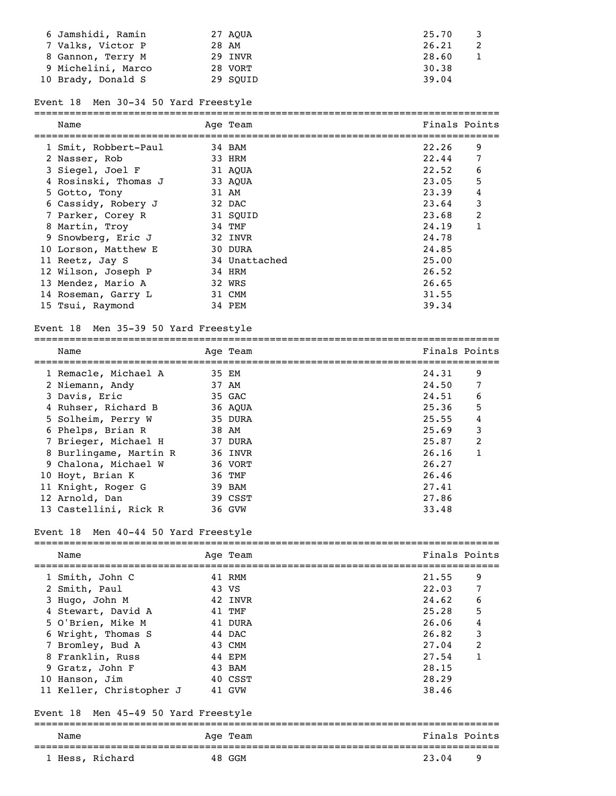| 6 Jamshidi, Ramin  | 27 AOUA  | 25.70 |
|--------------------|----------|-------|
| 7 Valks, Victor P  | 28 AM    | 26.21 |
| 8 Gannon, Terry M  | 29 INVR  | 28.60 |
| 9 Michelini, Marco | 28 VORT  | 30.38 |
| 10 Brady, Donald S | 29 SOUID | 39.04 |

## Event 18 Men 30-34 50 Yard Freestyle

| Name                 | Age Team      | Finals Points |              |
|----------------------|---------------|---------------|--------------|
| 1 Smit, Robbert-Paul | 34 BAM        | 22.26         | 9            |
| 2 Nasser, Rob        | 33 HRM        | 22.44         | 7            |
| 3 Siegel, Joel F     | 31 AOUA       | 22.52         | 6            |
| 4 Rosinski, Thomas J | 33 AOUA       | 23.05         | 5            |
| 5 Gotto, Tony        | 31 AM         | 23.39         | 4            |
| 6 Cassidy, Robery J  | 32 DAC        | 23.64         | 3            |
| 7 Parker, Corey R    | 31 SOUID      | 23.68         | 2            |
| 8 Martin, Troy       | 34 TMF        | 24.19         | $\mathbf{1}$ |
| 9 Snowberg, Eric J   | 32 INVR       | 24.78         |              |
| 10 Lorson, Matthew E | 30 DURA       | 24.85         |              |
| 11 Reetz, Jay S      | 34 Unattached | 25.00         |              |
| 12 Wilson, Joseph P  | 34 HRM        | 26.52         |              |
| 13 Mendez, Mario A   | 32 WRS        | 26.65         |              |
| 14 Roseman, Garry L  | 31 CMM        | 31.55         |              |
| 15 Tsui, Raymond     | 34 PEM        | 39.34         |              |

## Event 18 Men 35-39 50 Yard Freestyle

| Name                   | Age Team | Finals Points |   |
|------------------------|----------|---------------|---|
|                        |          |               |   |
| 1 Remacle, Michael A   | 35 EM    | 24.31         | 9 |
| 2 Niemann, Andy        | 37 AM    | 24.50         | 7 |
| 3 Davis, Eric          | 35 GAC   | 24.51         | 6 |
| 4 Ruhser, Richard B    | 36 AOUA  | 25.36         | 5 |
| 5 Solheim, Perry W     | 35 DURA  | 25.55         | 4 |
| 6 Phelps, Brian R      | 38 AM    | 25.69         | 3 |
| 7 Brieger, Michael H   | 37 DURA  | 25.87         | 2 |
| 8 Burlingame, Martin R | 36 INVR  | 26.16         | 1 |
| 9 Chalona, Michael W   | 36 VORT  | 26.27         |   |
| 10 Hoyt, Brian K       | 36 TMF   | 26.46         |   |
| 11 Knight, Roger G     | 39 BAM   | 27.41         |   |
| 12 Arnold, Dan         | 39 CSST  | 27.86         |   |
| 13 Castellini, Rick R  | 36 GVW   | 33.48         |   |

## Event 18 Men 40-44 50 Yard Freestyle

| Name                     | Age Team | Finals Points |               |
|--------------------------|----------|---------------|---------------|
| 1 Smith, John C          | 41 RMM   | 21.55         | 9             |
| 2 Smith, Paul            | 43 VS    | 22.03         | 7             |
| 3 Hugo, John M           | 42 INVR  | 24.62         | 6             |
| 4 Stewart, David A       | 41 TMF   | 25.28         | 5             |
| 5 O'Brien, Mike M        | 41 DURA  | 26.06         | 4             |
| 6 Wright, Thomas S       | 44 DAC   | 26.82         | 3             |
| 7 Bromley, Bud A         | 43 CMM   | 27.04         | $\mathcal{L}$ |
| 8 Franklin, Russ         | 44 EPM   | 27.54         |               |
| 9 Gratz, John F          | 43 BAM   | 28.15         |               |
| 10 Hanson, Jim           | 40 CSST  | 28.29         |               |
| 11 Keller, Christopher J | 41 GVW   | 38.46         |               |

### Event 18 Men 45-49 50 Yard Freestyle

===============================================================================

|       | Name            | Age | Team | ™ina⊥J | Points |
|-------|-----------------|-----|------|--------|--------|
| _____ |                 |     |      |        |        |
|       | Hess<br>Richard | 48. | GGM  | . 04   | a      |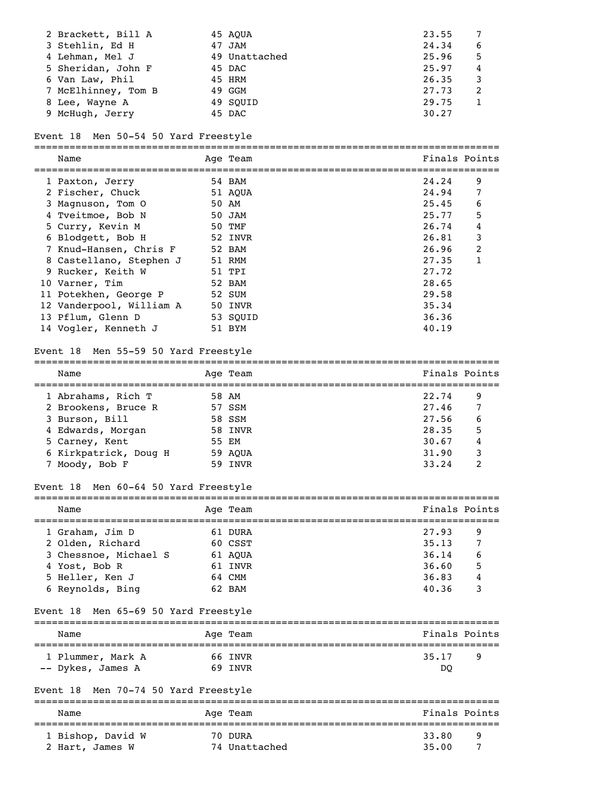| 2 Brackett, Bill A  | 45 AOUA       | 23.55 |   |
|---------------------|---------------|-------|---|
| 3 Stehlin, Ed H     | 47 JAM        | 24.34 | 6 |
| 4 Lehman, Mel J     | 49 Unattached | 25.96 | 5 |
| 5 Sheridan, John F  | 45 DAC        | 25.97 | 4 |
| 6 Van Law, Phil     | 45 HRM        | 26.35 |   |
| 7 McElhinney, Tom B | 49 GGM        | 27.73 |   |
| 8 Lee, Wayne A      | 49 SOUID      | 29.75 |   |
| 9 McHugh, Jerry     | 45 DAC        | 30.27 |   |
|                     |               |       |   |

## Event 18 Men 50-54 50 Yard Freestyle

===============================================================================

| Name                     | Age Team | Finals Points |   |
|--------------------------|----------|---------------|---|
| 1 Paxton, Jerry          | 54 BAM   | 24.24         | 9 |
| 2 Fischer, Chuck         | 51 AOUA  | 24.94         | 7 |
| 3 Magnuson, Tom 0        | 50 AM    | 25.45         | 6 |
| 4 Tveitmoe, Bob N        | 50 JAM   | 25.77         | 5 |
| 5 Curry, Kevin M         | 50 TMF   | 26.74         | 4 |
| 6 Blodgett, Bob H        | 52 INVR  | 26.81         | 3 |
| 7 Knud-Hansen, Chris F   | 52 BAM   | 26.96         | 2 |
| 8 Castellano, Stephen J  | 51 RMM   | 27.35         | 1 |
| 9 Rucker, Keith W        | 51 TPI   | 27.72         |   |
| 10 Varner, Tim           | 52 BAM   | 28.65         |   |
| 11 Potekhen, George P    | 52 SUM   | 29.58         |   |
| 12 Vanderpool, William A | 50 INVR  | 35.34         |   |
| 13 Pflum, Glenn D        | 53 SOUID | 36.36         |   |
| 14 Vogler, Kenneth J     | 51 BYM   | 40.19         |   |

### Event 18 Men 55-59 50 Yard Freestyle

| Name                  | Age Team | Finals Points |   |
|-----------------------|----------|---------------|---|
| 1 Abrahams, Rich T    | 58 AM    | 22.74         | 9 |
| 2 Brookens, Bruce R   | 57 SSM   | 27.46         | 7 |
| 3 Burson, Bill        | 58 SSM   | 27.56         | 6 |
| 4 Edwards, Morgan     | 58 INVR  | 28.35         | 5 |
| 5 Carney, Kent        | 55 EM    | 30.67         | 4 |
| 6 Kirkpatrick, Doug H | 59 AOUA  | 31.90         | 3 |
| 7 Moody, Bob F        | 59 INVR  | 33.24         | 2 |

===============================================================================

# Event 18 Men 60-64 50 Yard Freestyle

| Name                  | Age Team | Finals Points |  |
|-----------------------|----------|---------------|--|
| 1 Graham, Jim D       | 61 DURA  | 27.93<br>9    |  |
| 2 Olden, Richard      | 60 CSST  | 35.13<br>7    |  |
| 3 Chessnoe, Michael S | 61 AOUA  | 36.14<br>6    |  |
| 4 Yost, Bob R         | 61 INVR  | 5<br>36.60    |  |
| 5 Heller, Ken J       | 64 CMM   | 36.83<br>4    |  |
| 6 Reynolds, Bing      | 62 BAM   | 40.36<br>3    |  |

### Event 18 Men 65-69 50 Yard Freestyle

| Name              | Age Team | Finals Points |  |  |
|-------------------|----------|---------------|--|--|
| 1 Plummer, Mark A | 66 INVR  | 35.17<br>q    |  |  |
| -- Dykes, James A | 69 INVR  | DO            |  |  |

# Event 18 Men 70-74 50 Yard Freestyle

| Name              | Age Team      | Finals Points |  |  |  |
|-------------------|---------------|---------------|--|--|--|
| 1 Bishop, David W | 70 DURA       | 33.80<br>q    |  |  |  |
| 2 Hart, James W   | 74 Unattached | 35.00         |  |  |  |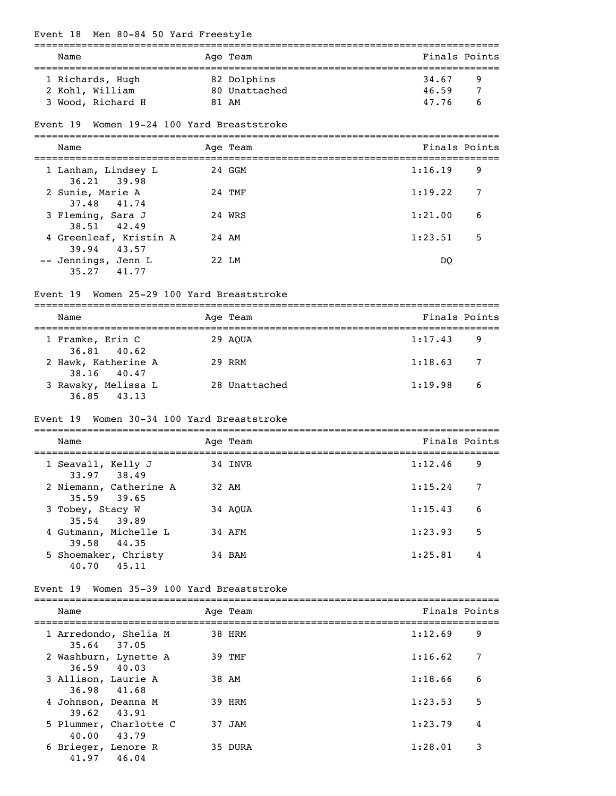| Event 18 Men 80-84 50 Yard Freestyle                   |       |               |         |               |
|--------------------------------------------------------|-------|---------------|---------|---------------|
| Name                                                   |       | Age Team      |         | Finals Points |
| 1 Richards, Hugh                                       |       | 82 Dolphins   | 34.67   | 9             |
| 2 Kohl, William                                        |       | 80 Unattached | 46.59   | 7             |
| 3 Wood, Richard H                                      |       | 81 AM         | 47.76   | 6             |
| Women 19-24 100 Yard Breaststroke<br>Event 19          |       |               |         |               |
| Name                                                   |       | Age Team      |         | Finals Points |
| 1 Lanham, Lindsey L<br>36.21<br>39.98                  |       | 24 GGM        | 1:16.19 | 9             |
| 2 Sunie, Marie A<br>37.48<br>41.74                     |       | 24 TMF        | 1:19.22 | 7             |
| 3 Fleming, Sara J<br>38.51<br>42.49                    |       | 24 WRS        | 1:21.00 | 6             |
| 4 Greenleaf, Kristin A<br>39.94<br>43.57               | 24 AM |               | 1:23.51 | 5             |
| -- Jennings, Jenn L<br>41.77<br>35.27                  |       | 22 LM         | DQ      |               |
| Event 19 Women 25-29 100 Yard Breaststroke             |       |               |         |               |
| Name                                                   |       | Age Team      |         | Finals Points |
| 1 Framke, Erin C<br>36.81<br>40.62                     |       | 29 AQUA       | 1:17.43 | 9             |
| 2 Hawk, Katherine A<br>38.16<br>40.47                  |       | 29 RRM        | 1:18.63 | 7             |
| 3 Rawsky, Melissa L<br>36.85<br>43.13                  |       | 28 Unattached | 1:19.98 | 6             |
| Women 30-34 100 Yard Breaststroke<br>Event 19          |       |               |         |               |
| Name                                                   |       | Age Team      |         | Finals Points |
| 1 Seavall, Kelly J<br>33.97<br>38.49                   |       | 34 INVR       | 1:12.46 | 9             |
| 2 Niemann, Catherine A<br>35.59<br>39.65               |       | 32 AM         | 1:15.24 | 7             |
| 3 Tobey, Stacy W<br>35.54<br>39.89                     |       | 34 AQUA       | 1:15.43 | 6             |
| 4 Gutmann, Michelle L<br>44.35<br>39.58                |       | 34 AFM        | 1:23.93 | 5             |
| 5 Shoemaker, Christy<br>40.70 45.11                    |       | 34 BAM        | 1:25.81 | 4             |
| Event 19 Women 35-39 100 Yard Breaststroke             |       |               |         |               |
| Name                                                   |       | Age Team      |         | Finals Points |
| 1 Arredondo, Shelia M                                  |       | 38 HRM        | 1:12.69 | 9             |
| 35.64 37.05<br>2 Washburn, Lynette A<br>36.59<br>40.03 |       | 39 TMF        | 1:16.62 | 7             |
| 3 Allison, Laurie A<br>36.98<br>41.68                  |       | 38 AM         | 1:18.66 | 6             |
| 4 Johnson, Deanna M                                    |       | 39 HRM        | 1:23.53 | 5             |
| 43.91<br>39.62<br>5 Plummer, Charlotte C               |       | 37 JAM        | 1:23.79 | 4             |
| 43.79<br>40.00<br>6 Brieger, Lenore R<br>41.97 46.04   |       | 35 DURA       | 1:28.01 | 3             |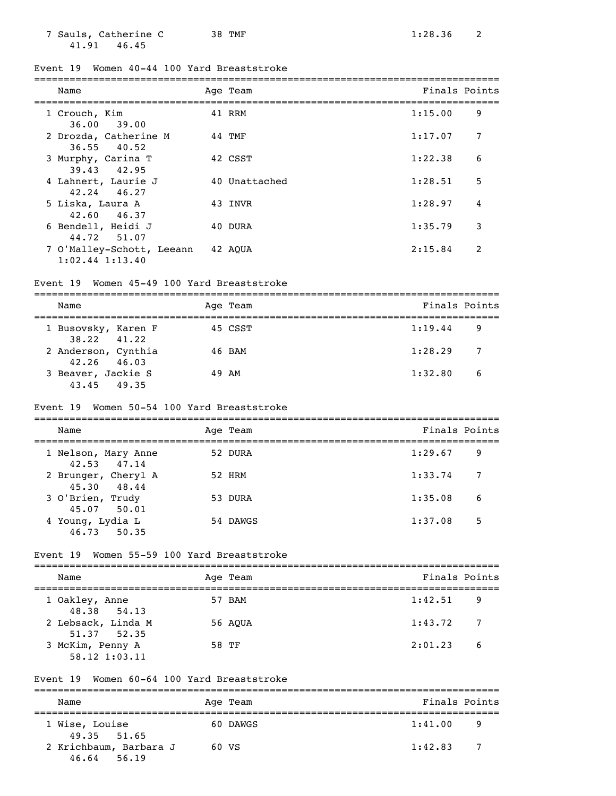| 7 Sauls, Catherine C |  | 38 TMF |
|----------------------|--|--------|
| 41.91 46.45          |  |        |

### Event 19 Women 40-44 100 Yard Breaststroke

| Name                                             | Age Team      | Finals Points |   |
|--------------------------------------------------|---------------|---------------|---|
| 1 Crouch, Kim<br>36.00 39.00                     | 41 RRM        | 1:15.00       | 9 |
| 2 Drozda, Catherine M<br>$36.55$ 40.52           | 44 TMF        | 1:17.07       | 7 |
| 3 Murphy, Carina T<br>39.43 42.95                | 42 CSST       | 1:22.38       | 6 |
| 4 Lahnert, Laurie J<br>$42.24$ $46.27$           | 40 Unattached | 1:28.51       | 5 |
| 5 Liska, Laura A<br>42.60 46.37                  | 43 INVR       | 1:28.97       | 4 |
| 6 Bendell, Heidi J<br>44.72 51.07                | 40 DURA       | 1:35.79       | 3 |
| 7 O'Malley-Schott, Leeann<br>$1:02.44$ $1:13.40$ | 42 AOUA       | 2:15.84       | 2 |

### Event 19 Women 45-49 100 Yard Breaststroke

| Name                                   |  | Age Team | Finals Points |     |  |  |
|----------------------------------------|--|----------|---------------|-----|--|--|
| 1 Busovsky, Karen F<br>$38.22$ $41.22$ |  | 45 CSST  | 1:19.44       | 9   |  |  |
| 2 Anderson, Cynthia<br>$42.26$ $46.03$ |  | 46 BAM   | 1:28.29       | - 7 |  |  |
| 3 Beaver, Jackie S<br>43.45 49.35      |  | 49 AM    | 1:32.80       | -6  |  |  |

### Event 19 Women 50-54 100 Yard Breaststroke

| Name                               | Age Team | Finals Points             |
|------------------------------------|----------|---------------------------|
| 1 Nelson, Mary Anne<br>42.53 47.14 | 52 DURA  | 1:29.67<br>9              |
| 2 Brunger, Cheryl A<br>45.30 48.44 | 52 HRM   | 1:33.74<br>$\overline{7}$ |
| 3 O'Brien, Trudy<br>45.07 50.01    | 53 DURA  | 6<br>1:35.08              |
| 4 Young, Lydia L<br>46.73 50.35    | 54 DAWGS | 5<br>1:37.08              |

### Event 19 Women 55-59 100 Yard Breaststroke

| Name                              |  | Age Team | Finals Points             |     |  |  |
|-----------------------------------|--|----------|---------------------------|-----|--|--|
| 1 Oakley, Anne<br>48.38 54.13     |  | 57 BAM   | 1:42.51<br>- 9            |     |  |  |
| 2 Lebsack, Linda M<br>51.37 52.35 |  | 56 AOUA  | 1:43.72<br>$\overline{7}$ |     |  |  |
| 3 McKim, Penny A<br>58.12 1:03.11 |  | 58 TF    | 2:01.23                   | - 6 |  |  |

#### Event 19 Women 60-64 100 Yard Breaststroke

| Name                                  | Age Team | Finals Points |     |
|---------------------------------------|----------|---------------|-----|
| 1 Wise, Louise<br>49.35 51.65         | 60 DAWGS | 1:41.00       | 9   |
| 2 Krichbaum, Barbara J<br>46.64 56.19 | 60 VS    | 1:42.83       | - 7 |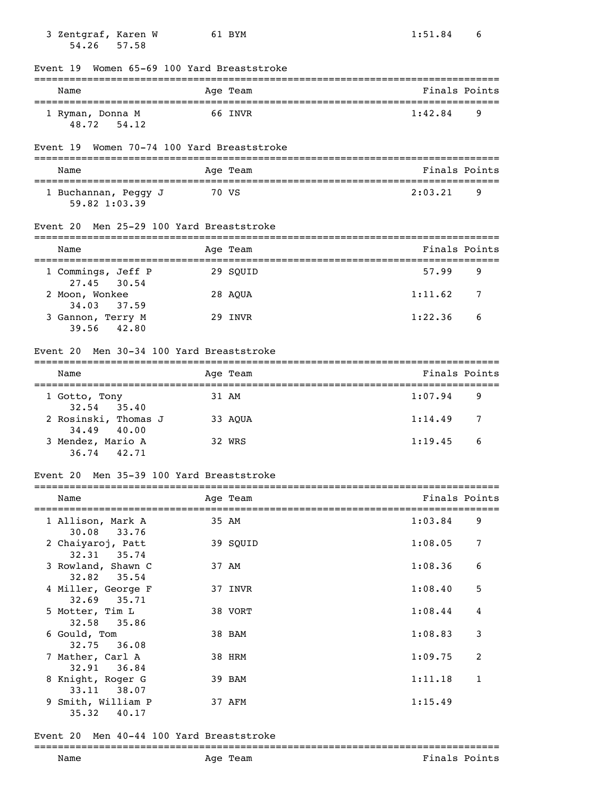| 3 Zentgraf, Karen W<br>57.58<br>54.26                 | 61 BYM   |                                      | 1:51.84       | 6 |
|-------------------------------------------------------|----------|--------------------------------------|---------------|---|
| Women 65-69 100 Yard Breaststroke<br>Event 19         |          | :=================================== |               |   |
| Name                                                  | Age Team |                                      | Finals Points |   |
| 1 Ryman, Donna M<br>48.72 54.12                       | 66 INVR  |                                      | 1:42.84       | 9 |
| Women 70-74 100 Yard Breaststroke<br>Event 19         |          |                                      |               |   |
| Name                                                  | Age Team |                                      | Finals Points |   |
| 1 Buchannan, Peggy J<br>59.82 1:03.39                 | 70 VS    |                                      | 2:03.21       | 9 |
| Event 20 Men 25-29 100 Yard Breaststroke              |          |                                      |               |   |
| Name                                                  | Age Team |                                      | Finals Points |   |
| 1 Commings, Jeff P<br>27.45<br>30.54                  | 29 SQUID |                                      | 57.99         | 9 |
| 2 Moon, Wonkee<br>34.03<br>37.59                      | 28 AQUA  |                                      | 1:11.62       | 7 |
| 3 Gannon, Terry M<br>39.56<br>42.80                   | 29 INVR  |                                      | 1:22.36       | 6 |
| Men 30-34 100 Yard Breaststroke<br>Event 20           |          |                                      |               |   |
| Name                                                  | Age Team |                                      | Finals Points |   |
| 1 Gotto, Tony                                         | 31 AM    |                                      | 1:07.94       | 9 |
| 35.40<br>32.54<br>2 Rosinski, Thomas J                | 33 AQUA  |                                      | 1:14.49       | 7 |
| 34.49<br>40.00<br>3 Mendez, Mario A<br>36.74<br>42.71 | 32 WRS   |                                      | 1:19.45       | 6 |
| Event 20 Men 35-39 100 Yard Breaststroke              |          |                                      |               |   |
| Name                                                  | Age Team |                                      | Finals Points |   |
| 1 Allison, Mark A                                     | 35 AM    |                                      | 1:03.84       | 9 |
| 30.08<br>33.76<br>2 Chaiyaroj, Patt                   | 39 SQUID |                                      | 1:08.05       | 7 |
| 32.31<br>35.74<br>3 Rowland, Shawn C                  | 37 AM    |                                      | 1:08.36       | 6 |
| 35.54<br>32.82<br>4 Miller, George F                  | 37 INVR  |                                      | 1:08.40       | 5 |
| 32.69<br>35.71<br>5 Motter, Tim L                     | 38 VORT  |                                      | 1:08.44       | 4 |
| 32.58<br>35.86<br>6 Gould, Tom                        | 38 BAM   |                                      | 1:08.83       | 3 |
| 32.75<br>36.08<br>7 Mather, Carl A                    | 38 HRM   |                                      | 1:09.75       | 2 |
| 32.91<br>36.84<br>8 Knight, Roger G                   | 39 BAM   |                                      | 1:11.18       | 1 |
| 38.07<br>33.11                                        |          |                                      |               |   |
| 9 Smith, William P<br>35.32<br>40.17                  | 37 AFM   |                                      | 1:15.49       |   |

# Event 20 Men 40-44 100 Yard Breaststroke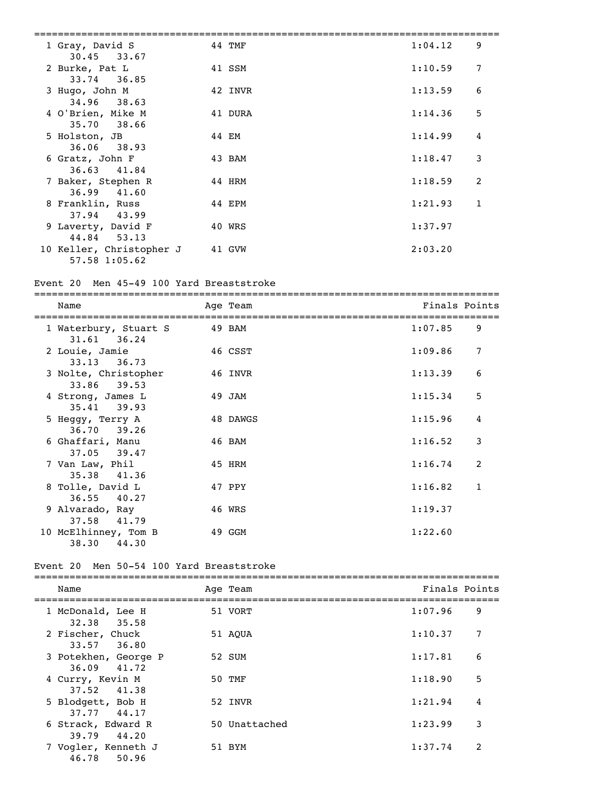| 1 Gray, David S<br>$30.45$ $33.67$                       | 44 TMF  | 1:04.12 | 9 |
|----------------------------------------------------------|---------|---------|---|
| 2 Burke, Pat L<br>$33.74$ 36.85                          | 41 SSM  | 1:10.59 | 7 |
| 3 Hugo, John M<br>$34.96$ 38.63                          | 42 INVR | 1:13.59 | 6 |
| 4 O'Brien, Mike M<br>35.70 38.66                         | 41 DURA | 1:14.36 | 5 |
| 5 Holston, JB                                            | 44 EM   | 1:14.99 | 4 |
| $36.06$ $38.93$<br>6 Gratz, John F                       | 43 BAM  | 1:18.47 | 3 |
| 36.63 41.84<br>7 Baker, Stephen R                        | 44 HRM  | 1:18.59 | 2 |
| 36.99 41.60<br>8 Franklin, Russ                          | 44 EPM  | 1:21.93 | 1 |
| $37.94$ 43.99<br>9 Laverty, David F                      | 40 WRS  | 1:37.97 |   |
| 44.84 53.13<br>10 Keller, Christopher J<br>57.58 1:05.62 | 41 GVW  | 2:03.20 |   |
|                                                          |         |         |   |

# Event 20 Men 45-49 100 Yard Breaststroke

| Name                                   | Age Team | Finals Points |              |
|----------------------------------------|----------|---------------|--------------|
| 1 Waterbury, Stuart S<br>31.61 36.24   | 49 BAM   | 1:07.85       | 9            |
| 2 Louie, Jamie<br>$33.13$ $36.73$      | 46 CSST  | 1:09.86       | 7            |
| 3 Nolte, Christopher<br>33.86 39.53    | 46 INVR  | 1:13.39       | 6            |
| 4 Strong, James L<br>35.41 39.93       | 49 JAM   | 1:15.34       | 5            |
| 5 Heggy, Terry A<br>$36.70$ 39.26      | 48 DAWGS | 1:15.96       | 4            |
| 6 Ghaffari, Manu<br>$37.05$ $39.47$    | 46 BAM   | 1:16.52       | 3            |
| 7 Van Law, Phil<br>35.38 41.36         | 45 HRM   | 1:16.74       | 2            |
| 8 Tolle, David L<br>$36.55$ 40.27      | 47 PPY   | 1:16.82       | $\mathbf{1}$ |
| 9 Alvarado, Ray<br>$37.58$ $41.79$     | 46 WRS   | 1:19.37       |              |
| 10 McElhinney, Tom B<br>44.30<br>38.30 | 49 GGM   | 1:22.60       |              |

### Event 20 Men 50-54 100 Yard Breaststroke

| Name                                | Age Team      | Finals Points |                |
|-------------------------------------|---------------|---------------|----------------|
| 1 McDonald, Lee H<br>32.38 35.58    | 51 VORT       | 1:07.96       | 9              |
| 2 Fischer, Chuck<br>$33.57$ $36.80$ | 51 AOUA       | 1:10.37       | 7              |
| 3 Potekhen, George P<br>36.09 41.72 | 52 SUM        | 1:17.81       | 6              |
| 4 Curry, Kevin M<br>37.52 41.38     | 50 TMF        | 1:18.90       | 5              |
| 5 Blodgett, Bob H<br>37.77 44.17    | 52 INVR       | 1:21.94       | 4              |
| 6 Strack, Edward R<br>39.79 44.20   | 50 Unattached | 1:23.99       | 3              |
| 7 Vogler, Kenneth J<br>46.78 50.96  | 51 BYM        | 1:37.74       | $\overline{2}$ |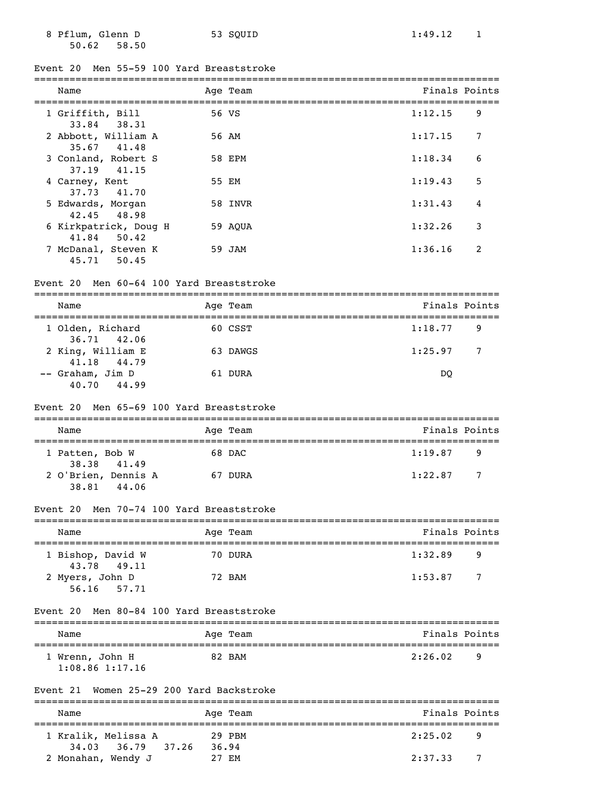8 Pflum, Glenn D 53 SQUID 1:49.12 1 50.62 58.50

# Event 20 Men 55-59 100 Yard Breaststroke

| Name                                  | Age Team | Finals Points |   |
|---------------------------------------|----------|---------------|---|
| 1 Griffith, Bill<br>33.84 38.31       | 56 VS    | 1:12.15       | 9 |
| 2 Abbott, William A<br>35.67 41.48    | 56 AM    | 1:17.15       | 7 |
| 3 Conland, Robert S<br>37.19 41.15    | 58 EPM   | 1:18.34       | 6 |
| 4 Carney, Kent<br>37.73 41.70         | 55 EM    | 1:19.43       | 5 |
| 5 Edwards, Morgan<br>42.45 48.98      | 58 INVR  | 1:31.43       | 4 |
| 6 Kirkpatrick, Doug H<br>41.84 50.42  | 59 AOUA  | 1:32.26       | 3 |
| 7 McDanal, Steven K<br>50.45<br>45.71 | 59 JAM   | 1:36.16       | 2 |

### Event 20 Men 60-64 100 Yard Breaststroke

| Name                               | Age Team | Finals Points             |
|------------------------------------|----------|---------------------------|
| 1 Olden, Richard<br>36.71 42.06    | 60 CSST  | 1:18.77<br>- 9            |
| 2 King, William E<br>41.18 44.79   | 63 DAWGS | 1:25.97<br>$\overline{7}$ |
| -- Graham, Jim D<br>44.99<br>40.70 | 61 DURA  | DO                        |

#### Event 20 Men 65-69 100 Yard Breaststroke

| Name                | Age Team | Finals Points |                |
|---------------------|----------|---------------|----------------|
|                     |          |               |                |
| 1 Patten, Bob W     | 68 DAC   | 1:19.87       | - 9            |
| 38.38 41.49         |          |               |                |
| 2 O'Brien, Dennis A | 67 DURA  | 1:22.87       | $\overline{7}$ |
| 38.81<br>44.06      |          |               |                |

### Event 20 Men 70-74 100 Yard Breaststroke

| Name                             | Age Team | Finals Points             |
|----------------------------------|----------|---------------------------|
| 1 Bishop, David W<br>43.78 49.11 | 70 DURA  | 1:32.89<br>9              |
| 2 Myers, John D<br>56.16 57.71   | 72 BAM   | 1:53.87<br>$\overline{7}$ |

#### Event 20 Men 80-84 100 Yard Breaststroke

| Name                                   | Age Team | Finals Points       |
|----------------------------------------|----------|---------------------|
| 1 Wrenn, John H<br>$1:08.86$ $1:17.16$ | 82 BAM   | 2:26.02<br><b>q</b> |

#### Event 21 Women 25-29 200 Yard Backstroke

| Name                                        | Age Team        | Finals Points |
|---------------------------------------------|-----------------|---------------|
| 1 Kralik, Melissa A<br>34.03 36.79<br>37.26 | 29 PBM<br>36.94 | 2:25.02<br>-9 |
| 2 Monahan, Wendy J                          | 27 F.M          | 2:37.33       |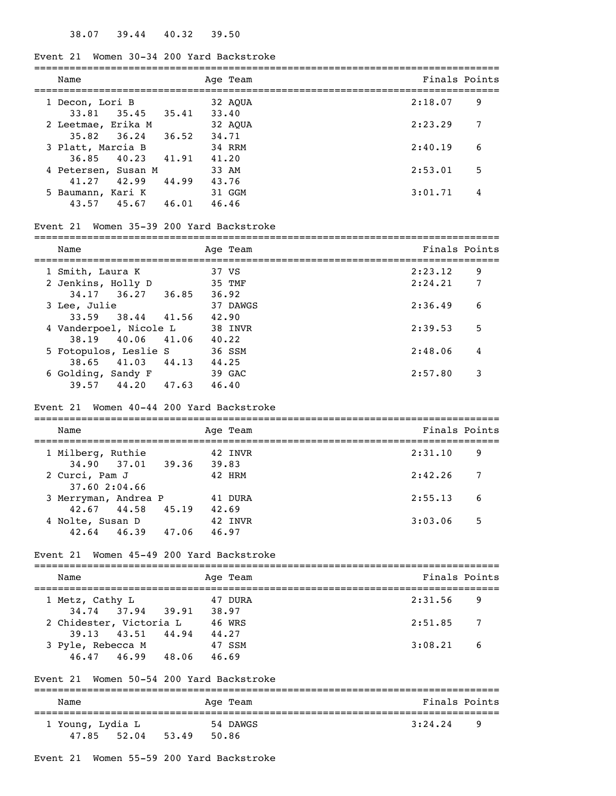### Event 21 Women 30-34 200 Yard Backstroke

| Name                                  |       | Age Team         | Finals Points |
|---------------------------------------|-------|------------------|---------------|
| 1 Decon, Lori B<br>$33.81$ $35.45$    | 35.41 | 32 AOUA<br>33.40 | 2:18.07<br>9  |
| 2 Leetmae, Erika M<br>$35.82$ $36.24$ | 36.52 | 32 AOUA<br>34.71 | 7<br>2:23.29  |
| 3 Platt, Marcia B<br>$36.85$ 40.23    | 41.91 | 34 RRM<br>41.20  | 6<br>2:40.19  |
| 4 Petersen, Susan M<br>41.27<br>42.99 | 44.99 | 33 AM<br>43.76   | 5<br>2:53.01  |
| 5 Baumann, Kari K<br>43.57<br>45.67   | 46.01 | 31 GGM<br>46.46  | 3:01.71<br>4  |

### Event 21 Women 35-39 200 Yard Backstroke

| Name                   |       | Age Team | Finals Points |   |
|------------------------|-------|----------|---------------|---|
| 1 Smith, Laura K       |       | 37 VS    | 2:23.12       | 9 |
| 2 Jenkins, Holly D     |       | 35 TMF   | 2:24.21       | 7 |
| 34.17 36.27 36.85      |       | 36.92    |               |   |
| 3 Lee, Julie           |       | 37 DAWGS | 2:36.49       | 6 |
| 33.59 38.44 41.56      |       | 42.90    |               |   |
| 4 Vanderpoel, Nicole L |       | 38 INVR  | 2:39.53       | 5 |
| 38.19 40.06 41.06      |       | 40.22    |               |   |
| 5 Fotopulos, Leslie S  |       | 36 SSM   | 2:48.06       | 4 |
| 38.65 41.03 44.13      |       | 44.25    |               |   |
| 6 Golding, Sandy F     |       | 39 GAC   | 2:57.80       | 3 |
| 44.20<br>39.57         | 47.63 | 46.40    |               |   |

#### Event 21 Women 40-44 200 Yard Backstroke

| Name                            | Age Team       | Finals Points |
|---------------------------------|----------------|---------------|
| 1 Milberg, Ruthie               | 42 INVR        | 2:31.10<br>9  |
| 34.90 37.01 39.36               | 39.83          |               |
| 2 Curci, Pam J<br>37.60 2:04.66 | 42 HRM         | 2:42.26<br>7  |
| 3 Merryman, Andrea P            | 41 DURA        | 6<br>2:55.13  |
| 42.67 44.58                     | 45.19<br>42.69 |               |
| 4 Nolte, Susan D                | 42 INVR        | 3:03.06<br>5  |
| 42.64<br>46.39                  | 47.06<br>46.97 |               |

#### Event 21 Women 45-49 200 Yard Backstroke

| Name                    | Age Team | Finals Points  |
|-------------------------|----------|----------------|
| 1 Metz, Cathy L         | 47 DURA  | 2:31.56<br>-9  |
| 34.74 37.94 39.91       | 38.97    |                |
| 2 Chidester, Victoria L | 46 WRS   | 2:51.85<br>- 7 |
| 39.13 43.51 44.94       | 44.27    |                |
| 3 Pyle, Rebecca M       | 47 SSM   | 3:08.21<br>- 6 |
| 46.47 46.99<br>48.06    | 46.69    |                |

#### Event 21 Women 50-54 200 Yard Backstroke

| Name                               | Age Team                   | Finals Points |
|------------------------------------|----------------------------|---------------|
| 1 Young, Lydia L<br>47.85<br>52.04 | 54 DAWGS<br>50.86<br>53.49 | 3:24.24<br>q  |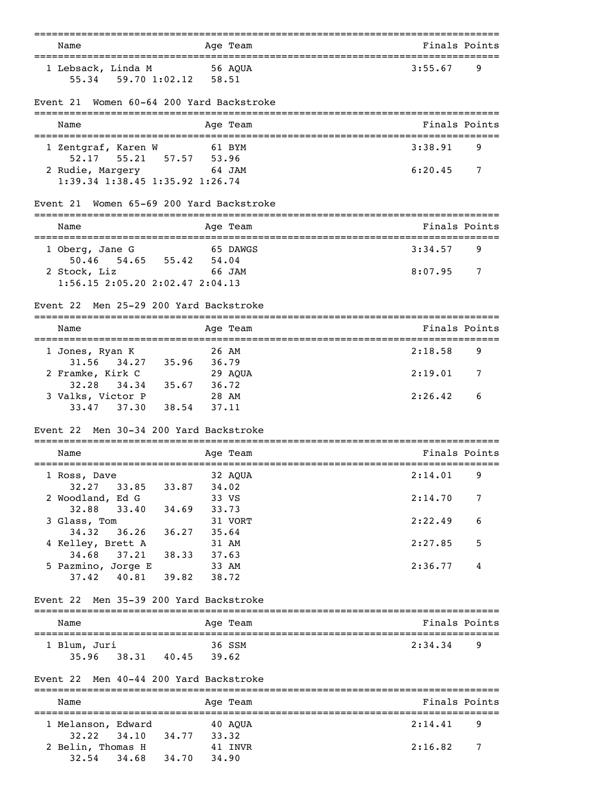| Name                                                 |                                                                                             |                         | ===========<br>Age Team | =================================<br>Finals Points |   |
|------------------------------------------------------|---------------------------------------------------------------------------------------------|-------------------------|-------------------------|----------------------------------------------------|---|
| 1 Lebsack, Linda M                                   | 56 AQUA<br>55.34 59.70 1:02.12 58.51                                                        |                         |                         | 3:55.67                                            | 9 |
| Event 21                                             | Women 60-64 200 Yard Backstroke                                                             |                         |                         |                                                    |   |
| Name                                                 |                                                                                             |                         | Age Team                | Finals Points                                      |   |
| 1 Zentgraf, Karen W                                  |                                                                                             |                         | 61 BYM                  | 3:38.91                                            | 9 |
|                                                      | 52.17   55.21   57.57   53.96<br>2 Rudie, Margery 64 JAM<br>1:39.34 1:38.45 1:35.92 1:26.74 |                         |                         | 6:20.45                                            | 7 |
| Event 21                                             | Women 65-69 200 Yard Backstroke                                                             |                         |                         |                                                    |   |
| Name                                                 |                                                                                             |                         | Age Team                | Finals Points                                      |   |
| ---------------------------------<br>1 Oberg, Jane G | 54.65 55.42 54.04                                                                           |                         | 65 DAWGS                | ======================<br>3:34.57                  | 9 |
| 50.46<br>2 Stock, Liz                                | <b>66 JAM</b><br>$1:56.15$ $2:05.20$ $2:02.47$ $2:04.13$                                    |                         |                         | 8:07.95                                            | 7 |
| Event 22                                             | Men 25-29 200 Yard Backstroke                                                               |                         |                         |                                                    |   |
| Name                                                 |                                                                                             |                         | Age Team                | Finals Points                                      |   |
| 1 Jones, Ryan K                                      |                                                                                             | 26 AM                   |                         | 2:18.58                                            | 9 |
| 2 Framke, Kirk C                                     | 31.56 34.27 35.96                                                                           | 36.79                   | 29 AQUA                 | 2:19.01                                            | 7 |
| 32.28<br>3 Valks, Victor P<br>33.47 37.30            | $34.34$ $35.67$<br>38.54                                                                    | 36.72<br>28 AM<br>37.11 |                         | 2:26.42                                            | 6 |
| Event 22                                             | Men 30-34 200 Yard Backstroke                                                               |                         |                         |                                                    |   |
| Name                                                 | .================                                                                           |                         | Age Team                | Finals Points                                      |   |
| 1 Ross, Dave                                         |                                                                                             | 34.02                   | 32 AOUA                 | 2:14.01                                            | 9 |
| 32.27<br>2 Woodland, Ed G                            | 33.85<br>33.87                                                                              | 33 VS                   |                         | 2:14.70                                            | 7 |
| 32.88<br>3 Glass, Tom<br>34.32                       | 34.69 33.73<br>33.40<br>36.26 36.27 35.64                                                   |                         | 31 VORT                 | 2:22.49                                            | 6 |
| 4 Kelley, Brett A                                    |                                                                                             | 31 AM                   |                         | 2:27.85                                            | 5 |
| 34.68<br>5 Pazmino, Jorge E<br>37.42                 | 37.21<br>38.33 37.63<br>40.81 39.82                                                         | 33 AM<br>38.72          |                         | 2:36.77                                            | 4 |
| Event 22                                             | Men 35-39 200 Yard Backstroke                                                               |                         |                         |                                                    |   |
| Name                                                 |                                                                                             |                         | Age Team                | Finals Points                                      |   |
| 1 Blum, Juri<br>35.96                                | 38.31 40.45 39.62                                                                           |                         | 36 SSM                  | 2:34.34                                            | 9 |
| Event 22 Men 40-44 200 Yard Backstroke               |                                                                                             |                         |                         |                                                    |   |
| Name                                                 |                                                                                             |                         | Age Team                | Finals Points                                      |   |
| 1 Melanson, Edward<br>32.22                          | $40$ AQUA<br>34.10<br>34.77 33.32                                                           |                         |                         | 2:14.41                                            | 9 |
| 2 Belin, Thomas H<br>32.54                           | 34.68<br>34.70                                                                              | 34.90                   | 41 INVR                 | 2:16.82                                            | 7 |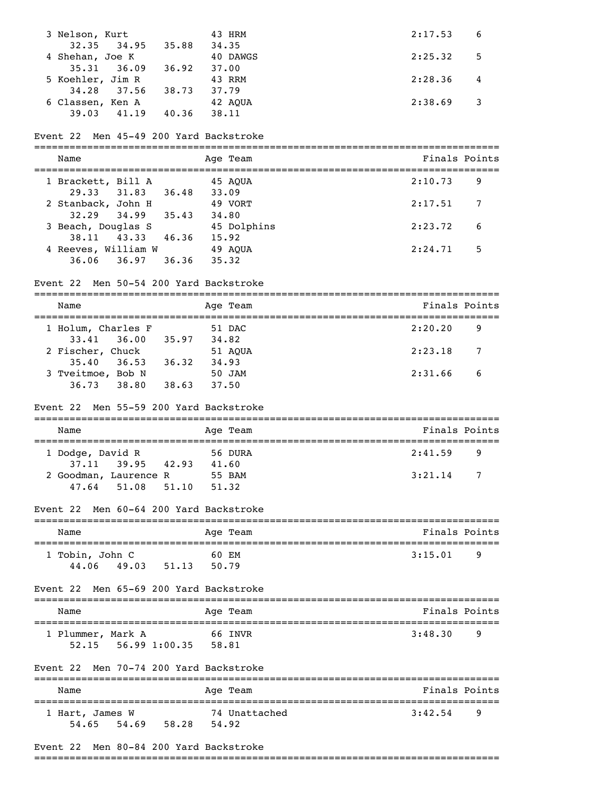| 3 Nelson, Kurt   |       |       | 43 HRM   | 2:17.53         | - 6 |
|------------------|-------|-------|----------|-----------------|-----|
| 32.35            | 34.95 | 35.88 | 34.35    |                 |     |
| 4 Shehan, Joe K  |       |       | 40 DAWGS | 2:25.32<br>$-5$ |     |
| $35.31$ $36.09$  |       | 36.92 | 37.00    |                 |     |
| 5 Koehler, Jim R |       |       | 43 RRM   | 2:28.36         |     |
| 34.28            | 37.56 | 38.73 | 37.79    |                 |     |
| 6 Classen, Ken A |       |       | 42 AOUA  | 2:38.69         |     |
| 39.03            | 41.19 | 40.36 | 38.11    |                 |     |
|                  |       |       |          |                 |     |

### Event 22 Men 45-49 200 Yard Backstroke

| Name                                        |       | Age Team         | Finals Points |   |
|---------------------------------------------|-------|------------------|---------------|---|
| 1 Brackett, Bill A                          |       | 45 AOUA          | 2:10.73       | 9 |
| 29.33<br>31.83                              | 36.48 | 33.09            |               |   |
| 2 Stanback, John H<br>32.29 34.99           | 35.43 | 49 VORT<br>34.80 | 2:17.51       | 7 |
| 3 Beach, Douglas S                          |       | 45 Dolphins      | 2:23.72       | 6 |
| 38.11 43.33                                 | 46.36 | 15.92            |               |   |
| 4 Reeves, William W<br>36.06<br>36.97 36.36 |       | 49 AOUA<br>35.32 | 2:24.71       | 5 |

#### Event 22 Men 50-54 200 Yard Backstroke

| Name               |       | Age Team | Finals Points  |
|--------------------|-------|----------|----------------|
| 1 Holum, Charles F |       | 51 DAC   | 2:20.20<br>9   |
| $33.41$ $36.00$    | 35.97 | 34.82    |                |
| 2 Fischer, Chuck   |       | 51 AOUA  | 2:23.18<br>- 7 |
| $35.40$ $36.53$    | 36.32 | 34.93    |                |
| 3 Tveitmoe, Bob N  |       | 50 JAM   | 2:31.66<br>-6  |
| 36.73<br>38.80     | 38.63 | 37.50    |                |

#### Event 22 Men 55-59 200 Yard Backstroke

| Name                                                      |       | Age Team                 | Finals Points |  |  |
|-----------------------------------------------------------|-------|--------------------------|---------------|--|--|
| 1 Dodge, David R                                          |       | 56 DURA                  | 2:41.59<br>-9 |  |  |
| 37.11 39.95 42.93<br>2 Goodman, Laurence R<br>47.64 51.08 | 51.10 | 41.60<br>55 BAM<br>51.32 | 3:21.14<br>7  |  |  |

#### Event 22 Men 60-64 200 Yard Backstroke

| Name                              | Age Team                | Finals Points |
|-----------------------------------|-------------------------|---------------|
| 1 Tobin, John C<br>44.06<br>49.03 | 60 EM<br>50.79<br>51.13 | 3:15.01<br>-9 |

### Event 22 Men 65-69 200 Yard Backstroke

| Name              |                           |       | Age Team | Finals Points |   |
|-------------------|---------------------------|-------|----------|---------------|---|
| 1 Plummer, Mark A |                           |       | 66 INVR  | 3:48.30       | q |
|                   | $52.15$ $56.99$ $1:00.35$ | 58.81 |          |               |   |

#### Event 22 Men 70-74 200 Yard Backstroke

| Name                     |       |       | Age Team               | Finals Points |  |
|--------------------------|-------|-------|------------------------|---------------|--|
| 1 Hart, James W<br>54.65 | 54.69 | 58.28 | 74 Unattached<br>54.92 | 3:42.54<br>q  |  |

#### Event 22 Men 80-84 200 Yard Backstroke

===============================================================================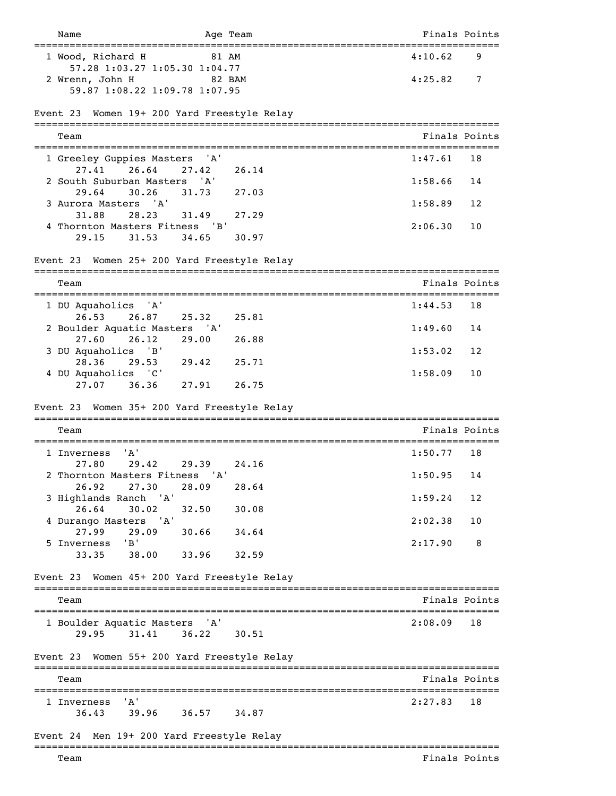| Name                                                                                | Age Team                           | Finals Points                           |
|-------------------------------------------------------------------------------------|------------------------------------|-----------------------------------------|
| =============================<br>1 Wood, Richard H<br>57.28 1:03.27 1:05.30 1:04.77 | 81 AM                              | =======================<br>4:10.62<br>9 |
| 2 Wrenn, John H<br>59.87 1:08.22 1:09.78 1:07.95                                    | 82 BAM                             | 4:25.82<br>7                            |
| Event 23                                                                            | Women 19+ 200 Yard Freestyle Relay |                                         |
| Team                                                                                |                                    | Finals Points                           |
| 1 Greeley Guppies Masters<br>26.64<br>27.41                                         | 'A'<br>27.42<br>26.14              | 1:47.61<br>18                           |
| 2 South Suburban Masters 'A'<br>29.64<br>30.26                                      | 31.73<br>27.03                     | 1:58.66<br>14                           |
| 3 Aurora Masters 'A'<br>31.88<br>28.23                                              | 31.49<br>27.29                     | 1:58.89<br>12                           |
| 4 Thornton Masters Fitness 'B'<br>31.53<br>29.15                                    | 34.65<br>30.97                     | 2:06.30<br>10                           |
| Event 23                                                                            | Women 25+ 200 Yard Freestyle Relay |                                         |
| Team                                                                                |                                    | Finals Points                           |
| 1 DU Aquaholics 'A'<br>26.53<br>26.87                                               | 25.32<br>25.81                     | 1:44.53<br>18                           |
| 2 Boulder Aquatic Masters 'A'<br>27.60<br>26.12                                     | 29.00<br>26.88                     | 1:49.60<br>14                           |
| 3 DU Aquaholics 'B'<br>28.36<br>29.53                                               | 29.42<br>25.71                     | 1:53.02<br>12                           |
| 4 DU Aquaholics 'C'<br>27.07<br>36.36                                               | 27.91<br>26.75                     | 1:58.09<br>10                           |
| Event 23                                                                            | Women 35+ 200 Yard Freestyle Relay |                                         |
| Team                                                                                |                                    | Finals Points                           |
| 'A'<br>1 Inverness                                                                  |                                    | 1:50.77<br>18                           |
| 29.42<br>27.80<br>2 Thornton Masters Fitness 'A'<br>27.30<br>26.92                  | 29.39<br>24.16<br>28.64<br>28.09   | 1:50.95<br>14                           |
| 3 Highlands Ranch 'A'                                                               |                                    | 1:59.24<br>12                           |
| 26.64<br>30.02<br>4 Durango Masters 'A'                                             | 30.08<br>32.50                     | 2:02.38<br>10                           |
| 27.99<br>29.09<br>5 Inverness 'B'                                                   | 30.66<br>34.64                     | 2:17.90<br>8                            |
| 38.00<br>33.35                                                                      | 33.96<br>32.59                     |                                         |
| Event 23                                                                            | Women 45+ 200 Yard Freestyle Relay |                                         |
| Team                                                                                |                                    | Finals Points                           |
| 1 Boulder Aquatic Masters 'A'<br>29.95 31.41                                        | 36.22<br>30.51                     | 2:08.09<br>18                           |
| Event 23 Women 55+ 200 Yard Freestyle Relay                                         |                                    |                                         |
| Team                                                                                |                                    | Finals Points                           |
| ' A '<br>1 Inverness<br>36.43 39.96 36.57                                           | 34.87                              | 2:27.83<br>18                           |
| Event 24                                                                            | Men 19+ 200 Yard Freestyle Relay   |                                         |
| Team                                                                                |                                    | Finals Points                           |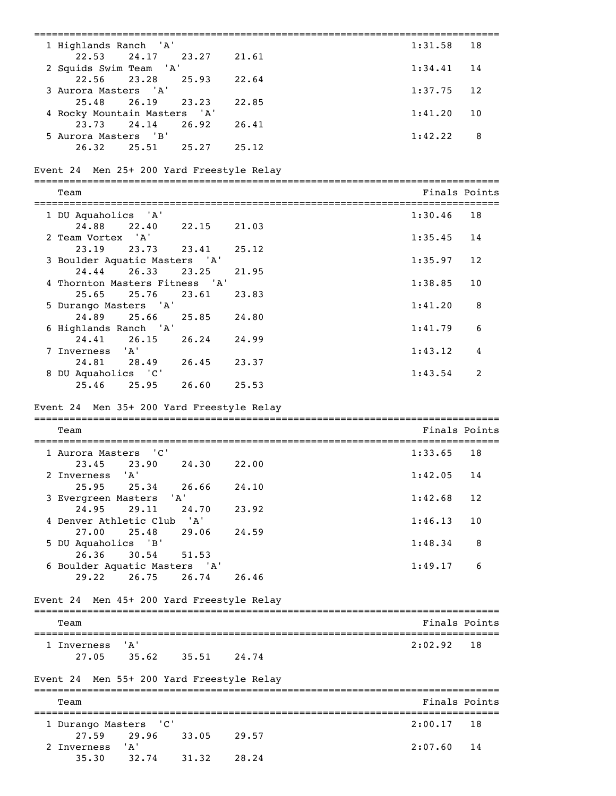| ============================                                      | ===================== |
|-------------------------------------------------------------------|-----------------------|
| 1 Highlands Ranch<br>'A'                                          | 1:31.58<br>18         |
| 22.53<br>24.17<br>21.61<br>23.27<br>'A'<br>2 Squids Swim Team     | 1:34.41<br>14         |
| 22.56<br>23.28<br>25.93<br>22.64                                  |                       |
| 3 Aurora Masters 'A'<br>25.48<br>26.19<br>23.23<br>22.85          | 1:37.75<br>12         |
| 4 Rocky Mountain Masters 'A'<br>23.73<br>24.14<br>26.92<br>26.41  | 1:41.20<br>10         |
| 5 Aurora Masters 'B'                                              | 1:42.22<br>8          |
| 26.32<br>25.27<br>25.12<br>25.51                                  |                       |
| Event 24 Men 25+ 200 Yard Freestyle Relay                         |                       |
| Team                                                              | Finals Points         |
| 1 DU Aquaholics<br>' 'A '                                         | 1:30.46<br>18         |
| 24.88<br>22.40<br>22.15<br>21.03<br>2 Team Vortex 'A'             | 1:35.45<br>14         |
| 23.19<br>23.73<br>25.12<br>23.41                                  |                       |
| 3 Boulder Aquatic Masters 'A'<br>24.44<br>26.33<br>23.25<br>21.95 | 1:35.97<br>12         |
| 'A'<br>4 Thornton Masters Fitness                                 | 1:38.85<br>10         |
| 25.65<br>25.76<br>23.61<br>23.83<br>5 Durango Masters<br>' A '    | 1:41.20<br>8          |
| 24.89<br>25.66<br>25.85<br>24.80                                  |                       |
| 'A'<br>6 Highlands Ranch<br>24.41<br>26.24<br>24.99<br>26.15      | 1:41.79<br>6          |
| 'A'<br>7 Inverness                                                | 1:43.12<br>4          |
| 28.49<br>24.81<br>26.45<br>23.37<br>8 DU Aquaholics 'C'           | 2<br>1:43.54          |
| 25.46<br>25.95<br>26.60<br>25.53                                  |                       |
| Event 24 Men 35+ 200 Yard Freestyle Relay                         |                       |
|                                                                   |                       |
| Team                                                              | Finals Points         |
| C'<br>1 Aurora Masters                                            | 1:33.65<br>18         |
| 23.45<br>23.90<br>24.30<br>22.00<br>'A'<br>2 Inverness            | 1:42.05<br>14         |
| 26.66<br>24.10<br>25.95<br>25.34                                  |                       |
| ' A'<br>3 Evergreen Masters<br>24.95<br>29.11<br>24.70<br>23.92   | 1:42.68<br>12         |
| 'A'<br>4 Denver Athletic Club                                     | 1:46.13<br>10         |
| 27.00<br>25.48<br>29.06<br>24.59<br>5 DU Aquaholics 'B'           | 1:48.34<br>8          |
| 26.36<br>30.54<br>51.53                                           |                       |
| 6 Boulder Aquatic Masters 'A'<br>29.22<br>26.75<br>26.74<br>26.46 | 1:49.17<br>6          |
| Event 24 Men 45+ 200 Yard Freestyle Relay                         |                       |
|                                                                   |                       |
| Team                                                              | Finals Points         |
| 'A'<br>1 Inverness<br>35.62<br>27.05<br>35.51<br>24.74            | 2:02.92<br>18         |
|                                                                   |                       |
| Event 24 Men 55+ 200 Yard Freestyle Relay                         |                       |
| Team                                                              | Finals Points         |
| " c '<br>1 Durango Masters                                        | 2:00.17<br>18         |
| 27.59<br>29.96<br>33.05<br>29.57<br>'A'<br>2 Inverness            | 2:07.60<br>14         |
| 32.74                                                             |                       |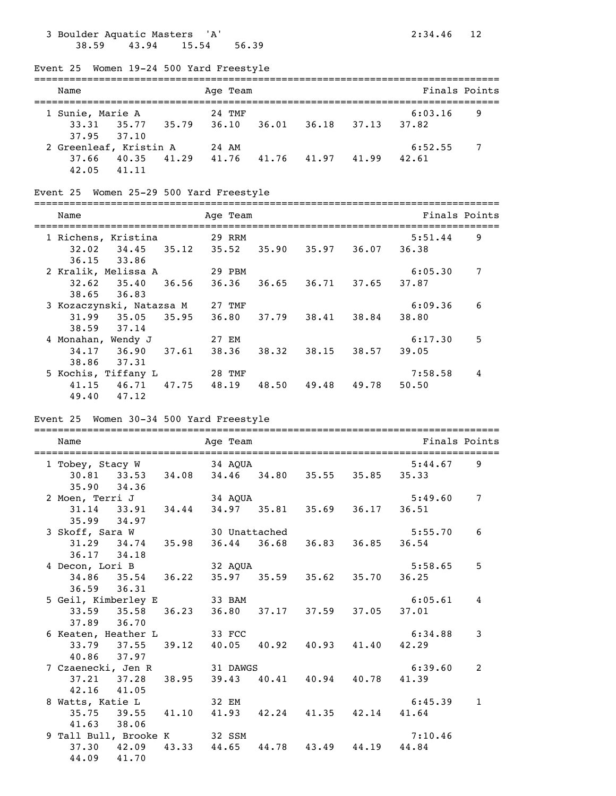# 3 Boulder Aquatic Masters 'A' 2:34.46 12 38.59 43.94 15.54 56.39

Event 25 Women 19-24 500 Yard Freestyle

| Name                                      | Age Team       |                |                       |  |  |  |
|-------------------------------------------|----------------|----------------|-----------------------|--|--|--|
| 1 Sunie, Marie A                          | 24 TMF         | 36.18          | 6:03.16<br>9<br>37.82 |  |  |  |
| 33.31 35.77 35.79<br>37.95 37.10          | 36.10<br>36.01 | 37.13          |                       |  |  |  |
| 2 Greenleaf, Kristin A                    | 24 AM          |                | 6:52.55<br>7          |  |  |  |
| 41.29<br>40.35<br>37.66<br>41.11<br>42.05 | 41.76<br>41.76 | 41.97<br>41.99 | 42.61                 |  |  |  |

### Event 25 Women 25-29 500 Yard Freestyle

| ____<br>___ |            |                                     |
|-------------|------------|-------------------------------------|
| Name        | eam<br>Ade | $\sim$<br>്റ<br>ntr<br>⋯⊣<br>-<br>. |

| -1911                             | $119C + 104H$   |       |       |       |                  |   |
|-----------------------------------|-----------------|-------|-------|-------|------------------|---|
| 1 Richens, Kristina<br>34.45      | 29 RRM<br>35.52 |       | 35.97 | 36.07 | 5:51.44<br>36.38 | 9 |
| 32.02<br>35.12<br>$36.15$ $33.86$ |                 | 35.90 |       |       |                  |   |
| 2 Kralik, Melissa A               | 29 PBM          |       |       |       | 6:05.30          | 7 |
| 35.40<br>32.62<br>36.56           | 36.36           | 36.65 | 36.71 | 37.65 | 37.87            |   |
| $38.65$ $36.83$                   |                 |       |       |       |                  |   |
| 3 Kozaczynski, Natazsa M          | 27 TMF          |       |       |       | 6:09.36          | 6 |
| 35.95<br>31.99<br>35.05           | 36.80           | 37.79 | 38.41 | 38.84 | 38.80            |   |
| 38.59<br>37.14                    |                 |       |       |       |                  |   |
| 4 Monahan, Wendy J                | 27 EM           |       |       |       | 6:17.30          | 5 |
| 34.17<br>36.90<br>37.61           | 38.36           | 38.32 | 38.15 | 38.57 | 39.05            |   |
| 38.86<br>37.31                    |                 |       |       |       |                  |   |
| 5 Kochis, Tiffany L               | 28 TMF          |       |       |       | 7:58.58          | 4 |
| 46.71<br>47.75<br>41.15           | 48.19           | 48.50 | 49.48 | 49.78 | 50.50            |   |
| 49.40<br>47.12                    |                 |       |       |       |                  |   |

### Event 25 Women 30-34 500 Yard Freestyle

| Name                          |  | Age Team                                        |  | Finals Points |                |
|-------------------------------|--|-------------------------------------------------|--|---------------|----------------|
| 1 Tobey, Stacy W 34 AQUA      |  |                                                 |  | 5:44.67       | 9              |
|                               |  | 30.81 33.53 34.08 34.46 34.80 35.55 35.85 35.33 |  |               |                |
| 35.90 34.36                   |  |                                                 |  |               |                |
| 2 Moen, Terri J 34 AQUA       |  |                                                 |  | 5:49.60       | $\overline{7}$ |
|                               |  | 31.14 33.91 34.44 34.97 35.81 35.69 36.17 36.51 |  |               |                |
| $35.99$ $34.97$               |  |                                                 |  |               |                |
| 3 Skoff, Sara W 30 Unattached |  |                                                 |  | 5:55.70       | 6              |
|                               |  | 31.29 34.74 35.98 36.44 36.68 36.83 36.85 36.54 |  |               |                |
| 36.17 34.18                   |  |                                                 |  |               |                |
| 4 Decon, Lori B               |  | 32 AOUA                                         |  | 5:58.65       | 5              |
|                               |  | 34.86 35.54 36.22 35.97 35.59 35.62 35.70 36.25 |  |               |                |
| $36.59$ $36.31$               |  |                                                 |  |               |                |
| 5 Geil, Kimberley E 33 BAM    |  |                                                 |  | 6:05.61       | 4              |
|                               |  | 33.59 35.58 36.23 36.80 37.17 37.59 37.05 37.01 |  |               |                |
| 37.89 36.70                   |  |                                                 |  |               |                |
| 6 Keaten, Heather L 33 FCC    |  |                                                 |  | 6:34.88       | 3              |
|                               |  | 33.79 37.55 39.12 40.05 40.92 40.93 41.40 42.29 |  |               |                |
| 40.86 37.97                   |  |                                                 |  |               |                |
| 7 Czaenecki, Jen R 31 DAWGS   |  |                                                 |  | 6:39.60       | 2              |
|                               |  | 37.21 37.28 38.95 39.43 40.41 40.94 40.78 41.39 |  |               |                |
| $42.16$ $41.05$               |  |                                                 |  |               |                |
| 8 Watts, Katie L 32 EM        |  |                                                 |  | 6:45.39       | $\mathbf{1}$   |
|                               |  | 35.75 39.55 41.10 41.93 42.24 41.35 42.14       |  | 41.64         |                |
| 41.63 38.06                   |  |                                                 |  |               |                |
| 9 Tall Bull, Brooke K 32 SSM  |  |                                                 |  | 7:10.46       |                |
|                               |  | 37.30 42.09 43.33 44.65 44.78 43.49 44.19 44.84 |  |               |                |
| 44.09 41.70                   |  |                                                 |  |               |                |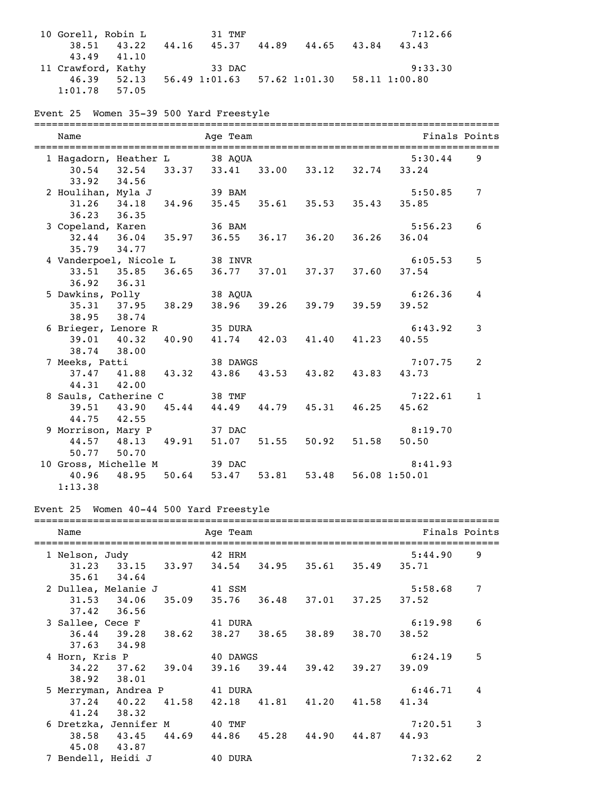10 Gorell, Robin L 31 TMF 7:12.66 38.51 43.22 44.16 45.37 44.89 44.65 43.84 43.43 43.49 41.10 11 Crawford, Kathy 33 DAC 9:33.30 46.39 52.13 56.49 1:01.63 57.62 1:01.30 58.11 1:00.80 1:01.78 57.05

# Event 25 Women 35-39 500 Yard Freestyle

| Name                                                            |             | ========= | ====================<br>Age Team                      |                                 |                  | Finals Points  |
|-----------------------------------------------------------------|-------------|-----------|-------------------------------------------------------|---------------------------------|------------------|----------------|
| 1 Hagadorn, Heather L 38 AQUA<br>33.92 34.56                    |             |           | 30.54 32.54 33.37 33.41 33.00 33.12 32.74 33.24       |                                 | 5:30.44          | 9              |
| 2 Houlihan, Myla J 39 BAM<br>36.23 36.35                        |             |           | 31.26 34.18 34.96 35.45 35.61 35.53 35.43 35.85       |                                 | 5:50.85          | $\overline{7}$ |
| 3 Copeland, Karen 36 BAM<br>35.79 34.77                         |             |           | 32.44 36.04 35.97 36.55 36.17 36.20 36.26 36.04       |                                 | 5:56.23          | 6              |
| 4 Vanderpoel, Nicole L<br>33.51 35.85 36.65<br>36.92 36.31      |             |           | 38 INVR                                               | 36.77 37.01 37.37 37.60         | 6:05.53<br>37.54 | 5              |
| 5 Dawkins, Polly 38 AQUA<br>38.95 38.74                         |             |           | 35.31 37.95 38.29 38.96 39.26 39.79 39.59 39.52       |                                 | 6:26.36          | 4              |
| 6 Brieger, Lenore R<br>39.01 40.32<br>38.74 38.00               |             | 40.90     | 35 DURA                                               | 41.74 42.03 41.40 41.23         | 6:43.92<br>40.55 | 3              |
| 7 Meeks, Patti<br>44.31 42.00                                   |             |           | 38 DAWGS<br>37.47 41.88 43.32 43.86 43.53 43.82 43.83 |                                 | 7:07.75<br>43.73 | 2              |
| 8 Sauls, Catherine C 38 TMF<br>39.51 43.90 45.44<br>44.75 42.55 |             |           |                                                       | 44.49 44.79 45.31 46.25         | 7:22.61<br>45.62 | $\mathbf{1}$   |
| 9 Morrison, Mary P<br>50.77 50.70                               |             |           | 37 DAC<br>44.57 48.13 49.91 51.07 51.55 50.92 51.58   |                                 | 8:19.70<br>50.50 |                |
| 10 Gross, Michelle M 39 DAC<br>40.96<br>1:13.38                 | 48.95 50.64 |           |                                                       | 53.47 53.81 53.48 56.08 1:50.01 | 8:41.93          |                |

### Event 25 Women 40-44 500 Yard Freestyle

| Name<br>=================================               | Age Team                            |                   |                         | Finals Points |   |
|---------------------------------------------------------|-------------------------------------|-------------------|-------------------------|---------------|---|
| 1 Nelson, Judy                                          | 42 HRM                              |                   |                         | 5:44.90       | 9 |
| 31.23 33.15 33.97 34.54 34.95 35.61 35.49 35.71         |                                     |                   |                         |               |   |
| $35.61$ $34.64$                                         |                                     |                   |                         |               |   |
| 2 Dullea, Melanie J 41 SSM                              |                                     |                   |                         | 5:58.68       | 7 |
| $31.53$ $34.06$ $35.09$ $35.76$ $36.48$ $37.01$ $37.25$ |                                     |                   |                         | 37.52         |   |
| $37.42$ $36.56$                                         |                                     |                   |                         |               |   |
| 3 Sallee, Cece F                                        | 41 DURA                             |                   |                         | 6:19.98       | 6 |
| $36.44$ $39.28$ $38.62$                                 |                                     | 38.27 38.65 38.89 | 38.70                   | 38.52         |   |
| $37.63$ $34.98$                                         |                                     |                   |                         |               |   |
| 4 Horn, Kris P                                          | 40 DAWGS                            |                   |                         | 6:24.19       | 5 |
| $34.22$ $37.62$ $39.04$                                 |                                     |                   | 39.16 39.44 39.42 39.27 | 39.09         |   |
| 38.92 38.01                                             |                                     |                   |                         |               |   |
| 5 Merryman, Andrea P 41 DURA                            |                                     |                   |                         | 6:46.71       | 4 |
| $37.24$ $40.22$                                         | 41.58 42.18 41.81 41.20 41.58 41.34 |                   |                         |               |   |
| $41.24$ 38.32                                           |                                     |                   |                         |               |   |
| 6 Dretzka, Jennifer M 40 TMF                            |                                     |                   |                         | 7:20.51       | 3 |
| 38.58 43.45 44.69 44.86 45.28 44.90 44.87 44.93         |                                     |                   |                         |               |   |
| 45.08 43.87                                             |                                     |                   |                         |               |   |
| 7 Bendell, Heidi J                                      | 40 DURA                             |                   |                         | 7:32.62       | 2 |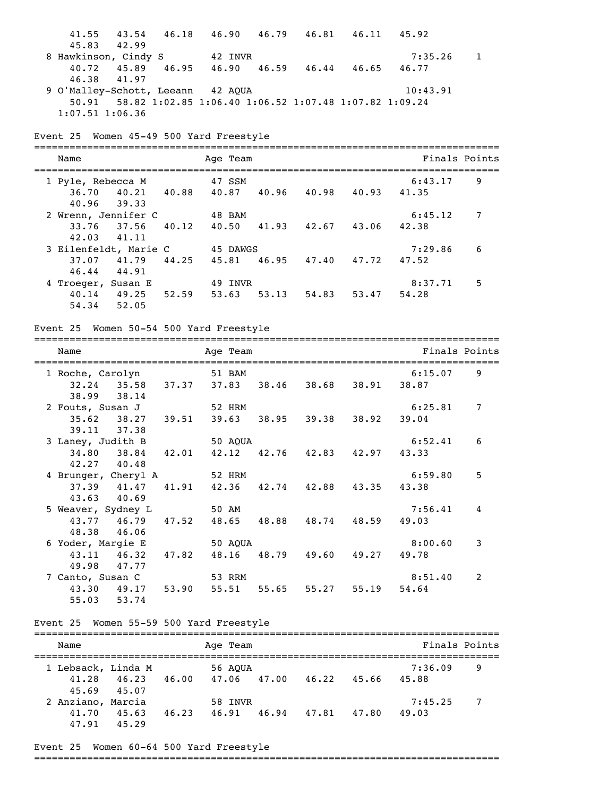| 41.55 43.54 46.18 46.90 46.79 46.81 46.11 45.92             |       |                                           |  |                         |               |                |
|-------------------------------------------------------------|-------|-------------------------------------------|--|-------------------------|---------------|----------------|
| 45.83<br>42.99                                              |       |                                           |  |                         |               |                |
| 8 Hawkinson, Cindy S                                        |       | 42 INVR                                   |  |                         | 7:35.26       | $\mathbf{1}$   |
| 40.72 45.89 46.95 46.90 46.59 46.44 46.65                   |       |                                           |  |                         | 46.77         |                |
| 46.38<br>41.97                                              |       |                                           |  |                         |               |                |
| 9 O'Malley-Schott, Leeann 42 AQUA                           |       |                                           |  |                         | 10:43.91      |                |
| 50.91 58.82 1:02.85 1:06.40 1:06.52 1:07.48 1:07.82 1:09.24 |       |                                           |  |                         |               |                |
| $1:07.51$ $1:06.36$                                         |       |                                           |  |                         |               |                |
|                                                             |       |                                           |  |                         |               |                |
| Event 25 Women 45-49 500 Yard Freestyle                     |       |                                           |  |                         |               |                |
| Name                                                        |       | Age Team                                  |  |                         | Finals Points |                |
|                                                             |       |                                           |  |                         |               |                |
| 1 Pyle, Rebecca M                                           |       | 47 SSM                                    |  |                         | 6:43.17       | 9              |
| 36.70                                                       |       | 40.21 40.88 40.87 40.96 40.98 40.93 41.35 |  |                         |               |                |
| 40.96<br>39.33                                              |       |                                           |  |                         |               |                |
| 2 Wrenn, Jennifer C                                         |       | 48 BAM                                    |  |                         | 6:45.12       | 7              |
| 33.76 37.56 40.12 40.50 41.93 42.67 43.06                   |       |                                           |  |                         | 42.38         |                |
| 42.03<br>41.11                                              |       |                                           |  |                         |               |                |
| 3 Eilenfeldt, Marie C                                       |       | 45 DAWGS                                  |  |                         | 7:29.86       | 6              |
| $37.07$ $41.79$ $44.25$                                     |       |                                           |  | 45.81 46.95 47.40 47.72 | 47.52         |                |
| 46.44 44.91                                                 |       |                                           |  |                         |               |                |
| 4 Troeger, Susan E                                          |       | 49 INVR                                   |  |                         | 8:37.71       | 5              |
| $40.14$ $49.25$ $52.59$ $53.63$                             |       |                                           |  | 53.13 54.83 53.47       | 54.28         |                |
| 54.34 52.05                                                 |       |                                           |  |                         |               |                |
|                                                             |       |                                           |  |                         |               |                |
| Event 25 Women 50-54 500 Yard Freestyle                     |       |                                           |  |                         |               |                |
|                                                             |       |                                           |  |                         |               |                |
| Name                                                        |       | Age Team                                  |  |                         | Finals Points |                |
|                                                             |       |                                           |  |                         |               |                |
| 1 Roche, Carolyn                                            |       | 51 BAM                                    |  |                         | 6:15.07       | 9              |
| 32.24 35.58 37.37 37.83 38.46 38.68 38.91 38.87             |       |                                           |  |                         |               |                |
| 38.99<br>38.14                                              |       |                                           |  |                         |               |                |
| 2 Fouts, Susan J                                            |       | 52 HRM                                    |  |                         | 6:25.81       | $\overline{7}$ |
| $35.62$ $38.27$ $39.51$                                     |       |                                           |  | 39.63 38.95 39.38 38.92 | 39.04         |                |
| 39.11 37.38                                                 |       |                                           |  |                         |               |                |
| 3 Laney, Judith B                                           |       | 50 AQUA                                   |  |                         | 6:52.41       | 6              |
| 34.80 38.84 42.01                                           |       | 42.12                                     |  | 42.76 42.83 42.97       | 43.33         |                |
| 42.27 40.48                                                 |       |                                           |  |                         |               |                |
| 4 Brunger, Cheryl A                                         |       | 52 HRM                                    |  |                         | 6:59.80       | 5              |
| $37.39$ $41.47$                                             |       | 41.91 42.36 42.74 42.88 43.35 43.38       |  |                         |               |                |
| 43.63<br>40.69                                              |       |                                           |  |                         |               |                |
| 5 Weaver, Sydney L                                          |       | 50 AM                                     |  |                         | 7:56.41       | 4              |
| 43.77 46.79                                                 | 47.52 |                                           |  | 48.65 48.88 48.74 48.59 | 49.03         |                |
| 46.06<br>48.38                                              |       |                                           |  |                         |               |                |
| 6 Yoder, Margie E                                           |       | 50 AQUA                                   |  |                         | 8:00.60       | 3              |
| 43.11 46.32 47.82                                           |       |                                           |  | 48.16 48.79 49.60 49.27 | 49.78         |                |
| 49.98<br>47.77                                              |       |                                           |  |                         |               |                |
| 7 Canto, Susan C                                            |       | 53 RRM                                    |  |                         | 8:51.40       | 2              |
| 43.30 49.17 53.90 55.51 55.65 55.27 55.19                   |       |                                           |  |                         | 54.64         |                |
| 55.03 53.74                                                 |       |                                           |  |                         |               |                |
|                                                             |       |                                           |  |                         |               |                |
| Event 25 Women 55-59 500 Yard Freestyle                     |       |                                           |  |                         |               |                |
| Name                                                        |       | Age Team                                  |  |                         | Finals Points |                |
|                                                             |       |                                           |  |                         |               |                |
| 1 Lebsack, Linda M                                          |       | 56 AQUA                                   |  |                         | 7:36.09       | 9              |
| 41.28                                                       |       | 46.23 46.00 47.06 47.00 46.22 45.66 45.88 |  |                         |               |                |
| 45.69<br>45.07                                              |       |                                           |  |                         |               |                |
| 2 Anziano, Marcia                                           |       | 58 INVR                                   |  |                         | 7:45.25       | 7              |
| 41.70                                                       |       | 45.63 46.23 46.91 46.94 47.81 47.80       |  |                         | 49.03         |                |
| 47.91 45.29                                                 |       |                                           |  |                         |               |                |

# Event 25 Women 60-64 500 Yard Freestyle

===============================================================================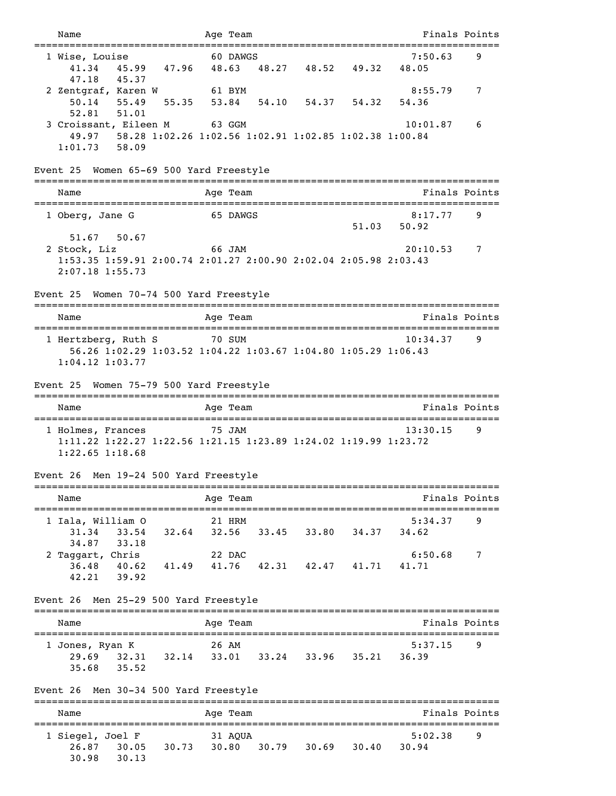| Name                                                                                                                   |                                                                       | Age Team |                               |       | Finals Points    |   |
|------------------------------------------------------------------------------------------------------------------------|-----------------------------------------------------------------------|----------|-------------------------------|-------|------------------|---|
| 1 Wise, Louise<br>41.34                                                                                                | 45.99 47.96 48.63                                                     | 60 DAWGS | 48.27 48.52 49.32             |       | 7:50.63<br>48.05 | 9 |
| 47.18<br>45.37<br>2 Zentgraf, Karen W<br>$50.14$ $55.49$<br>52.81<br>51.01                                             | 55.35                                                                 | 61 BYM   | 53.84 54.10 54.37 54.32       |       | 8:55.79<br>54.36 | 7 |
| 3 Croissant, Eileen M<br>$1:01.73$ 58.09                                                                               | 63 GGM<br>49.97 58.28 1:02.26 1:02.56 1:02.91 1:02.85 1:02.38 1:00.84 |          |                               |       | 10:01.87         | 6 |
| Event 25 Women 65-69 500 Yard Freestyle                                                                                |                                                                       |          |                               |       |                  |   |
| Name                                                                                                                   |                                                                       | Age Team |                               |       | Finals Points    |   |
| 1 Oberg, Jane G                                                                                                        |                                                                       | 65 DAWGS |                               | 51.03 | 8:17.77<br>50.92 | 9 |
| 51.67<br>50.67<br>2 Stock, Liz<br>1:53.35 1:59.91 2:00.74 2:01.27 2:00.90 2:02.04 2:05.98 2:03.43<br>$2:07.18$ 1:55.73 |                                                                       |          |                               |       | 20:10.53         | 7 |
| Event 25 Women 70-74 500 Yard Freestyle                                                                                |                                                                       |          |                               |       |                  |   |
| Name                                                                                                                   |                                                                       | Aqe Team |                               |       | Finals Points    |   |
| 1 Hertzberg, Ruth S<br>$1:04.12$ $1:03.77$                                                                             | 56.26 1:02.29 1:03.52 1:04.22 1:03.67 1:04.80 1:05.29 1:06.43         | 70 SUM   |                               |       | 10:34.37         | 9 |
| Event 25                                                                                                               | Women 75-79 500 Yard Freestyle                                        |          |                               |       |                  |   |
| Name                                                                                                                   |                                                                       | Aqe Team |                               |       | Finals Points    |   |
| 1 Holmes, Frances<br>1:11.22 1:22.27 1:22.56 1:21.15 1:23.89 1:24.02 1:19.99 1:23.72<br>$1:22.65$ $1:18.68$            |                                                                       | 75 JAM   |                               |       | 13:30.15         | 9 |
| Event 26 Men 19-24 500 Yard Freestyle                                                                                  |                                                                       |          |                               |       |                  |   |
| Name                                                                                                                   |                                                                       | Age Team |                               |       | Finals Points    |   |
| 1 Iala, William O<br>31.34<br>33.54<br>34.87<br>33.18                                                                  | 32.64                                                                 | 21 HRM   | 32.56 33.45 33.80 34.37       |       | 5:34.37<br>34.62 | 9 |
| 2 Taggart, Chris<br>39.92<br>42.21                                                                                     | 36.48 40.62 41.49 41.76 42.31 42.47 41.71                             | 22 DAC   |                               |       | 6:50.68<br>41.71 | 7 |
| Event 26                                                                                                               | Men 25-29 500 Yard Freestyle                                          |          |                               |       |                  |   |
| Name                                                                                                                   |                                                                       | Age Team |                               |       | Finals Points    |   |
| 1 Jones, Ryan K<br>29.69 32.31 32.14<br>35.52<br>35.68                                                                 |                                                                       | 26 AM    | 33.01 33.24 33.96 35.21 36.39 |       | 5:37.15          | 9 |
| Event 26                                                                                                               | Men 30-34 500 Yard Freestyle                                          |          |                               |       |                  |   |
| Name                                                                                                                   |                                                                       | Age Team |                               |       | Finals Points    |   |
| 1 Siegel, Joel F<br>26.87<br>30.05<br>30.98<br>30.13                                                                   | 30.73                                                                 | 31 AQUA  | 30.80 30.79 30.69 30.40       |       | 5:02.38<br>30.94 | 9 |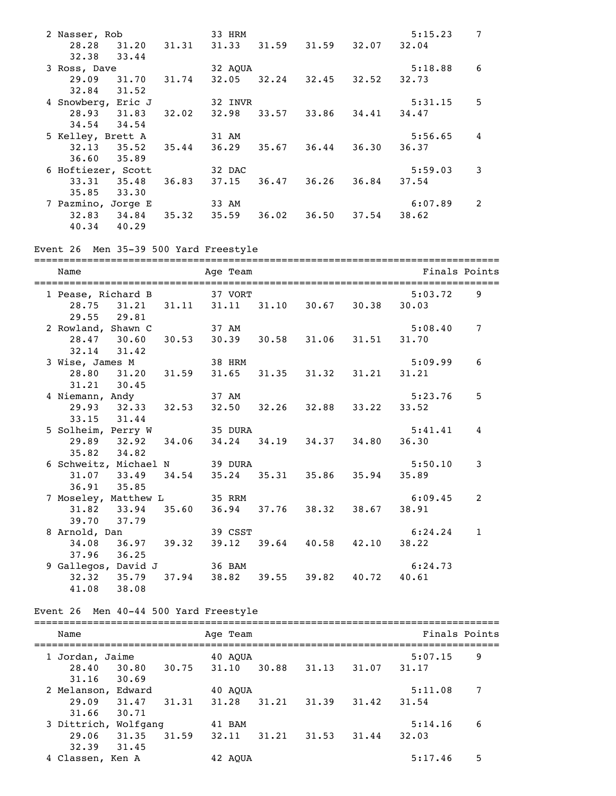| 2 Nasser, Rob      |       | 33 HRM  |       |       |       | 5:15.23 | 7              |
|--------------------|-------|---------|-------|-------|-------|---------|----------------|
| 28.28<br>31.20     | 31.31 | 31.33   | 31.59 | 31.59 | 32.07 | 32.04   |                |
| 33.44<br>32.38     |       |         |       |       |       |         |                |
| 3 Ross, Dave       |       | 32 AOUA |       |       |       | 5:18.88 | 6              |
| 29.09<br>31.70     | 31.74 | 32.05   | 32.24 | 32.45 | 32.52 | 32.73   |                |
| 32.84<br>31.52     |       |         |       |       |       |         |                |
| 4 Snowberg, Eric J |       | 32 INVR |       |       |       | 5:31.15 | 5              |
| 28.93<br>31.83     | 32.02 | 32.98   | 33.57 | 33.86 | 34.41 | 34.47   |                |
| 34.54<br>34.54     |       |         |       |       |       |         |                |
| 5 Kelley, Brett A  |       | 31 AM   |       |       |       | 5:56.65 | 4              |
| $32.13$ $35.52$    | 35.44 | 36.29   | 35.67 | 36.44 | 36.30 | 36.37   |                |
| 35.89<br>36.60     |       |         |       |       |       |         |                |
| 6 Hoftiezer, Scott |       | 32 DAC  |       |       |       | 5:59.03 | 3              |
| 33.31<br>35.48     | 36.83 | 37.15   | 36.47 | 36.26 | 36.84 | 37.54   |                |
| 35.85<br>33.30     |       |         |       |       |       |         |                |
| 7 Pazmino, Jorge E |       | 33 AM   |       |       |       | 6:07.89 | $\overline{2}$ |
| 32.83<br>34.84     | 35.32 | 35.59   | 36.02 | 36.50 | 37.54 | 38.62   |                |
| 40.34<br>40.29     |       |         |       |       |       |         |                |

#### Event 26 Men 35-39 500 Yard Freestyle

=============================================================================== Name Age Team Age Team Finals Points =============================================================================== 1 Pease, Richard B 37 VORT 5:03.72 9 28.75 31.21 31.11 31.11 31.10 30.67 30.38 30.03 29.55 29.81 2 Rowland, Shawn C 37 AM 5:08.40 7 28.47 30.60 30.53 30.39 30.58 31.06 31.51 31.70 32.14 31.42 3 Wise, James M 38 HRM 5:09.99 6 28.80 31.20 31.59 31.65 31.35 31.32 31.21 31.21 31.21 30.45 4 Niemann, Andy 37 AM 5:23.76 5 29.93 32.33 32.53 32.50 32.26 32.88 33.22 33.52 33.15 31.44 5 Solheim, Perry W 35 DURA 5:41.41 4<br>29.89 32.92 34.06 34.24 34.19 34.37 34.80 36.30 29.89 32.92 34.06 34.24 34.19 34.37 34.80 36.30 35.82 34.82 6 Schweitz, Michael N 39 DURA 5:50.10 3<br>31.07 33.49 34.54 35.24 35.31 35.86 35.94 35.89 31.07 33.49 34.54 35.24 35.31 35.86 35.94 35.89 36.91 35.85 7 Moseley, Matthew L 35 RRM 6:09.45 2 31.82 33.94 35.60 36.94 37.76 38.32 38.67 38.91 39.70 37.79 8 Arnold, Dan 39.32 39.12 39.64 40.58 42.10 38.22 34.08 36.97 39.32 39.12 39.64 40.58 42.10 38.22 34.08 36.97 39.32 39.12 39.64 40.58 42.10 38.22 37.96 36.25 9 Gallegos, David J 36 BAM 6:24.73<br>32.32 35.79 37.94 38.82 39.55 39.82 40.72 40.61 32.32 35.79 37.94 38.82 39.55 39.82 40.72 40.61 41.08 38.08

#### Event 26 Men 40-44 500 Yard Freestyle

| Name             |          |        | Age Team |        |       |       | Finals Points |   |
|------------------|----------|--------|----------|--------|-------|-------|---------------|---|
| Jordan, Jaime    |          |        | 40 AOUA  |        |       |       | 5:07.15       | 9 |
| 28.40            | 30.80    | 30.75  | 31.10    | 30.88  | 31.13 | 31.07 | 31.17         |   |
| 31.16            | 30.69    |        |          |        |       |       |               |   |
| 2 Melanson,      | Edward   |        | 40 AOUA  |        |       |       | 5:11.08       | 7 |
| 29.09            | 31.47    | 31, 31 | 31.28    | 31, 21 | 31.39 | 31.42 | 31.54         |   |
| 31.66            | 30.71    |        |          |        |       |       |               |   |
| 3 Dittrich,      | Wolfgang |        | 41 BAM   |        |       |       | 5:14.16       | 6 |
| 29.06            | 31.35    | 31.59  | 32.11    | 31.21  | 31.53 | 31.44 | 32.03         |   |
| 32.39            | 31.45    |        |          |        |       |       |               |   |
| 4 Classen, Ken A |          |        | 42 AOUA  |        |       |       | 5:17.46       | 5 |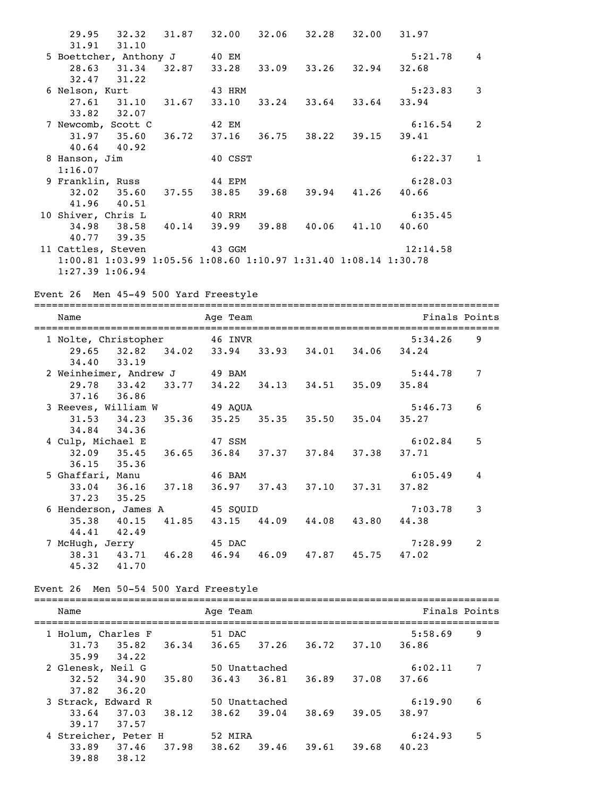|                                                                 |  | 29.95 32.32 31.87 32.00 32.06 32.28 32.00 31.97 |  |             |                |
|-----------------------------------------------------------------|--|-------------------------------------------------|--|-------------|----------------|
| 31.91 31.10                                                     |  |                                                 |  |             |                |
| 5 Boettcher, Anthony J 40 EM                                    |  |                                                 |  | 5:21.78     | 4              |
|                                                                 |  | 28.63 31.34 32.87 33.28 33.09 33.26 32.94       |  | 32.68       |                |
| $32.47$ $31.22$                                                 |  |                                                 |  |             |                |
| 6 Nelson, Kurt 43 HRM                                           |  |                                                 |  | $5:23.83$ 3 |                |
|                                                                 |  | 27.61 31.10 31.67 33.10 33.24 33.64 33.64 33.94 |  |             |                |
| $33.82$ $32.07$                                                 |  |                                                 |  |             |                |
| 7 Newcomb, Scott C                                              |  | 42 EM                                           |  | $6:16.54$ 2 |                |
|                                                                 |  | 31.97 35.60 36.72 37.16 36.75 38.22 39.15 39.41 |  |             |                |
| $40.64$ $40.92$                                                 |  |                                                 |  |             |                |
| 8 Hanson, Jim 40 CSST                                           |  |                                                 |  | 6:22.37     | $\overline{1}$ |
| 1:16.07                                                         |  |                                                 |  |             |                |
| 9 Franklin, Russ 44 EPM                                         |  |                                                 |  | 6:28.03     |                |
|                                                                 |  | 32.02 35.60 37.55 38.85 39.68 39.94 41.26 40.66 |  |             |                |
| $41.96$ $40.51$                                                 |  |                                                 |  |             |                |
| 10 Shiver, Chris L 40 RRM                                       |  |                                                 |  | 6:35.45     |                |
|                                                                 |  | 34.98 38.58 40.14 39.99 39.88 40.06 41.10 40.60 |  |             |                |
| 40.77 39.35                                                     |  |                                                 |  |             |                |
| 11 Cattles, Steven 43 GGM                                       |  |                                                 |  | 12:14.58    |                |
| 1:00.81 1:03.99 1:05.56 1:08.60 1:10.97 1:31.40 1:08.14 1:30.78 |  |                                                 |  |             |                |
| $1:27.39$ $1:06.94$                                             |  |                                                 |  |             |                |

Event 26 Men 45-49 500 Yard Freestyle

=============================================================================== Name Age Team Age Team Finals Points =============================================================================== 1 Nolte, Christopher 46 INVR 5:34.26 9 29.65 32.82 34.02 33.94 33.93 34.01 34.06 34.24 34.40 33.19 2 Weinheimer, Andrew J  $\begin{array}{ccc} 49 & \text{BAM} & \text{5:44.78} & 7 \end{array}$  29.78 33.42 33.77 34.22 34.13 34.51 35.09 35.84 37.16 36.86 3 Reeves, William W 49 AQUA 5:46.73 6 31.53 34.23 35.36 35.25 35.35 35.50 35.04 35.27 34.84 34.36 4 Culp, Michael E 47 SSM 6:02.84 5 32.09 35.45 36.65 36.84 37.37 37.84 37.38 37.71 36.15 35.36 5 Ghaffari, Manu 46 BAM 6:05.49 4 33.04 36.16 37.18 36.97 37.43 37.10 37.31 37.82 37.23 35.25 6 Henderson, James A 45 SQUID 7:03.78 3 35.38 40.15 41.85 43.15 44.09 44.08 43.80 44.38 44.41 42.49 7 McHugh, Jerry 45 DAC 7:28.99 2 38.31 43.71 46.28 46.94 46.09 47.87 45.75 47.02 45.32 41.70

```
Event 26 Men 50-54 500 Yard Freestyle
```

| Name                                   |       | Age Team               |       |       |       | Finals Points    |   |
|----------------------------------------|-------|------------------------|-------|-------|-------|------------------|---|
| 1 Holum, Charles F<br>35.82<br>31.73   | 36.34 | 51 DAC<br>36.65        | 37.26 | 36.72 | 37.10 | 5:58.69<br>36.86 | 9 |
| 35.99<br>34.22                         |       |                        |       |       |       |                  |   |
| 2 Glenesk, Neil G<br>32.52<br>34.90    | 35.80 | 50 Unattached<br>36.43 | 36.81 | 36.89 | 37.08 | 6:02.11<br>37.66 | 7 |
| 37.82<br>36.20                         |       |                        |       |       |       |                  |   |
| 3 Strack, Edward R<br>37.03<br>33.64   | 38.12 | 50 Unattached<br>38.62 | 39.04 | 38.69 | 39.05 | 6:19.90<br>38.97 | 6 |
| 39.17<br>37.57<br>4 Streicher, Peter H |       | 52 MIRA                |       |       |       | 6:24.93          | 5 |
| 33.89<br>37.46<br>39.88<br>38.12       | 37.98 | 38.62                  | 39.46 | 39.61 | 39.68 | 40.23            |   |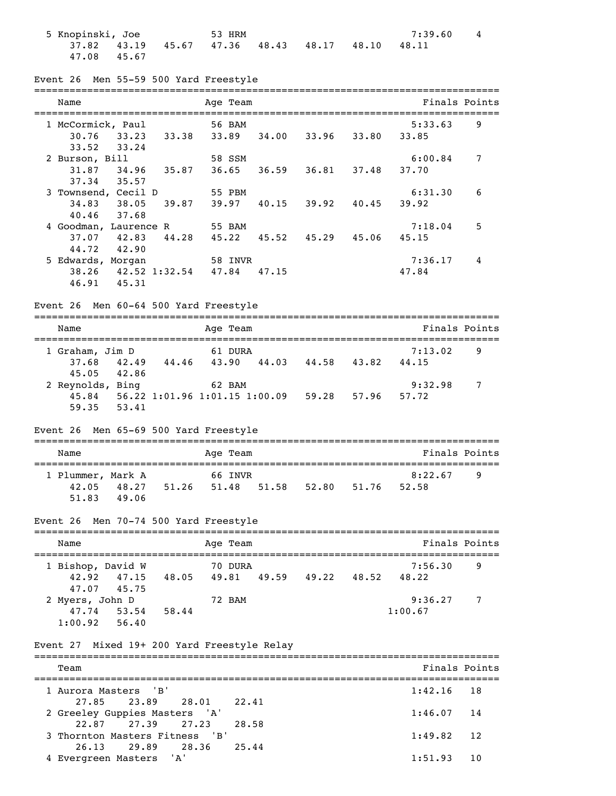| 5 Knopinski, Joe | 53 HRM      |  | 7:39.60                                         | $\overline{4}$ |             |  |
|------------------|-------------|--|-------------------------------------------------|----------------|-------------|--|
|                  |             |  | $37.82$ $43.19$ $45.67$ $47.36$ $48.43$ $48.17$ |                | 48.10 48.11 |  |
|                  | 47.08 45.67 |  |                                                 |                |             |  |

|  |  |  |  |  |  | Event 26 Men 55-59 500 Yard Freestyle |
|--|--|--|--|--|--|---------------------------------------|
|--|--|--|--|--|--|---------------------------------------|

| Name                    | Age Team                | Finals Points  |
|-------------------------|-------------------------|----------------|
| 1 McCormick, Paul       | 56 BAM                  | 9<br>5:33.63   |
| 30.76<br>33.23<br>33.38 | 33.89<br>34.00<br>33.96 | 33.80<br>33.85 |
| 33.24<br>33.52          |                         |                |
| 2 Burson, Bill          | 58 SSM                  | 7<br>6:00.84   |
| 35.87<br>31.87<br>34.96 | 36.65<br>36.81<br>36.59 | 37.48<br>37.70 |
| 37.34<br>35.57          |                         |                |
| 3 Townsend, Cecil D     | 55 PBM                  | 6<br>6:31.30   |
| 38.05<br>39.87<br>34.83 | 39.97<br>40.15<br>39.92 | 40.45<br>39.92 |
| 37.68<br>40.46          |                         |                |
| 4 Goodman, Laurence R   | 55 BAM                  | 5<br>7:18.04   |
| 37.07<br>42.83<br>44.28 | 45.22<br>45.52<br>45.29 | 45.06<br>45.15 |
| 44.72<br>42.90          |                         |                |
| 5 Edwards, Morgan       | 58 INVR                 | 4<br>7:36.17   |
| 42.52 1:32.54<br>38.26  | 47.84<br>47.15          | 47.84          |
| 45.31<br>46.91          |                         |                |
|                         |                         |                |

Event 26 Men 60-64 500 Yard Freestyle

| Name             |             |       | Age Team                      |       |       |       | Finals Points |   |  |  |  |
|------------------|-------------|-------|-------------------------------|-------|-------|-------|---------------|---|--|--|--|
| 1 Graham, Jim D  |             |       | 61 DURA                       |       |       |       | 7:13.02       | 9 |  |  |  |
| 37.68            | 42.49       | 44.46 | 43.90                         | 44.03 | 44.58 | 43.82 | 44.15         |   |  |  |  |
|                  | 45.05 42.86 |       |                               |       |       |       |               |   |  |  |  |
| 2 Reynolds, Bing |             |       | 62 BAM                        |       |       |       | 9:32.98       | 7 |  |  |  |
| 45.84            |             |       | 56.22 1:01.96 1:01.15 1:00.09 |       | 59.28 | 57.96 | 57.72         |   |  |  |  |
| 59.35            | 53.41       |       |                               |       |       |       |               |   |  |  |  |

# Event 26 Men 65-69 500 Yard Freestyle

| Name              |       |       | Age Team |         |  |             |       | Finals Points |   |  |
|-------------------|-------|-------|----------|---------|--|-------------|-------|---------------|---|--|
|                   |       |       |          |         |  |             |       |               |   |  |
| 1 Plummer, Mark A |       |       |          | 66 INVR |  |             |       | 8:22.67       | q |  |
| 42.05             | 48.27 | 51.26 | 51.48    |         |  | 51.58 52.80 | 51.76 | 52.58         |   |  |
| 51.83             | 49.06 |       |          |         |  |             |       |               |   |  |

# Event 26 Men 70-74 500 Yard Freestyle

| Name              |                 |       | Age Team |       |       |       |         | Finals Points |  |
|-------------------|-----------------|-------|----------|-------|-------|-------|---------|---------------|--|
| 1 Bishop, David W |                 |       | 70 DURA  |       |       |       | 7:56.30 | 9             |  |
|                   | $42.92$ $47.15$ | 48.05 | 49.81    | 49.59 | 49.22 | 48.52 | 48.22   |               |  |
|                   | 47.07 45.75     |       |          |       |       |       |         |               |  |
| 2 Myers, John D   |                 |       | 72 BAM   |       |       |       | 9:36.27 | -7            |  |
| 47.74             | 53.54           | 58.44 |          |       |       |       | 1:00.67 |               |  |
| $1:00.92$ 56.40   |                 |       |          |       |       |       |         |               |  |

# Event 27 Mixed 19+ 200 Yard Freestyle Relay

| Team                           | Finals Points  |
|--------------------------------|----------------|
| 1 Aurora Masters 'B'           | $1:42.16$ 18   |
| 27.85 23.89 28.01 22.41        |                |
| 2 Greeley Guppies Masters 'A'  | $1:46.07$ 14   |
| 22.87 27.39 27.23<br>28.58     |                |
| 3 Thornton Masters Fitness 'B' | $1:49.82$ 12   |
| 26.13 29.89 28.36<br>25.44     |                |
| 4 Evergreen Masters 'A'        | 1 O<br>1:51.93 |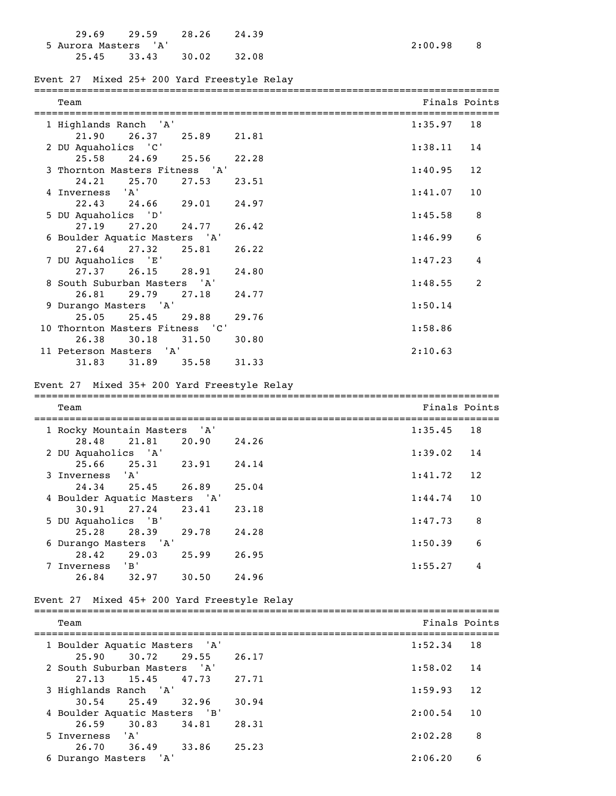|                      | 29.69 29.59 28.26 |       | 24.39 |
|----------------------|-------------------|-------|-------|
| 5 Aurora Masters 'A' |                   |       |       |
|                      | 25.45 33.43       | 30.02 | 32.08 |

# Event 27 Mixed 25+ 200 Yard Freestyle Relay

| Team                            |       |       |                                             | ================================<br>Finals Points |   |
|---------------------------------|-------|-------|---------------------------------------------|---------------------------------------------------|---|
| 1 Highlands Ranch 'A'           |       |       |                                             | 1:35.97<br>18                                     |   |
| 21.90                           | 26.37 | 25.89 | 21.81                                       |                                                   |   |
| 2 DU Aquaholics 'C'             |       |       |                                             | 1:38.11<br>14                                     |   |
| 25.58                           | 24.69 | 25.56 | 22.28                                       |                                                   |   |
| 3 Thornton Masters Fitness 'A'  |       |       |                                             | 1:40.95<br>12                                     |   |
| 24.21                           | 25.70 | 27.53 | 23.51                                       |                                                   |   |
| 4 Inverness 'A'                 |       |       |                                             | 10<br>1:41.07                                     |   |
| 22.43                           | 24.66 | 29.01 | 24.97                                       |                                                   |   |
| 5 DU Aquaholics 'D'             |       |       |                                             | 1:45.58                                           | 8 |
| 27.19                           | 27.20 | 24.77 | 26.42                                       |                                                   |   |
| 6 Boulder Aquatic Masters 'A'   |       |       |                                             | 1:46.99                                           | 6 |
| 27.64 27.32                     |       | 25.81 | 26.22                                       |                                                   |   |
| 7 DU Aquaholics 'E'             |       |       |                                             | 1:47.23                                           | 4 |
| 27.37                           | 26.15 | 28.91 | 24.80                                       |                                                   |   |
| 8 South Suburban Masters 'A'    |       |       |                                             | 1:48.55                                           | 2 |
| 26.81                           | 29.79 | 27.18 | 24.77                                       |                                                   |   |
| 9 Durango Masters 'A'           |       |       |                                             | 1:50.14                                           |   |
| 25.05                           | 25.45 | 29.88 | 29.76                                       |                                                   |   |
| 10 Thornton Masters Fitness 'C' |       |       |                                             | 1:58.86                                           |   |
| 26.38                           | 30.18 | 31.50 | 30.80                                       |                                                   |   |
| 11 Peterson Masters             |       | ' A'  |                                             | 2:10.63                                           |   |
| 31.83                           | 31.89 | 35.58 | 31.33                                       |                                                   |   |
|                                 |       |       | Event 27 Mixed 35+ 200 Yard Freestyle Relay |                                                   |   |
| Team                            |       |       |                                             | Finals Points                                     |   |
| 1 Rocky Mountain Masters 'A'    |       |       |                                             | 1:35.45<br>18                                     |   |
| 28.48                           | 21.81 | 20.90 | 24.26                                       |                                                   |   |
| 2 DU Aquaholics 'A'             |       |       |                                             | 1:39.02<br>14                                     |   |
| 25.66                           | 25.31 | 23.91 | 24.14                                       |                                                   |   |
| 3 Inverness                     | 'A'   |       |                                             | 1:41.72<br>12                                     |   |

| 24.34                         | 25.45 26.89             |       | 25.04 |              |     |
|-------------------------------|-------------------------|-------|-------|--------------|-----|
| 4 Boulder Aquatic Masters 'A' |                         |       |       | $1:44.74$ 10 |     |
|                               | $30.91$ $27.24$ $23.41$ |       | 23.18 |              |     |
| 5 DU Aquaholics 'B'           |                         |       |       | 1:47.73      | - 8 |
| 25.28 28.39                   |                         | 29.78 | 24.28 |              |     |
| 6 Durango Masters 'A'         |                         |       |       | 1:50.39      | -6  |
| 28.42                         | 29.03                   | 25.99 | 26.95 |              |     |
| Inverness                     | 'B'                     |       |       | 1:55.27      |     |
| 26.84                         | 32.97                   | 30.50 | 24.96 |              |     |

### Event 27 Mixed 45+ 200 Yard Freestyle Relay

| Team                          |       |       |       |         | Finals Points |
|-------------------------------|-------|-------|-------|---------|---------------|
| 1 Boulder Aquatic Masters 'A' |       |       |       | 1:52.34 | 18            |
| 25.90                         | 30.72 | 29.55 | 26.17 |         |               |
| 2 South Suburban Masters 'A'  |       |       |       | 1:58.02 | 14            |
| 27.13                         | 15.45 | 47.73 | 27.71 |         |               |
| 3 Highlands Ranch 'A'         |       |       |       | 1:59.93 | 12            |
| $30.54$ 25.49                 |       | 32.96 | 30.94 |         |               |
| 4 Boulder Aquatic Masters 'B' |       |       |       | 2:00.54 | 10            |
| 26.59                         | 30.83 | 34.81 | 28.31 |         |               |
| 5 Inverness 'A'               |       |       |       | 2:02.28 | 8             |
| 26.70                         | 36.49 | 33.86 | 25.23 |         |               |
| 6 Durango Masters 'A'         |       |       |       | 2:06.20 | 6             |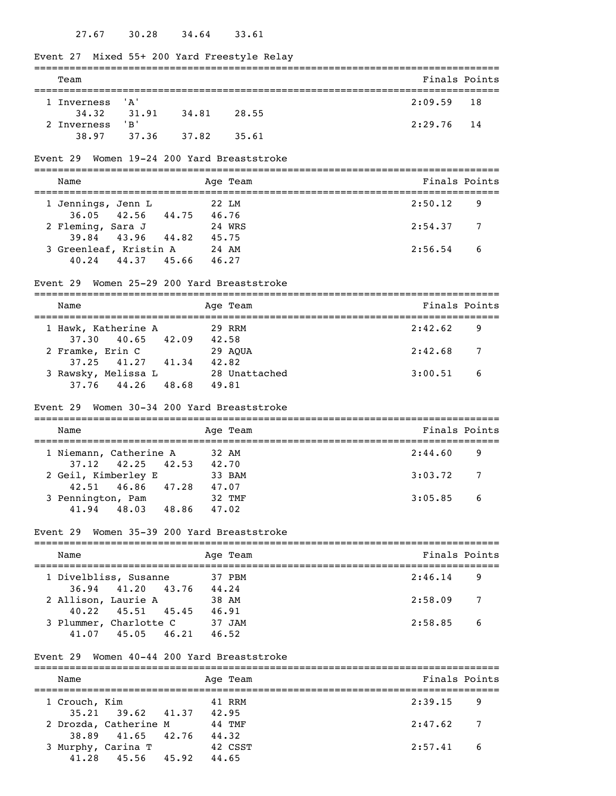#### 27.67 30.28 34.64 33.61

# Event 27 Mixed 55+ 200 Yard Freestyle Relay =============================================================================== Team **Finals Points** =============================================================================== 1 Inverness 'A' 2:09.59 18 34.32 31.91 34.81 28.55 2 Inverness 'B' 2:29.76 14 38.97 37.36 37.82 35.61 Event 29 Women 19-24 200 Yard Breaststroke =============================================================================== Name Age Team Age Team Finals Points =============================================================================== 1 Jennings, Jenn L 22 LM 2:50.12 9 36.05 42.56 44.75 46.76 2 Fleming, Sara J 24 WRS 2:54.37 7 39.84 43.96 44.82 45.75 3 Greenleaf, Kristin A 24 AM 2:56.54 6 40.24 44.37 45.66 46.27 Event 29 Women 25-29 200 Yard Breaststroke =============================================================================== Name Age Team Age Team Finals Points =============================================================================== 1 Hawk, Katherine A 29 RRM 2:42.62 9 37.30 40.65 42.09 42.58<br>
camke, Erin C 29 AQUA 2 Framke, Erin C 29 AQUA 2:42.68 7 37.25 41.27 41.34 42.82 3 Rawsky, Melissa L 28 Unattached 3:00.51 6 37.76 44.26 48.68 49.81 Event 29 Women 30-34 200 Yard Breaststroke =============================================================================== Name Age Team Age Age Team Finals Points =============================================================================== 1 Niemann, Catherine A 32 AM 2:44.60 9 37.12 42.25 42.53 42.70 2 Geil, Kimberley E 33 BAM 3:03.72 7 42.51 46.86 47.28 47.07<br>ennington, Pam 32 TMF 3 Pennington, Pam 32 TMF 3:05.85 6 41.94 48.03 48.86 47.02 Event 29 Women 35-39 200 Yard Breaststroke =============================================================================== Name Age Team Finals Points

| 1 Divelbliss, Susanne   | 37 PBM | 2:46.14                   | - 9 |
|-------------------------|--------|---------------------------|-----|
| 36.94 41.20 43.76       | 44.24  |                           |     |
| 2 Allison, Laurie A     | 38 AM  | 2:58.09<br>$\overline{7}$ |     |
| $40.22$ $45.51$ $45.45$ | 46.91  |                           |     |
| 3 Plummer, Charlotte C  | 37 JAM | 2:58.85<br>6              |     |
| 45.05 46.21<br>41.07    | 46.52  |                           |     |

#### Event 29 Women 40-44 200 Yard Breaststroke

| Name          |                                                  | Age Team         | Finals Points             |
|---------------|--------------------------------------------------|------------------|---------------------------|
| 1 Crouch, Kim |                                                  | 41 RRM           | $2:39.15$ 9               |
|               | $35.21$ $39.62$ $41.37$<br>2 Drozda, Catherine M | 42.95<br>44 TMF  | 2:47.62<br>$\overline{7}$ |
|               | 38.89 41.65 42.76<br>3 Murphy, Carina T          | 44.32<br>42 CSST | 2:57.41<br>6              |
|               | $41.28$ $45.56$ $45.92$                          | 44.65            |                           |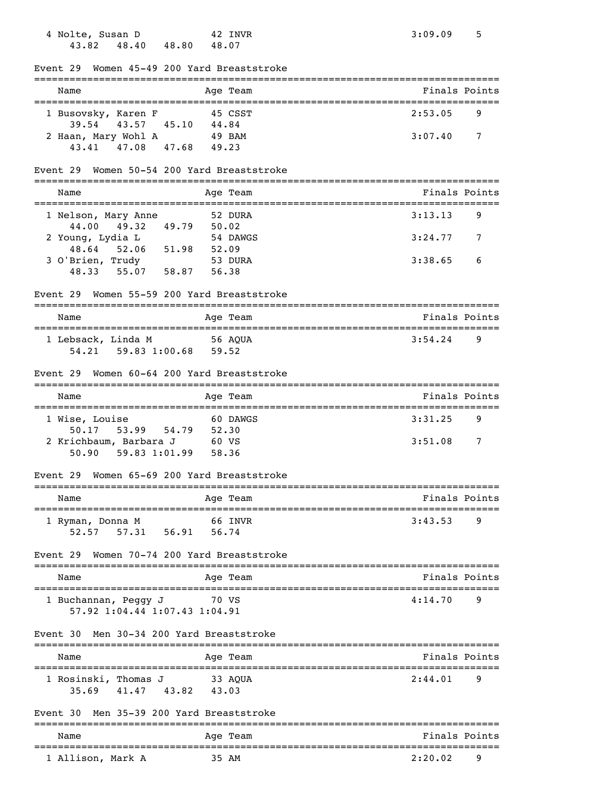| 4 Nolte, Susan D<br>42 INVR<br>48.40 48.80 48.07<br>43.82                                  | 3:09.09<br>5                                     |
|--------------------------------------------------------------------------------------------|--------------------------------------------------|
| Event 29 Women 45-49 200 Yard Breaststroke                                                 |                                                  |
| Name<br>Age Team                                                                           | Finals Points                                    |
| 1 Busovsky, Karen F<br>45 CSST                                                             | 2:53.05<br>9                                     |
| 45.10 44.84<br>39.54<br>43.57<br>2 Haan, Mary Wohl A 49 BAM<br>43.41 47.08 47.68<br>49.23  | 3:07.40<br>7                                     |
| Event 29 Women 50-54 200 Yard Breaststroke                                                 |                                                  |
| Name<br>Age Team                                                                           | Finals Points                                    |
| 52 DURA<br>1 Nelson, Mary Anne                                                             | 3:13.13<br>9                                     |
| 44.00 49.32 49.79 50.02<br>2 Young, Lydia L<br>48.64 52.06 51.98 52.09<br>54 DAWGS         | 3:24.77<br>7                                     |
| $3$ O'Brien, Trudy<br>53 DURA<br>48.33 55.07 58.87<br>56.38                                | 3:38.65<br>6                                     |
| Event 29 Women 55-59 200 Yard Breaststroke                                                 |                                                  |
| Name<br>Age Team                                                                           | Finals Points                                    |
| 1 Lebsack, Linda M 56 AQUA<br>54.21  59.83  1:00.68  59.52                                 | $3:54.24$ 9                                      |
| Event 29 Women 60-64 200 Yard Breaststroke                                                 |                                                  |
| Age Team<br>Name                                                                           | Finals Points                                    |
| 1 Wise, Louise<br>60 DAWGS                                                                 | 3:31.25<br>9                                     |
| 50.17 53.99 54.79 52.30<br>60 VS<br>2 Krichbaum, Barbara J<br>59.83 1:01.99 58.36<br>50.90 | 3:51.08<br>7                                     |
| Event 29 Women 65-69 200 Yard Breaststroke                                                 |                                                  |
| Name<br>Age Team                                                                           | Finals Points                                    |
| 66 INVR<br>1 Ryman, Donna M<br>57.31 56.91 56.74<br>52.57                                  | 3:43.53<br>9                                     |
| Women 70-74 200 Yard Breaststroke<br>Event 29                                              |                                                  |
| Age Team<br>Name                                                                           | Finals Points                                    |
| ==================<br>1 Buchannan, Peggy J<br>70 VS<br>57.92 1:04.44 1:07.43 1:04.91       | ================================<br>4:14.70<br>9 |
| Men 30-34 200 Yard Breaststroke<br>Event 30                                                |                                                  |
| Age Team<br>Name                                                                           | Finals Points                                    |
| 1 Rosinski, Thomas J<br>33 AQUA<br>35.69 41.47 43.82<br>43.03                              | 2:44.01<br>9                                     |
| Event 30 Men 35-39 200 Yard Breaststroke<br>-----------                                    |                                                  |
| Name<br>Age Team                                                                           | Finals Points                                    |
| 1 Allison, Mark A<br>35 AM                                                                 | 2:20.02<br>9                                     |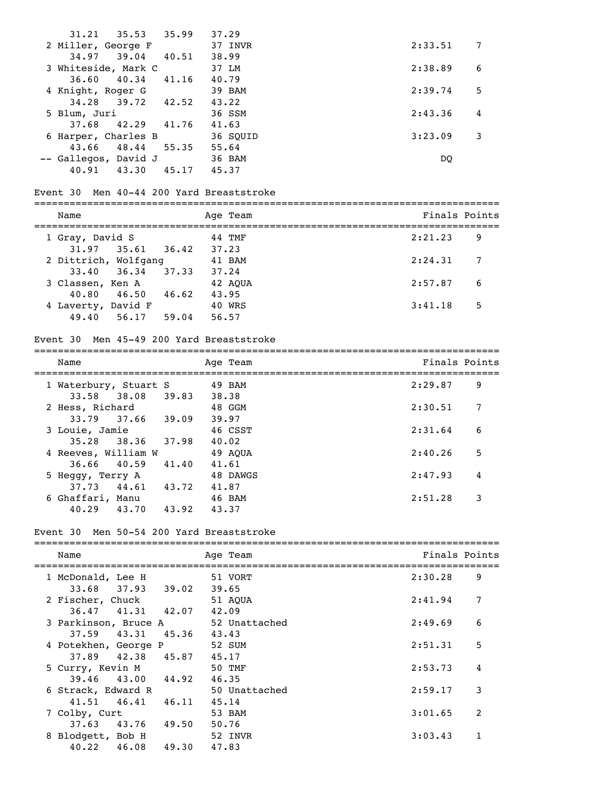| Name                                        | Age Team         | Finals Points |
|---------------------------------------------|------------------|---------------|
| Men 50-54 200 Yard Breaststroke<br>Event 30 |                  |               |
| 40.29<br>43.70<br>43.92                     | 43.37            |               |
| 6 Ghaffari, Manu                            | 46 BAM           | 2:51.28<br>3  |
| 44.61<br>37.73<br>43.72                     | 41.87            |               |
| 5 Heggy, Terry A                            | 48 DAWGS         | 2:47.93 4     |
| 40.59<br>41.40<br>36.66                     | 41.61            |               |
| 4 Reeves, William W                         | 49 AQUA          | 5<br>2:40.26  |
| 38.36 37.98<br>35.28                        | 46 CSST<br>40.02 |               |
| 3 Louie, Jamie                              | 39.97            | 2:31.64<br>6  |
| 2 Hess, Richard<br>33.79 37.66 39.09        | 48 GGM           | 2:30.51<br>7  |
| 33.58 38.08 39.83                           | 38.38            |               |
| 1 Waterbury, Stuart S 49 BAM                |                  | 2:29.87<br>9  |
| Name                                        | Age Team         | Finals Points |
|                                             |                  |               |
| Event 30 Men 45-49 200 Yard Breaststroke    |                  |               |
| 49.40 56.17 59.04                           | 56.57            |               |
| 4 Laverty, David F                          | 40 WRS           | 3:41.18<br>5  |
| 40.80  46.50  46.62  43.95                  |                  |               |
| 33.40<br>36.34 37.33<br>3 Classen, Ken A    | 37.24<br>42 AQUA | 2:57.87<br>6  |
| 2 Dittrich, Wolfgang                        | 41 BAM           | 2:24.31<br>7  |
| 31.97 35.61 36.42 37.23                     |                  |               |
| 1 Gray, David S                             | 44 TMF           | 2:21.23<br>9  |
| Name                                        | Age Team         | Finals Points |
|                                             |                  |               |
| Event 30 Men 40-44 200 Yard Breaststroke    |                  |               |
| 40.91 43.30<br>45.17 45.37                  |                  |               |
| -- Gallegos, David J                        | 36 BAM           | DQ            |
| 43.66<br>48.44                              | 55.35 55.64      |               |
| 6 Harper, Charles B                         | 36 SQUID         | 3:23.09<br>3  |
| 42.29 41.76 41.63<br>37.68                  |                  |               |
| 34.28<br>39.72<br>42.52<br>5 Blum, Juri     | 43.22<br>36 SSM  | 2:43.36<br>4  |
| 4 Knight, Roger G                           | 39 BAM           | 2:39.74<br>5  |
| 36.60<br>40.34<br>41.16                     | 40.79            |               |
| 3 Whiteside, Mark C                         | 37 LM            | 2:38.89<br>6  |
| 39.04<br>34.97<br>40.51                     | 38.99            |               |
| 2 Miller, George F                          | 37 INVR          | 2:33.51<br>7  |
| 31.21<br>35.53<br>35.99                     | 37.29            |               |
|                                             |                  |               |

| wallle |                                                                                                                                               | ringis fuints                                                                                                                                                                                                                                                                                           |                              |
|--------|-----------------------------------------------------------------------------------------------------------------------------------------------|---------------------------------------------------------------------------------------------------------------------------------------------------------------------------------------------------------------------------------------------------------------------------------------------------------|------------------------------|
|        | 51 VORT                                                                                                                                       | 9<br>2:30.28                                                                                                                                                                                                                                                                                            |                              |
|        | 51 AOUA                                                                                                                                       | 7<br>2:41.94                                                                                                                                                                                                                                                                                            |                              |
|        | 52 Unattached                                                                                                                                 | 6<br>2:49.69                                                                                                                                                                                                                                                                                            |                              |
|        | 52 SUM                                                                                                                                        | 5<br>2:51.31                                                                                                                                                                                                                                                                                            |                              |
|        | 50 TMF                                                                                                                                        | 4<br>2:53.73                                                                                                                                                                                                                                                                                            |                              |
|        | 46.35<br>50 Unattached                                                                                                                        | 3<br>2:59.17                                                                                                                                                                                                                                                                                            |                              |
|        | 45.14                                                                                                                                         |                                                                                                                                                                                                                                                                                                         |                              |
|        | 50.76                                                                                                                                         |                                                                                                                                                                                                                                                                                                         |                              |
|        | 47.83                                                                                                                                         |                                                                                                                                                                                                                                                                                                         |                              |
|        | 1 McDonald, Lee H<br>2 Fischer, Chuck<br>4 Potekhen, George P<br>5 Curry, Kevin M<br>6 Strack, Edward R<br>7 Colby, Curt<br>8 Blodgett, Bob H | Aye ream<br>$33.68$ $37.93$ $39.02$<br>39.65<br>$36.47$ $41.31$ $42.07$<br>42.09<br>3 Parkinson, Bruce A<br>$37.59$ $43.31$ $45.36$<br>43.43<br>37.89 42.38 45.87<br>45.17<br>39.46 43.00 44.92<br>$41.51 \t 46.41 \t 46.11$<br>53 BAM<br>$37.63$ $43.76$ $49.50$<br>52 INVR<br>$40.22$ $46.08$ $49.30$ | 2<br>3:01.65<br>1<br>3:03.43 |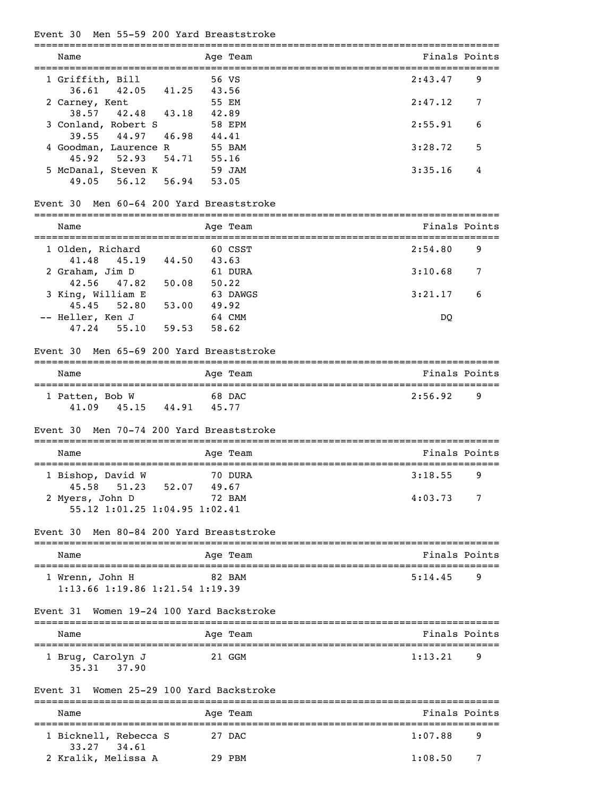| Event 30                               | Men 55-59 200 Yard Breaststroke<br>__________________________          |                                                    |
|----------------------------------------|------------------------------------------------------------------------|----------------------------------------------------|
| Name                                   | Age Team<br>______________                                             | Finals Points<br>================================= |
| 1 Griffith, Bill                       | 56 VS<br>42.05<br>41.25<br>43.56                                       | 2:43.47<br>9                                       |
| 36.61<br>2 Carney, Kent<br>38.57 42.48 | 55 EM<br>43.18<br>42.89                                                | 2:47.12<br>7                                       |
| 3 Conland, Robert S<br>39.55           | 58 EPM<br>44.97<br>46.98<br>44.41                                      | 2:55.91<br>6                                       |
| 4 Goodman, Laurence R<br>45.92         | 55 BAM<br>52.93<br>54.71<br>55.16                                      | 3:28.72<br>5                                       |
| 5 McDanal, Steven K<br>49.05<br>56.12  | 59 JAM<br>56.94<br>53.05                                               | 3:35.16<br>4                                       |
| ---------                              | Event 30 Men 60-64 200 Yard Breaststroke<br>========================== |                                                    |
| Name<br>----------------------         | Age Team                                                               | Finals Points                                      |
| 1 Olden, Richard<br>41.48              | 60 CSST<br>44.50<br>45.19<br>43.63                                     | 2:54.80<br>9                                       |
| 2 Graham, Jim D<br>42.56<br>47.82      | 61 DURA<br>50.08<br>50.22                                              | 3:10.68<br>7                                       |
| 3 King, William E<br>$45.45$ $52.80$   | 63 DAWGS<br>53.00<br>49.92                                             | 3:21.17<br>6                                       |
| -- Heller, Ken J<br>$47.24$ 55.10      | 64 CMM<br>59.53<br>58.62                                               | DQ                                                 |
| Event 30                               | Men 65-69 200 Yard Breaststroke                                        |                                                    |
| Name                                   | Age Team                                                               | Finals Points                                      |
| 1 Patten, Bob W<br>41.09               | 68 DAC<br>45.15 44.91 45.77                                            | 2:56.92<br>9                                       |
| Event 30                               | Men 70-74 200 Yard Breaststroke                                        |                                                    |
| Name<br>--------------------           | Age Team<br>=================                                          | Finals Points<br>=====================             |
| 1 Bishop, David W<br>45.58             | 70 DURA<br>51.23 52.07<br>49.67                                        | 3:18.55<br>9                                       |
| 2 Myers, John D                        | 72 BAM<br>55.12 1:01.25 1:04.95 1:02.41                                | 4:03.73<br>7                                       |
| Event 30                               | Men 80-84 200 Yard Breaststroke                                        |                                                    |
| Name                                   | Age Team                                                               | Finals Points                                      |
| 1 Wrenn, John H                        | 82 BAM<br>1:13.66 1:19.86 1:21.54 1:19.39                              | 5:14.45<br>9                                       |
| Event 31                               | Women 19-24 100 Yard Backstroke                                        |                                                    |
| Name                                   | Age Team                                                               | Finals Points                                      |
| 1 Brug, Carolyn J<br>35.31 37.90       | 21 GGM                                                                 | 1:13.21<br>9                                       |
|                                        | Event 31  Women 25-29 100 Yard Backstroke                              |                                                    |
| Name                                   | Age Team                                                               | Finals Points                                      |

| name                                 | age ream | Finais Point |  |
|--------------------------------------|----------|--------------|--|
| 1 Bicknell, Rebecca S<br>33.27 34.61 | 27 DAC   | 1:07.88      |  |
| 2 Kralik, Melissa A                  | 29 PBM   | 1:08.50      |  |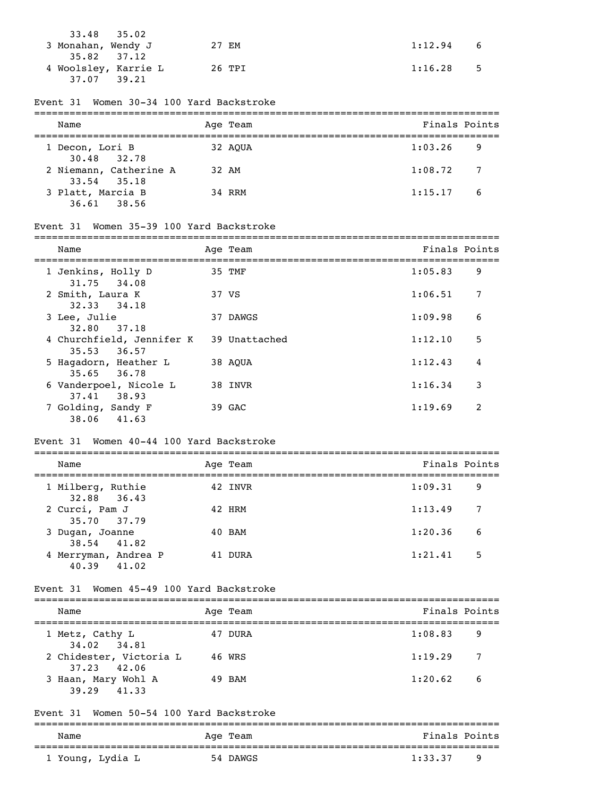| $33.48$ $35.02$<br>3 Monahan, Wendy J                 | 27 EM  | $1:12.94$ 6     |
|-------------------------------------------------------|--------|-----------------|
| 35.82 37.12<br>4 Woolsley, Karrie L<br>37.07<br>39.21 | 26 TPI | 1:16.28<br>$-5$ |

#### Event 31 Women 30-34 100 Yard Backstroke

| Name                                      |  | Age Team | Finals Points             |    |
|-------------------------------------------|--|----------|---------------------------|----|
| 1 Decon, Lori B<br>30.48 32.78            |  | 32 AOUA  | 1:03.26                   | -9 |
| 2 Niemann, Catherine A<br>$33.54$ $35.18$ |  | 32 AM    | 1:08.72<br>$\overline{7}$ |    |
| 3 Platt, Marcia B<br>$36.61$ $38.56$      |  | 34 RRM   | 1:15.17<br>6              |    |

# Event 31 Women 35-39 100 Yard Backstroke

|                                              |               | Finals Points |                |
|----------------------------------------------|---------------|---------------|----------------|
| Name                                         | Age Team      |               |                |
| 1 Jenkins, Holly D<br>31.75 34.08            | 35 TMF        | 1:05.83       | 9              |
| 2 Smith, Laura K<br>32.33 34.18              | 37 VS         | 1:06.51       | 7              |
| 3 Lee, Julie<br>32.80 37.18                  | 37 DAWGS      | 1:09.98       | 6              |
| 4 Churchfield, Jennifer K<br>$35.53$ $36.57$ | 39 Unattached | 1:12.10       | 5              |
| 5 Hagadorn, Heather L<br>35.65 36.78         | 38 AOUA       | 1:12.43       | 4              |
| 6 Vanderpoel, Nicole L<br>37.41 38.93        | 38 INVR       | 1:16.34       | 3              |
| 7 Golding, Sandy F<br>41.63<br>38.06         | 39 GAC        | 1:19.69       | $\mathfrak{D}$ |

### Event 31 Women 40-44 100 Yard Backstroke

| Name                                   | Age Team | Finals Points |
|----------------------------------------|----------|---------------|
| 1 Milberg, Ruthie<br>32.88 36.43       | 42 INVR  | 1:09.31<br>9  |
| 2 Curci, Pam J<br>35.70 37.79          | 42 HRM   | 1:13.49<br>7  |
| 3 Dugan, Joanne<br>38.54 41.82         | 40 BAM   | 1:20.36<br>6  |
| 4 Merryman, Andrea P<br>40.39<br>41.02 | 41 DURA  | 1:21.41<br>5  |

### Event 31 Women 45-49 100 Yard Backstroke

| Finals Points |
|---------------|
|               |
|               |
| -7            |
| - 6           |
| -9            |

Event 31 Women 50-54 100 Yard Backstroke

| Name             | Age Team | Finals Points |
|------------------|----------|---------------|
| 1 Young, Lydia L | 54 DAWGS | 1:33.37<br>۰Q |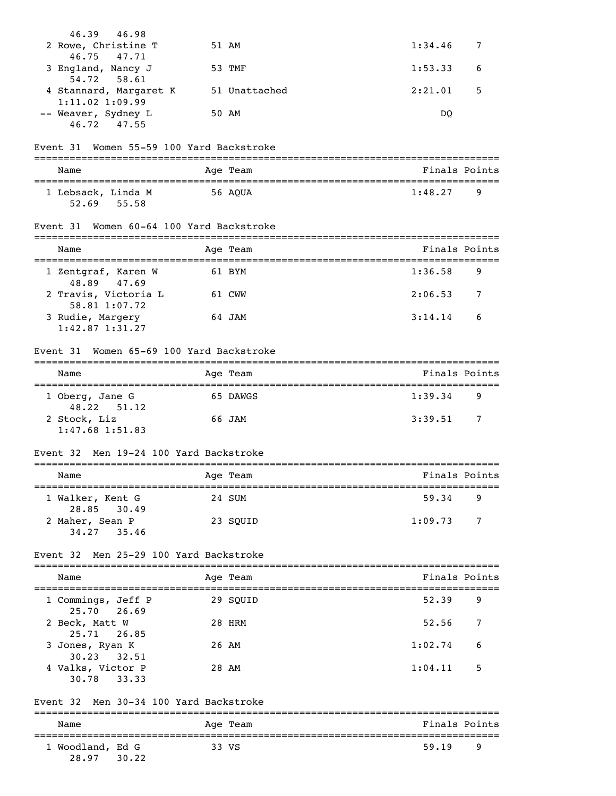|          | 46.39 46.98                                             |         |          |               |               |
|----------|---------------------------------------------------------|---------|----------|---------------|---------------|
|          | 2 Rowe, Christine T                                     |         | 51 AM    | 1:34.46       | 7             |
|          | 46.75<br>47.71<br>3 England, Nancy J<br>58.61<br>54.72  |         | 53 TMF   | 1:53.33       | 6             |
|          | 4 Stannard, Margaret K 51 Unattached                    |         |          | 2:21.01       | 5             |
|          | $1:11.02$ 1:09.99<br>-- Weaver, Sydney L<br>46.72 47.55 |         | 50 AM    | DQ            |               |
| Event 31 | Women 55-59 100 Yard Backstroke                         |         |          |               |               |
| Name     |                                                         |         | Age Team |               | Finals Points |
|          | 1 Lebsack, Linda M<br>52.69 55.58                       | 56 AQUA |          | 1:48.27       | 9             |
| Event 31 | Women 60-64 100 Yard Backstroke                         |         |          |               |               |
| Name     |                                                         |         | Age Team |               | Finals Points |
|          | 1 Zentgraf, Karen W<br>48.89 47.69                      |         | 61 BYM   | 1:36.58       | 9             |
|          | 2 Travis, Victoria L<br>58.81 1:07.72                   |         | 61 CWW   | 2:06.53       | 7             |
|          | 3 Rudie, Margery<br>$1:42.87$ $1:31.27$                 |         | 64 JAM   | 3:14.14       | 6             |
| Event 31 | Women 65-69 100 Yard Backstroke                         |         |          |               |               |
| Name     |                                                         |         | Age Team |               | Finals Points |
|          | 1 Oberg, Jane G<br>48.22 51.12                          |         | 65 DAWGS | 1:39.34       | 9             |
|          | 2 Stock, Liz<br>$1:47.68$ $1:51.83$                     |         | 66 JAM   | 3:39.51       | 7             |
|          | Event 32 Men 19-24 100 Yard Backstroke                  |         |          |               |               |
| Name     |                                                         |         | Age Team | Finals Points |               |
|          | 1 Walker, Kent G                                        |         | 24 SUM   | 59.34         | 9             |
|          | 28.85<br>30.49<br>2 Maher, Sean P<br>34.27<br>35.46     |         | 23 SQUID | 1:09.73       | 7             |
|          | Event 32 Men 25-29 100 Yard Backstroke                  |         |          |               |               |
| Name     |                                                         |         | Age Team |               | Finals Points |
|          | 1 Commings, Jeff P<br>25.70<br>26.69                    |         | 29 SQUID | 52.39         | 9             |
|          | 2 Beck, Matt W                                          |         | 28 HRM   | 52.56         | 7             |
|          | 26.85<br>25.71<br>3 Jones, Ryan K                       |         | 26 AM    | 1:02.74       | 6             |
|          | 30.23<br>32.51<br>4 Valks, Victor P<br>33.33<br>30.78   |         | 28 AM    | 1:04.11       | 5             |
| Event 32 | Men 30-34 100 Yard Backstroke                           |         |          |               |               |
| Name     |                                                         |         | Age Team |               | Finals Points |
|          | 1 Woodland, Ed G<br>30.22<br>28.97                      |         | 33 VS    | 59.19         | 9             |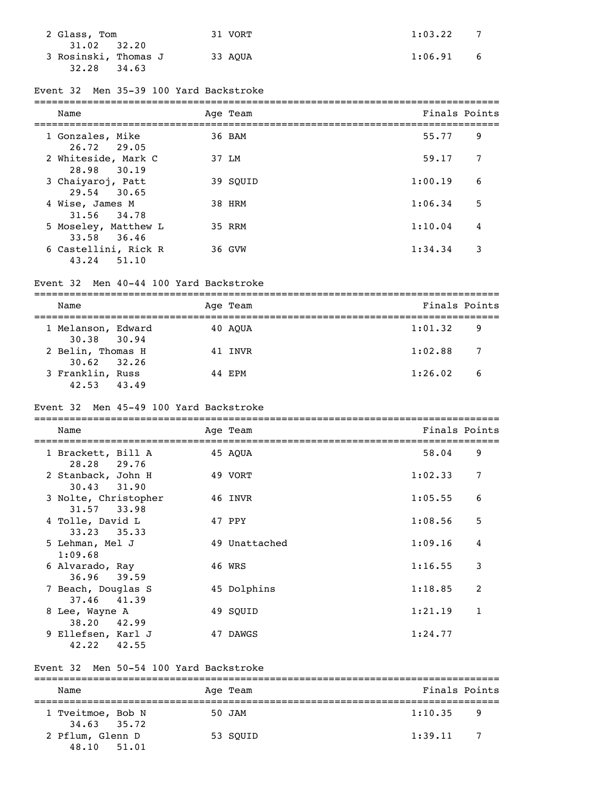| 2 Glass, Tom                                          | 31 VORT | 1:03.22 |   |
|-------------------------------------------------------|---------|---------|---|
| 31.02 32.20<br>3 Rosinski, Thomas J<br>32.28<br>34.63 | 33 AOUA | 1:06.91 | 6 |

### Event 32 Men 35-39 100 Yard Backstroke

| Name                                   | Age Team | Finals Points |   |
|----------------------------------------|----------|---------------|---|
| 1 Gonzales, Mike<br>26.72 29.05        | 36 BAM   | 55.77         | 9 |
| 2 Whiteside, Mark C<br>28.98 30.19     | 37 LM    | 59.17         | 7 |
| 3 Chaiyaroj, Patt<br>29.54 30.65       | 39 SOUID | 1:00.19       | 6 |
| 4 Wise, James M<br>31.56 34.78         | 38 HRM   | 1:06.34       | 5 |
| 5 Moseley, Matthew L<br>33.58<br>36.46 | 35 RRM   | 1:10.04       | 4 |
| 6 Castellini, Rick R<br>43.24<br>51.10 | 36 GVW   | 1:34.34       | 3 |

### Event 32 Men 40-44 100 Yard Backstroke

| Name                                 |       | Age Team | Finals Points |    |
|--------------------------------------|-------|----------|---------------|----|
| 1 Melanson, Edward<br>30.38 30.94    |       | 40 AOUA  | 1:01.32       | -9 |
| 2 Belin, Thomas H<br>$30.62$ $32.26$ |       | 41 INVR  | 1:02.88       | -7 |
| 3 Franklin, Russ<br>42.53            | 43.49 | 44 EPM   | 1:26.02       | -6 |

### Event 32 Men 45-49 100 Yard Backstroke

| Name                                 | Age Team      | Finals Points |                |
|--------------------------------------|---------------|---------------|----------------|
| 1 Brackett, Bill A<br>28.28 29.76    | 45 AOUA       | 58.04         | 9              |
| 2 Stanback, John H<br>30.43 31.90    | 49 VORT       | 1:02.33       | 7              |
| 3 Nolte, Christopher<br>31.57 33.98  | 46 INVR       | 1:05.55       | 6              |
| 4 Tolle, David L<br>$33.23$ $35.33$  | 47 PPY        | 1:08.56       | 5              |
| 5 Lehman, Mel J<br>1:09.68           | 49 Unattached | 1:09.16       | 4              |
| 6 Alvarado, Ray<br>36.96 39.59       | 46 WRS        | 1:16.55       | 3              |
| 7 Beach, Douglas S<br>37.46 41.39    | 45 Dolphins   | 1:18.85       | $\overline{2}$ |
| 8 Lee, Wayne A<br>38.20 42.99        | 49 SOUID      | 1:21.19       | $\mathbf{1}$   |
| 9 Ellefsen, Karl J<br>42.55<br>42.22 | 47 DAWGS      | 1:24.77       |                |

### Event 32 Men 50-54 100 Yard Backstroke

| Name                                 | Age Team | Finals Points             |  |  |  |  |
|--------------------------------------|----------|---------------------------|--|--|--|--|
| 1 Tveitmoe, Bob N<br>$34.63$ $35.72$ | 50 JAM   | 1:10.35<br>9              |  |  |  |  |
| 2 Pflum, Glenn D<br>48.10 51.01      | 53 SOUID | 1:39.11<br>$\overline{7}$ |  |  |  |  |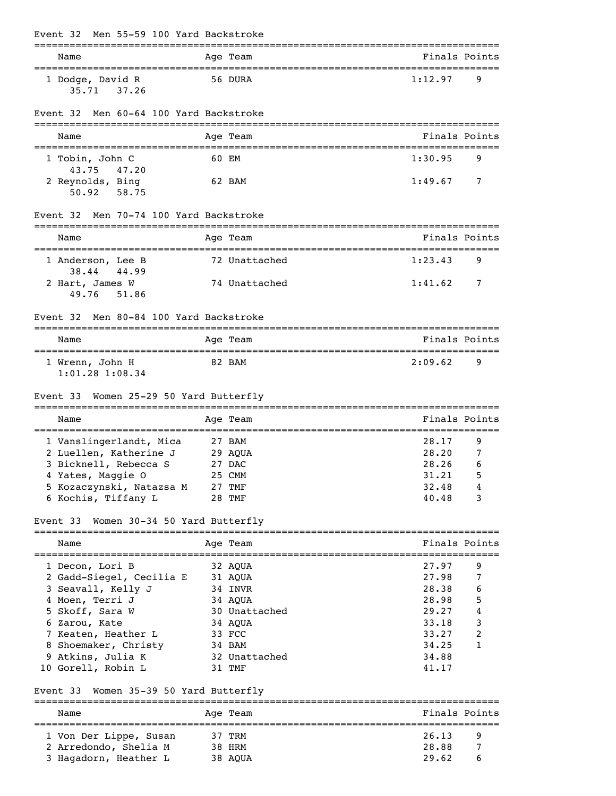| Event 32                                                          | Men 55-59 100 Yard Backstroke |                   |               |                |               |
|-------------------------------------------------------------------|-------------------------------|-------------------|---------------|----------------|---------------|
| Name                                                              |                               |                   | Age Team      |                | Finals Points |
| 1 Dodge, David R<br>35.71                                         | 37.26                         |                   | 56 DURA       | 1:12.97        | 9             |
| Event 32                                                          | Men 60-64 100 Yard Backstroke |                   |               |                |               |
| Name                                                              |                               |                   | Age Team      |                | Finals Points |
| 1 Tobin, John C<br>43.75                                          | 47.20                         | 60 EM             |               | 1:30.95        | 9             |
| 2 Reynolds, Bing<br>$50.92$ $58.75$                               |                               |                   | 62 BAM        | 1:49.67        | 7             |
| Event 32                                                          | Men 70-74 100 Yard Backstroke |                   |               |                |               |
| Name                                                              |                               |                   | Age Team      |                | Finals Points |
| 1 Anderson, Lee B<br>38.44                                        | 44.99                         |                   | 72 Unattached | 1:23.43        | 9             |
| 2 Hart, James W<br>49.76                                          | 51.86                         |                   | 74 Unattached | 1:41.62        | 7             |
| Event 32                                                          | Men 80-84 100 Yard Backstroke |                   |               |                |               |
| Name                                                              |                               |                   | Age Team      |                | Finals Points |
| =======================<br>1 Wrenn, John H<br>$1:01.28$ $1:08.34$ |                               |                   | 82 BAM        | 2:09.62        | 9             |
| Event 33 Women 25-29 50 Yard Butterfly                            |                               |                   |               |                |               |
| Name                                                              |                               |                   | Age Team      |                | Finals Points |
| 1 Vanslingerlandt, Mica                                           |                               | 27 BAM<br>29 AQUA |               | 28.17<br>28.20 | 9<br>7        |
| 2 Luellen, Katherine J<br>3 Bicknell, Rebecca S                   |                               |                   | 27 DAC        | 28.26          | 6             |
| 4 Yates, Maggie O                                                 |                               | 25 CMM            |               | 31.21          | 5             |
| 5 Kozaczynski, Natazsa M 27 TMF                                   |                               |                   |               | 32.48          | 4             |
| 6 Kochis, Tiffany L                                               |                               |                   | 28 TMF        | 40.48          | 3             |
| Event 33 Women 30-34 50 Yard Butterfly                            |                               |                   |               |                |               |
| Name                                                              |                               |                   | Age Team      |                | Finals Points |
| 1 Decon, Lori B                                                   |                               |                   | 32 AQUA       | 27.97          | 9             |
| 2 Gadd-Siegel, Cecilia E                                          |                               | 31 AQUA           |               | 27.98          | 7             |
| 3 Seavall, Kelly J                                                |                               |                   | 34 INVR       | 28.38          | 6             |
| 4 Moen, Terri J                                                   |                               |                   | 34 AQUA       | 28.98          | 5             |
| 5 Skoff, Sara W                                                   |                               |                   | 30 Unattached | 29.27          | 4             |
| 6 Zarou, Kate                                                     |                               |                   | 34 AQUA       | 33.18          | 3             |
| 7 Keaten, Heather L                                               |                               |                   | 33 FCC        | 33.27          | 2             |
| 8 Shoemaker, Christy                                              |                               |                   | 34 BAM        | 34.25          | 1             |
| 9 Atkins, Julia K                                                 |                               |                   | 32 Unattached | 34.88          |               |
| 10 Gorell, Robin L                                                |                               |                   | 31 TMF        | 41.17          |               |
| Event 33 Women 35-39 50 Yard Butterfly                            |                               |                   |               |                |               |
| Name                                                              |                               |                   | Age Team      |                | Finals Points |
| 1 Von Der Lippe, Susan                                            |                               | 37 TRM            |               | 26.13          | 9             |
| 2 Arredondo, Shelia M                                             |                               |                   | 38 HRM        | 28.88          | 7             |
| 3 Hagadorn, Heather L                                             |                               |                   | 38 AQUA       | 29.62          | 6             |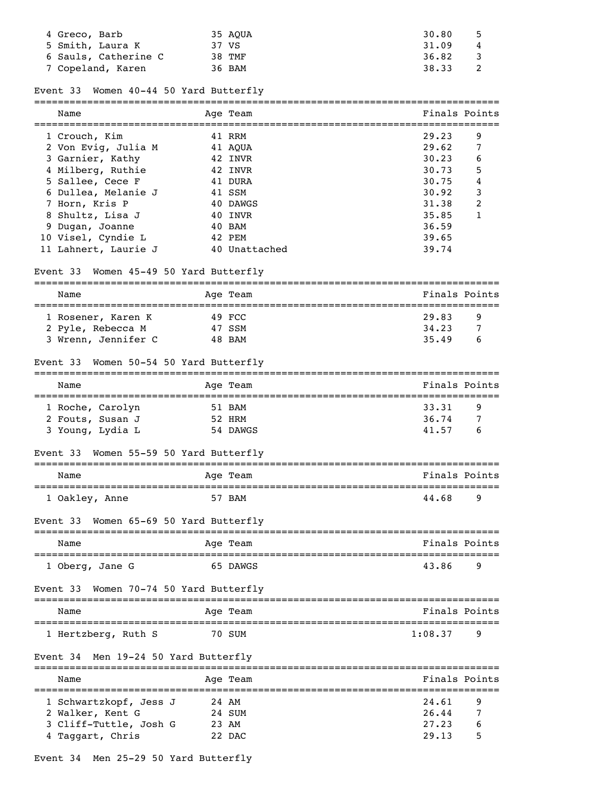| 4 Greco, Barb        | 35 AOUA | 30.80       |
|----------------------|---------|-------------|
| 5 Smith, Laura K     | 37 VS   | 31.09<br>-4 |
| 6 Sauls, Catherine C | 38 TMF  | 36.82       |
| 7 Copeland, Karen    | 36 BAM  | 38.33       |

### Event 33 Women 40-44 50 Yard Butterfly

| Name                 | Age Team      | Finals Points |   |
|----------------------|---------------|---------------|---|
| 1 Crouch, Kim        | 41 RRM        | 29.23         | 9 |
| 2 Von Evig, Julia M  | 41 AOUA       | 29.62         | 7 |
| 3 Garnier, Kathy     | 42 INVR       | 30.23         | 6 |
| 4 Milberg, Ruthie    | 42 INVR       | 30.73         | 5 |
| 5 Sallee, Cece F     | 41 DURA       | 30.75         | 4 |
| 6 Dullea, Melanie J  | 41 SSM        | 30.92         | 3 |
| 7 Horn, Kris P       | 40 DAWGS      | 31.38         | 2 |
| 8 Shultz, Lisa J     | 40 INVR       | 35.85         |   |
| 9 Dugan, Joanne      | 40 BAM        | 36.59         |   |
| 10 Visel, Cyndie L   | 42 PEM        | 39.65         |   |
| 11 Lahnert, Laurie J | 40 Unattached | 39.74         |   |

### Event 33 Women 45-49 50 Yard Butterfly

| Name                |  | Age Team | Finals Points |   |  |  |  |
|---------------------|--|----------|---------------|---|--|--|--|
|                     |  |          |               |   |  |  |  |
| 1 Rosener, Karen K  |  | 49 FCC   | 29.83         | q |  |  |  |
| 2 Pyle, Rebecca M   |  | 47 SSM   | 34, 23        |   |  |  |  |
| 3 Wrenn, Jennifer C |  | 48 BAM   | 35.49         | b |  |  |  |

# Event 33 Women 50-54 50 Yard Butterfly

| Name                                                     | Age Team                     | Finals Points                     |
|----------------------------------------------------------|------------------------------|-----------------------------------|
| 1 Roche, Carolyn<br>2 Fouts, Susan J<br>3 Young, Lydia L | 51 BAM<br>52 HRM<br>54 DAWGS | 33.31<br>9<br>36.74<br>41.57<br>b |

### Event 33 Women 55-59 50 Yard Butterfly

| Name           | Age Team | Finals Points |
|----------------|----------|---------------|
|                |          |               |
| 1 Oakley, Anne | 57 BAM   | 44.68<br>q    |

### Event 33 Women 65-69 50 Yard Butterfly

| Name            |  | Age Team | Finals Points |          |
|-----------------|--|----------|---------------|----------|
| 1 Oberg, Jane G |  | 65 DAWGS | 43.86         | <b>q</b> |

### Event 33 Women 70-74 50 Yard Butterfly

| Name                | Age Team | Finals Points  |
|---------------------|----------|----------------|
| 1 Hertzberg, Ruth S | 70 SUM   | 1:08.37<br>- q |

### Event 34 Men 19-24 50 Yard Butterfly

| Name                   |       | Age Team | Finals Points |   |
|------------------------|-------|----------|---------------|---|
| 1 Schwartzkopf, Jess J |       | 24 AM    | 24.61         | 9 |
| 2 Walker, Kent G       |       | 24 SUM   | 26.44         |   |
| 3 Cliff-Tuttle, Josh G | 23 AM |          | 27.23         | 6 |
| 4 Taggart, Chris       |       | 22 DAC   | 29.13         | 5 |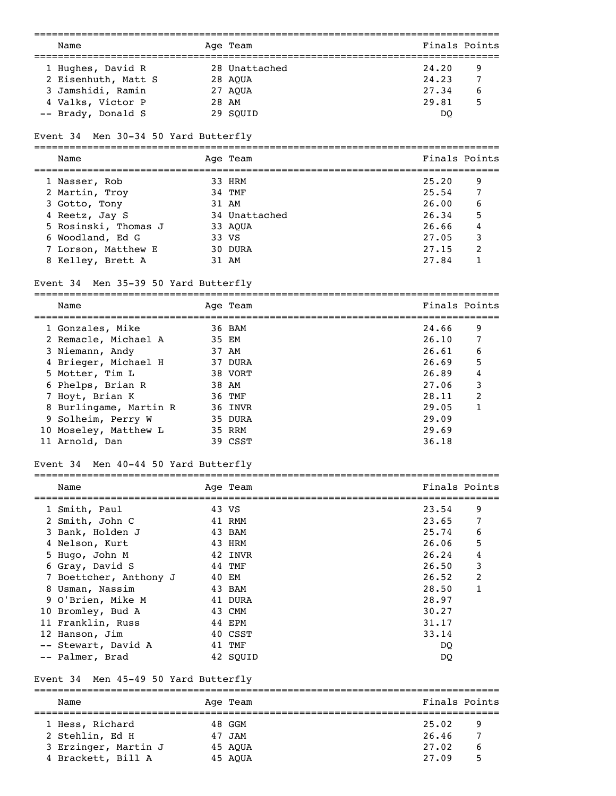| Name                                                                           |       | Age Team      | Finals Points |
|--------------------------------------------------------------------------------|-------|---------------|---------------|
| 1 Hughes, David R                                                              |       | 28 Unattached | 24.20<br>9    |
| 2 Eisenhuth, Matt S                                                            |       | 28 AQUA       | 24.23<br>7    |
| 3 Jamshidi, Ramin                                                              |       | 27 AQUA       | 27.34<br>6    |
| 4 Valks, Victor P                                                              | 28 AM |               | 29.81<br>5    |
| -- Brady, Donald S                                                             |       | 29 SQUID      | DQ            |
|                                                                                |       |               |               |
| Men 30-34 50 Yard Butterfly<br>Event 34                                        |       |               |               |
| Name                                                                           |       | Age Team      | Finals Points |
| 1 Nasser, Rob                                                                  |       | 33 HRM        | 25.20<br>9    |
| 2 Martin, Troy                                                                 |       | 34 TMF        | 25.54<br>7    |
| 3 Gotto, Tony                                                                  |       | 31 AM         | 26.00<br>6    |
| 4 Reetz, Jay S                                                                 |       | 34 Unattached | 26.34<br>5    |
|                                                                                |       |               | 26.66         |
| 5 Rosinski, Thomas J                                                           |       | 33 AQUA       | 4             |
| 6 Woodland, Ed G                                                               | 33 VS |               | 27.05<br>3    |
| 7 Lorson, Matthew E                                                            |       | 30 DURA       | 2<br>27.15    |
| 8 Kelley, Brett A                                                              |       | 31 AM         | 27.84<br>1    |
| Event 34 Men 35-39 50 Yard Butterfly                                           |       |               |               |
| Name                                                                           |       | Age Team      | Finals Points |
| 1 Gonzales, Mike                                                               |       | 36 BAM        | 24.66<br>9    |
| 2 Remacle, Michael A                                                           | 35 EM |               | 26.10<br>7    |
| 3 Niemann, Andy                                                                | 37 AM |               | 26.61<br>6    |
| 4 Brieger, Michael H                                                           |       | 37 DURA       | 26.69<br>5    |
| 5 Motter, Tim L                                                                |       | 38 VORT       | 26.89<br>4    |
| 6 Phelps, Brian R                                                              |       | 38 AM         | 27.06<br>3    |
| 7 Hoyt, Brian K                                                                |       | 36 TMF        | 28.11<br>2    |
|                                                                                |       |               |               |
| 8 Burlingame, Martin R                                                         |       | 36 INVR       | 29.05<br>1    |
| 9 Solheim, Perry W                                                             |       | 35 DURA       | 29.09         |
| 10 Moseley, Matthew L                                                          |       | 35 RRM        | 29.69         |
| 11 Arnold, Dan                                                                 |       | 39 CSST       | 36.18         |
| Men 40-44 50 Yard Butterfly<br>Event 34<br>=================================== |       |               |               |
| Name                                                                           |       | Age Team      | Finals Points |
| 1 Smith, Paul                                                                  |       | 43 VS         | 23.54<br>9    |
| 2 Smith, John C                                                                |       | 41 RMM        | 23.65<br>7    |
| 3 Bank, Holden J                                                               |       | 43 BAM        | 25.74<br>6    |
| 4 Nelson, Kurt                                                                 |       | 43 HRM        | 5<br>26.06    |
| 5 Hugo, John M                                                                 |       | 42 INVR       | 26.24<br>4    |
| 6 Gray, David S                                                                |       | 44 TMF        | 3<br>26.50    |
| 7 Boettcher, Anthony J                                                         |       | 40 EM         | 2<br>26.52    |
| 8 Usman, Nassim                                                                |       | 43 BAM        | 28.50<br>1    |
| 9 O'Brien, Mike M                                                              |       | 41 DURA       | 28.97         |
| 10 Bromley, Bud A                                                              |       | 43 CMM        | 30.27         |
|                                                                                |       |               |               |
| 11 Franklin, Russ                                                              |       | 44 EPM        | 31.17         |
| 12 Hanson, Jim                                                                 |       | 40 CSST       | 33.14         |
| -- Stewart, David A                                                            |       | 41 TMF        | DQ            |
| -- Palmer, Brad                                                                |       | 42 SQUID      | DQ            |
| Men 45-49 50 Yard Butterfly<br>Event 34                                        |       |               |               |
|                                                                                |       |               |               |

Name Age Team Age Team Finals Points =============================================================================== 1 Hess, Richard 48 GGM 25.02 9 2 Stehlin, Ed H 47 JAM 26.46 7 3 Erzinger, Martin J 45 AQUA 27.02 6 4 Brackett, Bill A 45 AQUA 27.09 5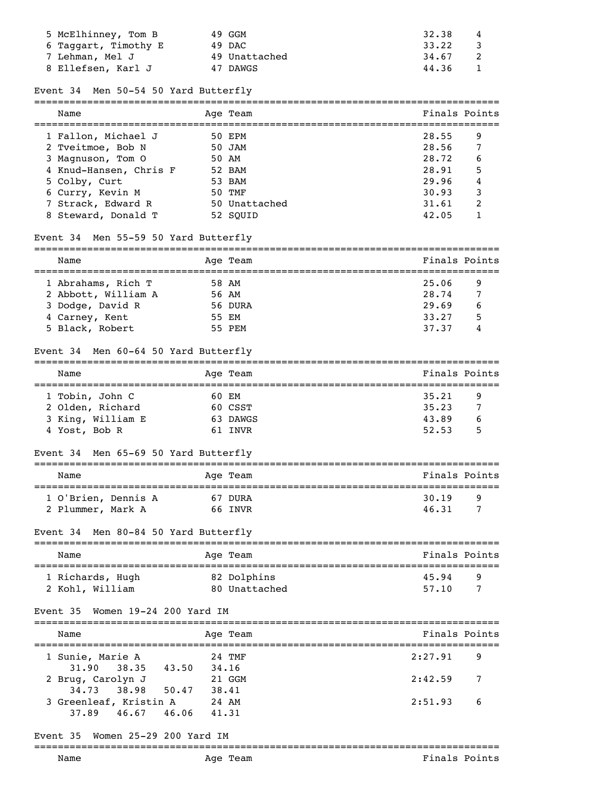| 5 McElhinney, Tom B  | 49 GGM        | 32.38<br>4 |
|----------------------|---------------|------------|
| 6 Taqqart, Timothy E | 49 DAC        | 33.22      |
| 7 Lehman, Mel J      | 49 Unattached | 34.67      |
| 8 Ellefsen, Karl J   | 47 DAWGS      | 44.36      |

#### Event 34 Men 50-54 50 Yard Butterfly

| Name                   | Age Team      | Finals Points |   |
|------------------------|---------------|---------------|---|
| 1 Fallon, Michael J    | 50 EPM        | 28.55         | 9 |
| 2 Tveitmoe, Bob N      | 50 JAM        | 28.56         | 7 |
| 3 Magnuson, Tom 0      | 50 AM         | 28.72         | 6 |
| 4 Knud-Hansen, Chris F | 52 BAM        | 28.91         | 5 |
| 5 Colby, Curt          | 53 BAM        | 29.96         | 4 |
| 6 Curry, Kevin M       | 50 TMF        | 30.93         | 3 |
| 7 Strack, Edward R     | 50 Unattached | 31.61         | 2 |
| 8 Steward, Donald T    | 52 SOUID      | 42.05         |   |

### Event 34 Men 55-59 50 Yard Butterfly

| Name |                                                                                                    | Finals Points                                            |  |
|------|----------------------------------------------------------------------------------------------------|----------------------------------------------------------|--|
|      |                                                                                                    | 25.06<br>9                                               |  |
|      |                                                                                                    | $7\phantom{.0}$<br>28.74                                 |  |
|      |                                                                                                    | 29.69<br>6                                               |  |
|      |                                                                                                    | 5<br>33.27                                               |  |
|      |                                                                                                    | 37.37<br>4                                               |  |
|      | 1 Abrahams, Rich T<br>2 Abbott, William A<br>3 Dodge, David R<br>4 Carney, Kent<br>5 Black, Robert | Age Team<br>58 AM<br>56 AM<br>56 DURA<br>55 EM<br>55 PEM |  |

#### Event 34 Men 60-64 50 Yard Butterfly

| Name              |       | Age Team | Finals Points |    |
|-------------------|-------|----------|---------------|----|
|                   |       |          |               |    |
| 1 Tobin, John C   | 60 EM |          | 35.21         | 9  |
| 2 Olden, Richard  |       | 60 CSST  | 35.23         |    |
| 3 King, William E |       | 63 DAWGS | 43.89         | b  |
| 4 Yost, Bob R     |       | 61 TNVR  | 52.53         | г, |

### Event 34 Men 65-69 50 Yard Butterfly

| Name                                     | Age Team           | Finals Points       |  |
|------------------------------------------|--------------------|---------------------|--|
| 1 O'Brien, Dennis A<br>2 Plummer, Mark A | 67 DURA<br>66 TNVR | 30.19<br>Q<br>46.31 |  |

# Event 34 Men 80-84 50 Yard Butterfly

| Name             | Age Team      | Finals Points |
|------------------|---------------|---------------|
| 1 Richards, Hugh | 82 Dolphins   | 45.94<br>q    |
| 2 Kohl, William  | 80 Unattached | 57.10         |

#### Event 35 Women 19-24 200 Yard IM

| Name                                              | Age Team       | Finals Points |
|---------------------------------------------------|----------------|---------------|
| 1 Sunie, Marie A                                  | 24 TMF         | 2:27.91       |
| $31.90$ $38.35$ $43.50$                           | 34, 16         | - 9           |
| 2 Brug, Carolyn J                                 | 21 GGM         | 2:42.59       |
| 34.73 38.98 50.47                                 | 38.41          | 7             |
| 3 Greenleaf, Kristin A<br>46.67<br>37.89<br>46.06 | 24 AM<br>41.31 | 2:51.93<br>-6 |

# Event 35 Women 25-29 200 Yard IM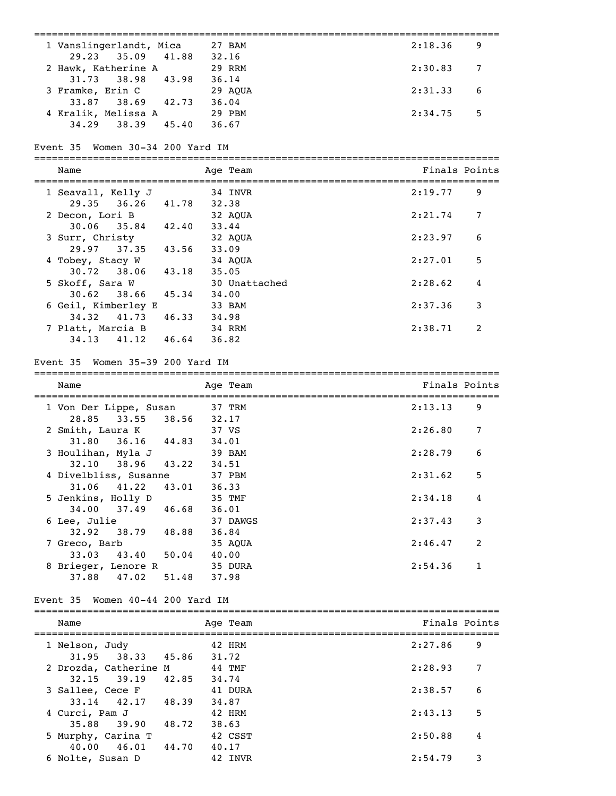|                                                | =================================== |               |              |
|------------------------------------------------|-------------------------------------|---------------|--------------|
| 1 Vanslingerlandt, Mica 27 BAM                 |                                     | 2:18.36       | 9            |
| 35.09<br>29.23                                 | 41.88 32.16                         |               |              |
| 2 Hawk, Katherine A<br>31.73<br>38.98<br>43.98 | 29 RRM<br>36.14                     | 2:30.83       | 7            |
| 3 Framke, Erin C                               | 29 AOUA                             | 2:31.33       | 6            |
| 33.87 38.69 42.73                              | 36.04                               |               |              |
| 4 Kralik, Melissa A                            | 29 PBM                              | 2:34.75       | 5            |
| 34.29 38.39 45.40                              | 36.67                               |               |              |
|                                                |                                     |               |              |
| Event 35 Women 30-34 200 Yard IM               |                                     |               |              |
| Name                                           | Age Team                            | Finals Points |              |
| 1 Seavall, Kelly J                             | 34 INVR                             | 2:19.77       | 9            |
| 36.26 41.78<br>29.35                           | 32.38                               |               |              |
| 2 Decon, Lori B                                | 32 AQUA                             | 2:21.74       | 7            |
| 35.84 42.40 33.44<br>30.06                     |                                     |               |              |
| 3 Surr, Christy                                | 32 AQUA                             | 2:23.97       | 6            |
| 37.35 43.56<br>29.97                           | 33.09                               | 2:27.01       | 5            |
| 4 Tobey, Stacy W<br>43.18<br>30.72<br>38.06    | 34 AQUA<br>35.05                    |               |              |
| 5 Skoff, Sara W                                | 30 Unattached                       | 2:28.62       | 4            |
| 45.34<br>30.62<br>38.66                        | 34.00                               |               |              |
| 6 Geil, Kimberley E                            | 33 BAM                              | 2:37.36       | 3            |
| 41.73 46.33 34.98<br>34.32                     |                                     |               |              |
| 7 Platt, Marcia B                              | 34 RRM                              | 2:38.71       | 2            |
| 34.13 41.12 46.64 36.82                        |                                     |               |              |
| Event 35 Women 35-39 200 Yard IM               |                                     |               |              |
| Name                                           | Age Team                            | Finals Points |              |
| 1 Von Der Lippe, Susan                         | 37 TRM                              | 2:13.13       | 9            |
| 28.85<br>33.55                                 | 38.56 32.17                         |               |              |
| 2 Smith, Laura K                               | 37 VS                               | 2:26.80       | 7            |
| 31.80<br>$36.16$ $44.83$                       | 34.01                               |               |              |
| 3 Houlihan, Myla J<br>38.96 43.22<br>32.10     | 39 BAM<br>34.51                     | 2:28.79       | 6            |
| 4 Divelbliss, Susanne                          | 37 PBM                              | 2:31.62       | 5            |
| 41.22<br>31.06<br>43.01                        | 36.33                               |               |              |
| 5 Jenkins, Holly D                             | 35 TMF                              | 2:34.18       | 4            |
| 46.68<br>37.49<br>34.00                        | 36.01                               |               |              |
| 6 Lee, Julie                                   | 37 DAWGS                            | 2:37.43       | 3            |
| 32.92<br>38.79<br>48.88                        | 36.84                               |               |              |
| 7 Greco, Barb                                  | 35 AQUA                             | 2:46.47       | 2            |
| 33.03<br>43.40<br>50.04                        | 40.00                               |               |              |
| 8 Brieger, Lenore R                            | 35 DURA                             | 2:54.36       | $\mathbf{1}$ |
| 37.88 47.02<br>51.48                           | 37.98                               |               |              |
| Event 35 Women 40-44 200 Yard IM               |                                     |               |              |
| Name                                           | Age Team                            | Finals Points |              |
| 1 Nelson, Judy                                 | 42 HRM                              | 2:27.86       | 9            |
| 31.95 38.33<br>45.86                           | 31.72                               |               |              |
| 2 Drozda, Catherine M                          | 44 TMF                              | 2:28.93       | 7            |
| 42.85<br>$32.15$ $39.19$                       | 34.74                               |               |              |
| 3 Sallee, Cece F                               | 41 DURA                             | 2:38.57       | 6            |
| $33.14$ $42.17$<br>48.39 34.87                 |                                     |               |              |
| 4 Curci, Pam J                                 | 42 HRM                              | 2:43.13       | 5            |
| 35.88<br>39.90<br>48.72                        | 38.63                               |               |              |
| 5 Murphy, Carina T                             | 42 CSST                             | 2:50.88       | 4            |
| 40.00<br>46.01<br>44.70                        | 40.17                               |               |              |
| 6 Nolte, Susan D                               | 42 INVR                             | 2:54.79       | 3            |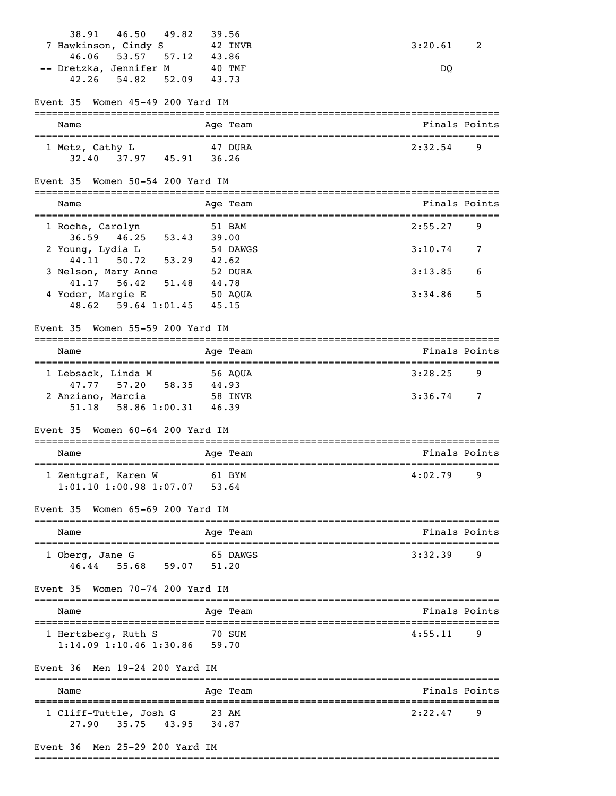| 46.50<br>49.82<br>38.91                              | 39.56              |                                    |
|------------------------------------------------------|--------------------|------------------------------------|
| 7 Hawkinson, Cindy S                                 | 42 INVR            | 3:20.61<br>2                       |
| 57.12 43.86<br>46.06<br>53.57                        |                    |                                    |
| -- Dretzka, Jennifer M                               | 40 TMF             | DQ                                 |
| 52.09<br>42.26<br>54.82                              | 43.73              |                                    |
| Women 45-49 200 Yard IM<br>Event 35                  |                    |                                    |
| Name                                                 | Age Team           | Finals Points                      |
| 1 Metz, Cathy L                                      | 47 DURA            | 2:32.54<br>9                       |
| 32.40 37.97 45.91 36.26                              |                    |                                    |
|                                                      |                    |                                    |
| Women 50-54 200 Yard IM<br>Event 35                  |                    |                                    |
| Name                                                 | Age Team           | Finals Points                      |
| 1 Roche, Carolyn                                     | 51 BAM             | 2:55.27<br>9                       |
| 46.25<br>36.59                                       | 53.43 39.00        |                                    |
| 2 Young, Lydia L                                     | 54 DAWGS           | 3:10.74<br>7                       |
| 53.29 42.62<br>44.11<br>50.72                        |                    |                                    |
| 3 Nelson, Mary Anne<br>41.17 56.42 51.48             | 52 DURA<br>44.78   | 3:13.85<br>6                       |
| 4 Yoder, Margie E                                    | 50 AOUA            | 3:34.86<br>5                       |
| 48.62 59.64 1:01.45 45.15                            |                    |                                    |
|                                                      |                    |                                    |
| Women 55-59 200 Yard IM<br>Event 35                  |                    |                                    |
| Name                                                 | Age Team           | Finals Points                      |
| 1 Lebsack, Linda M                                   | 56 AOUA            | 3:28.25<br>9                       |
| 47.77 57.20 58.35                                    | 44.93              |                                    |
| 2 Anziano, Marcia                                    | 58 INVR            | 3:36.74<br>7                       |
| 58.86 1:00.31 46.39<br>51.18                         |                    |                                    |
| Women 60-64 200 Yard IM<br>Event 35                  |                    |                                    |
| =====================================<br>Name        | Age Team           | Finals Points                      |
|                                                      |                    |                                    |
| 1 Zentgraf, Karen W<br>$1:01.10$ $1:00.98$ $1:07.07$ | 61 BYM<br>53.64    | 4:02.79<br>9                       |
|                                                      |                    |                                    |
| Women 65-69 200 Yard IM<br>Event 35                  |                    |                                    |
| Name<br>=======================                      | Age Team           | Finals Points                      |
| 1 Oberg, Jane G                                      | 65 DAWGS           | 3:32.39<br>9                       |
| 46.44 55.68<br>59.07                                 | 51.20              |                                    |
|                                                      |                    |                                    |
| Event 35<br>Women 70-74 200 Yard IM                  |                    |                                    |
| Name                                                 | Age Team           | Finals Points                      |
| 1 Hertzberg, Ruth S                                  | 70 SUM             | 4:55.11<br>9                       |
| 1:14.09 1:10.46 1:30.86                              | 59.70              |                                    |
|                                                      |                    |                                    |
| Men 19-24 200 Yard IM<br>Event 36                    | ------------------ |                                    |
| Name                                                 | Age Team           | Finals Points                      |
|                                                      |                    | ------------------<br>2:22.47<br>9 |
| 1 Cliff-Tuttle, Josh G<br>35.75<br>43.95<br>27.90    | 23 AM<br>34.87     |                                    |
|                                                      |                    |                                    |
| Event 36 Men 25-29 200 Yard IM                       |                    |                                    |

===============================================================================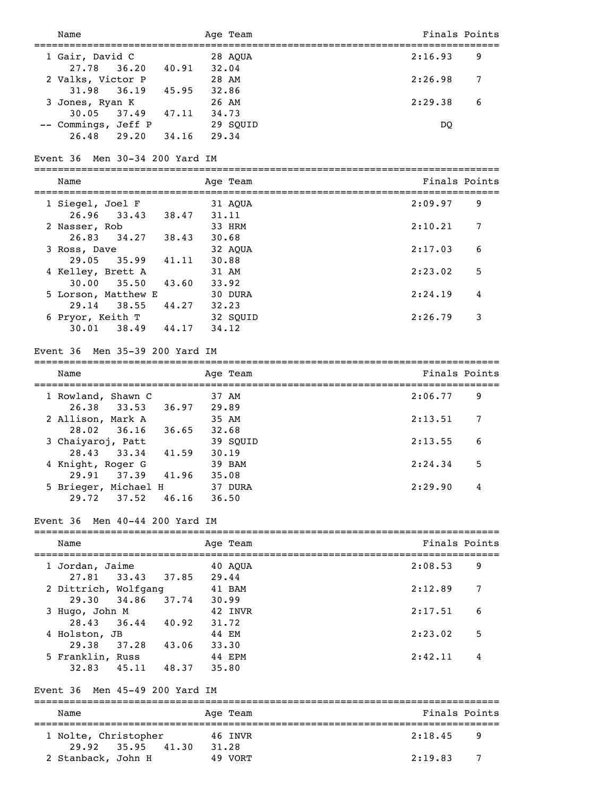| Name                                            |         | Age Team |         | Finals Points |
|-------------------------------------------------|---------|----------|---------|---------------|
| =====================================           |         |          |         |               |
| 1 Gair, David C<br>36.20 40.91 32.04<br>27.78   | 28 AQUA |          | 2:16.93 | 9             |
| 2 Valks, Victor P                               | 28 AM   |          | 2:26.98 | 7             |
| 36.19 45.95 32.86<br>31.98                      |         |          |         |               |
| 3 Jones, Ryan K<br>26 AM                        |         |          | 2:29.38 | 6             |
| 30.05<br>37.49 47.11 34.73                      |         |          |         |               |
| -- Commings, Jeff P                             |         | 29 SQUID | DQ      |               |
| 26.48 29.20 34.16 29.34                         |         |          |         |               |
|                                                 |         |          |         |               |
| Event 36 Men 30-34 200 Yard IM                  |         |          |         |               |
|                                                 |         |          |         |               |
| Name                                            |         | Age Team |         | Finals Points |
|                                                 |         |          |         |               |
| 1 Siegel, Joel F<br>26.96                       | 31.11   | 31 AQUA  | 2:09.97 | 9             |
| 33.43 38.47<br>2 Nasser, Rob                    |         | 33 HRM   | 2:10.21 | 7             |
| 34.27 38.43 30.68<br>26.83                      |         |          |         |               |
| 3 Ross, Dave                                    |         | 32 AQUA  | 2:17.03 | 6             |
| 35.99 41.11 30.88<br>29.05                      |         |          |         |               |
| 4 Kelley, Brett A                               | 31 AM   |          | 2:23.02 | 5             |
| 43.60 33.92<br>30.00<br>35.50                   |         |          |         |               |
| 5 Lorson, Matthew E                             |         | 30 DURA  | 2:24.19 | 4             |
| 38.55 44.27 32.23<br>29.14                      |         |          |         |               |
| 6 Pryor, Keith T                                |         | 32 SQUID | 2:26.79 | 3             |
| $30.01$ $38.49$ $44.17$                         | 34.12   |          |         |               |
|                                                 |         |          |         |               |
| Event 36 Men 35-39 200 Yard IM                  |         |          |         |               |
|                                                 |         |          |         |               |
| Name                                            |         | Age Team |         | Finals Points |
| 1 Rowland, Shawn C                              | 37 AM   |          | 2:06.77 | 9             |
| 26.38<br>33.53 36.97                            | 29.89   |          |         |               |
| 2 Allison, Mark A                               | 35 AM   |          | 2:13.51 | 7             |
| 36.16 36.65 32.68<br>28.02                      |         |          |         |               |
| 3 Chaiyaroj, Patt                               |         | 39 SOUID | 2:13.55 | 6             |
| 28.43<br>33.34<br>41.59 30.19                   |         |          |         |               |
| 4 Knight, Roger G                               |         | 39 BAM   | 2:24.34 | 5             |
| 29.91<br>41.96<br>37.39                         | 35.08   |          |         |               |
| 5 Brieger, Michael H                            |         | 37 DURA  | 2:29.90 | 4             |
| 37.52<br>$46.16$ 36.50<br>29.72                 |         |          |         |               |
|                                                 |         |          |         |               |
| Event 36 Men 40-44 200 Yard IM                  |         |          |         |               |
|                                                 |         |          |         |               |
| Name                                            |         | Age Team |         | Finals Points |
| 1 Jordan, Jaime                                 |         | 40 AQUA  | 2:08.53 | 9             |
| 33.43<br>37.85 29.44<br>27.81                   |         |          |         |               |
| 2 Dittrich, Wolfgang                            |         |          | 2:12.89 | 7             |
| Wolfgang 41 BAM<br>34.86 37.74 30.99<br>29.30   |         |          |         |               |
| 3 Hugo, John M                                  |         | 42 INVR  | 2:17.51 | 6             |
| 36.44 40.92 31.72<br>28.43                      |         |          |         |               |
| 4 Holston, JB                                   | 44 EM   |          | 2:23.02 | 5             |
| 37.28 43.06 33.30<br>29.38                      |         |          |         |               |
| 5 Franklin, Russ                                | 44 EPM  |          | 2:42.11 | 4             |
| 45.11 48.37 35.80<br>32.83                      |         |          |         |               |
|                                                 |         |          |         |               |
| Event 36 Men 45-49 200 Yard IM                  |         |          |         |               |
|                                                 |         |          |         |               |
| Name                                            |         | Age Team |         | Finals Points |
|                                                 | 46 INVR |          | 2:18.45 | 9             |
| 1 Nolte, Christopher<br>41.30<br>29.92<br>35.95 | 31.28   |          |         |               |
| 2 Stanback, John H                              |         | 49 VORT  | 2:19.83 | 7             |
|                                                 |         |          |         |               |
|                                                 |         |          |         |               |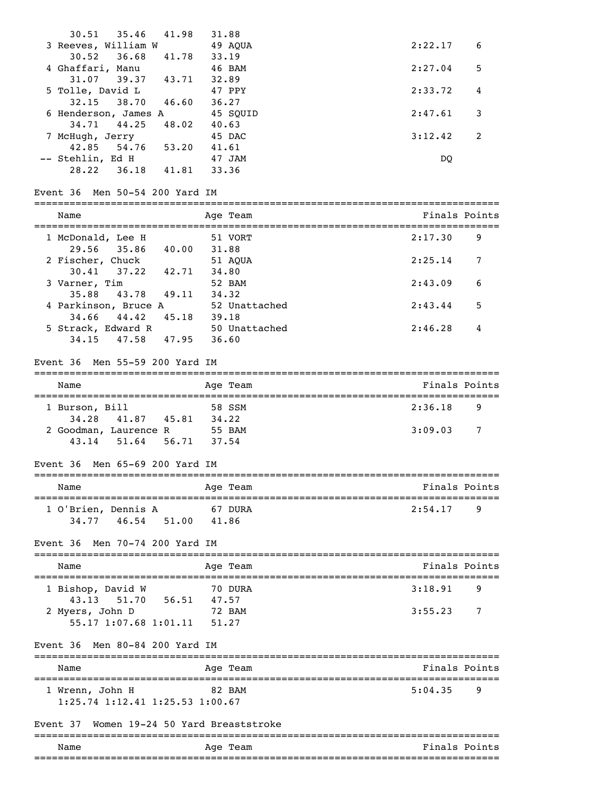| Name                                                                |              | Age Team                                                             |               | Finals Points |
|---------------------------------------------------------------------|--------------|----------------------------------------------------------------------|---------------|---------------|
| Women 19-24 50 Yard Breaststroke<br>Event 37                        |              |                                                                      |               |               |
| 1 Wrenn, John H<br>$1:25.74$ 1:12.41 1:25.53 1:00.67                |              | 82 BAM                                                               | 5:04.35       | 9             |
| Name                                                                |              | Age Team<br>-----------------------------------<br>:================ | Finals Points |               |
| Event 36 Men 80-84 200 Yard IM<br>-----------------------------     |              |                                                                      |               |               |
| 2 Myers, John D<br>55.17 1:07.68 1:01.11                            | 51.27        |                                                                      |               |               |
| 43.13 51.70 56.51                                                   | 47.57        | 72 BAM                                                               | 3:55.23       | 7             |
| 1 Bishop, David W                                                   |              | 70 DURA                                                              | 3:18.91       | 9             |
| Name                                                                |              | Age Team                                                             |               | Finals Points |
| Event 36 Men 70-74 200 Yard IM                                      |              |                                                                      |               |               |
| 1 O'Brien, Dennis A<br>34.77 46.54 51.00                            | 41.86        | 67 DURA                                                              | 2:54.17       | 9             |
| Name                                                                |              | Age Team                                                             |               | Finals Points |
| Event 36 Men 65-69 200 Yard IM                                      |              | ===============================                                      |               |               |
| 43.14 51.64 56.71                                                   | 37.54        |                                                                      |               |               |
| 34.28<br>41.87 45.81 34.22<br>2 Goodman, Laurence R 55 BAM          |              |                                                                      | 3:09.03       | 7             |
| ==============<br>1 Burson, Bill                                    | ============ | 58 SSM                                                               | 2:36.18       | 9             |
| Name                                                                |              | Age Team                                                             |               | Finals Points |
| Event 36 Men 55-59 200 Yard IM                                      |              |                                                                      |               |               |
| 34.15 47.58 47.95 36.60                                             |              |                                                                      |               |               |
| $34.66$ $44.42$ $45.18$ $39.18$<br>5 Strack, Edward R 50 Unattached |              |                                                                      | 2:46.28       | 4             |
| 35.88 43.78 49.11 34.32<br>4 Parkinson, Bruce A                     |              | 52 Unattached                                                        | 2:43.44       | 5             |
| 3 Varner, Tim                                                       |              | 52 BAM                                                               | 2:43.09       | 6             |
| 2 Fischer, Chuck<br>30.41 37.22 42.71 34.80                         |              | 51 AQUA                                                              | 2:25.14       | 7             |
| 1 McDonald, Lee H<br>29.56 35.86 40.00                              | 31.88        | 51 VORT                                                              | 2:17.30       | 9             |
| Name                                                                |              | Age Team                                                             |               | Finals Points |
| Event 36 Men 50-54 200 Yard IM                                      |              |                                                                      |               |               |
| 28.22 36.18 41.81 33.36                                             |              |                                                                      |               |               |
| -- Stehlin, Ed H                                                    |              | 47 JAM                                                               | DQ            |               |
| 7 McHugh, Jerry<br>42.85 54.76 53.20 41.61                          |              | 45 DAC                                                               | 3:12.42       | 2             |
| 34.71<br>44.25<br>48.02                                             | 40.63        |                                                                      |               |               |
| 32.15<br>38.70<br>46.60 36.27<br>6 Henderson, James A               |              | 45 SQUID                                                             | 2:47.61       | 3             |
| 5 Tolle, David L                                                    |              | 47 PPY                                                               | 2:33.72       | 4             |
| 4 Ghaffari, Manu<br>$31.07$ $39.37$ $43.71$                         | 32.89        | 46 BAM                                                               | 2:27.04       | 5             |
| $30.52$ $36.68$<br>41.78                                            | 33.19        |                                                                      |               |               |
| $30.51$ $35.46$<br>41.98<br>3 Reeves, William W                     | 31.88        | 49 AQUA                                                              | 2:22.17       | 6             |
|                                                                     |              |                                                                      |               |               |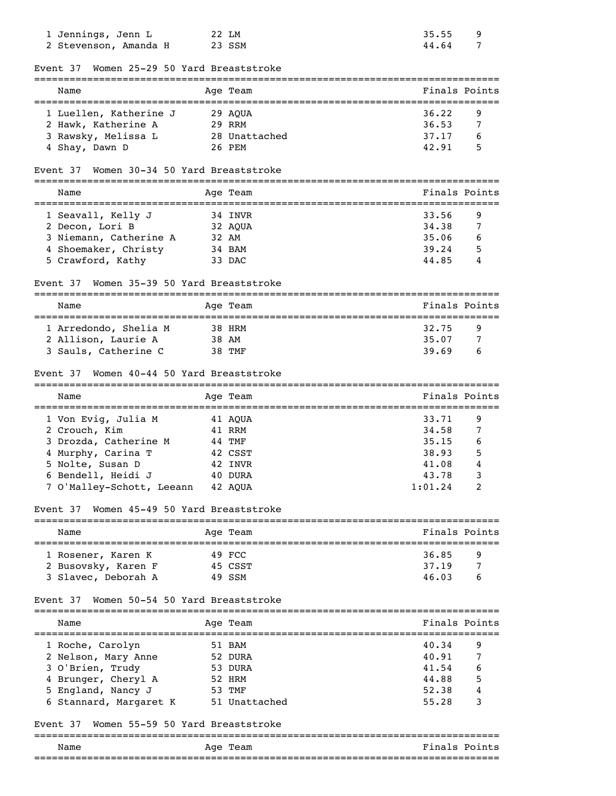| 1 Jennings, Jenn L<br>2 Stevenson, Amanda H  | 22 LM<br>23 SSM                                   | 35.55<br>44.64 | 9<br>7        |
|----------------------------------------------|---------------------------------------------------|----------------|---------------|
| Women 25-29 50 Yard Breaststroke<br>Event 37 |                                                   |                |               |
| Name                                         | Age Team                                          |                | Finals Points |
| 1 Luellen, Katherine J                       | 29 AQUA                                           | 36.22          | 9             |
| 2 Hawk, Katherine A                          | 29 RRM                                            | 36.53          | 7             |
| 3 Rawsky, Melissa L                          | 28 Unattached                                     | 37.17          | 6             |
| 4 Shay, Dawn D                               | 26 PEM                                            | 42.91          | 5             |
| Women 30-34 50 Yard Breaststroke<br>Event 37 |                                                   |                |               |
| Name                                         | Aqe Team                                          |                | Finals Points |
| 1 Seavall, Kelly J                           | 34 INVR                                           | 33.56          | 9             |
| 2 Decon, Lori B                              | 32 AQUA                                           | 34.38          | 7             |
| 3 Niemann, Catherine A                       | 32 AM                                             | 35.06          | 6             |
| 4 Shoemaker, Christy                         | 34 BAM                                            | 39.24          | 5             |
| 5 Crawford, Kathy                            | 33 DAC                                            | 44.85          | 4             |
| Women 35-39 50 Yard Breaststroke<br>Event 37 |                                                   |                |               |
| Name                                         | Age Team<br>------------------------------------- |                | Finals Points |
| 1 Arredondo, Shelia M                        | 38 HRM                                            | 32.75          | 9             |
| 2 Allison, Laurie A                          | 38 AM                                             | 35.07          | 7             |
| 3 Sauls, Catherine C                         | 38 TMF                                            | 39.69          | 6             |
| Women 40-44 50 Yard Breaststroke<br>Event 37 |                                                   |                |               |
|                                              |                                                   |                |               |
| Name                                         | Age Team                                          |                | Finals Points |
| 1 Von Evig, Julia M                          | 41 AQUA                                           | 33.71          | 9             |
| 2 Crouch, Kim                                | 41 RRM                                            | 34.58          | 7             |
| 3 Drozda, Catherine M                        | 44 TMF                                            | 35.15          | 6             |
| 4 Murphy, Carina T                           | 42 CSST                                           | 38.93          | 5             |
| 5 Nolte, Susan D                             | 42 INVR                                           | 41.08          | 4             |
| 6 Bendell, Heidi J                           | 40 DURA                                           | 43.78          | 3             |
| 7 O'Malley-Schott, Leeann                    | 42 AQUA                                           | 1:01.24        | 2             |
| Women 45-49 50 Yard Breaststroke<br>Event 37 |                                                   |                |               |
| Name                                         | ================================                  |                | Finals Points |
|                                              | Age Team                                          |                |               |
| l Rosener, Karen K                           | 49 FCC                                            | 36.85          | 9             |
| 2 Busovsky, Karen F                          | 45 CSST                                           | 37.19          | 7             |
| 3 Slavec, Deborah A                          | 49 SSM                                            | 46.03          | 6             |
| Women 50-54 50 Yard Breaststroke<br>Event 37 |                                                   |                |               |
| Name                                         | Age Team                                          |                | Finals Points |
| 1 Roche, Carolyn                             | 51 BAM                                            | 40.34          | 9             |
| 2 Nelson, Mary Anne                          | 52 DURA                                           | 40.91          | 7             |
| 3 O'Brien, Trudy                             | 53 DURA                                           | 41.54          |               |
| 4 Brunger, Cheryl A                          | 52 HRM                                            | 44.88          | 5             |
| 5 England, Nancy J                           | 53 TMF                                            | 52.38          | 4             |
| 6 Stannard, Margaret K                       | 51 Unattached                                     | 55.28          | 3             |
| Women 55-59 50 Yard Breaststroke<br>Event 37 |                                                   |                |               |
|                                              | =======================                           |                |               |
| Name                                         | Aqe Team                                          |                | Finals Points |
|                                              |                                                   |                |               |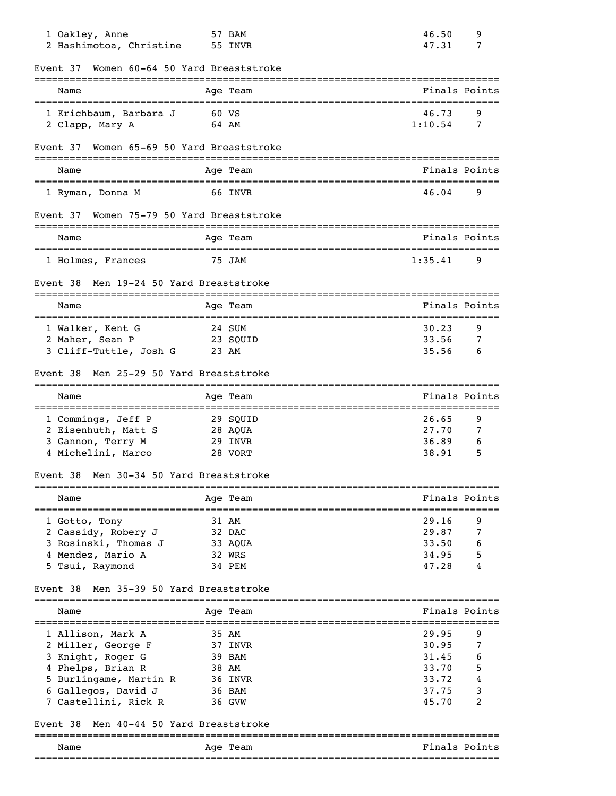| 1 Oakley, Anne<br>2 Hashimotoa, Christine                          | 57 BAM<br>55 INVR                                 | 46.50<br>9<br>47.31<br>7   |
|--------------------------------------------------------------------|---------------------------------------------------|----------------------------|
| Women 60-64 50 Yard Breaststroke<br>Event 37                       | =============                                     |                            |
| Name<br>-----------------------                                    | Age Team<br>-==================================== | Finals Points              |
| 1 Krichbaum, Barbara J<br>2 Clapp, Mary A                          | 60 VS<br>64 AM                                    | 46.73<br>9<br>1:10.54<br>7 |
| Women 65-69 50 Yard Breaststroke<br>Event 37                       |                                                   |                            |
| Name                                                               | Age Team                                          | Finals Points              |
| 1 Ryman, Donna M                                                   | 66 INVR                                           | 46.04<br>9                 |
| Women 75-79 50 Yard Breaststroke<br>Event 37                       |                                                   |                            |
| Name                                                               | Age Team                                          | Finals Points              |
| 1 Holmes, Frances                                                  | 75 JAM                                            | 9<br>1:35.41               |
| Men 19-24 50 Yard Breaststroke<br>Event 38                         |                                                   |                            |
| Name                                                               | Age Team                                          | Finals Points              |
| 1 Walker, Kent G                                                   | 24 SUM                                            | 30.23<br>9                 |
| 23 SQUID<br>2 Maher, Sean P                                        |                                                   | 33.56<br>7                 |
| 3 Cliff-Tuttle, Josh G                                             | 23 AM                                             | 35.56<br>6                 |
| Men 25-29 50 Yard Breaststroke<br>Event 38                         |                                                   |                            |
| Name                                                               | Age Team                                          | Finals Points              |
| 1 Commings, Jeff P                                                 | 29 SQUID                                          | 26.65<br>9                 |
| 2 Eisenhuth, Matt S                                                | 28 AQUA                                           | 27.70<br>7                 |
| 3 Gannon, Terry M                                                  | 29 INVR                                           | 36.89<br>6                 |
| 4 Michelini, Marco                                                 | 28 VORT                                           | 38.91<br>5                 |
| Men 30-34 50 Yard Breaststroke<br>Event 38                         |                                                   |                            |
| Name                                                               | Age Team                                          | Finals Points              |
| 1 Gotto, Tony                                                      | 31 AM                                             | 29.16<br>9                 |
| 2 Cassidy, Robery J                                                | 32 DAC                                            | 29.87<br>7                 |
| 3 Rosinski, Thomas J                                               | 33 AQUA                                           | 33.50<br>6                 |
| 4 Mendez, Mario A<br>5 Tsui, Raymond                               | 32 WRS<br>34 PEM                                  | 34.95<br>5<br>47.28<br>4   |
| Men 35-39 50 Yard Breaststroke<br>Event 38                         |                                                   |                            |
| Name                                                               | Age Team                                          | Finals Points              |
| 1 Allison, Mark A                                                  | 35 AM                                             | 29.95<br>9                 |
| 2 Miller, George F                                                 | 37 INVR                                           | 30.95<br>7                 |
| 3 Knight, Roger G                                                  | 39 BAM                                            | 31.45<br>6                 |
| 4 Phelps, Brian R                                                  | 38 AM                                             | 33.70<br>5                 |
| 5 Burlingame, Martin R                                             | 36 INVR                                           | 33.72<br>4                 |
| 6 Gallegos, David J                                                | 36 BAM                                            | 37.75<br>3                 |
| 7 Castellini, Rick R<br>Men 40-44 50 Yard Breaststroke<br>Event 38 | 36 GVW                                            | 45.70<br>2                 |
|                                                                    |                                                   |                            |
| Name                                                               | Age Team                                          | Finals Points              |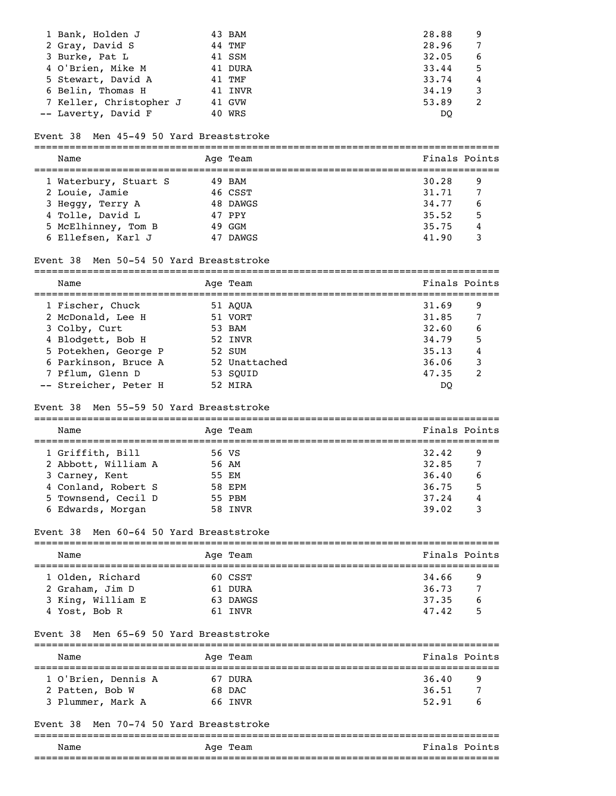| 1 Bank, Holden J        | 43 BAM  | 28.88 | 9 |
|-------------------------|---------|-------|---|
| 2 Gray, David S         | 44 TMF  | 28.96 |   |
| 3 Burke, Pat L          | 41 SSM  | 32.05 | 6 |
| 4 O'Brien, Mike M       | 41 DURA | 33.44 | 5 |
| 5 Stewart, David A      | 41 TMF  | 33.74 | 4 |
| 6 Belin, Thomas H       | 41 INVR | 34.19 |   |
| 7 Keller, Christopher J | 41 GVW  | 53.89 | 2 |
| -- Laverty, David F     | 40 WRS  | DO    |   |

### Event 38 Men 45-49 50 Yard Breaststroke

| Name                  |    | Age Team | Finals Points |   |
|-----------------------|----|----------|---------------|---|
| 1 Waterbury, Stuart S |    | 49 BAM   | 30.28         | 9 |
| 2 Louie, Jamie        |    | 46 CSST  | 31.71         |   |
| 3 Heggy, Terry A      |    | 48 DAWGS | 34,77         | 6 |
| 4 Tolle, David L      |    | 47 PPY   | 35.52         | 5 |
| 5 McElhinney, Tom B   |    | 49 GGM   | 35.75         | 4 |
| 6 Ellefsen, Karl J    | 47 | DAWGS    | 41.90         | 3 |

### Event 38 Men 50-54 50 Yard Breaststroke

| Name | -15 | . . |
|------|-----|-----|

| 1 Fischer, Chuck      | 51 AOUA       | 31.69<br>9 |
|-----------------------|---------------|------------|
| 2 McDonald, Lee H     | 51 VORT       | 31.85      |
| 3 Colby, Curt         | 53 BAM        | 32.60<br>6 |
| 4 Blodgett, Bob H     | 52 INVR       | 5<br>34.79 |
| 5 Potekhen, George P  | 52 SUM        | 4<br>35.13 |
| 6 Parkinson, Bruce A  | 52 Unattached | 36.06<br>3 |
| 7 Pflum, Glenn D      | 53 SOUID      | 47.35<br>2 |
| -- Streicher, Peter H | 52 MIRA       | DO         |

### Event 38 Men 55-59 50 Yard Breaststroke

| Name                |       | Age Team | Finals Points |   |  |
|---------------------|-------|----------|---------------|---|--|
| 1 Griffith, Bill    | 56 VS |          | 32.42         | 9 |  |
| 2 Abbott, William A |       | 56 AM    | 32.85         | 7 |  |
| 3 Carney, Kent      |       | 55 EM    | 36.40         | 6 |  |
| 4 Conland, Robert S |       | 58 EPM   | 36.75         | 5 |  |
| 5 Townsend, Cecil D |       | 55 PBM   | 37.24         | 4 |  |
| 6 Edwards, Morgan   |       | 58 INVR  | 39.02         |   |  |

### Event 38 Men 60-64 50 Yard Breaststroke

| Name                                |  | Age Team            | Finals Points  |        |  |  |
|-------------------------------------|--|---------------------|----------------|--------|--|--|
| 1 Olden, Richard<br>2 Graham, Jim D |  | 60 CSST<br>61 DURA  | 34.66<br>36.73 | 9<br>7 |  |  |
| 3 King, William E<br>4 Yost, Bob R  |  | 63 DAWGS<br>61 INVR | 37.35<br>47.42 | 6<br>5 |  |  |

#### Event 38 Men 65-69 50 Yard Breaststroke

| Name                                 | Age Team          | Finals Points            |
|--------------------------------------|-------------------|--------------------------|
| 1 O'Brien, Dennis A                  | 67 DURA           | 36.40<br>9               |
| 2 Patten, Bob W<br>3 Plummer, Mark A | 68 DAC<br>66 INVR | 36.51<br>7<br>52.91<br>b |

### Event 38 Men 70-74 50 Yard Breaststroke

| Name            | Age<br>Team | Finals Points |
|-----------------|-------------|---------------|
| _______________ |             |               |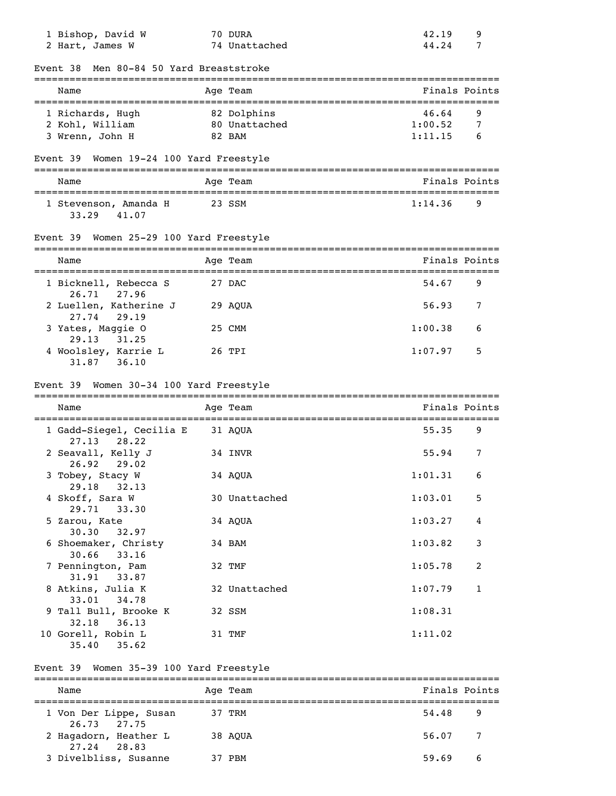| 1 Bishop, David W<br>2 Hart, James W                      |        | 70 DURA<br>74 Unattached | 42.19<br>44.24 | 9<br>7        |
|-----------------------------------------------------------|--------|--------------------------|----------------|---------------|
| Event 38 Men 80-84 50 Yard Breaststroke                   |        |                          |                |               |
| Name                                                      |        | Age Team                 |                | Finals Points |
| 1 Richards, Hugh                                          |        | 82 Dolphins              | 46.64          | 9             |
| 2 Kohl, William                                           |        | 80 Unattached            | 1:00.52        | 7             |
| 3 Wrenn, John H                                           |        | 82 BAM                   | 1:11.15        | 6             |
| Event 39 Women 19-24 100 Yard Freestyle                   |        |                          |                |               |
| Name                                                      |        | Age Team                 |                | Finals Points |
| 1 Stevenson, Amanda H<br>33.29 41.07                      | 23 SSM |                          | 1:14.36        | 9             |
| Event 39 Women 25-29 100 Yard Freestyle                   |        |                          |                |               |
| Name                                                      |        | Age Team                 |                | Finals Points |
| 1 Bicknell, Rebecca S<br>26.71 27.96                      |        | 27 DAC                   | 54.67          | 9             |
| 2 Luellen, Katherine J<br>27.74<br>29.19                  |        | 29 AQUA                  | 56.93          | 7             |
|                                                           |        |                          |                |               |
| 3 Yates, Maggie O                                         |        | 25 CMM                   | 1:00.38        | 6             |
| 29.13<br>31.25<br>4 Woolsley, Karrie L<br>$31.87$ $36.10$ |        | 26 TPI                   | 1:07.97        | 5             |
| Event 39 Women 30-34 100 Yard Freestyle                   |        |                          |                |               |
| Name                                                      |        | Age Team                 |                |               |
| 1 Gadd-Siegel, Cecilia E                                  |        | 31 AQUA                  | 55.35          | 9             |
| 27.13<br>28.22<br>2 Seavall, Kelly J<br>26.92             |        | 34 INVR                  | 55.94          | 7             |
| 29.02<br>3 Tobey, Stacy W                                 |        | 34 AQUA                  | $1:01.31$ 6    | Finals Points |
| 29.18 32.13<br>4 Skoff, Sara W<br>29.71 33.30             |        | 30 Unattached            | 1:03.01        | 5             |
| 5 Zarou, Kate<br>30.30<br>32.97                           |        | 34 AQUA                  | 1:03.27        | 4             |
| 6 Shoemaker, Christy<br>33.16<br>30.66                    |        | 34 BAM                   | 1:03.82        | $\mathsf 3$   |
| 7 Pennington, Pam<br>31.91 33.87                          |        | 32 TMF                   | 1:05.78        | 2             |
| 8 Atkins, Julia K<br>33.01 34.78                          |        | 32 Unattached            | 1:07.79        | $\mathbf{1}$  |
| 9 Tall Bull, Brooke K<br>32.18 36.13                      |        | 32 SSM                   | 1:08.31        |               |

### Event 39 Women 35-39 100 Yard Freestyle

| Name                                      | Age Team | Finals Points           |
|-------------------------------------------|----------|-------------------------|
| 1 Von Der Lippe, Susan<br>$26.73$ $27.75$ | 37 TRM   | 54.48<br>9              |
| 2 Hagadorn, Heather L<br>27.24 28.83      | 38 AOUA  | 56.07<br>$\overline{7}$ |
| 3 Divelbliss, Susanne                     | PRM      | 59.69<br>6              |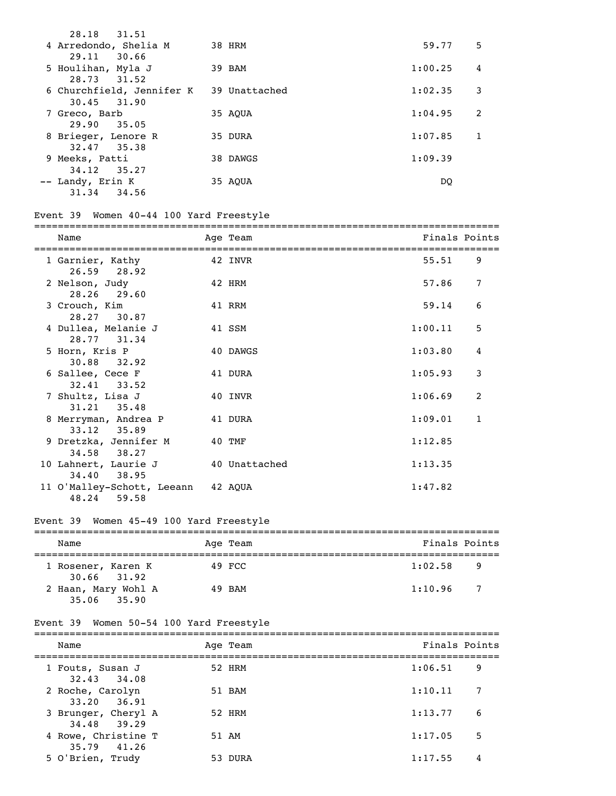| 28.18 31.51                                                |          |         |   |
|------------------------------------------------------------|----------|---------|---|
| 4 Arredondo, Shelia M<br>29.11 30.66                       | 38 HRM   | 59.77   | 5 |
| 5 Houlihan, Myla J<br>28.73 31.52                          | 39 BAM   | 1:00.25 | 4 |
| 6 Churchfield, Jennifer K 39 Unattached<br>$30.45$ $31.90$ |          | 1:02.35 | 3 |
| 7 Greco, Barb                                              | 35 AOUA  | 1:04.95 | 2 |
| 29.90 35.05<br>8 Brieger, Lenore R                         | 35 DURA  | 1:07.85 |   |
| 32.47 35.38<br>9 Meeks, Patti                              | 38 DAWGS | 1:09.39 |   |
| 34.12 35.27<br>-- Landy, Erin K<br>31.34<br>34.56          | 35 AOUA  | DO.     |   |

# Event 39 Women 40-44 100 Yard Freestyle

| Name                                              | Age Team      | Finals Points |              |
|---------------------------------------------------|---------------|---------------|--------------|
| 1 Garnier, Kathy<br>$26.59$ $28.92$               | 42 INVR       | 55.51         | 9            |
| 2 Nelson, Judy<br>28.26 29.60                     | 42 HRM        | 57.86         | 7            |
| 3 Crouch, Kim<br>28.27 30.87                      | 41 RRM        | 59.14         | 6            |
| 4 Dullea, Melanie J<br>28.77 31.34                | 41 SSM        | 1:00.11       | 5            |
| 5 Horn, Kris P<br>30.88 32.92                     | 40 DAWGS      | 1:03.80       | 4            |
| 6 Sallee, Cece F<br>$32.41$ $33.52$               | 41 DURA       | 1:05.93       | 3            |
| 7 Shultz, Lisa J<br>31.21 35.48                   | 40 INVR       | 1:06.69       | 2            |
| 8 Merryman, Andrea P<br>$33.12$ $35.89$           | 41 DURA       | 1:09.01       | $\mathbf{1}$ |
| 9 Dretzka, Jennifer M<br>34.58 38.27              | 40 TMF        | 1:12.85       |              |
| 10 Lahnert, Laurie J<br>34.40 38.95               | 40 Unattached | 1:13.35       |              |
| 11 O'Malley-Schott, Leeann 42 AQUA<br>48.24 59.58 |               | 1:47.82       |              |

# Event 39 Women 45-49 100 Yard Freestyle

|  | Name                                   |  | Age Team | Finals Points |     |
|--|----------------------------------------|--|----------|---------------|-----|
|  | 1 Rosener, Karen K<br>$30.66$ $31.92$  |  | 49 FCC   | 1:02.58       | 9   |
|  | 2 Haan, Mary Wohl A<br>$35.06$ $35.90$ |  | 49 BAM   | 1:10.96       | - 7 |

# Event 39 Women 50-54 100 Yard Freestyle

| Name                                | Age Team | Finals Points |   |
|-------------------------------------|----------|---------------|---|
| 1 Fouts, Susan J<br>32.43 34.08     | 52 HRM   | 1:06.51       | 9 |
| 2 Roche, Carolyn<br>$33.20$ $36.91$ | 51 BAM   | 1:10.11       |   |
| 3 Brunger, Cheryl A<br>34.48 39.29  | 52 HRM   | 1:13.77       | 6 |
| 4 Rowe, Christine T<br>35.79 41.26  | 51 AM    | 1:17.05       | 5 |
| 5 O'Brien, Trudy                    | 53 DURA  | 1:17.55       | 4 |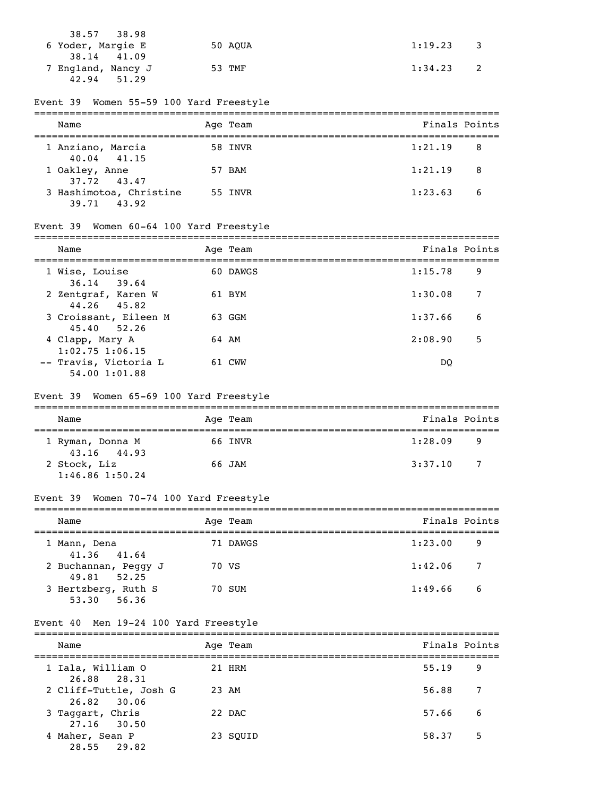| 38.57 38.98        |         |                                       |
|--------------------|---------|---------------------------------------|
| 6 Yoder, Margie E  | 50 AOUA | 1:19.23<br>$\overline{\phantom{a}}$ 3 |
| 38.14 41.09        |         |                                       |
| 7 England, Nancy J | 53 TMF  | 1:34.23<br>$\overline{\phantom{0}}$ 2 |
| 42.94<br>51.29     |         |                                       |

### Event 39 Women 55-59 100 Yard Freestyle

| Name                                   | Age Team | Finals Points                         |  |
|----------------------------------------|----------|---------------------------------------|--|
| 1 Anziano, Marcia<br>$40.04$ $41.15$   | 58 INVR  | 1:21.19<br>- 8                        |  |
| 1 Oakley, Anne<br>37.72 43.47          | 57 BAM   | 1:21.19<br>$\overline{\phantom{1}}$ 8 |  |
| 3 Hashimotoa, Christine<br>39.71 43.92 | 55 INVR  | 1:23.63<br>- 6                        |  |

# Event 39 Women 60-64 100 Yard Freestyle

| Name                                   | Age Team | Finals Points |   |
|----------------------------------------|----------|---------------|---|
| 1 Wise, Louise<br>$36.14$ 39.64        | 60 DAWGS | 1:15.78       | 9 |
| 2 Zentgraf, Karen W<br>44.26 45.82     | 61 BYM   | 1:30.08       | 7 |
| 3 Croissant, Eileen M<br>45.40 52.26   | 63 GGM   | 1:37.66       | 6 |
| 4 Clapp, Mary A<br>$1:02.75$ 1:06.15   | 64 AM    | 2:08.90       | 5 |
| -- Travis, Victoria L<br>54.00 1:01.88 | 61 CWW   | DO            |   |

# Event 39 Women 65-69 100 Yard Freestyle

| Name                                | Age Team |         | Finals Points |    |  |  |
|-------------------------------------|----------|---------|---------------|----|--|--|
| 1 Ryman, Donna M<br>43.16 44.93     |          | 66 INVR | 1:28.09       | 9  |  |  |
| 2 Stock, Liz<br>$1:46.86$ $1:50.24$ | 66 JAM   |         | 3:37.10       | -7 |  |  |

# Event 39 Women 70-74 100 Yard Freestyle

| Name                                | Age Team | Finals Points |     |
|-------------------------------------|----------|---------------|-----|
| 1 Mann, Dena<br>41.36 41.64         | 71 DAWGS | 1:23.00       | 9   |
| 2 Buchannan, Peggy J<br>49.81 52.25 | 70 VS    | 1:42.06       | -7  |
| 3 Hertzberg, Ruth S<br>53.30 56.36  | 70 SUM   | 1:49.66       | - 6 |

### Event 40 Men 19-24 100 Yard Freestyle

| Name                                  |       | Age Team | Finals Points |     |
|---------------------------------------|-------|----------|---------------|-----|
| 1 Iala, William O<br>26.88 28.31      |       | 21 HRM   | 55.19         | 9   |
| 2 Cliff-Tuttle, Josh G<br>26.82 30.06 | 23 AM |          | 56.88         | 7   |
| 3 Taggart, Chris<br>27.16 30.50       |       | 22 DAC   | 57.66         | - 6 |
| 4 Maher, Sean P<br>28.55 29.82        |       | 23 SOUID | 58.37         | 5   |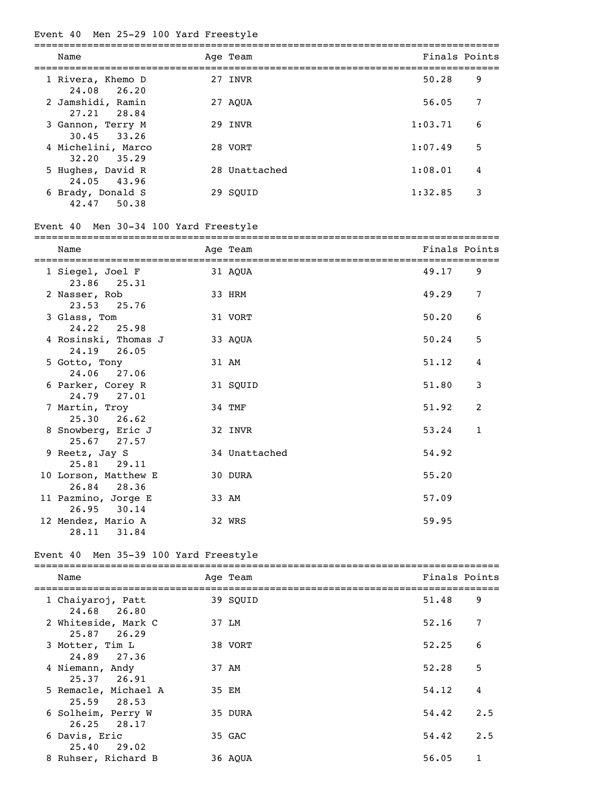# Event 40 Men 25-29 100 Yard Freestyle

| Name                                  | Age Team      | Finals Points |   |
|---------------------------------------|---------------|---------------|---|
| 1 Rivera, Khemo D<br>24.08 26.20      | 27 INVR       | 50.28         | 9 |
| 2 Jamshidi, Ramin<br>27.21 28.84      | 27 AOUA       | 56.05         | 7 |
| 3 Gannon, Terry M<br>$30.45$ $33.26$  | 29 INVR       | 1:03.71       | 6 |
| 4 Michelini, Marco<br>$32,20$ $35,29$ | 28 VORT       | 1:07.49       | 5 |
| 5 Hughes, David R<br>24.05 43.96      | 28 Unattached | 1:08.01       | 4 |
| 6 Brady, Donald S<br>42.47 50.38      | 29 SOUID      | 1:32.85       | 3 |

# Event 40 Men 30-34 100 Yard Freestyle

| Name                                   | Age Team      | Finals Points |   |
|----------------------------------------|---------------|---------------|---|
| 1 Siegel, Joel F<br>23.86<br>25.31     | 31 AQUA       | 49.17         | 9 |
| 2 Nasser, Rob<br>23.53<br>25.76        | 33 HRM        | 49.29         | 7 |
| 3 Glass, Tom<br>24.22 25.98            | 31 VORT       | 50.20         | 6 |
| 4 Rosinski, Thomas J<br>24.19 26.05    | 33 AQUA       | 50.24         | 5 |
| 5 Gotto, Tony<br>24.06 27.06           | 31 AM         | 51.12         | 4 |
| 6 Parker, Corey R<br>27.01<br>24.79    | 31 SQUID      | 51.80         | 3 |
| 7 Martin, Troy<br>25.30<br>26.62       | 34 TMF        | 51.92         | 2 |
| 8 Snowberg, Eric J<br>$25.67$ 27.57    | 32 INVR       | 53.24         | 1 |
| 9 Reetz, Jay S<br>$25.81$ $29.11$      | 34 Unattached | 54.92         |   |
| 10 Lorson, Matthew E<br>26.84<br>28.36 | 30 DURA       | 55.20         |   |
| 11 Pazmino, Jorge E<br>26.95<br>30.14  | 33 AM         | 57.09         |   |
| 12 Mendez, Mario A<br>28.11<br>31.84   | 32 WRS        | 59.95         |   |

# Event 40 Men 35-39 100 Yard Freestyle

| Name                                   | Age Team | Finals Points |     |
|----------------------------------------|----------|---------------|-----|
| 1 Chaiyaroj, Patt<br>24.68 26.80       | 39 SOUID | 51.48         | 9   |
| 2 Whiteside, Mark C<br>$25.87$ $26.29$ | 37 LM    | 52.16         | 7   |
| 3 Motter, Tim L<br>24.89 27.36         | 38 VORT  | 52.25         | 6   |
| 4 Niemann, Andy<br>$25.37$ $26.91$     | 37 AM    | 52.28         | 5   |
| 5 Remacle, Michael A<br>25.59 28.53    | 35 EM    | 54.12         | 4   |
| 6 Solheim, Perry W<br>26.25 28.17      | 35 DURA  | 54.42         | 2.5 |
| 6 Davis, Eric<br>$25.40$ 29.02         | 35 GAC   | 54.42         | 2.5 |
| 8 Ruhser, Richard B                    | 36 AOUA  | 56.05         | 1   |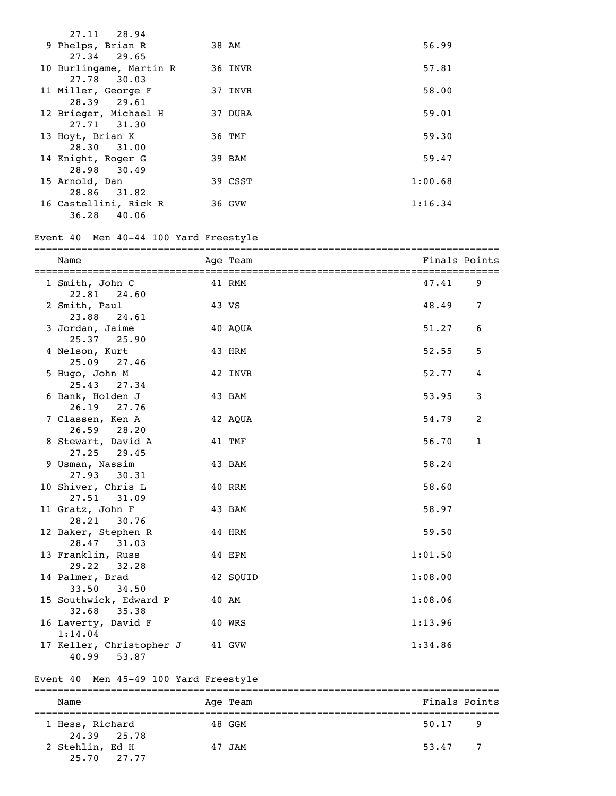| 27.11 28.94             |         |         |
|-------------------------|---------|---------|
| 9 Phelps, Brian R       | 38 AM   | 56.99   |
| 27.34 29.65             |         |         |
| 10 Burlingame, Martin R | 36 INVR | 57.81   |
| 27.78 30.03             |         |         |
| 11 Miller, George F     | 37 INVR | 58.00   |
| 28.39 29.61             |         |         |
| 12 Brieger, Michael H   | 37 DURA | 59.01   |
| 27.71 31.30             |         |         |
| 13 Hoyt, Brian K        | 36 TMF  | 59.30   |
| 28.30 31.00             |         |         |
| 14 Knight, Roger G      | 39 BAM  | 59.47   |
| 28.98 30.49             |         |         |
| 15 Arnold, Dan          | 39 CSST | 1:00.68 |
| 31.82<br>28.86          |         |         |
| 16 Castellini, Rick R   | 36 GVW  | 1:16.34 |
| 36.28 40.06             |         |         |

# Event 40 Men 40-44 100 Yard Freestyle

| Name                                       |        | Age Team | Finals Points |                 |
|--------------------------------------------|--------|----------|---------------|-----------------|
| 1 Smith, John C<br>22.81 24.60             | 41 RMM |          | 47.41         | 9               |
| 2 Smith, Paul<br>23.88 24.61               |        | 43 VS    | 48.49         | $7\phantom{.0}$ |
| 3 Jordan, Jaime<br>25.37 25.90             |        | 40 AOUA  | 51.27         | 6               |
| 4 Nelson, Kurt<br>$25.09$ $27.46$          |        | 43 HRM   | 52.55         | 5               |
| 5 Hugo, John M<br>25.43 27.34              |        | 42 INVR  | 52.77         | 4               |
| 6 Bank, Holden J<br>26.19 27.76            |        | 43 BAM   | 53.95         | 3               |
| 7 Classen, Ken A<br>26.59 28.20            |        | 42 AQUA  | 54.79         | 2               |
| 8 Stewart, David A<br>27.25<br>29.45       |        | 41 TMF   | 56.70         | $\mathbf{1}$    |
| 9 Usman, Nassim<br>27.93 30.31             |        | 43 BAM   | 58.24         |                 |
| 10 Shiver, Chris L<br>27.51 31.09          |        | 40 RRM   | 58.60         |                 |
| 11 Gratz, John F<br>28.21 30.76            |        | 43 BAM   | 58.97         |                 |
| 12 Baker, Stephen R<br>28.47 31.03         |        | 44 HRM   | 59.50         |                 |
| 13 Franklin, Russ<br>29.22 32.28           |        | 44 EPM   | 1:01.50       |                 |
| 14 Palmer, Brad<br>33.50 34.50             |        | 42 SQUID | 1:08.00       |                 |
| 15 Southwick, Edward P<br>32.68 35.38      |        | 40 AM    | 1:08.06       |                 |
| 16 Laverty, David F<br>1:14.04             |        | 40 WRS   | 1:13.96       |                 |
| 17 Keller, Christopher J<br>40.99<br>53.87 |        | 41 GVW   | 1:34.86       |                 |

# Event 40 Men 45-49 100 Yard Freestyle

| Name                           |  | Age Team | Finals Points           |  |  |  |  |
|--------------------------------|--|----------|-------------------------|--|--|--|--|
| 1 Hess, Richard<br>24.39 25.78 |  | 48 GGM   | $50.17$ 9               |  |  |  |  |
| 2 Stehlin, Ed H<br>25.70 27.77 |  | 47 JAM   | $\overline{7}$<br>53.47 |  |  |  |  |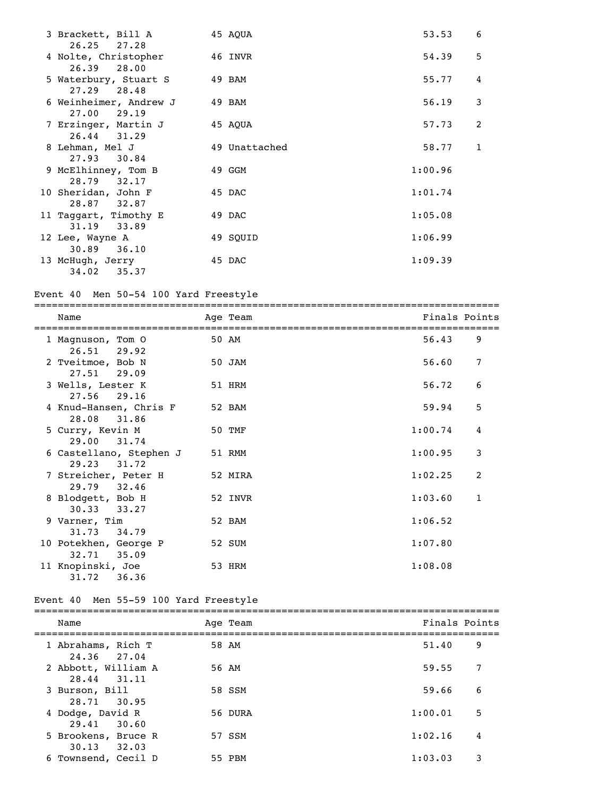| 3 Brackett, Bill A<br>$26.25$ $27.28$    | 45 AQUA       | 53.53   | 6 |
|------------------------------------------|---------------|---------|---|
| 4 Nolte, Christopher<br>26.39 28.00      | 46 INVR       | 54.39   | 5 |
| 5 Waterbury, Stuart S<br>$27.29$ $28.48$ | 49 BAM        | 55.77   | 4 |
| 6 Weinheimer, Andrew J<br>$27.00$ 29.19  | 49 BAM        | 56.19   | 3 |
| 7 Erzinger, Martin J<br>$26.44$ 31.29    | 45 AOUA       | 57.73   | 2 |
| 8 Lehman, Mel J<br>27.93 30.84           | 49 Unattached | 58.77   | 1 |
| 9 McElhinney, Tom B<br>28.79 32.17       | 49 GGM        | 1:00.96 |   |
| 10 Sheridan, John F<br>28.87 32.87       | 45 DAC        | 1:01.74 |   |
| 11 Taggart, Timothy E<br>31.19 33.89     | 49 DAC        | 1:05.08 |   |
| 12 Lee, Wayne A<br>30.89<br>36.10        | 49 SQUID      | 1:06.99 |   |
| 13 McHugh, Jerry<br>$34.02$ $35.37$      | 45 DAC        | 1:09.39 |   |

# Event 40 Men 50-54 100 Yard Freestyle

|   | Name                                     | Age Team | Finals Points |              |
|---|------------------------------------------|----------|---------------|--------------|
|   | 1 Magnuson, Tom 0<br>$26.51$ 29.92       | 50 AM    | 56.43         | 9            |
|   | 2 Tveitmoe, Bob N<br>$27.51$ 29.09       | 50 JAM   | 56.60         | 7            |
|   | 3 Wells, Lester K<br>27.56 29.16         | 51 HRM   | 56.72         | 6            |
|   | 4 Knud-Hansen, Chris F<br>28.08 31.86    | 52 BAM   | 59.94         | 5            |
|   | 5 Curry, Kevin M<br>29.00 31.74          | 50 TMF   | 1:00.74       | 4            |
|   | 6 Castellano, Stephen J<br>29.23 31.72   | 51 RMM   | 1:00.95       | 3            |
|   | 7 Streicher, Peter H<br>29.79 32.46      | 52 MIRA  | 1:02.25       | 2            |
| 8 | Blodgett, Bob H<br>$30.33$ $33.27$       | 52 INVR  | 1:03.60       | $\mathbf{1}$ |
|   | 9 Varner, Tim<br>31.73<br>34.79          | 52 BAM   | 1:06.52       |              |
|   | 10 Potekhen, George P<br>$32.71$ $35.09$ | 52 SUM   | 1:07.80       |              |
|   | 11 Knopinski, Joe<br>31.72<br>36.36      | 53 HRM   | 1:08.08       |              |

# Event 40 Men 55-59 100 Yard Freestyle

| Name                                   | Age Team | Finals Points |   |
|----------------------------------------|----------|---------------|---|
| 1 Abrahams, Rich T<br>24.36 27.04      | 58 AM    | 51.40         | 9 |
| 2 Abbott, William A<br>28.44 31.11     | 56 AM    | 59.55         | 7 |
| 3 Burson, Bill<br>28.71 30.95          | 58 SSM   | 59.66         | 6 |
| 4 Dodge, David R<br>29.41 30.60        | 56 DURA  | 1:00.01       | 5 |
| 5 Brookens, Bruce R<br>$30.13$ $32.03$ | 57 SSM   | 1:02.16       | 4 |
| 6 Townsend, Cecil D                    | 55 PBM   | 1:03.03       | 3 |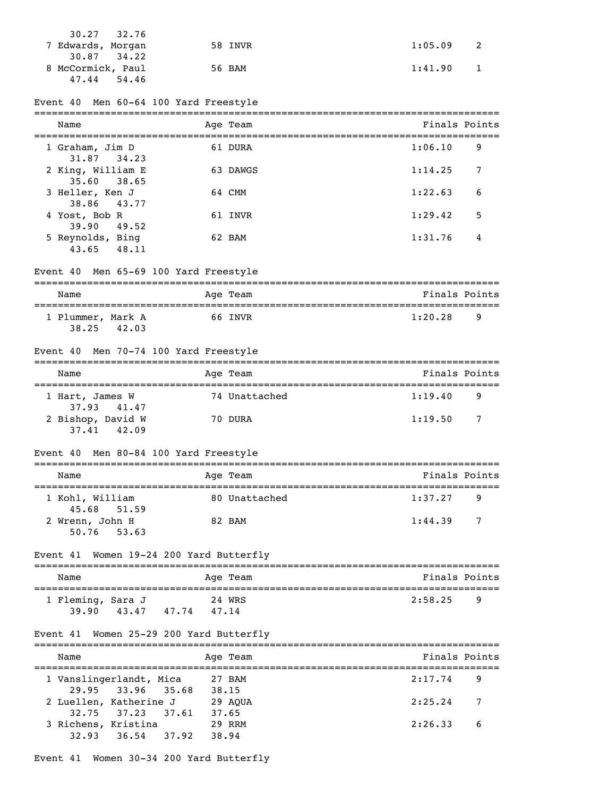| $30.27$ $32.76$<br>7 Edwards, Morgan | 58 INVR | $1:05.09$ 2         |
|--------------------------------------|---------|---------------------|
| $30.87$ $34.22$                      |         |                     |
| 8 McCormick, Paul                    | 56 BAM  | 1:41.90<br>$\sim$ 1 |
| 47.44<br>54.46                       |         |                     |

### Event 40 Men 60-64 100 Yard Freestyle

| Name                                 | Age Team | Finals Points |   |
|--------------------------------------|----------|---------------|---|
| 1 Graham, Jim D<br>31.87 34.23       | 61 DURA  | 1:06.10       | 9 |
| 2 King, William E<br>35.60 38.65     | 63 DAWGS | 1:14.25       | 7 |
| 3 Heller, Ken J<br>38.86 43.77       | 64 CMM   | 1:22.63       | 6 |
| 4 Yost, Bob R<br>$39.90 \quad 49.52$ | 61 INVR  | 1:29.42       | 5 |
| 5 Reynolds, Bing<br>43.65 48.11      | 62 BAM   | 1:31.76       | 4 |

### Event 40 Men 65-69 100 Yard Freestyle

| Name                       |       |  | Age Team | Finals Points |  |  |  |
|----------------------------|-------|--|----------|---------------|--|--|--|
| 1 Plummer, Mark A<br>38.25 | 42.03 |  | 66 INVR  | 1:20.28<br>-9 |  |  |  |

### Event 40 Men 70-74 100 Yard Freestyle

| Name                             |  | Age Team      | Finals Points |                |  |  |  |
|----------------------------------|--|---------------|---------------|----------------|--|--|--|
| 1 Hart, James W<br>37.93 41.47   |  | 74 Unattached | 1:19.40       | 9              |  |  |  |
| 2 Bishop, David W<br>37.41 42.09 |  | 70 DURA       | 1:19.50       | $\overline{7}$ |  |  |  |

### Event 40 Men 80-84 100 Yard Freestyle

| Name                             | Age Team      | Finals Points             |  |  |  |  |  |
|----------------------------------|---------------|---------------------------|--|--|--|--|--|
| 1 Kohl, William<br>45.68 51.59   | 80 Unattached | 1:37.27<br>-9             |  |  |  |  |  |
| 2 Wrenn, John H<br>$50.76$ 53.63 | 82 BAM        | 1:44.39<br>$\overline{7}$ |  |  |  |  |  |

### Event 41 Women 19-24 200 Yard Butterfly

| Name                       |       |       | Age Team        | Finals Points |  |  |  |  |
|----------------------------|-------|-------|-----------------|---------------|--|--|--|--|
| 1 Fleming, Sara J<br>39.90 | 43.47 | 47.74 | 24 WRS<br>47.14 | 2:58.25<br>q  |  |  |  |  |

### Event 41 Women 25-29 200 Yard Butterfly

| Name                    |                   |       |       | Age Team | Finals Points |     |
|-------------------------|-------------------|-------|-------|----------|---------------|-----|
| 1 Vanslingerlandt, Mica |                   |       |       | 27 BAM   | 2:17.74       | - 9 |
|                         | 29.95 33.96 35.68 |       | 38.15 |          |               |     |
| 2 Luellen, Katherine J  |                   |       |       | 29 AOUA  | 2:25.24       | - 7 |
|                         | 32.75 37.23 37.61 |       | 37.65 |          |               |     |
| 3 Richens, Kristina     |                   |       |       | 29 RRM   | 2:26.33       | - 6 |
| 32.93                   | 36.54             | 37.92 | 38.94 |          |               |     |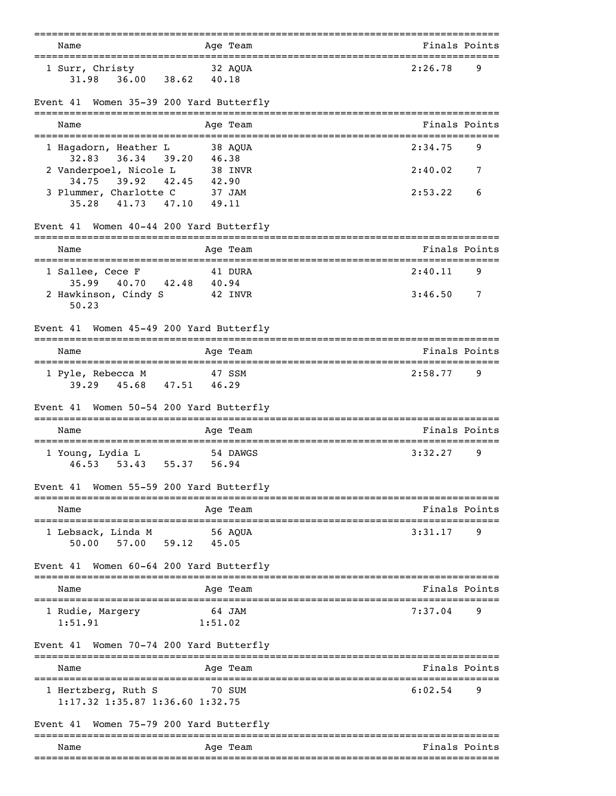| Name                                                                            | Age Team                                    | Finals Points                 |   |
|---------------------------------------------------------------------------------|---------------------------------------------|-------------------------------|---|
| 1 Surr, Christy<br>36.00<br>31.98                                               | --------<br>32 AQUA<br>38.62 40.18          | 2:26.78                       | 9 |
| Women 35-39 200 Yard Butterfly<br>Event 41                                      |                                             |                               |   |
| Name                                                                            | Age Team                                    | Finals Points                 |   |
| 1 Hagadorn, Heather L                                                           | 38 AQUA                                     | 2:34.75                       | 9 |
| 36.34 39.20 46.38<br>32.83<br>2 Vanderpoel, Nicole L<br>34.75<br>39.92<br>42.45 | 38 INVR<br>42.90                            | 2:40.02                       | 7 |
| 3 Plummer, Charlotte C<br>35.28<br>41.73<br>47.10                               | 37 JAM<br>49.11                             | 2:53.22                       | 6 |
| Event 41 Women 40-44 200 Yard Butterfly                                         |                                             |                               |   |
| Name                                                                            | Age Team                                    | Finals Points                 |   |
| 1 Sallee, Cece F<br>40.70<br>35.99                                              | 41 DURA<br>42.48 40.94                      | =========<br>2:40.11          | 9 |
| 2 Hawkinson, Cindy S<br>50.23                                                   | 42 INVR                                     | 3:46.50                       | 7 |
| Women 45-49 200 Yard Butterfly<br>Event 41                                      |                                             |                               |   |
| Name                                                                            | Age Team                                    | Finals Points                 |   |
| 1 Pyle, Rebecca M<br>$39.29$ $45.68$ $47.51$                                    | 47 SSM<br>46.29                             | 2:58.77                       | 9 |
| Women 50-54 200 Yard Butterfly<br>Event 41                                      |                                             |                               |   |
| Name                                                                            | Age Team                                    | Finals Points<br>============ |   |
| 1 Young, Lydia L<br>53.43<br>46.53                                              | 54 DAWGS<br>55.37 56.94                     | 3:32.27                       | 9 |
| Women 55-59 200 Yard Butterfly<br>Event 41                                      |                                             |                               |   |
| ------------<br>Name                                                            | ===============================<br>Age Team | =======<br>Finals Points      |   |
| 1 Lebsack, Linda M<br>59.12<br>50.00<br>57.00                                   | 56 AOUA<br>45.05                            | 3:31.17                       | 9 |
| Event 41<br>Women 60-64 200 Yard Butterfly                                      |                                             |                               |   |
| Name                                                                            | Age Team                                    | Finals Points                 |   |
| 1 Rudie, Margery<br>1:51.91                                                     | 64 JAM<br>1:51.02                           | 7:37.04                       | 9 |
| Women 70-74 200 Yard Butterfly<br>Event 41                                      |                                             |                               |   |
| Name                                                                            | Age Team                                    | Finals Points                 |   |
| 1 Hertzberg, Ruth S<br>1:17.32 1:35.87 1:36.60 1:32.75                          | 70 SUM                                      | 6:02.54                       | 9 |
| Women 75–79 200 Yard Butterfly<br>Event 41                                      |                                             |                               |   |
| Name                                                                            | Age Team                                    | Finals Points                 |   |
|                                                                                 |                                             |                               |   |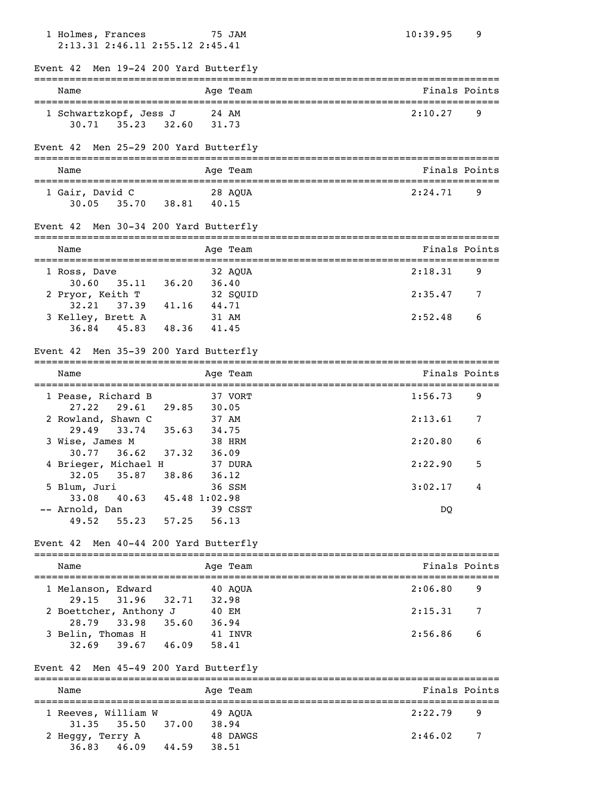| 1 Holmes, Frances<br>2:13.31 2:46.11 2:55.12 2:45.41                   |                | 75 JAM   | 10:39.95                                | 9 |
|------------------------------------------------------------------------|----------------|----------|-----------------------------------------|---|
| Event 42 Men 19-24 200 Yard Butterfly                                  |                |          |                                         |   |
| Name                                                                   |                | Age Team | Finals Points                           |   |
| 1 Schwartzkopf, Jess J<br>$30.71$ $35.23$ $32.60$                      | 24 AM<br>31.73 |          | 2:10.27                                 | 9 |
| Event 42 Men 25-29 200 Yard Butterfly                                  |                |          |                                         |   |
| Name                                                                   |                | Age Team | Finals Points                           |   |
| 1 Gair, David C<br>30.05 35.70 38.81 40.15                             |                | 28 AQUA  | 2:24.71                                 | 9 |
| Event 42 Men 30-34 200 Yard Butterfly                                  |                |          | =================================       |   |
| Name                                                                   |                | Age Team | Finals Points                           |   |
| 1 Ross, Dave<br>30.60<br>35.11 36.20 36.40                             | 32 AQUA        |          | 2:18.31                                 | 9 |
| 2 Pryor, Keith T 32 SQI<br>32.21 37.39 41.16 44.71                     |                | 32 SQUID | 2:35.47                                 | 7 |
| 3 Kelley, Brett A<br>$36.84$ 45.83 48.36 41.45                         | 31 AM          |          | 2:52.48                                 | 6 |
| Event 42 Men 35-39 200 Yard Butterfly                                  |                |          |                                         |   |
| Name                                                                   |                | Age Team | Finals Points                           |   |
| 1 Pease, Richard B<br>$27.22$ $29.61$ $29.85$                          | 30.05          | 37 VORT  | 1:56.73                                 | 9 |
| 2 Rowland, Shawn C<br>33.74 35.63 34.75                                | 37 AM          |          | 2:13.61                                 | 7 |
| 29.49<br>3 Wise, James M                                               | 38 HRM         |          | 2:20.80                                 | 6 |
| 36.62 37.32 36.09<br>30.77<br>4 Brieger, Michael H                     |                | 37 DURA  | 2:22.90                                 | 5 |
| 38.86<br>32.05<br>35.87<br>5 Blum, Juri                                | 36.12          | 36 SSM   | 3:02.17                                 | 4 |
| 33.08<br>40.63 45.48 1:02.98<br>-- Arnold, Dan<br>55.23 57.25<br>49.52 | 56.13          | 39 CSST  | DQ                                      |   |
| Event 42 Men 40-44 200 Yard Butterfly                                  |                |          |                                         |   |
| Name                                                                   |                | Age Team | Finals Points                           |   |
| 1 Melanson, Edward                                                     |                | 40 AQUA  | 2:06.80                                 | 9 |
| 29.15<br>31.96 32.71<br>2 Boettcher, Anthony J                         | 32.98<br>40 EM |          | 2:15.31                                 | 7 |
| 33.98 35.60<br>28.79<br>3 Belin, Thomas H<br>$39.67$ $46.09$<br>32.69  | 36.94<br>58.41 | 41 INVR  | 2:56.86                                 | 6 |
| Event 42 Men 45-49 200 Yard Butterfly                                  |                |          |                                         |   |
| Name                                                                   |                | Age Team | ----------------------<br>Finals Points |   |
| 1 Reeves, William W                                                    |                | 49 AQUA  | 2:22.79                                 | 9 |
| 35.50<br>37.00<br>31.35<br>2 Heggy, Terry A<br>46.09<br>36.83<br>44.59 | 38.94<br>38.51 | 48 DAWGS | 2:46.02                                 | 7 |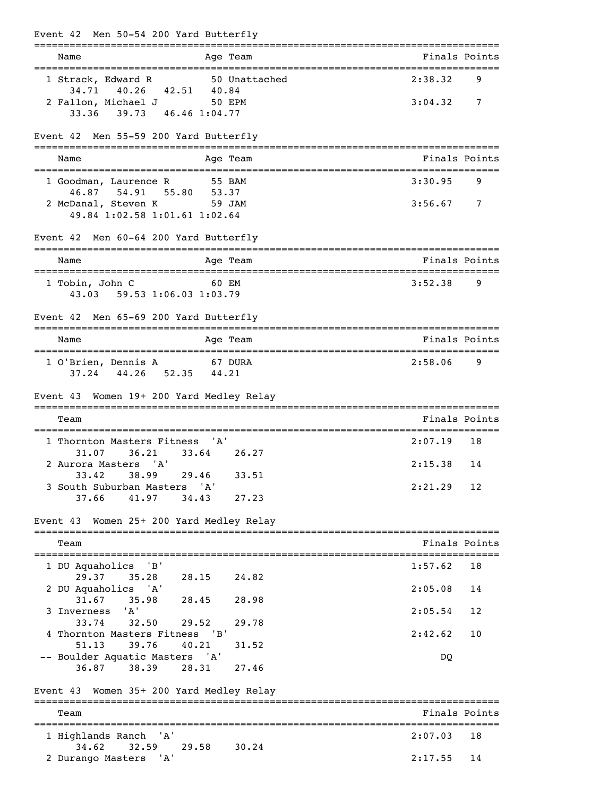| Event 42 Men 50-54 200 Yard Butterfly                                                       |                                    |               |
|---------------------------------------------------------------------------------------------|------------------------------------|---------------|
| Age Team<br>Name<br>======================================                                  |                                    | Finals Points |
| 1 Strack, Edward R<br>50 Unattached                                                         | 2:38.32                            | 9             |
| 34.71 40.26 42.51 40.84<br>2 Fallon, Michael J 50 EPM<br>33.36 39.73 46.46 1:04.77          | 3:04.32                            | 7             |
| Event 42 Men 55-59 200 Yard Butterfly                                                       |                                    |               |
| Age Team<br>Name                                                                            |                                    | Finals Points |
| 1 Goodman, Laurence R<br>55 BAM                                                             | 3:30.95                            | 9             |
| 46.87 54.91 55.80<br>53.37<br>2 McDanal, Steven K 59 JAM<br>49.84 1:02.58 1:01.61 1:02.64   | 3:56.67                            | 7             |
| Event 42 Men 60-64 200 Yard Butterfly                                                       |                                    |               |
| Age Team<br>Name                                                                            |                                    | Finals Points |
| 1 Tobin, John C<br><b>60 EM</b><br>43.03 59.53 1:06.03 1:03.79                              | 3:52.38                            | 9             |
| Event 42 Men 65-69 200 Yard Butterfly                                                       |                                    |               |
| Age Team<br>Name                                                                            |                                    | Finals Points |
| 1 O'Brien, Dennis A 67 DURA<br>37.24 44.26 52.35<br>44.21                                   | 2:58.06                            | 9             |
| Event 43 Women 19+ 200 Yard Medley Relay                                                    |                                    |               |
| Team                                                                                        |                                    | Finals Points |
| 1 Thornton Masters Fitness 'A'                                                              | $2:07.19$ 18                       |               |
| 36.21<br>33.64 26.27<br>31.07<br>2 Aurora Masters 'A'                                       | 2:15.38                            | 14            |
| 33.42 38.99 29.46 33.51<br>3 South Suburban Masters 'A'<br>41.97<br>37.66<br>34.43<br>27.23 | 2:21.29                            | 12            |
| Event 43 Women 25+ 200 Yard Medley Relay                                                    |                                    |               |
| Team                                                                                        |                                    | Finals Points |
| $'$ B $'$<br>1 DU Aquaholics                                                                | 1:57.62                            | 18            |
| 29.37<br>35.28<br>28.15<br>24.82<br>2 DU Aquaholics 'A'                                     | 2:05.08                            | 14            |
| 31.67<br>35.98<br>28.45<br>28.98<br>' A'<br>3 Inverness                                     | 2:05.54                            | 12            |
| 33.74<br>32.50<br>29.52<br>29.78<br>4 Thornton Masters Fitness 'B'                          | 2:42.62                            | 10            |
| 51.13<br>39.76<br>40.21<br>31.52<br>-- Boulder Aquatic Masters 'A'                          | DQ                                 |               |
| 38.39<br>28.31<br>27.46<br>36.87                                                            |                                    |               |
| Event 43 Women 35+ 200 Yard Medley Relay                                                    |                                    |               |
| Team                                                                                        |                                    | Finals Points |
| ' ' A '<br>1 Highlands Ranch                                                                | :======================<br>2:07.03 | 18            |
| 34.62<br>32.59<br>29.58<br>30.24<br>2 Durango Masters 'A'                                   | 2:17.55                            | 14            |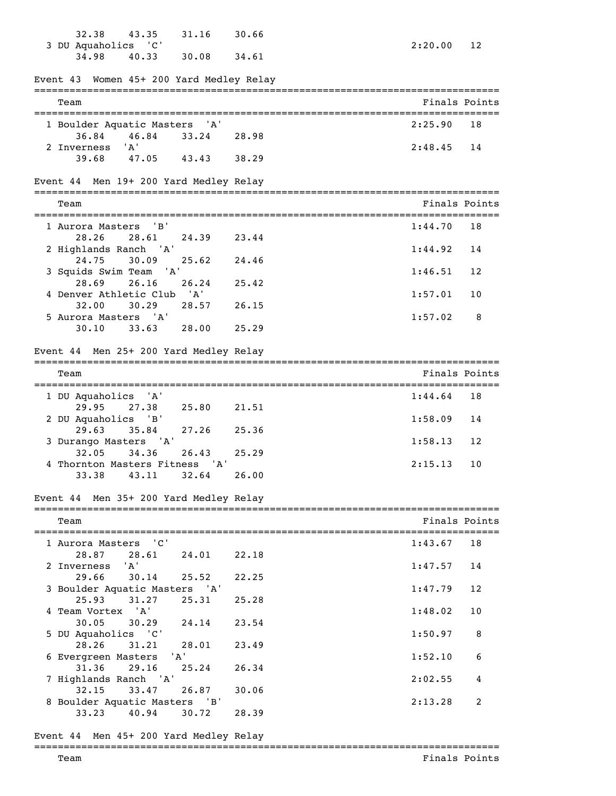| 32.38<br>3 DU Aquaholics 'C'             | 43.35                     | 31.16 | 30.66 | 2:20.00       | 12 |
|------------------------------------------|---------------------------|-------|-------|---------------|----|
| 34.98                                    | 40.33                     | 30.08 | 34.61 |               |    |
| Event 43 Women 45+ 200 Yard Medley Relay |                           |       |       |               |    |
| Team                                     |                           |       |       | Finals Points |    |
| 1 Boulder Aquatic Masters 'A'            |                           |       |       | 2:25.90       | 18 |
| 36.84                                    | 46.84                     | 33.24 | 28.98 |               |    |
| 2 Inverness<br>39.68                     | 'A'<br>47.05              | 43.43 | 38.29 | 2:48.45       | 14 |
| Event 44 Men 19+ 200 Yard Medley Relay   |                           |       |       |               |    |
| Team                                     |                           |       |       | Finals Points |    |
| 1 Aurora Masters                         | $'$ B $'$                 |       |       | 1:44.70       | 18 |
| 28.26                                    | 28.61                     | 24.39 | 23.44 |               |    |
| 2 Highlands Ranch 'A'<br>24.75           | 30.09                     | 25.62 | 24.46 | 1:44.92       | 14 |
| 3 Squids Swim Team 'A'                   |                           |       |       | 1:46.51       | 12 |
| 28.69<br>4 Denver Athletic Club 'A'      | 26.16                     | 26.24 | 25.42 | 1:57.01       | 10 |
| 32.00                                    | 30.29                     | 28.57 | 26.15 |               |    |
| 5 Aurora Masters 'A'<br>30.10            | 33.63                     | 28.00 | 25.29 | 1:57.02       | 8  |
| Event 44 Men 25+ 200 Yard Medley Relay   |                           |       |       |               |    |
| Team                                     |                           |       |       | Finals Points |    |
|                                          |                           |       |       |               |    |
| 1 DU Aquaholics 'A'<br>29.95             | 27.38                     | 25.80 | 21.51 | 1:44.64       | 18 |
| 2 DU Aquaholics 'B'                      |                           |       |       | 1:58.09       | 14 |
| 29.63<br>3 Durango Masters 'A'           | 35.84                     | 27.26 | 25.36 | 1:58.13       | 12 |
| 32.05                                    | 34.36                     | 26.43 | 25.29 |               |    |
| 4 Thornton Masters Fitness 'A'<br>33.38  | 43.11                     | 32.64 | 26.00 | 2:15.13       | 10 |
|                                          |                           |       |       |               |    |
| Event 44 Men 35+ 200 Yard Medley Relay   |                           |       |       |               |    |
| Team                                     |                           |       |       | Finals Points |    |
| 1 Aurora Masters                         | $^{\prime}$ C $^{\prime}$ |       |       | 1:43.67       | 18 |
| 28.87<br>2 Inverness                     | 28.61<br>'A'              | 24.01 | 22.18 | 1:47.57       | 14 |
| 29.66                                    | 30.14                     | 25.52 | 22.25 |               |    |
| 3 Boulder Aquatic Masters 'A'<br>25.93   | 31.27                     | 25.31 | 25.28 | 1:47.79       | 12 |
| 4 Team Vortex 'A'                        |                           |       |       | 1:48.02       | 10 |
| 30.05                                    | 30.29                     | 24.14 | 23.54 |               |    |
| 5 DU Aquaholics 'C'<br>28.26             | 31.21                     | 28.01 | 23.49 | 1:50.97       | 8  |
| 6 Evergreen Masters                      |                           | 'A'   |       | 1:52.10       | 6  |
| 31.36<br>7 Highlands Ranch 'A'           | 29.16                     | 25.24 | 26.34 | 2:02.55       | 4  |
| 32.15                                    | 33.47                     | 26.87 | 30.06 |               |    |
| 8 Boulder Aquatic Masters 'B'<br>33.23   | 40.94                     | 30.72 | 28.39 | 2:13.28       | 2  |
| Event 44 Men 45+ 200 Yard Medley Relay   |                           |       |       |               |    |

### =============================================================================== Team Finals Points